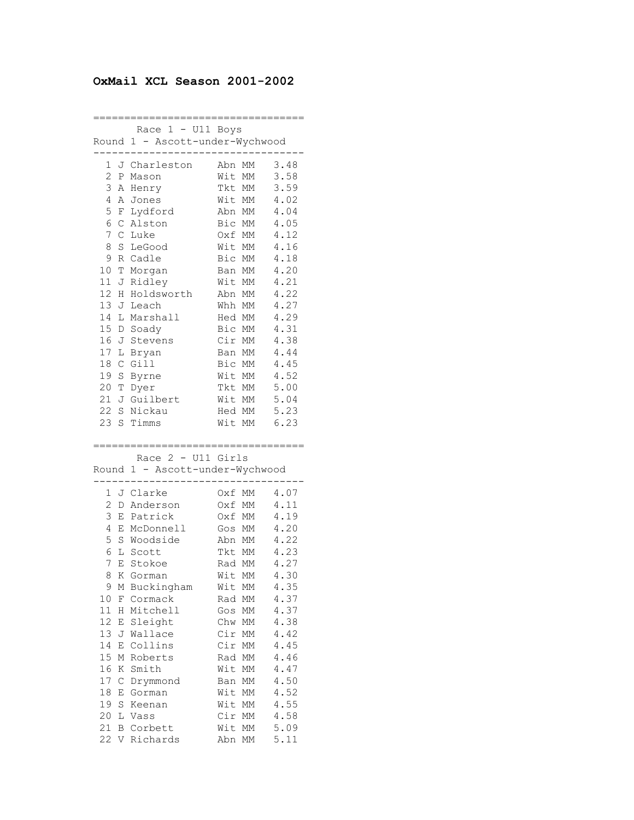## **OxMail XCL Season 2001-2002**

================================== Race 1 - U11 Boys Round 1 - Ascott-under-Wychwood ---------------------------------- 1 J Charleston Abn MM 3.48 2 P Mason Wit MM 3.58 3 A Henry Tkt MM 3.59 4 A Jones Wit MM 4.02 5 F Lydford Abn MM 4.04 6 C Alston Bic MM 4.05 7 C Luke Oxf MM 4.12 8 S LeGood Wit MM 4.16 9 R Cadle Bic MM 4.18 10 T Morgan Ban MM 4.20 11 J Ridley Wit MM 4.21 12 H Holdsworth Abn MM 4.22 13 J Leach Whh MM 4.27 14 L Marshall Hed MM 4.29 15 D Soady Bic MM 4.31 16 J Stevens Cir MM 4.38 17 L Bryan Ban MM 4.44 18 C Gill Bic MM 4.45 19 S Byrne Wit MM 4.52 20 T Dyer Tkt MM 5.00 20 T Dyer<br>
21 J Guilbert Wit MM 5.04<br>
21 J Guilbert Wit MM 5.04 22 S Nickau Hed MM 5.23 23 S Timms Wit MM 6.23 ================================== Race 2 - U11 Girls Round 1 - Ascott-under-Wychwood ---------------------------------- 1 J Clarke Oxf MM 4.07 2 D Anderson Oxf MM 4.11 3 E Patrick Oxf MM 4.19 4 E McDonnell Gos MM 4.20 5 S Woodside Abn MM 4.22 6 L Scott Tkt MM 4.23 7 E Stokoe Rad MM 4.27 8 K Gorman Wit MM 4.30 9 M Buckingham Wit MM 4.35 10 F Cormack Rad MM 4.37 11 H Mitchell Gos MM 4.37 12 E Sleight Chw MM 4.38 13 J Wallace Cir MM 4.42 14 E Collins Cir MM 4.45 15 M Roberts Rad MM 4.46 14 B COTTING<br>15 M Roberts Rad MM 4.46<br>16 K Smith Wit MM 4.47 17 C Drymmond Ban MM 4.50 18 E Gorman Wit MM 4.52 19 S Keenan Wit MM 4.55 20 L Vass Cir MM 4.58 21 B Corbett Wit MM 5.09 22 V Richards Abn MM 5.11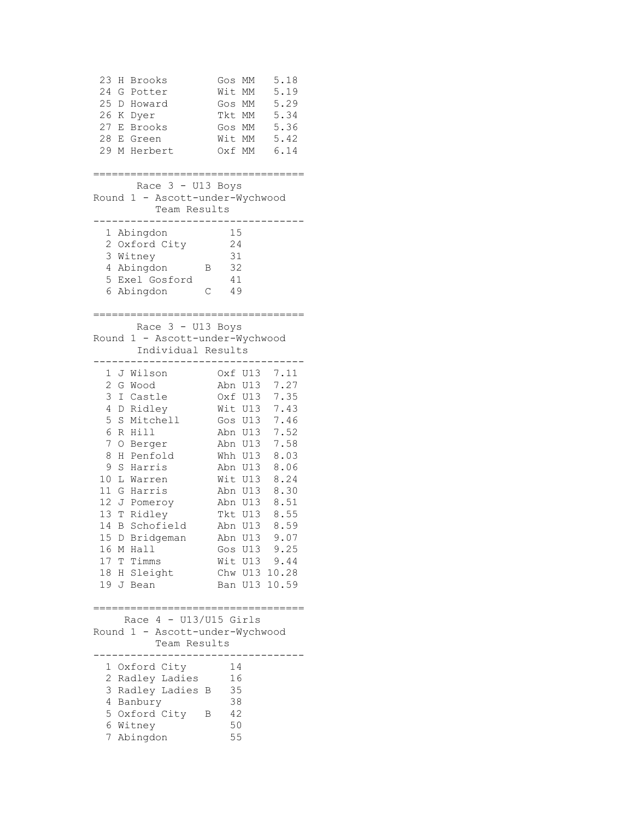| 23<br>24<br>25<br>26<br>27<br>28<br>29 | Η<br>G<br>D<br>Κ<br>Е<br>Е | <b>Brooks</b><br>Potter<br>Howard<br>Dyer<br><b>Brooks</b><br>Green<br>M Herbert |   | Gos<br>Wit<br>Gos MM<br>Tkt MM<br>Gos MM<br>Wit MM<br>Oxf MM | МM<br>МM | 5.18<br>5.19<br>5.29<br>5.34<br>5.36<br>5.42<br>6.14 |
|----------------------------------------|----------------------------|----------------------------------------------------------------------------------|---|--------------------------------------------------------------|----------|------------------------------------------------------|
|                                        |                            | .=========================                                                       |   |                                                              |          |                                                      |
|                                        |                            | Race 3 - U13 Boys<br>Round 1 - Ascott-under-Wychwood<br>Team Results             |   |                                                              |          |                                                      |
| 1                                      |                            | Abingdon                                                                         |   | 15                                                           |          |                                                      |
| 2                                      |                            | Oxford City                                                                      |   | 24                                                           |          |                                                      |
| 3                                      |                            | Witney                                                                           |   | 31                                                           |          |                                                      |
| 4                                      |                            | Abingdon                                                                         | Β | 32                                                           |          |                                                      |
| 5                                      |                            | Exel Gosford                                                                     |   | 41                                                           |          |                                                      |
| 6                                      |                            | Abingdon                                                                         | С | 49                                                           |          |                                                      |
|                                        |                            |                                                                                  |   |                                                              |          |                                                      |
| Round                                  |                            | Race $3 - U13$ Boys<br>1 - Ascott-under-Wychwood<br>Individual Results           |   |                                                              |          |                                                      |
| 1                                      |                            | J Wilson                                                                         |   |                                                              | Oxf U13  | 7.11                                                 |
| 2                                      |                            | G Wood                                                                           |   |                                                              | Abn U13  | 7.27                                                 |
| 3                                      |                            | I Castle                                                                         |   |                                                              | Oxf U13  | 7.35                                                 |
| 4                                      |                            | D Ridley                                                                         |   |                                                              | Wit U13  | 7.43                                                 |
| 5                                      | S                          | Mitchell                                                                         |   |                                                              | Gos U13  | 7.46                                                 |
| 6                                      |                            | R Hill                                                                           |   |                                                              | Abn U13  | 7.52                                                 |
| 7                                      | O                          | Berger                                                                           |   |                                                              | Abn U13  | 7.58                                                 |
| 8                                      | Η                          | Penfold                                                                          |   |                                                              | Whh U13  | 8.03                                                 |
| 9                                      | S                          | Harris                                                                           |   |                                                              | Abn U13  | 8.06                                                 |
| 10                                     | L                          | Warren                                                                           |   |                                                              | Wit U13  | 8.24                                                 |
| 11                                     | G                          | Harris                                                                           |   |                                                              | Abn U13  | 8.30                                                 |
| 12                                     |                            | J Pomeroy                                                                        |   |                                                              | Abn U13  | 8.51                                                 |
|                                        |                            | 13 T Ridley                                                                      |   |                                                              | Tkt U13  | 8.55                                                 |
| 14                                     | $\, {\bf B}$               | Schofield                                                                        |   |                                                              | Abn U13  | 8.59                                                 |
|                                        |                            | 15 D Bridgeman                                                                   |   |                                                              | Abn U13  | 9.07                                                 |
|                                        |                            | 16 M Hall                                                                        |   |                                                              |          | Gos U13 9.25                                         |
|                                        |                            | 17 T Timms                                                                       |   |                                                              |          | Wit U13 9.44                                         |
|                                        |                            | 18 H Sleight                                                                     |   |                                                              |          | Chw U13 10.28                                        |
|                                        |                            | 19 J Bean                                                                        |   |                                                              |          | Ban U13 10.59                                        |
|                                        |                            | :===============================                                                 |   |                                                              |          |                                                      |
|                                        |                            | Race $4 - U13/U15$ Girls                                                         |   |                                                              |          |                                                      |
|                                        |                            | Round 1 - Ascott-under-Wychwood                                                  |   |                                                              |          |                                                      |
|                                        |                            | Team Results                                                                     |   |                                                              |          |                                                      |
| 1                                      |                            | Oxford City                                                                      |   | 14                                                           |          |                                                      |
|                                        |                            | 2 Radley Ladies                                                                  |   | 16                                                           |          |                                                      |
| 3                                      |                            | Radley Ladies B                                                                  |   | 35                                                           |          |                                                      |
|                                        |                            | 4 Banbury                                                                        |   | 38                                                           |          |                                                      |
|                                        |                            | 5 Oxford City                                                                    | В | 42                                                           |          |                                                      |
|                                        |                            | 6 Witney                                                                         |   | 50                                                           |          |                                                      |
|                                        |                            | 7 Abingdon                                                                       |   | 55                                                           |          |                                                      |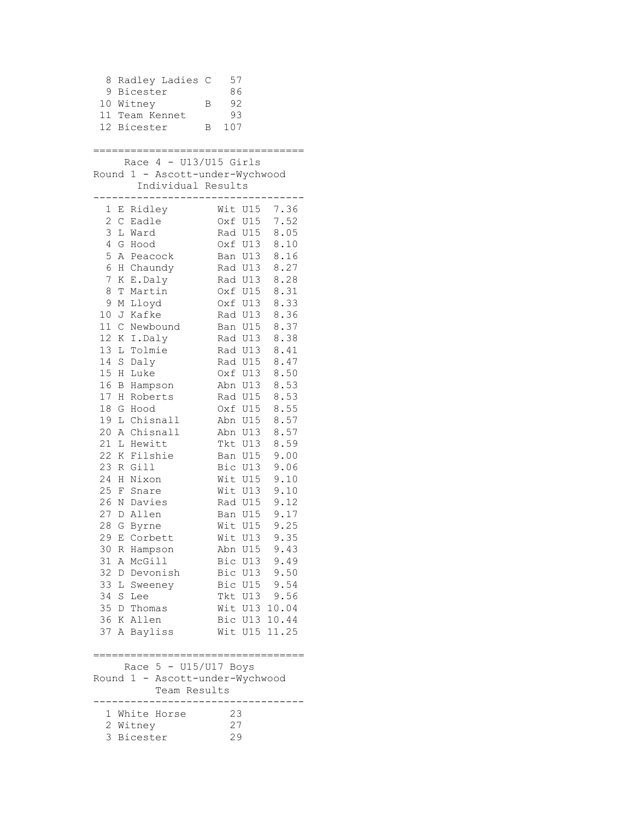8 Radley Ladies C 57 9 Bicester 86 10 Witney B 92 11 Team Kennet 93 12 Bicester B 107 ================================== Race 4 - U13/U15 Girls Round 1 - Ascott-under-Wychwood Individual Results ---------------------------------- 1 E Ridley Mit U15 7.36<br>2 C Eadle 0xf U15 7.52 2 C Eadle Oxf U15 7.52 3 L Ward Rad U15 8.05 4 G Hood Oxf U13 8.10 5 A Peacock Ban U13 8.16 6 H Chaundy Rad U13 8.27 7 K E.Daly Rad U13 8.28 8 T Martin Oxf U15 8.31 9 M Lloyd Oxf U13 8.33 10 J Kafke Rad U13 8.36 11 C Newbound Ban U15 8.37 12 K I.Daly Rad U13 8.38 13 L Tolmie Rad U13 8.41 14 S Daly Rad U15 8.47 15 H Luke Oxf U13 8.50 16 B Hampson Abn U13 8.53 17 H Roberts Rad U15 8.53 18 G Hood Oxf U15 8.55 19 L Chisnall Abn U15 8.57 20 A Chisnall Abn U13 8.57 21 L Hewitt Tkt U13 8.59 22 K Filshie Ban U15 9.00 23 R Gill Bic U13 9.06 24 H Nixon Wit U15 9.10 25 F Snare Wit U13 9.10 26 N Davies Rad U15 9.12 27 D Allen Ban U15 9.17 28 G Byrne Wit U15 9.25 29 E Corbett Wit U13 9.35 30 R Hampson Abn U15 9.43 31 A McGill Bic U13 9.49 32 D Devonish Bic U13 9.50 33 L Sweeney Bic U15 9.54 34 S Lee Tkt U13 9.56 35 D Thomas Wit U13 10.04 36 K Allen Bic U13 10.44 37 A Bayliss Wit U15 11.25 ====================================== Race 5 - U15/U17 Boys Round 1 - Ascott-under-Wychwood Team Results ---------------------------------- 1 White Horse 23 2 Witney 27 3 Bicester 29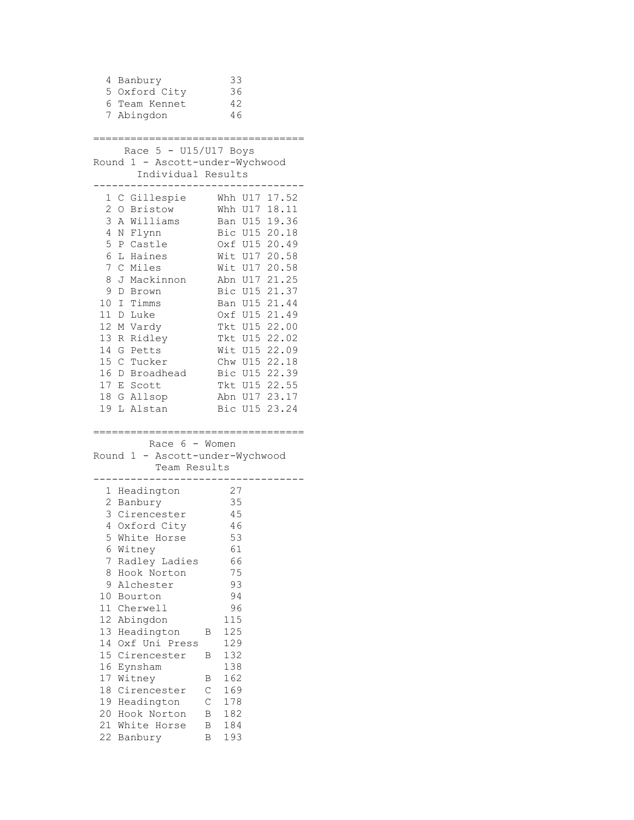|    | 4 Banbury                           |             | 33                             |  |
|----|-------------------------------------|-------------|--------------------------------|--|
|    | 5 Oxford City                       |             | 36                             |  |
|    | 6 Team Kennet                       |             | 42                             |  |
|    | 7 Abingdon                          |             | 46                             |  |
|    |                                     |             |                                |  |
|    | ============================        |             |                                |  |
|    | Race $5 - U15/U17$ Boys             |             |                                |  |
|    | Round 1 - Ascott-under-Wychwood     |             |                                |  |
|    | Individual Results<br>------------- |             |                                |  |
|    | 1 C Gillespie Whh U17 17.52         |             |                                |  |
|    | 2 O Bristow                         |             | Whh U17 18.11                  |  |
|    | 3 A Williams                        |             | Ban U15 19.36                  |  |
|    | 4 N Flynn                           |             | Bic U15 20.18                  |  |
|    | 5 P Castle                          |             | Oxf U15 20.49                  |  |
|    | 6 L Haines                          |             | Wit U17 20.58                  |  |
|    | 7 C Miles                           |             | Wit U17 20.58                  |  |
| 8  | J Mackinnon                         |             |                                |  |
| 9  | D Brown                             |             | Abn U17 21.25<br>Bic U15 21.37 |  |
|    | 10 I Timms                          |             | Ban U15 21.44                  |  |
|    | 11 D Luke                           |             | Oxf U15 21.49                  |  |
|    | 12 M Vardy                          |             | Tkt U15 22.00                  |  |
|    | 13 R Ridley                         |             | Tkt U15 22.02                  |  |
|    | 14 G Petts                          |             | Wit U15 22.09                  |  |
|    | 15 C Tucker                         |             | Chw U15 22.18                  |  |
|    | 16 D Broadhead                      |             | Bic U15 22.39                  |  |
|    | 17 E Scott                          |             | Tkt U15 22.55                  |  |
|    | 18 G Allsop                         |             | Abn U17 23.17                  |  |
|    | 19 L Alstan                         |             | Bic U15 23.24                  |  |
|    |                                     |             |                                |  |
|    | =================                   |             |                                |  |
|    | Race $6 -$ Women                    |             |                                |  |
|    | Round 1 - Ascott-under-Wychwood     |             |                                |  |
|    | Team Results                        |             |                                |  |
|    | 1 Headington                        |             | 27                             |  |
|    | 2 Banbury                           |             | 35                             |  |
|    | 3 Cirencester                       |             | 45                             |  |
|    | 4 Oxford City                       |             | 46                             |  |
|    | 5 White Horse                       |             | 53                             |  |
| 6  | Witney                              |             | 61                             |  |
| 7  | Radley Ladies                       |             | 66                             |  |
| 8  | Hook Norton                         |             | 75                             |  |
| 9  | Alchester                           |             | 93                             |  |
| 10 | Bourton                             |             | 94                             |  |
|    | 11 Cherwell                         |             | 96                             |  |
|    | 12 Abingdon                         |             | 115                            |  |
| 13 | Headington                          | Β           | 125                            |  |
| 14 | Oxf Uni Press                       |             | 129                            |  |
|    | 15 Cirencester                      | Β           | 132                            |  |
| 16 | Eynsham                             |             | 138                            |  |
| 17 | Witney                              | Β           | 162                            |  |
| 18 | Cirencester                         | С           | 169                            |  |
|    | 19 Headington                       | $\mathsf C$ | 178                            |  |
| 20 | Hook Norton                         | В           | 182                            |  |
| 21 | White Horse                         | В           | 184                            |  |
| 22 | Banbury                             | Β           | 193                            |  |
|    |                                     |             |                                |  |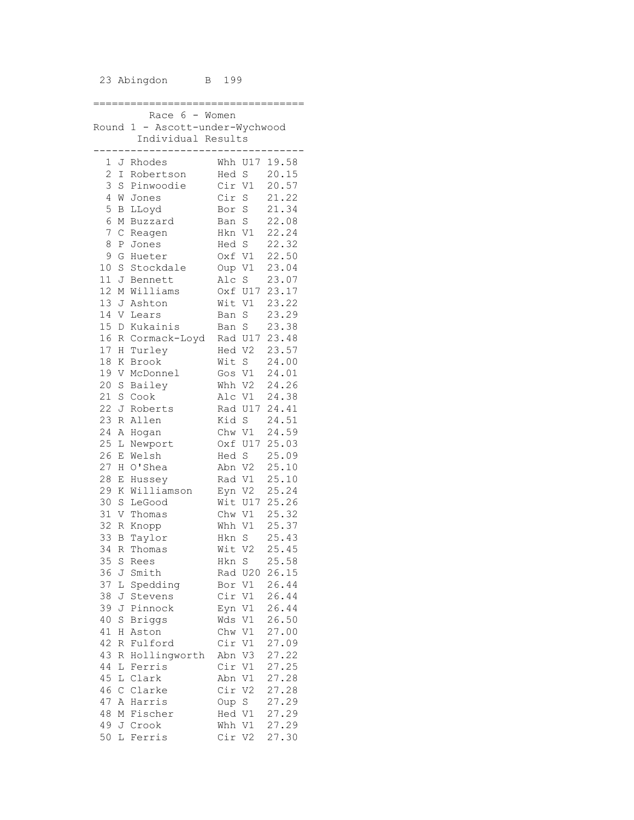## 23 Abingdon B 199

|       |              | Race 6 - Women                  |        |                |               |
|-------|--------------|---------------------------------|--------|----------------|---------------|
|       |              | Round 1 - Ascott-under-Wychwood |        |                |               |
|       |              | Individual Results              |        |                |               |
|       |              |                                 | ------ |                |               |
| $1 -$ |              | J Rhodes                        |        |                | Whh U17 19.58 |
| 2     | $\mathbb{I}$ | Robertson                       | Hed S  |                | 20.15         |
|       |              |                                 |        |                |               |
| 3     | S            | Pinwoodie                       | Cir V1 |                | 20.57         |
| 4     | W            | Jones                           | Cir S  |                | 21.22         |
| 5     | B            | LLoyd                           | Bor S  |                | 21.34         |
| 6     | М            | Buzzard                         | Ban S  |                | 22.08         |
| 7     | С            | Reagen                          | Hkn V1 |                | 22.24         |
| 8     | Ρ            | Jones                           | Hed S  |                | 22.32         |
| 9     | G            | Hueter                          | Oxf V1 |                | 22.50         |
| 10    | S            | Stockdale                       | Oup V1 |                | 23.04         |
| 11    | J            | Bennett                         |        | Alc S          | 23.07         |
| 12    | М            | Williams                        |        | Oxf U17        | 23.17         |
| 13    | J            | Ashton                          | Wit V1 |                | 23.22         |
| 14    | V            | Lears                           | Ban S  |                | 23.29         |
| 15    | D            | Kukainis                        | Ban S  |                | 23.38         |
| 16    | R            | Cormack-Loyd                    |        | Rad U17        | 23.48         |
| 17    | H            | Turley                          | Hed V2 |                | 23.57         |
| 18    | Κ            | Brook                           | Wit S  |                | 24.00         |
| 19    | V            | McDonnel                        |        | Gos V1         | 24.01         |
| 20    | $\rm S$      | Bailey                          | Whh V2 |                | 24.26         |
| 21    | S            | Cook                            |        | Alc V1         | 24.38         |
| 22    |              |                                 |        | Rad U17        | 24.41         |
| 23    | J            | Roberts                         |        |                | 24.51         |
|       | R            | Allen                           | Kid S  |                |               |
| 24    | А            | Hogan                           | Chw V1 |                | 24.59         |
| 25    | L            | Newport                         |        | Oxf U17        | 25.03         |
| 26    | Е            | Welsh                           | Hed S  |                | 25.09         |
| 27    | Η            | O'Shea                          |        | Abn V2         | 25.10         |
| 28    | Е            | Hussey                          |        | Rad V1         | 25.10         |
| 29    | Κ            | Williamson                      |        | Eyn V2         | 25.24         |
| 30    | S            | LeGood                          |        | Wit U17        | 25.26         |
| 31    | V            | Thomas                          |        | Chw V1         | 25.32         |
| 32    | R            | Knopp                           | Whh V1 |                | 25.37         |
| 33    | В            | Taylor                          | Hkn S  |                | 25.43         |
| 34    | R            | Thomas                          | Wit    | V <sub>2</sub> | 25.45         |
| 35    | S            | Rees                            | Hkn S  |                | 25.58         |
| 36    | J            | Smith                           | Rad    | U20            | 26.15         |
| 37    | L            | Spedding                        | Bor    | $\mathtt{V1}$  | 26.44         |
| 38    | J            | Stevens                         | Cir    | V1             | 26.44         |
| 39    | J            | Pinnock                         | Eyn V1 |                | 26.44         |
| 40    | S            | <b>Briggs</b>                   | Wds    | V1             | 26.50         |
| 41    | Η            | Aston                           | Chw V1 |                | 27.00         |
| 42    | R            | Fulford                         | Cir    | V1             | 27.09         |
| 43    | R            | Hollingworth                    | Abn    | V3             | 27.22         |
| 44    | L            | Ferris                          | Cir    | V1             | 27.25         |
| 45    | Г            | Clark                           | Abn    | V1             | 27.28         |
|       |              |                                 | Cir    | V <sub>2</sub> | 27.28         |
| 46    | $\mathsf C$  | Clarke                          |        |                |               |
| 47    | Α            | Harris                          | Oup    | S              | 27.29         |
| 48    | М            | Fischer                         | Hed V1 |                | 27.29         |
| 49    |              | J Crook                         | Whh    | V1             | 27.29         |
| 50    | L            | Ferris                          | Cir    | V <sub>2</sub> | 27.30         |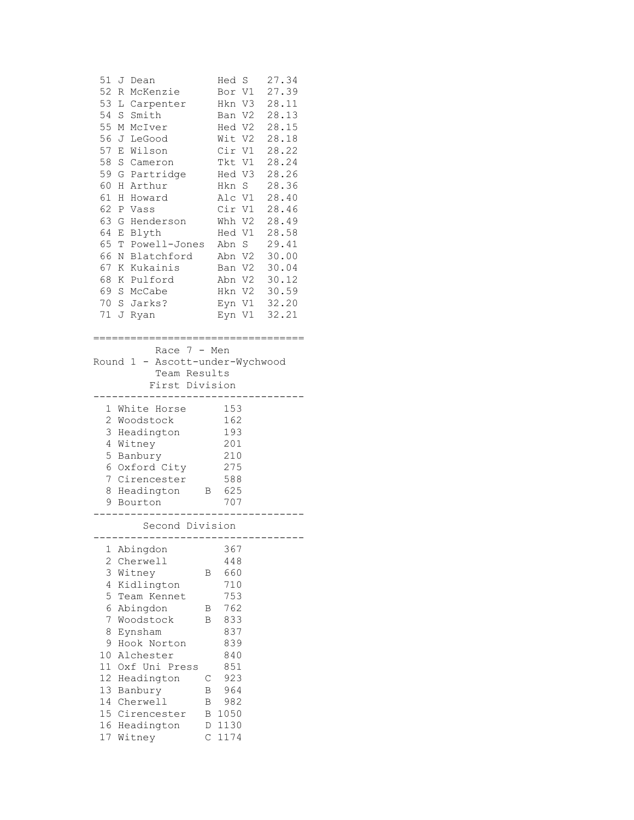|                           | 51 J Dean                  |                                                                  |        |                             | Hed S | 27.34        |  |
|---------------------------|----------------------------|------------------------------------------------------------------|--------|-----------------------------|-------|--------------|--|
|                           |                            | 52 R McKenzie                                                    |        |                             |       | Bor V1 27.39 |  |
|                           |                            | 53 L Carpenter                                                   |        | Hkn V3 28.11                |       |              |  |
|                           | 54 S Smith                 |                                                                  |        | Ban V2 28.13                |       |              |  |
|                           | 55 M McIver                |                                                                  |        | Hed V2 28.15                |       |              |  |
|                           | 56 J LeGood                |                                                                  |        | Wit V2 28.18                |       |              |  |
|                           | 57 E Wilson                |                                                                  |        | Cir V1 28.22                |       |              |  |
|                           | 58 S Cameron               |                                                                  |        | Tkt V1 28.24                |       |              |  |
|                           |                            | 59 G Partridge                                                   |        | Hed V3 28.26<br>Hkn S 28.36 |       |              |  |
|                           | 60 H Arthur                |                                                                  |        |                             |       |              |  |
|                           | 61 H Howard                |                                                                  |        | Alc V1 28.40                |       |              |  |
|                           | 62 P Vass                  |                                                                  |        | Cir V1 28.46                |       |              |  |
|                           |                            | 63 G Henderson Whh V2 28.49                                      |        |                             |       |              |  |
|                           | 64 E Blyth                 |                                                                  |        | Hed V1 28.58                |       |              |  |
|                           |                            | 65 T Powell-Jones Abn S 29.41                                    |        |                             |       |              |  |
|                           |                            | 66 N Blatchford Abn V2 30.00                                     |        |                             |       |              |  |
|                           |                            |                                                                  |        |                             |       |              |  |
|                           |                            |                                                                  |        |                             |       |              |  |
|                           | 69 S McCabe                |                                                                  |        | Hkn V2 30.59                |       |              |  |
|                           | 70 S Jarks?                |                                                                  |        | Eyn V1 32.20                |       |              |  |
|                           | 71 J Ryan                  |                                                                  |        |                             |       | Eyn V1 32.21 |  |
|                           |                            | First Division<br>-----------------------------<br>1 White Horse |        | 153                         |       |              |  |
|                           | 2 Woodstock                |                                                                  |        | 162                         |       |              |  |
|                           |                            | 3 Headington                                                     |        | 193                         |       |              |  |
|                           | 4 Witney                   |                                                                  |        | 201                         |       |              |  |
|                           | 5 Banbury                  |                                                                  |        | 210                         |       |              |  |
|                           |                            | 6 Oxford City 275<br>7 Cirencester                               |        | 588                         |       |              |  |
|                           |                            | 8 Headington B 625                                               |        |                             |       |              |  |
|                           | 9 Bourton                  |                                                                  |        | 707                         |       |              |  |
|                           |                            |                                                                  |        |                             |       |              |  |
|                           |                            | Second Division<br>------------------------------                |        |                             |       |              |  |
| 1                         | Abingdon                   |                                                                  |        | 367                         |       |              |  |
| $\mathbf{2}^{\mathsf{I}}$ | Cherwell                   |                                                                  |        | 448                         |       |              |  |
| 3                         | Witney                     |                                                                  | Β      | 660                         |       |              |  |
| 4                         | Kidlington                 |                                                                  |        | 710                         |       |              |  |
| 5                         |                            | Team Kennet                                                      |        | 753                         |       |              |  |
| 6                         | Abingdon                   |                                                                  | Β      | 762                         |       |              |  |
| 7                         | Woodstock                  |                                                                  | В      | 833                         |       |              |  |
| 8                         | Eynsham                    |                                                                  |        | 837                         |       |              |  |
| 9.                        |                            | Hook Norton                                                      |        | 839                         |       |              |  |
| 10                        | Alchester                  |                                                                  |        | 840                         |       |              |  |
|                           |                            | 11 Oxf Uni Press                                                 |        | 851                         |       |              |  |
|                           | 12 Headington              |                                                                  | С      | 923<br>964                  |       |              |  |
|                           |                            |                                                                  |        |                             |       |              |  |
|                           | 13 Banbury                 |                                                                  | Β      |                             |       |              |  |
|                           | 14 Cherwell                |                                                                  | В      | 982                         |       |              |  |
|                           |                            | 15 Cirencester                                                   | Β      | 1050                        |       |              |  |
|                           | 16 Headington<br>17 Witney |                                                                  | D<br>С | 1130<br>1174                |       |              |  |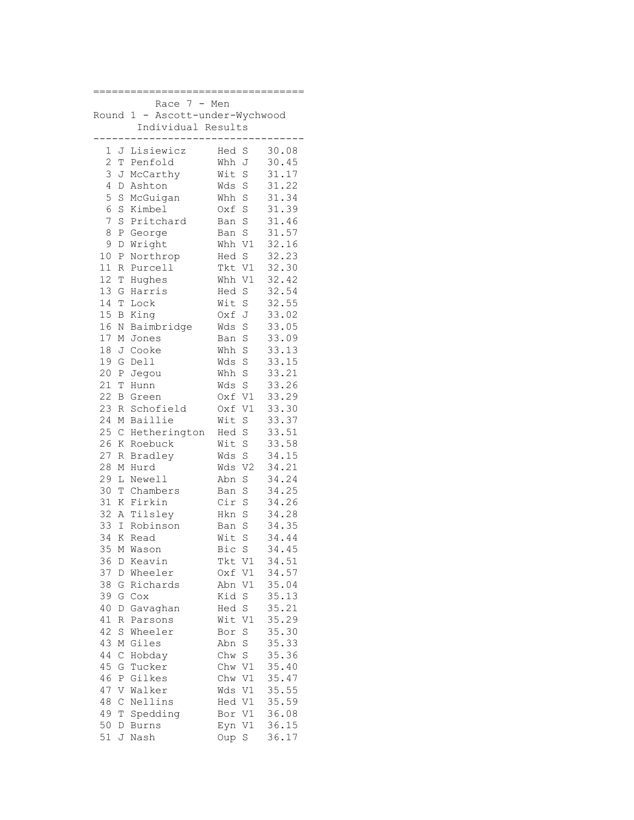|                     | 7<br>Race                  | Men    |                |       |
|---------------------|----------------------------|--------|----------------|-------|
| Round               | 1<br>Ascott-under-Wychwood |        |                |       |
|                     | Individual Results         |        |                |       |
|                     |                            |        |                |       |
| 1<br>J              | Lisiewicz                  | Hed    | S              | 30.08 |
| $\overline{c}$<br>Т | Penfold                    | Whh    | J              | 30.45 |
| 3<br>J              | McCarthy                   | Wit    | S              | 31.17 |
|                     |                            |        |                |       |
| 4<br>D              | Ashton                     | Wds    | S              | 31.22 |
| 5<br>$\rm S$        | McGuigan                   | Whh S  |                | 31.34 |
| 6<br>S              | Kimbel                     | Oxf S  |                | 31.39 |
| 7<br>S              | Pritchard                  | Ban S  |                | 31.46 |
| 8<br>Ρ              | George                     | Ban S  |                | 31.57 |
| 9<br>D              | Wright                     | Whh V1 |                | 32.16 |
| 10<br>Ρ             | Northrop                   | Hed S  |                | 32.23 |
| 11<br>R             | Purcell                    | Tkt V1 |                | 32.30 |
| 12<br>T             | Hughes                     | Whh V1 |                | 32.42 |
| 13<br>G             | Harris                     | Hed    | S              | 32.54 |
| 14<br>T             | Lock                       | Wit S  |                | 32.55 |
| 15<br>В             | King                       | Oxf J  |                | 33.02 |
| 16<br>N             | Baimbridge                 | Wds    | S              | 33.05 |
| 17<br>М             | Jones                      | Ban S  |                | 33.09 |
| 18<br>J             | Cooke                      | Whh    | S              | 33.13 |
| 19<br>G             | Dell                       | Wds    | S              | 33.15 |
| 20<br>Ρ             | Jegou                      | Whh    | S              | 33.21 |
| 21<br>T             | Hunn                       | Wds S  |                | 33.26 |
| 22                  |                            | Oxf V1 |                | 33.29 |
| B<br>23             | Green                      |        |                | 33.30 |
| R                   | Schofield                  | Oxf V1 |                |       |
| 24<br>М             | Baillie                    | Wit    | S              | 33.37 |
| 25<br>$\mathsf{C}$  | Hetherington               | Hed S  |                | 33.51 |
| 26<br>Κ             | Roebuck                    | Wit S  |                | 33.58 |
| 27<br>R             | Bradley                    | Wds    | S              | 34.15 |
| 28<br>М             | Hurd                       | Wds    | V <sub>2</sub> | 34.21 |
| 29<br>L             | Newell                     | Abn    | S              | 34.24 |
| 30<br>T             | Chambers                   | Ban    | $\rm S$        | 34.25 |
| 31<br>Κ             | Firkin                     | Cir    | S              | 34.26 |
| 32<br>A             | Tilsley                    | Hkn    | S              | 34.28 |
| 33<br>$\mathbf I$   | Robinson                   | Ban    | S              | 34.35 |
| 34<br>K             | Read                       | Wit    | S              | 34.44 |
| 35                  | M Wason                    | Bic    | S              | 34.45 |
| 36<br>D             | Keavin                     | Tkt    | V1             | 34.51 |
| 37<br>D             | Wheeler                    | Oxf    | V1             | 34.57 |
| 38<br>G             | Richards                   | Abn    | V1             | 35.04 |
| 39<br>G             | Cox                        | Kid    | S              | 35.13 |
| 40<br>D             | Gavaghan                   | Hed    | S              | 35.21 |
| 41<br>R             | Parsons                    | Wit    | V1             | 35.29 |
| 42<br>S             | Wheeler                    | Bor    | S              | 35.30 |
| 43<br>М             | Giles                      | Abn    | $\rm S$        | 35.33 |
| 44<br>$\mathsf C$   | Hobday                     | Chw    | $\rm S$        | 35.36 |
|                     |                            |        |                | 35.40 |
| 45<br>G             | Tucker                     | Chw    | V1             |       |
| 46<br>Ρ             | Gilkes                     | Chw    | V1             | 35.47 |
| 47<br>V             | Walker                     | Wds    | V1             | 35.55 |
| 48<br>$\mathsf C$   | Nellins                    | Hed V1 |                | 35.59 |
| 49<br>Т             | Spedding                   | Bor    | V1             | 36.08 |
| 50<br>D             | <b>Burns</b>               | Eyn    | V1             | 36.15 |
| 51<br>J             | Nash                       | Oup    | S              | 36.17 |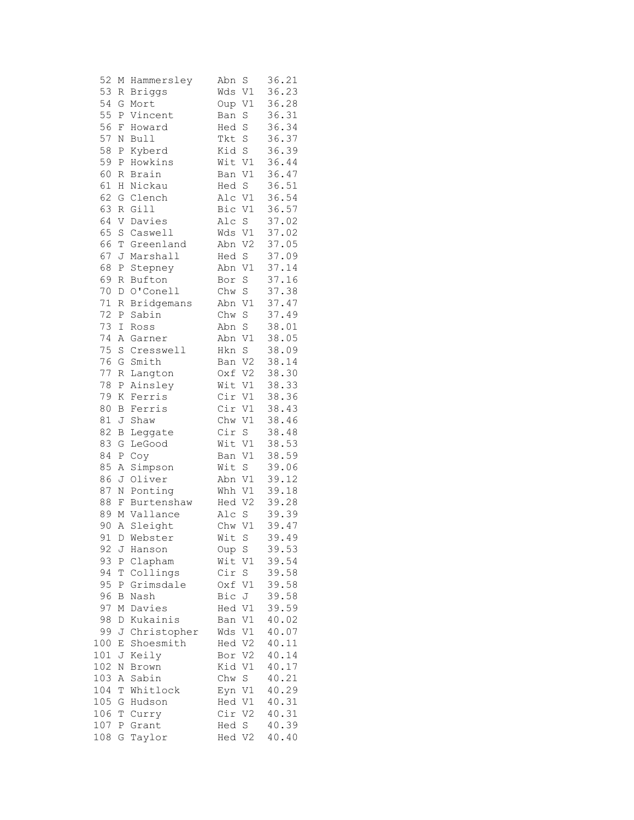| 52     | М            | Hammersley    | Abn<br>S                    | 36.21 |
|--------|--------------|---------------|-----------------------------|-------|
| 53     | R            | <b>Briggs</b> | V1<br>Wds                   | 36.23 |
| 54     | G            | Mort          | V1<br>Oup                   | 36.28 |
| 55     | Ρ            | Vincent       | S<br>Ban                    | 36.31 |
| 56     | F            | Howard        | S<br>Hed                    | 36.34 |
| 57     | Ν            | <b>Bull</b>   | S<br>Tkt                    | 36.37 |
| 58     | Ρ            | Kyberd        | Kid<br>S                    | 36.39 |
| 59     | Ρ            | Howkins       | Wit<br>V1                   | 36.44 |
| 60     | R            | Brain         | V1<br>Ban                   | 36.47 |
| 61     | Η            | Nickau        | S<br>Hed                    | 36.51 |
| 62     | G            | Clench        | $\mathtt{V1}$<br>Alc        | 36.54 |
| 63     | R            | Gill          | Bic<br>V1                   | 36.57 |
| 64     | V            | Davies        | Alc<br>S                    | 37.02 |
| 65     | S            | Caswell       | Wds<br>V1                   | 37.02 |
| 66     | T            | Greenland     | Abn<br>V <sub>2</sub>       | 37.05 |
| 67     | J            | Marshall      | Hed<br>S                    | 37.09 |
| 68     | Ρ            | Stepney       | V1<br>Abn                   | 37.14 |
| 69     | R            | Bufton        | S<br>Bor                    | 37.16 |
| 70     | $\mathbb D$  | O'Conell      | Chw<br>S                    | 37.38 |
| $7\,1$ | R            | Bridgemans    | V1<br>Abn                   | 37.47 |
| 72     | $\, {\bf P}$ | Sabin         | S<br>Chw                    | 37.49 |
| 73     | I            | Ross          | Abn<br>$\rm S$              | 38.01 |
| 74     | Α            | Garner        | Abn<br>V1                   | 38.05 |
| 75     | S            | Cresswell     | S<br>Hkn                    | 38.09 |
| 76     | G            | Smith         | V <sub>2</sub><br>Ban       | 38.14 |
| 77     | R            | Langton       | V <sub>2</sub><br>Oxf       | 38.30 |
| 78     | Ρ            | Ainsley       | Wit<br>V1                   | 38.33 |
| 79     | Κ            | Ferris        | Cir<br>V1                   | 38.36 |
| 80     | В            | Ferris        | Cir<br>V1                   | 38.43 |
| 81     | J            | Shaw          | Chw<br>V1                   | 38.46 |
| 82     | В            | Leggate       | Cir<br>S                    | 38.48 |
| 83     | G            | LeGood        | Wit<br>V1                   | 38.53 |
| 84     | $\, {\bf P}$ | Coy           | V1<br>Ban                   | 38.59 |
| 85     | Α            | Simpson       | Wit<br>S                    | 39.06 |
| 86     | J            | Oliver        | V1<br>Abn                   | 39.12 |
| 87     | N            | Ponting       | V1<br>Whh                   | 39.18 |
| 88     | F            | Burtenshaw    | V <sub>2</sub><br>Hed       | 39.28 |
| 89     | Μ            | Vallance      | S<br>Alc                    | 39.39 |
| 90     | Α            | Sleight       | Chw<br>V1                   | 39.47 |
| 91     | D            | Webster       | Wit<br>S.                   | 39.49 |
| 92     | J            | Hanson        | S<br>Oup                    | 39.53 |
| 93     | Ρ            | Clapham       | Wit<br>V1                   | 39.54 |
| 94     | Τ            | Collings      | Cir<br>$\rm S$              | 39.58 |
| 95     | Ρ            | Grimsdale     | V1<br>Oxf                   | 39.58 |
| 96     | В            | Nash          | Bic<br>J                    | 39.58 |
| 97     | $\mathbb M$  | Davies        | $\mathtt{V1}$<br>Hed        | 39.59 |
| 98     | D            | Kukainis      | V1                          | 40.02 |
| 99     | J            | Christopher   | Ban<br>$\mathtt{V1}$<br>Wds | 40.07 |
| 100    |              | Shoesmith     | V <sub>2</sub>              | 40.11 |
| 101    | Ε<br>J       |               | Hed                         | 40.14 |
|        |              | Keily         | V2<br>Bor                   |       |
| 102    | N            | Brown         | Kid<br>V1                   | 40.17 |
| 103    | Α            | Sabin         | Chw<br>S                    | 40.21 |
| 104    | Τ            | Whitlock      | Eyn V1                      | 40.29 |
| 105    | G            | Hudson        | Hed V1                      | 40.31 |
| 106    | Τ            | Curry         | Cir<br>V <sub>2</sub>       | 40.31 |
| 107    | Ρ            | Grant         | S<br>Hed                    | 40.39 |
| 108    | G            | Taylor        | Hed V2                      | 40.40 |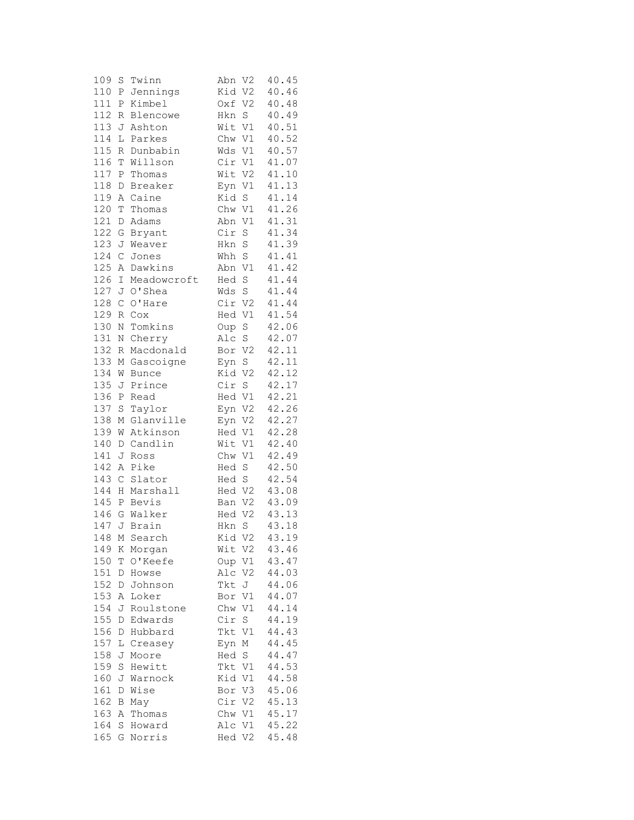| 109 | S            | Twinn          | Abn<br>V <sub>2</sub> | 40.45 |
|-----|--------------|----------------|-----------------------|-------|
| 110 | Ρ            | Jennings       | V <sub>2</sub><br>Kid | 40.46 |
| 111 | Ρ            | Kimbel         | Oxf V2                | 40.48 |
| 112 | R            | Blencowe       | Hkn S                 | 40.49 |
| 113 | J            | Ashton         | Wit V1                | 40.51 |
| 114 | L            | Parkes         | Chw V1                | 40.52 |
| 115 |              | Dunbabin       |                       |       |
|     | R            |                | Wds V1                | 40.57 |
| 116 | T            | Willson        | Cir V1                | 41.07 |
| 117 | Ρ            | Thomas         | Wit V2                | 41.10 |
| 118 | $\mathbb D$  | <b>Breaker</b> | Eyn V1                | 41.13 |
| 119 | Α            | Caine          | Kid S                 | 41.14 |
| 120 | Т            | Thomas         | Chw V1                | 41.26 |
| 121 | D            | Adams          | Abn V1                | 41.31 |
| 122 | G            | Bryant         | Cir S                 | 41.34 |
| 123 | J            | Weaver         | Hkn S                 | 41.39 |
| 124 | $\mathsf C$  | Jones          | Whh S                 | 41.41 |
| 125 | Α            | Dawkins        | Abn V1                | 41.42 |
| 126 | I            | Meadowcroft    | $\rm S$<br>Hed        | 41.44 |
| 127 |              |                | Wds S                 | 41.44 |
|     | J            | 0'Shea         |                       |       |
| 128 | $\mathsf C$  | O'Hare         | Cir V2                | 41.44 |
| 129 | R            | Cox            | Hed V1                | 41.54 |
| 130 | Ν            | Tomkins        | Oup S                 | 42.06 |
| 131 | Ν            | Cherry         | Alc S                 | 42.07 |
| 132 | R            | Macdonald      | Bor V2                | 42.11 |
| 133 | М            | Gascoigne      | Eyn S                 | 42.11 |
| 134 | W            | <b>Bunce</b>   | Kid V2                | 42.12 |
| 135 | J            | Prince         | Cir S                 | 42.17 |
| 136 | $\, {\bf P}$ | Read           | Hed V1                | 42.21 |
| 137 | S            | Taylor         | Eyn V2                | 42.26 |
| 138 | М            | Glanville      | Eyn V2                | 42.27 |
| 139 | W            | Atkinson       | Hed V1                | 42.28 |
|     |              |                |                       |       |
| 140 | D            | Candlin        | Wit V1                | 42.40 |
| 141 | J            | Ross           | Chw V1                | 42.49 |
| 142 | Α            | Pike           | Hed S                 | 42.50 |
| 143 | $\mathsf C$  | Slator         | Hed S                 | 42.54 |
| 144 | $\rm H$      | Marshall       | Hed V2                | 43.08 |
| 145 | $\mathbf{P}$ | Bevis          | Ban V2                | 43.09 |
| 146 |              | G Walker       | Hed V2                | 43.13 |
| 147 | J            | Brain          | S<br>Hkn              | 43.18 |
|     |              | 148 M Search   | Kid V2                | 43.19 |
| 149 | Κ            | Morgan         | Wit V2                | 43.46 |
| 150 | Τ            | O'Keefe        | Oup V1                | 43.47 |
| 151 | D            | Howse          | Alc V2                | 44.03 |
| 152 | D            | Johnson        | Tkt J                 | 44.06 |
| 153 | Α            | Loker          | Bor V1                | 44.07 |
|     |              |                |                       | 44.14 |
| 154 | J            | Roulstone      | Chw V1                |       |
| 155 | D            | Edwards        | $\mathbf S$<br>Cir    | 44.19 |
| 156 | D            | Hubbard        | $\mathtt{V1}$<br>Tkt  | 44.43 |
| 157 | L            | Creasey        | М<br>Eyn              | 44.45 |
| 158 | J            | Moore          | Hed S                 | 44.47 |
| 159 | S            | Hewitt         | Tkt V1                | 44.53 |
| 160 | J            | Warnock        | Kid V1                | 44.58 |
| 161 | D            | Wise           | Bor V3                | 45.06 |
| 162 | В            | May            | Cir V2                | 45.13 |
| 163 | Α            | Thomas         | Chw V1                | 45.17 |
| 164 | S            | Howard         | Alc V1                | 45.22 |
| 165 | G            | Norris         | Hed V2                | 45.48 |
|     |              |                |                       |       |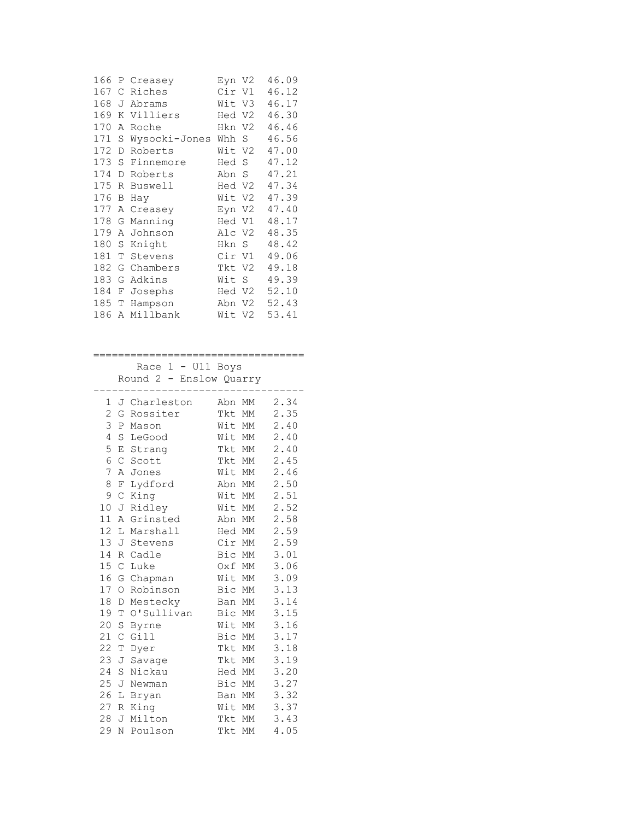| 166 |   | P Creasey     | Eyn V2 |    | 46.09 |
|-----|---|---------------|--------|----|-------|
| 167 | C | Riches        | Cir V1 |    | 46.12 |
| 168 | J | Abrams        | Wit V3 |    | 46.17 |
| 169 | Κ | Villiers      | Hed V2 |    | 46.30 |
| 170 | Α | Roche         | Hkn V2 |    | 46.46 |
| 171 | S | Wysocki-Jones | Whh    | S  | 46.56 |
| 172 | D | Roberts       | Wit    | V2 | 47.00 |
| 173 | S | Finnemore     | Hed    | S  | 47.12 |
| 174 | D | Roberts       | Abn    | S  | 47.21 |
| 175 | R | Buswell       | Hed V2 |    | 47.34 |
| 176 | В | Hay           | Wit    | V2 | 47.39 |
| 177 | Α | Creasey       | Eyn V2 |    | 47.40 |
| 178 | G | Manning       | Hed V1 |    | 48.17 |
| 179 | А | Johnson       | Alc V2 |    | 48.35 |
| 180 | S | Knight        | Hkn    | S. | 48.42 |
| 181 | Т | Stevens       | Cir    | V1 | 49.06 |
| 182 | G | Chambers      | Tkt V2 |    | 49.18 |
| 183 | G | Adkins        | Wit    | S  | 49.39 |
| 184 | F | Josephs       | Hed V2 |    | 52.10 |
| 185 | Т | Hampson       | Abn    | V2 | 52.43 |
| 186 | Α | Millbank      | Wit V2 |    | 53.41 |

==================================

 Race 1 - U11 Boys Round 2 - Enslow Quarry ---------------------------------- 1 J Charleston Abn MM 2.34 2 G Rossiter Tkt MM 2.35 3 P Mason Wit MM 2.40 4 S LeGood Wit MM 2.40 5 E Strang Tkt MM 2.40 6 C Scott Tkt MM 2.45 7 A Jones Wit MM 2.46 8 F Lydford Abn MM 2.50 9 C King Wit MM 2.51 10 J Ridley Wit MM 2.52 11 A Grinsted Abn MM 2.58 12 L Marshall Hed MM 2.59 13 J Stevens Cir MM 2.59 14 R Cadle Bic MM 3.01 15 C Luke Oxf MM 3.06 16 G Chapman Wit MM 3.09 17 O Robinson Bic MM 3.13 18 D Mestecky Ban MM 3.14 19 T O'Sullivan Bic MM 3.15 20 S Byrne Wit MM 3.16 21 C Gill Bic MM 3.17 22 T Dyer Tkt MM 3.18 23 J Savage Tkt MM 3.19 24 S Nickau Hed MM 3.20<br>25 J Newman Bic MM 3.27 25 J Newman Bic MM 3.27 26 L Bryan Ban MM 3.32 27 R King Wit MM 3.37 28 J Milton Tkt MM 3.43 29 N Poulson Tkt MM 4.05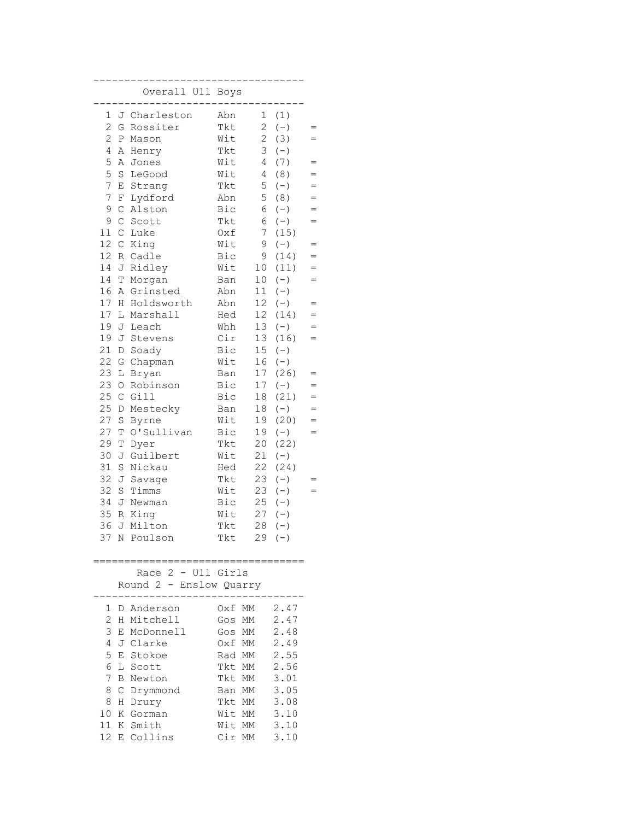|                 |               | Overall U11 Boys                              |        |                 |          |     |
|-----------------|---------------|-----------------------------------------------|--------|-----------------|----------|-----|
| 1               |               | J Charleston                                  | Abn    | 1               | (1)      |     |
| 2               | G             | Rossiter                                      | Tkt    | 2               | $(-)$    | $=$ |
| 2               | $\, {\bf P}$  | Mason                                         | Wit    | 2               | (3)      | $=$ |
| 4               | Α             | Henry                                         | Tkt    | 3               | $(-)$    |     |
| 5               | Α             | Jones                                         | Wit    | 4               | (7)      | $=$ |
| 5               | $\rm S$       | LeGood                                        | Wit    | 4               | (8)      | $=$ |
| 7               | E             | Strang                                        | Tkt    | 5               | $(-)$    | $=$ |
| 7               | F             | Lydford                                       | Abn    | 5               | (8)      | $=$ |
| 9               | $\mathsf C$   | Alston                                        | Bic    | 6               | $(-)$    | $=$ |
| 9               | $\mathsf C$   | Scott                                         | Tkt    | 6               | $(-)$    | $=$ |
| 11              | $\mathcal{C}$ | Luke                                          | Oxf    | 7               | (15)     |     |
| 12              | $\mathcal{C}$ | King                                          | Wit    | 9               | $(-)$    | $=$ |
| 12              | $R_{\perp}$   | Cadle                                         | Bic    | 9               | (14)     | $=$ |
| 14              | J             | Ridley                                        | Wit    | 10              | (11)     | $=$ |
| 14              | T             | Morgan                                        | Ban    | 10              | $(-)$    | $=$ |
| 16              | A             | Grinsted                                      | Abn    | 11              | $(-)$    |     |
| 17              | Н             | Holdsworth                                    | Abn    | 12              | $(-)$    | $=$ |
| 17              | L             | Marshall                                      | Hed    | 12 <sub>2</sub> | (14)     | $=$ |
| 19              | J             | Leach                                         | Whh    | 13              | $(-)$    | $=$ |
| 19              | J             | Stevens                                       | Cir    | 13              | (16)     | $=$ |
| 21              | D             | Soady                                         | Bic    | 15 <sub>1</sub> | $(-)$    |     |
| 22              | G             | Chapman                                       | Wit    | 16              | $(-)$    |     |
| 23              | L             | Bryan                                         | Ban    | 17              | (26)     | $=$ |
| 23              | $\bigcirc$    | Robinson                                      | Bic    | 17              | $(-)$    | $=$ |
| 25              | $\mathsf C$   | Gill                                          | Bic    | 18              | (21)     | $=$ |
| 25              | D             | Mestecky                                      | Ban    | 18              | $(-)$    | $=$ |
| 27              | S             | Byrne                                         | Wit    | 19              | (20)     | $=$ |
| 27              | Т             | O'Sullivan                                    | Bic    | 19              | $(-)$    | $=$ |
| 29              | Τ             | Dyer                                          | Tkt    | 20              | (22)     |     |
| 30              | J             | Guilbert                                      | Wit    | 21              | $(-)$    |     |
| 31              | S             | Nickau                                        | Hed    | 22              | (24)     |     |
| 32              | J             | Savage                                        | Tkt    | 23              | $(-)$    | $=$ |
| 32              | S             | Timms                                         | Wit    | 23              | $(-)$    | $=$ |
| 34              | J             | Newman                                        | Bic    | 25              | $(-)$    |     |
| 35              | R             | King                                          | Wit    | 27              | $(-)$    |     |
| 36              | J             | Milton                                        | Tkt    | 28              | $(-)$    |     |
| 37              |               | N Poulson                                     | Tkt    |                 | $29 (-)$ |     |
|                 |               |                                               |        |                 |          |     |
|                 |               | Race 2 - U11 Girls<br>Round 2 - Enslow Quarry |        |                 |          |     |
|                 |               |                                               |        |                 |          |     |
| 1               |               | D Anderson                                    |        | Oxf MM 2.47     |          |     |
| $\overline{2}$  |               | H Mitchell                                    | Gos MM |                 | 2.47     |     |
| 3               | Е             | McDonnell                                     |        | Gos MM          | 2.48     |     |
| 4               |               | J Clarke                                      |        | Oxf MM          | 2.49     |     |
| 5               |               | E Stokoe                                      |        | Rad MM          | 2.55     |     |
| 6               |               | L Scott                                       |        | Tkt MM          | 2.56     |     |
| 7               |               | <b>B</b> Newton                               |        | Tkt MM          | 3.01     |     |
| 8               |               | C Drymmond                                    | Ban MM |                 | 3.05     |     |
| 8               |               | H Drury                                       | Tkt MM |                 | 3.08     |     |
| 10              |               | K Gorman                                      | Wit MM |                 | 3.10     |     |
| 11 <sup>1</sup> |               | K Smith                                       | Wit MM |                 | 3.10     |     |
| 12              |               | E Collins                                     |        | Cir MM 3.10     |          |     |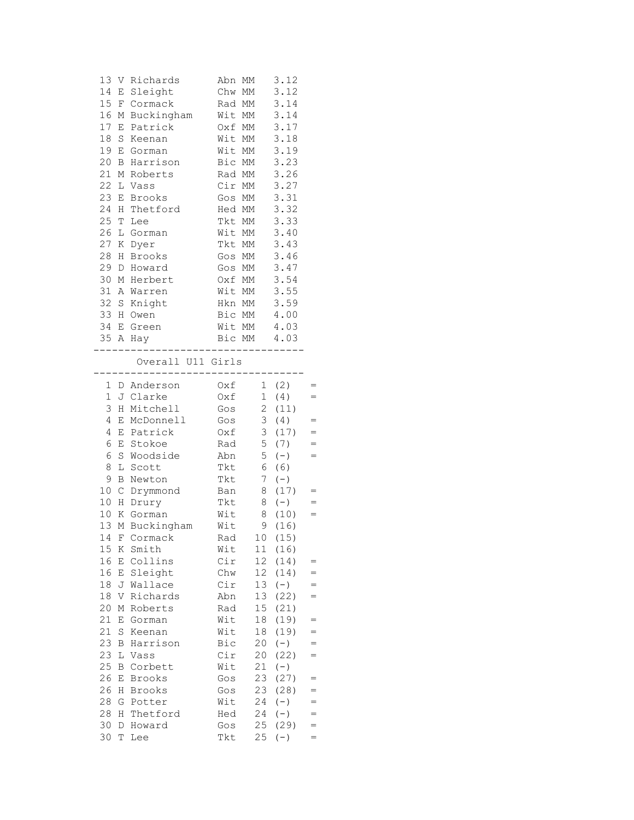| 13<br>14<br>15<br>16<br>17<br>18<br>19<br>20<br>21 M<br>22 L<br>23<br>24<br>25<br>26<br>27            | V<br>Ε<br>F<br>Μ<br>E<br>S<br>E<br>B<br>Ε<br>Η<br>Т<br>L<br>Κ                                      | Richards<br>Sleight<br>Cormack<br>Buckingham<br>Patrick<br>Keenan<br>Gorman<br>Harrison<br>Roberts<br>Vass<br>Brooks<br>Thetford<br>Lee<br>Gorman<br>Dyer                                                | Abn<br>Chw<br>Rad<br>Wit<br>Oxf<br>Wit<br>Wit<br>Bic<br>Rad MM<br>Cir MM<br>Gos<br>Hed<br>Tkt<br>Wit<br>Tkt                | МM<br>МM<br>MM<br>MM<br>МM<br>МM<br>МM<br>MM<br>МM<br>МM<br>MM<br>МM<br>МM                                                        | 3.12<br>3.12<br>3.14<br>3.14<br>3.17<br>3.18<br>3.19<br>3.23<br>3.26<br>3.27<br>3.31<br>3.32<br>3.33<br>3.40<br>3.43                           |                                                                           |
|-------------------------------------------------------------------------------------------------------|----------------------------------------------------------------------------------------------------|----------------------------------------------------------------------------------------------------------------------------------------------------------------------------------------------------------|----------------------------------------------------------------------------------------------------------------------------|-----------------------------------------------------------------------------------------------------------------------------------|------------------------------------------------------------------------------------------------------------------------------------------------|---------------------------------------------------------------------------|
| 28<br>29<br>30<br>31<br>32<br>33<br>34<br>35 A                                                        | Η<br>D<br>М<br>Α<br>$\mathbf S$<br>Η<br>Ε                                                          | Brooks<br>Howard<br>Herbert<br>Warren<br>Knight<br>Owen<br>Green<br>Hay<br>$------$                                                                                                                      | Gos MM<br>Gos MM<br>Oxf MM<br>Wit MM<br>Hkn MM<br>Bic<br>Wit MM<br>. _ _ _ _ _ _ _ _ _ _ _ _ _                             | MM<br>Bic MM 4.03                                                                                                                 | 3.46<br>3.47<br>3.54<br>3.55<br>3.59<br>4.00<br>4.03                                                                                           |                                                                           |
|                                                                                                       |                                                                                                    | Overall U11 Girls<br>. _ _ _ _ _ _ _ .                                                                                                                                                                   | . _ _ _ _ _ _ _ _ _ .                                                                                                      |                                                                                                                                   |                                                                                                                                                |                                                                           |
| $\mathbf{1}$<br>3<br>4<br>4<br>6<br>6<br>8<br>9<br>10<br>10<br>10<br>13<br>15<br>16<br>16<br>18<br>18 | Η<br>Ε<br>Ε<br>E<br>$\rm S$<br>L<br>В<br>$\mathsf C$<br>$\rm H$<br>Κ<br>М<br>Κ<br>Ε<br>Ε<br>J<br>V | J Clarke<br>Mitchell<br>McDonnell<br>Patrick<br>Stokoe<br>Woodside<br>Scott<br>Newton<br>Drymmond<br>Drury<br>Gorman<br>Buckingham<br>14 F Cormack<br>Smith<br>Collins<br>Sleight<br>Wallace<br>Richards | Oxf<br>Gos<br>Gos<br>Oxf<br>Rad<br>Abn<br>Tkt<br>Tkt<br>Ban<br>Tkt<br>Wit<br>Wit<br>Rad<br>Wit<br>Cir<br>Chw<br>Cir<br>Abn | $1 -$<br>$\overline{2}$<br>$\mathfrak{Z}$<br>3<br>5<br>5<br>6<br>$7\phantom{.}$<br>8<br>8<br>8<br>9<br>11<br>12<br>12<br>13<br>13 | (4)<br>(11)<br>(4)<br>(17)<br>(7)<br>$(-)$<br>(6)<br>$(-)$<br>(17)<br>$(-)$<br>(10)<br>(16)<br>10(15)<br>(16)<br>(14)<br>(14)<br>$(-)$<br>(22) | $=$<br>$=$<br>$=$<br>$=$<br>$=$<br>$=$<br>$=$<br>$=$<br>$=$<br>$=$<br>$=$ |
| 20<br>21<br>21<br>23<br>23<br>25<br>26<br>26<br>28<br>28<br>30<br>30                                  | Μ<br>Ε<br>$\rm S$<br>В<br>L<br>В<br>Ε<br>Η<br>G<br>Η<br>D<br>Τ                                     | Roberts<br>Gorman<br>Keenan<br>Harrison<br>Vass<br>Corbett<br>Brooks<br>Brooks<br>Potter<br>Thetford<br>Howard<br>Lee                                                                                    | Rad<br>Wit<br>Wit<br>Bic<br>Cir<br>Wit<br>Gos<br>Gos<br>Wit<br>Hed<br>Gos<br>Tkt                                           | 15<br>18<br>18<br>20<br>20<br>21<br>23<br>23<br>24<br>24<br>25<br>25                                                              | (21)<br>(19)<br>(19)<br>$(-)$<br>(22)<br>$(-)$<br>(27)<br>(28)<br>$(-)$<br>$(-)$<br>(29)<br>$(-)$                                              | $=$<br>$=$<br>$=$<br>$=$<br>$=$<br>$=$<br>$=$                             |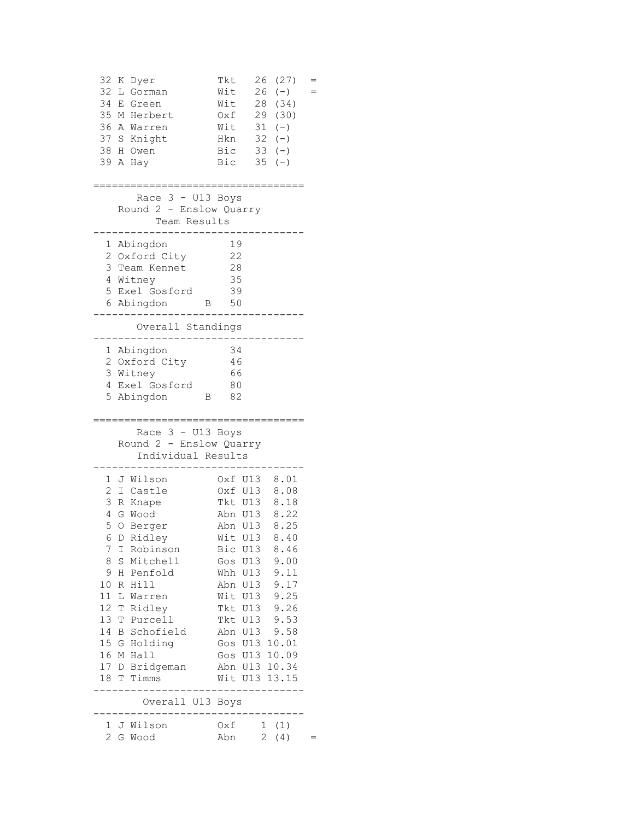| 32<br>34<br>35                                                                                                | 32 K Dyer<br>L Gorman<br>Е<br>Green<br>М<br>Herbert<br>36 A Warren<br>37 S Knight<br>38 H Owen<br>39 A Hay                                                                                                                                                       | 26<br>Tkt<br>26<br>Wit<br>28<br>Wit<br>Oxf<br>Wit<br>Hkn 32<br>Bic<br>Bic<br>35                                                                                                                                                              | (27)<br>$(-)$<br>(34)<br>29 (30)<br>$31 (-)$<br>$(-)$<br>$33 (-)$<br>$(-)$                   |  |
|---------------------------------------------------------------------------------------------------------------|------------------------------------------------------------------------------------------------------------------------------------------------------------------------------------------------------------------------------------------------------------------|----------------------------------------------------------------------------------------------------------------------------------------------------------------------------------------------------------------------------------------------|----------------------------------------------------------------------------------------------|--|
|                                                                                                               | Race 3 - U13 Boys<br>Round 2 - Enslow Quarry<br>Team Results                                                                                                                                                                                                     |                                                                                                                                                                                                                                              |                                                                                              |  |
|                                                                                                               | 1 Abingdon<br>2 Oxford City<br>3 Team Kennet<br>4 Witney<br>5 Exel Gosford<br>6 Abingdon<br>В<br>Overall Standings                                                                                                                                               | 19<br>22<br>28<br>35<br>39<br>50                                                                                                                                                                                                             |                                                                                              |  |
|                                                                                                               | 1 Abingdon<br>2 Oxford City<br>3 Witney<br>4 Exel Gosford<br>5 Abingdon<br>B                                                                                                                                                                                     | 34<br>46<br>66<br>80<br>82                                                                                                                                                                                                                   |                                                                                              |  |
|                                                                                                               | Race 3 - U13 Boys<br>Round 2 - Enslow Quarry<br>Individual Results                                                                                                                                                                                               |                                                                                                                                                                                                                                              |                                                                                              |  |
| $\overline{2}$<br>3<br>4<br>5<br>7<br>8<br>9<br>10 <sub>o</sub><br>11<br>12<br>13<br>14<br>16 M<br>17 D<br>18 | 1 J Wilson<br>I Castle<br>R Knape<br>G Wood<br>O Berger<br>6 D Ridley<br>I Robinson<br>S<br>Mitchell<br>Penfold<br>H<br>Hill<br>R<br>L<br>Warren<br>Ridley<br>Т<br>T Purcell<br>Schofield<br>В<br>15 G Holding<br>Hall<br>Bridgeman<br>T<br>Timms<br>Overall U13 | Oxf U13 8.01<br>Oxf U13<br>Tkt U13<br>Abn U13<br>Abn U13<br>Wit U13 8.40<br>Bic U13<br>Gos U13<br>Whh U13<br>Abn U13<br>Wit U13<br>Tkt U13<br>Tkt U13<br>Abn U13<br>Gos U13 10.01<br>Gos U13 10.09<br>Abn U13 10.34<br>Wit U13 13.15<br>Boys | 8.08<br>8.18<br>8.22<br>8.25<br>8.46<br>9.00<br>9.11<br>9.17<br>9.25<br>9.26<br>9.53<br>9.58 |  |
| $\mathbf{1}$<br>$\overline{2}$                                                                                | J Wilson<br>G Wood                                                                                                                                                                                                                                               | Oxf<br>Abn                                                                                                                                                                                                                                   | 1(1)<br>$\overline{2}$<br>(4)<br>$=$                                                         |  |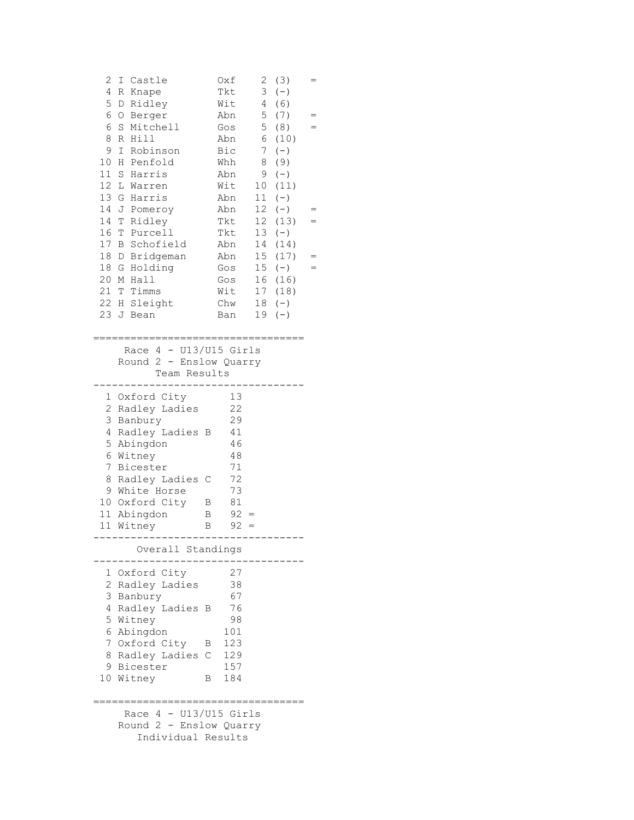| 2<br>Ι<br>4<br>R<br>5<br>D<br>6<br>O<br>6<br>$\mathbf S$<br>8<br>R<br>9<br>Ι<br>10<br>Η<br>11<br>$\mathbf S$<br>12<br>L<br>13<br>G<br>14<br>J<br>14<br>Т<br>16<br>$\mathbb T$<br>17<br>B<br>18<br>18<br>G<br>20<br>М<br>21<br>22<br>Η<br>23<br>J | Castle<br>Knape<br>Ridley<br>Berger<br>Mitchell<br>Hill<br>Robinson<br>Penfold<br>Harris<br>Warren<br>Harris<br>Pomeroy<br>Ridley<br>Purcell<br>Schofield<br>D Bridgeman<br>Holding<br>Hall<br>T Timms<br>Sleight<br>Bean  | Oxf<br>Tkt<br>Wit<br>Abn<br>Gos<br>Abn<br>Bic<br>Whh<br>Abn<br>Wit<br>Abn<br>Abn<br>Tkt<br>Tkt<br>Abn<br>Abn<br>Gos<br>Gos<br>Wit<br>Chw<br>Ban | 2<br>3<br>4<br>5<br>5<br>6<br>7<br>8<br>9<br>10<br>11<br>12 <sup>7</sup><br>12<br>13<br>14<br>15 <sub>1</sub><br>15 <sub>1</sub><br>16<br>17<br>18<br>19 | (3)<br>$(-)$<br>(6)<br>(7)<br>(8)<br>(10)<br>$(-)$<br>(9)<br>$(-)$<br>(11)<br>$(\,-\,)$<br>$(-)$<br>(13)<br>$(\,-\,)$<br>(14)<br>(17)<br>$(-)$<br>(16)<br>(18)<br>$(-)$<br>$(-)$ |  |
|--------------------------------------------------------------------------------------------------------------------------------------------------------------------------------------------------------------------------------------------------|----------------------------------------------------------------------------------------------------------------------------------------------------------------------------------------------------------------------------|-------------------------------------------------------------------------------------------------------------------------------------------------|----------------------------------------------------------------------------------------------------------------------------------------------------------|----------------------------------------------------------------------------------------------------------------------------------------------------------------------------------|--|
|                                                                                                                                                                                                                                                  | Race $4 - U13/U15$ Girls<br>Round 2 - Enslow Quarry<br>Team Results                                                                                                                                                        |                                                                                                                                                 |                                                                                                                                                          |                                                                                                                                                                                  |  |
| $\overline{c}$<br>3<br>4<br>5<br>6<br>7<br>8                                                                                                                                                                                                     | 1 Oxford City<br>Radley Ladies<br>Banbury<br>Radley Ladies B<br>Abingdon<br>Witney<br>Bicester<br>Radley Ladies C<br>9 White Horse<br>10 Oxford City<br>11 Abingdon<br>11 Witney<br>. – – – – – – – –<br>Overall Standings | 13<br>22<br>29<br>41<br>46<br>48<br>71<br>72<br>73<br>81<br>В<br>$92 =$<br>В<br>$92 =$<br>B                                                     |                                                                                                                                                          |                                                                                                                                                                                  |  |
| 2<br>3<br>4<br>5<br>6                                                                                                                                                                                                                            | 1 Oxford City<br>Radley Ladies<br>Banbury<br>Radley Ladies<br>Witney<br>Abingdon<br>7 Oxford City<br>8 Radley Ladies<br>9 Bicester<br>10 Witney                                                                            | 27<br>38<br>67<br>76<br>В<br>98<br>101<br>123<br>B<br>$\mathbb{C}$<br>129<br>157<br>184<br>В                                                    |                                                                                                                                                          | .------------                                                                                                                                                                    |  |
|                                                                                                                                                                                                                                                  | Race $4 - U13/U15$ Girls<br>Round 2 - Enslow Quarry<br>Individual Results                                                                                                                                                  |                                                                                                                                                 |                                                                                                                                                          |                                                                                                                                                                                  |  |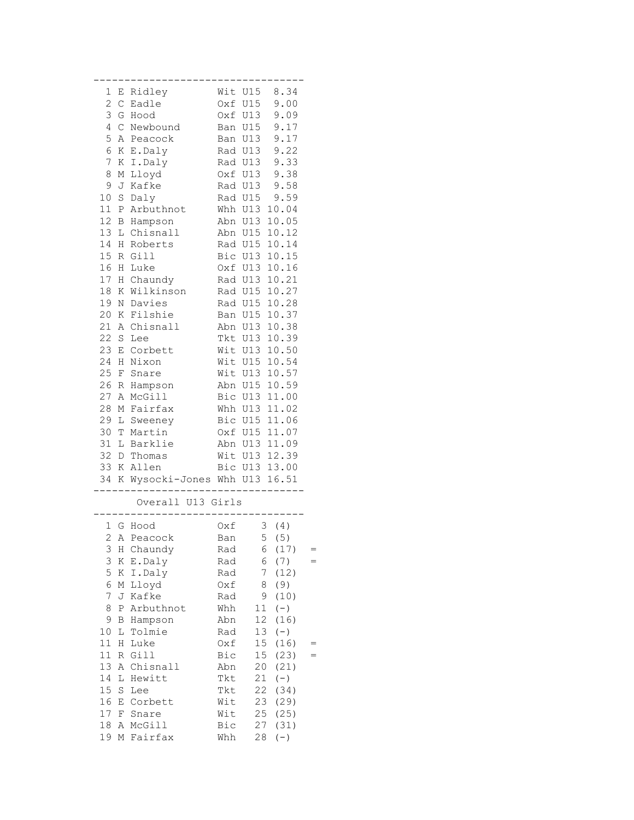| 1                | Ε            | Ridley                      |     | 8.34<br>Wit U15         |  |
|------------------|--------------|-----------------------------|-----|-------------------------|--|
| $\overline{c}$   | $\mathsf C$  | Eadle                       | Oxf | U15<br>9.00             |  |
| 3                | G            | Hood                        | Oxf | U13<br>9.09             |  |
| 4                | $\mathsf{C}$ | Newbound                    | Ban | U15<br>9.17             |  |
| 5                | Α            | Peacock                     | Ban | U13<br>9.17             |  |
| 6                | Κ            | E.Daly                      |     | Rad U13<br>9.22         |  |
| $\boldsymbol{7}$ | К            | I.Daly                      |     | 9.33<br>Rad U13         |  |
| 8                | М            | Lloyd                       |     | 9.38<br>Oxf U13         |  |
| 9                | J            | Kafke                       |     | 9.58<br>Rad U13         |  |
| 10               | $\rm S$      | Daly                        | Rad | <b>U15</b><br>9.59      |  |
| 11               | Ρ            | Arbuthnot                   | Whh | 10.04<br>U13            |  |
| 12               | В            | Hampson                     | Abn | U13 10.05               |  |
| 13               | L            | Chisnall                    | Abn | U15 10.12               |  |
| 14               | Η            | Roberts                     |     | Rad U15 10.14           |  |
| 15               | R            | Gill                        |     | Bic U13<br>10.15        |  |
| 16               | Η            | Luke                        |     | Oxf U13<br>10.16        |  |
| 17               | Η            | Chaundy                     |     | 10.21<br>Rad U13        |  |
| 18               | K            | Wilkinson                   |     | 10.27<br>Rad U15        |  |
| 19               | Ν            | Davies                      | Rad | 10.28<br>U15            |  |
| 20               | Κ            | Filshie                     | Ban | 10.37<br>U15            |  |
| 21               | Α            | Chisnall                    | Abn | U13<br>10.38            |  |
| 22               | S            | Lee                         | Tkt | U13 10.39               |  |
| 23               | Ε            | Corbett                     | Wit | U13<br>10.50            |  |
| 24               | Η            | Nixon                       | Wit | U15<br>10.54            |  |
| 25               | $\rm F$      | Snare                       | Wit | U13<br>10.57            |  |
| 26               | R            | Hampson                     | Abn | U15 10.59               |  |
| 27               | Α            | McGill                      | Bic | U13 11.00               |  |
| 28               | Μ            | Fairfax                     | Whh | 11.02<br>U13            |  |
| 29               | L            | Sweeney                     | Bic | U15 11.06               |  |
| 30               | T            | Martin                      | Oxf | U15 11.07               |  |
| 31               | L            | Barklie                     | Abn | U13 11.09               |  |
| 32               | D            | Thomas                      | Wit | U13 12.39               |  |
| 33               | Κ            | Allen                       |     | Bic U13 13.00           |  |
| 34               | K            | Wysocki-Jones Whh U13 16.51 |     |                         |  |
|                  |              |                             |     |                         |  |
|                  |              | Overall U13 Girls           |     |                         |  |
|                  |              | 1 G Hood                    | Oxf | 3(4)                    |  |
| 2                |              | A Peacock                   | Ban | 5(5)                    |  |
| 3                | H            | Chaundy                     | Rad | 6<br>(17)               |  |
| 3                | Κ            | E.Daly                      | Rad | 6<br>(7)                |  |
| 5                | Κ            | I.Daly                      | Rad | 7<br>(12)               |  |
| 6                | М            | Lloyd                       | Oxf | 8<br>(9)                |  |
| 7                | J            | Kafke                       | Rad | 9<br>(10)               |  |
| 8                | Ρ            | Arbuthnot                   | Whh | $(-)$<br>11             |  |
| 9                | B            | Hampson                     | Abn | 12<br>(16)              |  |
| 10               | L            | Tolmie                      | Rad | 13<br>$(-)$             |  |
| 11               | Η            | Luke                        | Oxf | 15<br>(16)              |  |
| 11               | R            | Gill                        | Bic | 15 <sub>1</sub><br>(23) |  |
| 13               | Α            | Chisnall                    | Abn | 20<br>(21)              |  |
| 14               | L            | Hewitt                      | Tkt | 21<br>$(-)$             |  |
| 15               | $\rm S$      | Lee                         | Tkt | 22<br>(34)              |  |
| 16               | Ε            | Corbett                     | Wit | 23<br>(29)              |  |
| 17               | F            | Snare                       | Wit | (25)<br>25              |  |
| 18               | Α            | McGill                      | Bic | 27<br>(31)              |  |
| 19               | М            | Fairfax                     | Whh | $(-)$<br>28             |  |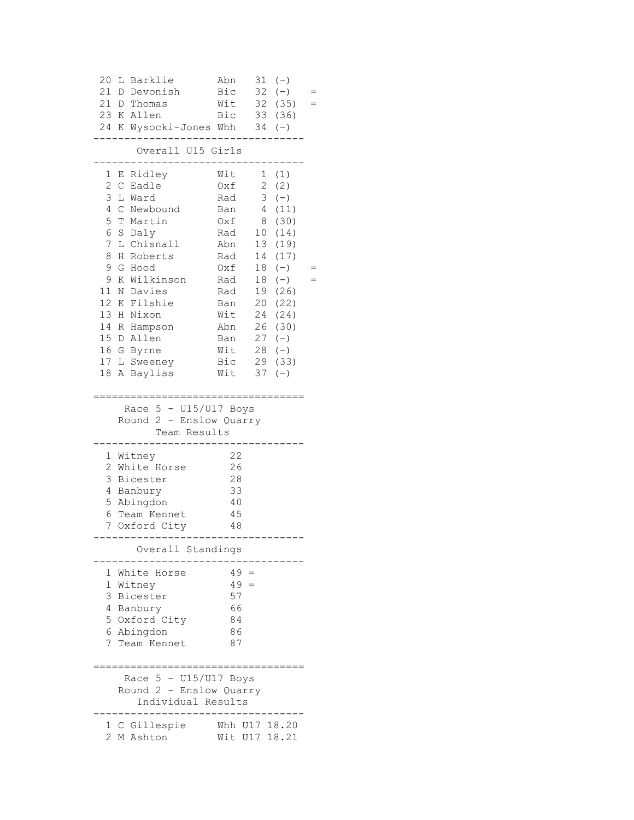| 20<br>L<br>21<br>21<br>23 K Allen                                                                                                                                                                                 | Barklie<br>D Devonish<br>D Thomas                                                                                                                  | Abn<br>Bic<br>Wit<br>Bic                                                                                                   | 31<br>32                                                                                                                              | $(-)$<br>$(-)$<br>32 (35)<br>33 (36)                                                                                                              |  |
|-------------------------------------------------------------------------------------------------------------------------------------------------------------------------------------------------------------------|----------------------------------------------------------------------------------------------------------------------------------------------------|----------------------------------------------------------------------------------------------------------------------------|---------------------------------------------------------------------------------------------------------------------------------------|---------------------------------------------------------------------------------------------------------------------------------------------------|--|
|                                                                                                                                                                                                                   | 24 K Wysocki-Jones Whh                                                                                                                             |                                                                                                                            |                                                                                                                                       | $34 (-)$                                                                                                                                          |  |
|                                                                                                                                                                                                                   | Overall U15 Girls                                                                                                                                  |                                                                                                                            |                                                                                                                                       |                                                                                                                                                   |  |
| 1<br>Е<br>$\overline{c}$<br>$\mathsf{C}$<br>3<br>L Ward<br>4<br>$\mathsf{C}$<br>5<br>6<br>S Daly<br>7<br>L<br>8<br>Η<br>9<br>G Hood<br>9<br>11<br>12<br>13<br>Η<br>14<br>15 D Allen<br>16 G<br>17 L Sweeney<br>18 | Ridley<br>Eadle<br>Newbound<br>T Martin<br>Chisnall<br>Roberts<br>K Wilkinson<br>N Davies<br>K Filshie<br>Nixon<br>R Hampson<br>Byrne<br>A Bayliss | Wit<br>Oxf<br>Rad<br>Ban<br>Oxf<br>Rad<br>Abn<br>Rad<br>Oxf<br>Rad<br>Rad<br>Ban<br>Wit<br>Abn<br>Ban<br>Wit<br>Bic<br>Wit | $\overline{2}$<br>$\mathfrak{Z}$<br>$\overline{4}$<br>8<br>10<br>13<br>14<br>18<br>18<br>19<br>20<br>24<br>26<br>27<br>28<br>29<br>37 | 1(1)<br>(2)<br>$(-)$<br>(11)<br>(30)<br>(14)<br>(19)<br>(17)<br>$(-)$<br>$(-)$<br>(26)<br>(22)<br>(24)<br>(30)<br>$(-)$<br>$(-)$<br>(33)<br>$(-)$ |  |
|                                                                                                                                                                                                                   | Race $5 - U15/U17$ Boys<br>Round 2 - Enslow Quarry<br>Team Results                                                                                 |                                                                                                                            |                                                                                                                                       |                                                                                                                                                   |  |
| Witney<br>1<br>2<br>3<br>4<br>Banbury<br>5<br>Abingdon<br>6<br>7                                                                                                                                                  | White Horse<br>Bicester<br>Team Kennet<br>Oxford City                                                                                              | 22<br>26<br>28<br>33<br>40<br>45<br>48                                                                                     |                                                                                                                                       |                                                                                                                                                   |  |
|                                                                                                                                                                                                                   | . – – – – – – – – – – – –<br>Overall Standings                                                                                                     |                                                                                                                            |                                                                                                                                       |                                                                                                                                                   |  |
| 1<br>1<br>Witney<br>3<br>Bicester<br>4 Banbury<br>6 Abingdon                                                                                                                                                      | White Horse<br>5 Oxford City<br>7 Team Kennet                                                                                                      | $49 =$<br>$49 =$<br>57<br>66<br>84<br>86<br>87                                                                             |                                                                                                                                       |                                                                                                                                                   |  |
| Race                                                                                                                                                                                                              | $5 - U15/U17$ Boys<br>Round 2 - Enslow Quarry<br>Individual Results                                                                                |                                                                                                                            |                                                                                                                                       |                                                                                                                                                   |  |
| 2                                                                                                                                                                                                                 | 1 C Gillespie<br>M Ashton                                                                                                                          | Whh<br>Wit U17 18.21                                                                                                       |                                                                                                                                       | U17 18.20                                                                                                                                         |  |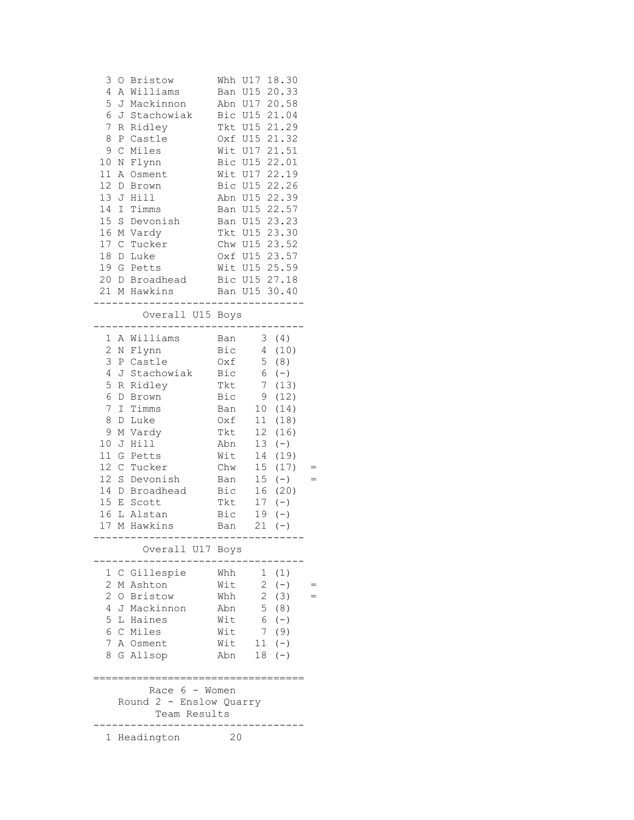| 3<br>4<br>5<br>6<br>7<br>8<br>9<br>10<br>11<br>12 <sup>°</sup><br>13<br>14<br>15<br>16                              | Α<br>J<br>J<br>R<br>Ρ<br>$\mathcal{C}$<br>N<br>Α<br>D<br>I<br>$\rm S$<br>М                     | O Bristow<br>Williams<br>Mackinnon<br>Stachowiak<br>Ridley<br>Castle<br>Miles<br>Flynn<br>Osment<br>Brown<br>J Hill<br>Timms<br>Devonish<br>Vardy                                                                       | Whh<br>Abn<br>Bic<br>Tkt<br>Oxf<br>Wit<br>Bic<br>Ban<br>Ban<br>Tkt                                                                 | 18.30<br>U17<br>Ban U15 20.33<br>U17 20.58<br>U15 21.04<br>U15 21.29<br>U15 21.32<br>U17 21.51<br>U15 22.01<br>Wit U17 22.19<br>Bic U15 22.26<br>Abn U15 22.39<br>U15 22.57<br>U15 23.23<br>U15 23.30                                                                                                                                |  |
|---------------------------------------------------------------------------------------------------------------------|------------------------------------------------------------------------------------------------|-------------------------------------------------------------------------------------------------------------------------------------------------------------------------------------------------------------------------|------------------------------------------------------------------------------------------------------------------------------------|--------------------------------------------------------------------------------------------------------------------------------------------------------------------------------------------------------------------------------------------------------------------------------------------------------------------------------------|--|
| 17<br>18<br>19                                                                                                      | $\mathsf{C}$<br>D<br>G                                                                         | Tucker<br>Luke<br>Petts<br>20 D Broadhead<br>21 M Hawkins                                                                                                                                                               |                                                                                                                                    | Chw U15 23.52<br>Oxf U15 23.57<br>Wit U15 25.59<br>Bic U15 27.18<br>Ban U15 30.40<br>$- - - -$                                                                                                                                                                                                                                       |  |
|                                                                                                                     |                                                                                                | Overall U15 Boys<br>$- - - - - -$                                                                                                                                                                                       |                                                                                                                                    |                                                                                                                                                                                                                                                                                                                                      |  |
| 1<br>$\overline{c}$<br>3<br>4<br>5<br>6<br>7<br>8<br>9<br>10<br>11<br>12<br>12 <sup>2</sup><br>14<br>15<br>16<br>17 | Α<br>J<br>R<br>D<br>$\mathbbm{I}$<br>D<br>М<br>J<br>G<br>$\mathsf{C}$<br>S<br>D<br>$\mathbf E$ | Williams<br>N Flynn<br>P Castle<br>Stachowiak<br>Ridley<br>Brown<br>Timms<br>Luke<br>Vardy<br>Hill<br>Petts<br>Tucker<br>Devonish<br>Broadhead<br>Scott<br>L Alstan<br>M Hawkins<br>---------------<br>Overall U17 Boys | Ban<br>Bic<br>Oxf<br>Bic<br>Tkt<br>Bic<br>Ban<br>Oxf<br>Tkt<br>Abn<br>Wit<br>Chw<br>Ban<br>Bic<br>Tkt<br>Bic<br>Ban<br>$--- - - -$ | (4)<br>3<br>$\overline{4}$<br>(10)<br>5<br>(8)<br>6<br>$(-)$<br>7 <sup>7</sup><br>(13)<br>(12)<br>9<br>10 <sub>1</sub><br>(14)<br>11<br>(18)<br>12<br>(16)<br>13<br>$(-)$<br>14<br>(19)<br>15 <sub>1</sub><br>(17)<br>15 <sub>1</sub><br>$(-)$<br>16<br>(20)<br>17<br>$(-)$<br>$(-)$<br>19<br>21<br>$(\,-\,)$<br>. _ _ _ _ _ _ _ _ _ |  |
| 1<br>2<br>$\overline{2}$<br>4<br>5<br>8                                                                             |                                                                                                | C Gillespie<br>M Ashton<br>O Bristow<br>J Mackinnon<br>L Haines<br>6 C Miles<br>7 A Osment<br>G Allsop                                                                                                                  | Whh<br>Wit<br>Whh<br>Abn<br>Wit<br>Wit<br>Wit<br>Abn                                                                               | 1(1)<br>$\overline{2}$<br>$(-)$<br>$\overline{2}$<br>(3)<br>$\overline{5}$<br>(8)<br>6<br>$(-)$<br>$7\overline{ }$<br>(9)<br>11<br>$(-)$<br>18<br>$(-)$                                                                                                                                                                              |  |
|                                                                                                                     |                                                                                                | Race $6 -$ Women<br>Round 2 - Enslow Quarry<br>Team Results                                                                                                                                                             |                                                                                                                                    |                                                                                                                                                                                                                                                                                                                                      |  |
|                                                                                                                     |                                                                                                | 1 Headington                                                                                                                                                                                                            | 20                                                                                                                                 |                                                                                                                                                                                                                                                                                                                                      |  |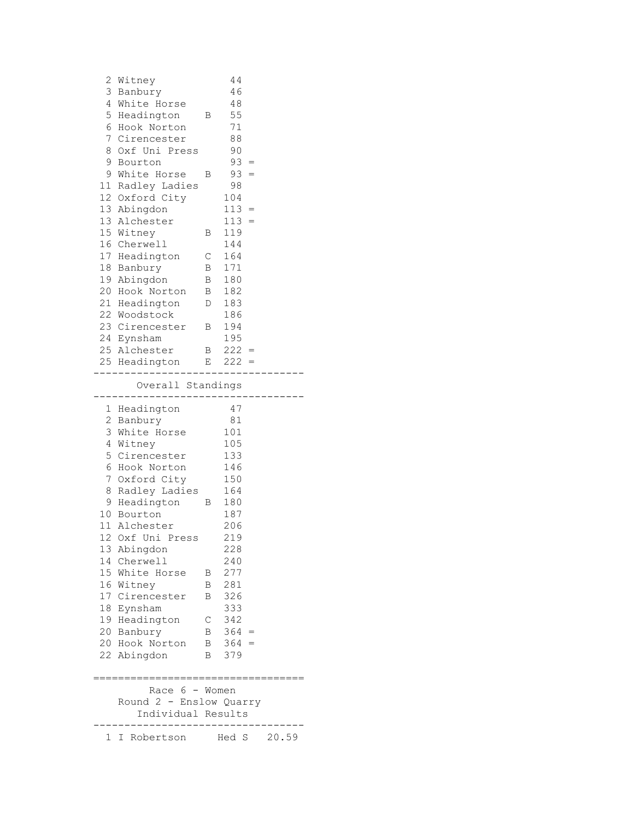| 22 Woodstock   |                                                                                                                                                                                                                                                     | 186                                                                                                      |                                                                                                                                                                                                |                                                |                         |  |  |
|----------------|-----------------------------------------------------------------------------------------------------------------------------------------------------------------------------------------------------------------------------------------------------|----------------------------------------------------------------------------------------------------------|------------------------------------------------------------------------------------------------------------------------------------------------------------------------------------------------|------------------------------------------------|-------------------------|--|--|
|                |                                                                                                                                                                                                                                                     |                                                                                                          |                                                                                                                                                                                                |                                                |                         |  |  |
|                |                                                                                                                                                                                                                                                     | 194                                                                                                      |                                                                                                                                                                                                |                                                |                         |  |  |
|                |                                                                                                                                                                                                                                                     | 195                                                                                                      |                                                                                                                                                                                                |                                                |                         |  |  |
|                |                                                                                                                                                                                                                                                     |                                                                                                          |                                                                                                                                                                                                |                                                |                         |  |  |
|                |                                                                                                                                                                                                                                                     |                                                                                                          |                                                                                                                                                                                                |                                                |                         |  |  |
| --------       |                                                                                                                                                                                                                                                     |                                                                                                          |                                                                                                                                                                                                |                                                |                         |  |  |
|                |                                                                                                                                                                                                                                                     |                                                                                                          |                                                                                                                                                                                                |                                                |                         |  |  |
|                |                                                                                                                                                                                                                                                     | 101                                                                                                      |                                                                                                                                                                                                |                                                |                         |  |  |
| 4 Witney       |                                                                                                                                                                                                                                                     | 105                                                                                                      |                                                                                                                                                                                                |                                                |                         |  |  |
| 5 Cirencester  |                                                                                                                                                                                                                                                     | 133                                                                                                      |                                                                                                                                                                                                |                                                |                         |  |  |
| 6 Hook Norton  |                                                                                                                                                                                                                                                     | 146                                                                                                      |                                                                                                                                                                                                |                                                |                         |  |  |
| 7 Oxford City  |                                                                                                                                                                                                                                                     | 150                                                                                                      |                                                                                                                                                                                                |                                                |                         |  |  |
|                |                                                                                                                                                                                                                                                     | 164                                                                                                      |                                                                                                                                                                                                |                                                |                         |  |  |
|                |                                                                                                                                                                                                                                                     |                                                                                                          |                                                                                                                                                                                                |                                                |                         |  |  |
|                |                                                                                                                                                                                                                                                     | 187                                                                                                      |                                                                                                                                                                                                |                                                |                         |  |  |
|                |                                                                                                                                                                                                                                                     |                                                                                                          |                                                                                                                                                                                                |                                                |                         |  |  |
|                |                                                                                                                                                                                                                                                     |                                                                                                          |                                                                                                                                                                                                |                                                |                         |  |  |
|                |                                                                                                                                                                                                                                                     |                                                                                                          |                                                                                                                                                                                                |                                                |                         |  |  |
|                |                                                                                                                                                                                                                                                     |                                                                                                          |                                                                                                                                                                                                |                                                |                         |  |  |
|                |                                                                                                                                                                                                                                                     |                                                                                                          |                                                                                                                                                                                                |                                                |                         |  |  |
|                |                                                                                                                                                                                                                                                     |                                                                                                          |                                                                                                                                                                                                |                                                |                         |  |  |
|                |                                                                                                                                                                                                                                                     |                                                                                                          |                                                                                                                                                                                                |                                                |                         |  |  |
|                | С                                                                                                                                                                                                                                                   |                                                                                                          |                                                                                                                                                                                                |                                                |                         |  |  |
|                |                                                                                                                                                                                                                                                     |                                                                                                          |                                                                                                                                                                                                |                                                |                         |  |  |
| 20 Hook Norton |                                                                                                                                                                                                                                                     |                                                                                                          |                                                                                                                                                                                                |                                                |                         |  |  |
| 22 Abingdon    |                                                                                                                                                                                                                                                     | 379                                                                                                      |                                                                                                                                                                                                |                                                |                         |  |  |
|                |                                                                                                                                                                                                                                                     |                                                                                                          |                                                                                                                                                                                                |                                                |                         |  |  |
|                | 21 Headington<br>24 Eynsham<br>25 Alchester<br>1 Headington<br>2 Banbury<br>3 White Horse<br>10 Bourton<br>11 Alchester<br>13 Abingdon<br>14 Cherwell<br>15 White Horse<br>16 Witney<br>17 Cirencester<br>18 Eynsham<br>19 Headington<br>20 Banbury | 23 Cirencester<br>$\overline{B}$<br>8 Radley Ladies<br>9 Headington B<br>12 Oxf Uni Press<br>В<br>В<br>B | $\mathbb D$<br>183<br>$\mathbf{B}$<br>25 Headington E<br>Overall Standings<br>47<br>81<br>180<br>206<br>219<br>228<br>240<br>277<br>281<br>326<br>333<br>342<br>$\mathbf{B}$<br>Race 6 - Women | $222 =$<br>$222 =$<br>$B$ 364 =<br>$B = 364 =$ | Round 2 - Enslow Quarry |  |  |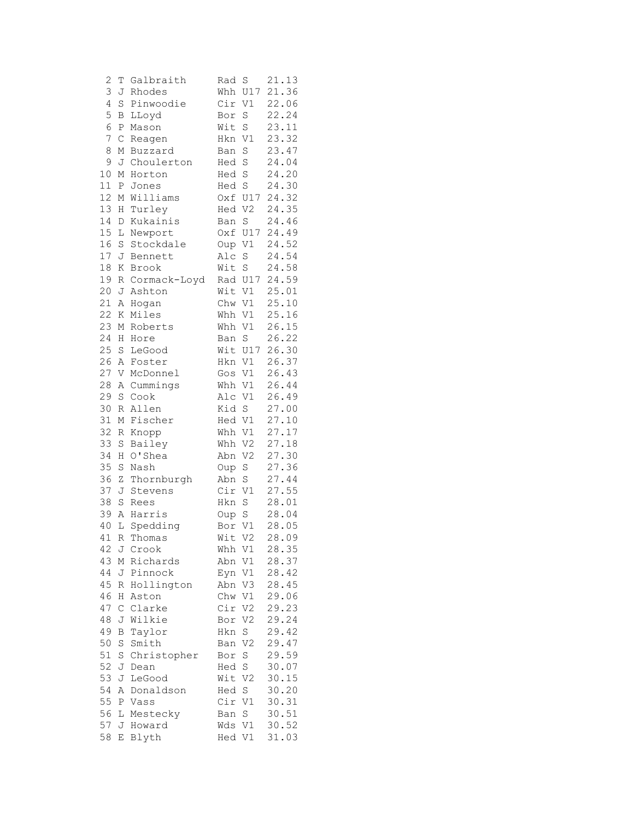| $\mathbf{Z}$ | Τ           | Galbraith    | Rad    | S              | 21.13 |
|--------------|-------------|--------------|--------|----------------|-------|
| 3            | J           | Rhodes       |        | Whh U17        | 21.36 |
| 4            | S           | Pinwoodie    | Cir    | V1             | 22.06 |
| 5            | B           | LLoyd        | Bor    | S              | 22.24 |
| 6            | Ρ           | Mason        | Wit    | S              | 23.11 |
| 7            | $\mathsf C$ | Reagen       | Hkn    | V1             | 23.32 |
| 8            | Μ           | Buzzard      | Ban    | S              | 23.47 |
| 9            | J           | Choulerton   | Hed    | $\rm S$        | 24.04 |
| 10           | Μ           | Horton       | Hed    | S              | 24.20 |
| 11           | Ρ           | Jones        | Hed S  |                | 24.30 |
| 12           | М           | Williams     |        | Oxf U17        | 24.32 |
| 13           | Η           | Turley       | Hed V2 |                | 24.35 |
| 14           | D           | Kukainis     | Ban    | S              | 24.46 |
| 15           | L           | Newport      |        | Oxf U17        | 24.49 |
| 16           | $\rm S$     | Stockdale    | Oup    | V1             | 24.52 |
| 17           | J           | Bennett      | Alc S  |                | 24.54 |
| 18           | Κ           | Brook        | Wit    | S              | 24.58 |
| 19           | R           | Cormack-Loyd |        | Rad U17        | 24.59 |
| 20           | J           | Ashton       | Wit V1 |                | 25.01 |
| 21           | Α           | Hogan        | Chw    | V1             | 25.10 |
| 22           | Κ           | Miles        | Whh    | V1             | 25.16 |
| 23           | Μ           | Roberts      | Whh    | V1             | 26.15 |
| 24           | Η           | Hore         | Ban    | $\mathbf S$    | 26.22 |
| 25           | S           | LeGood       |        | Wit U17        | 26.30 |
| 26           | Α           | Foster       | Hkn    | V1             | 26.37 |
| 27           | V           | McDonnel     | Gos    | V1             | 26.43 |
| 28           | Α           | Cummings     | Whh    | V1             | 26.44 |
| 29           | $\mathbf S$ | Cook         | Alc    | V1             | 26.49 |
| 30           | R           | Allen        | Kid    | S              | 27.00 |
| 31           | М           | Fischer      | Hed V1 |                | 27.10 |
| 32           | R           | Knopp        | Whh    | V1             | 27.17 |
| 33           | S           | Bailey       | Whh    | V <sub>2</sub> | 27.18 |
| 34           | Η           | O'Shea       | Abn    | V <sub>2</sub> | 27.30 |
| 35           | $\rm S$     | Nash         | Oup    | $\rm S$        | 27.36 |
| 36           | Ζ           | Thornburgh   | Abn    | S              | 27.44 |
| 37           | J           | Stevens      | Cir    | V1             | 27.55 |
| 38           | $\rm S$     | Rees         | Hkn    | S              | 28.01 |
| 39           | Α           | Harris       | Oup S  |                | 28.04 |
| 40           | L           | Spedding     | Bor    | V1             | 28.05 |
| 41           | R           | Thomas       | Wit    | V <sub>2</sub> | 28.09 |
| 42           | J           | Crook        |        | Whh V1         | 28.35 |
| 43           | Μ           | Richards     | Abn    | V1             | 28.37 |
| 44           | J           | Pinnock      | Eyn V1 |                | 28.42 |
| 45           | $\mathbb R$ | Hollington   | Abn V3 |                | 28.45 |
| 46           | Η           | Aston        | Chw V1 |                | 29.06 |
| 47           | $\mathsf C$ | Clarke       | Cir V2 |                | 29.23 |
| 48           | J           | Wilkie       | Bor    | V2             | 29.24 |
| 49           | В           | Taylor       | Hkn    | S              | 29.42 |
| 50           | S           | Smith        | Ban    | V <sub>2</sub> | 29.47 |
| 51           | S           | Christopher  | Bor    | $\rm S$        | 29.59 |
| 52           | J           | Dean         | Hed S  |                | 30.07 |
| 53           | J           | LeGood       | Wit V2 |                | 30.15 |
| 54           | Α           | Donaldson    | Hed S  |                | 30.20 |
| 55           | Ρ           | Vass         | Cir V1 |                | 30.31 |
| 56           | L           | Mestecky     | Ban S  |                | 30.51 |
| 57           |             | J Howard     | Wds V1 |                | 30.52 |
| 58           | Е           | Blyth        | Hed V1 |                | 31.03 |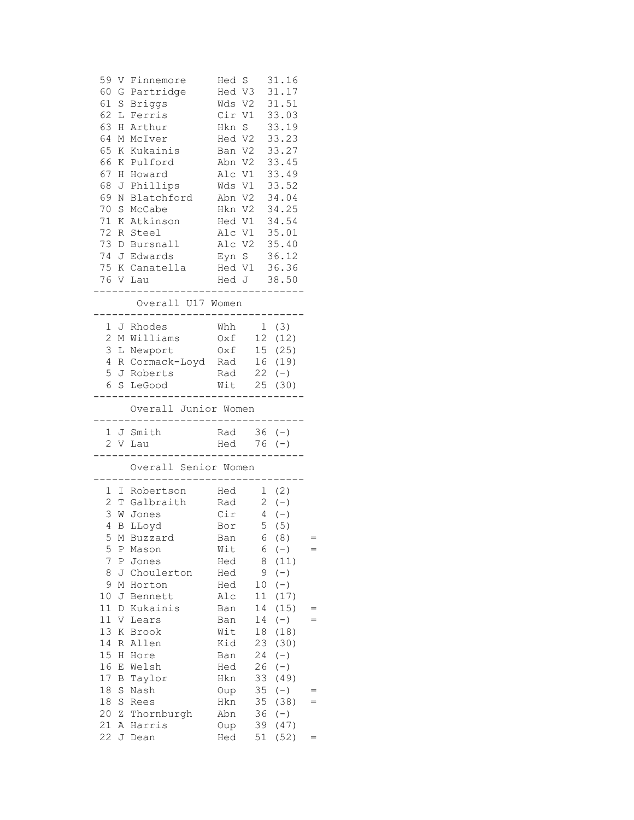|          |        | 59 V Finnemore Hed S 31.16<br>60 G Partridge<br>61 S Briggs<br>62 L Ferris<br>63 H Arthur<br>64 M McIver<br>65 K Kukainis Ban V2 33.27                             |            |              | Hed V3 31.17<br>Wds V2 31.51<br>Cir V1 33.03<br>Hkn S 33.19<br>Hed V2 33.23 |     |  |
|----------|--------|--------------------------------------------------------------------------------------------------------------------------------------------------------------------|------------|--------------|-----------------------------------------------------------------------------|-----|--|
|          |        |                                                                                                                                                                    |            |              |                                                                             |     |  |
|          |        | 69 N Blatchford Abn V2 34.04<br>70 S McCabe Hkn V2 34.25                                                                                                           |            |              |                                                                             |     |  |
|          |        | 71 K Atkinson Hed V1 34.54                                                                                                                                         |            |              |                                                                             |     |  |
|          |        | 72 R Steel                                                                                                                                                         |            | Alc V1 35.01 |                                                                             |     |  |
|          |        | 73 D Bursnall Alc V2 35.40                                                                                                                                         |            |              |                                                                             |     |  |
|          |        | 74 J Edwards Eyn S 36.12                                                                                                                                           |            |              |                                                                             |     |  |
|          |        |                                                                                                                                                                    |            |              |                                                                             |     |  |
|          |        | 75 K Canatella Hed V1 36.36<br>76 V Lau Hed J 38.50<br>-------------------------------                                                                             |            |              |                                                                             |     |  |
|          |        | Overall U17 Women<br>--------------------------------                                                                                                              |            |              |                                                                             |     |  |
|          |        | Whh 1 (3)<br>1 J Rhodes<br>2 M Williams 0xf 12 (12)<br>3 L Newport 0xf 15 (25)<br>4 R Cormack-Loyd Rad 16 (19)<br>5 J Roberts Rad 22 (-)<br>6 S LeGood Wit 25 (30) |            |              |                                                                             |     |  |
|          |        |                                                                                                                                                                    |            |              |                                                                             |     |  |
|          |        |                                                                                                                                                                    |            |              |                                                                             |     |  |
|          |        | ___________________________________<br>Overall Junior Women<br>--------------------------------                                                                    |            |              |                                                                             |     |  |
|          |        | 1 J Smith Rad 36 (-)                                                                                                                                               |            |              |                                                                             |     |  |
|          |        | 2 V Lau<br>---------------                                                                                                                                         |            |              | Hed 76 (-)<br>-----------------                                             |     |  |
|          |        | Overall Senior Women<br>------------------------                                                                                                                   |            |              |                                                                             |     |  |
|          |        | 1 I Robertson Hed 1 (2)<br>2 T Galbraith Rad 2 (-)<br>3 W Jones Cir 4 (-)                                                                                          |            |              |                                                                             |     |  |
|          |        |                                                                                                                                                                    |            |              |                                                                             |     |  |
|          |        | 4 B LLoyd                                                                                                                                                          |            | Bor 5 (5)    |                                                                             |     |  |
|          |        | 5 M Buzzard Ban 6 (8)                                                                                                                                              |            |              |                                                                             |     |  |
| 5        | Ρ      | Mason                                                                                                                                                              | Wit        | 6            | $(-)$                                                                       | $=$ |  |
| 7        | Ρ      | Jones                                                                                                                                                              | Hed        | 8            | (11)                                                                        |     |  |
| 8        | J      | Choulerton                                                                                                                                                         | Hed        | 9            | $(-)$                                                                       |     |  |
| 9        | М      | Horton                                                                                                                                                             | Hed        | 10           | $(-)$                                                                       |     |  |
| 10       | J      | Bennett                                                                                                                                                            | Alc        | 11           | (17)                                                                        |     |  |
| 11       | D      | Kukainis                                                                                                                                                           | Ban        | 14           | (15)                                                                        | $=$ |  |
| 11       | V      | Lears                                                                                                                                                              | Ban        | 14           | $(-)$                                                                       | $=$ |  |
| 13       | Κ      | Brook                                                                                                                                                              | Wit        | 18           | (18)                                                                        |     |  |
| 14       | R      | Allen                                                                                                                                                              | Kid<br>Ban | 23           | (30)                                                                        |     |  |
| 15<br>16 | Η<br>Е | Hore<br>Welsh                                                                                                                                                      | Hed        | 24<br>26     | $(-)$<br>$(-)$                                                              |     |  |
| 17       | B      | Taylor                                                                                                                                                             | Hkn        | 33           | (49)                                                                        |     |  |
| 18       | S      | Nash                                                                                                                                                               | Oup        | 35           | $(-)$                                                                       | $=$ |  |
| $1\,8$   | S      | Rees                                                                                                                                                               | Hkn        | 35           | (38)                                                                        | $=$ |  |
| 20       | Ζ      | Thornburgh                                                                                                                                                         | Abn        | 36           | $(-)$                                                                       |     |  |
| 21       | Α      | Harris                                                                                                                                                             | Oup        | 39           | (47)                                                                        |     |  |
| 22       | J      | Dean                                                                                                                                                               | Hed        | 51           | (52)                                                                        | $=$ |  |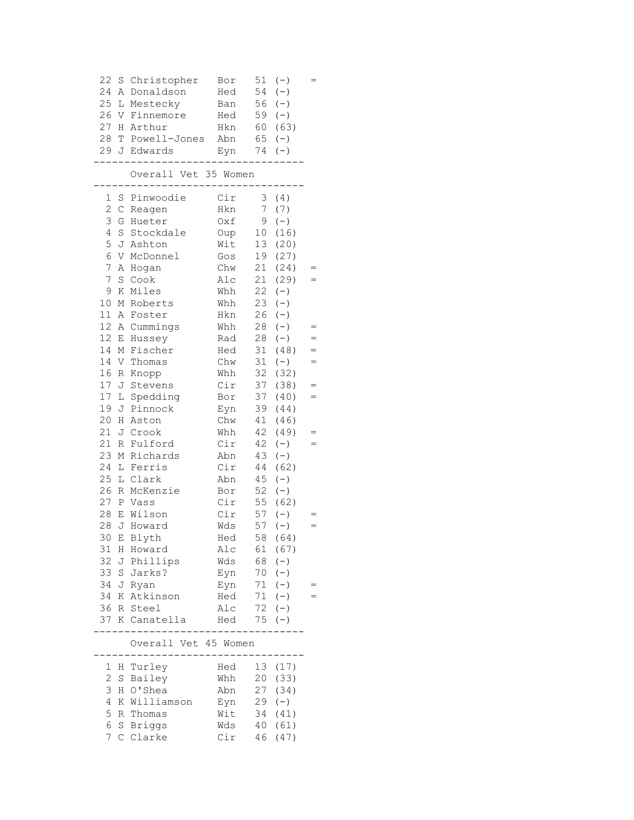| 22 S           |                  | Christopher          | Bor |                 | $51 (-)$  |     |
|----------------|------------------|----------------------|-----|-----------------|-----------|-----|
| 24             | Α                | Donaldson            | Hed | 54              | $(-)$     |     |
| 25             |                  | L Mestecky           | Ban | 56              | $(-)$     |     |
| 26             | V                | Finnemore            | Hed |                 | $59 (-)$  |     |
|                |                  |                      |     |                 |           |     |
| 27             |                  | H Arthur             | Hkn |                 | 60 (63)   |     |
| 28             |                  | T Powell-Jones       | Abn |                 | $65 (-)$  |     |
|                |                  | 29 J Edwards         | Eyn | 74              | $(\,-\,)$ |     |
|                |                  | Overall Vet 35 Women |     |                 |           |     |
| $\mathbf 1$    | S                | Pinwoodie            | Cir |                 | 3(4)      |     |
| $\overline{c}$ | $\mathsf C$      | Reagen               | Hkn | 7 <sup>7</sup>  | (7)       |     |
| 3              |                  | G Hueter             | Oxf | 9               | $(-)$     |     |
| 4              |                  | S Stockdale          | Oup | 10 <sub>o</sub> | (16)      |     |
| 5              |                  | J Ashton             | Wit | 13              | (20)      |     |
| 6              | V                | McDonnel             | Gos | 19              | (27)      |     |
| $\overline{7}$ | Α                | Hogan                | Chw | 21              | (24)      |     |
| 7              | $\rm S$          | Cook                 | Alc | 21              | (29)      | $=$ |
| 9              | Κ                | Miles                | Whh | 22              | $(-)$     |     |
| 10             |                  | M Roberts            | Whh | 23              | $(-)$     |     |
| 11             | Α                | Foster               | Hkn | 26              | $(-)$     |     |
| 12             | Α                | Cummings             | Whh | 28              | $(-)$     |     |
| 12             | Ε                | Hussey               | Rad | 28              | $(-)$     |     |
| 14             | М                | Fischer              | Hed | 31              | (48)      |     |
| 14             |                  | V Thomas             | Chw | 31              | $(-)$     |     |
| 16             | $\, {\mathbb R}$ | Knopp                | Whh | 32              | (32)      |     |
| 17             | J                | Stevens              | Cir | 37              | (38)      | $=$ |
| 17             | L                | Spedding             | Bor | 37              | (40)      | $=$ |
| 19             |                  | J Pinnock            | Eyn | 39              | (44)      |     |
| 20             | Η                | Aston                | Chw | 41              | (46)      |     |
| 21             | J                | Crook                | Whh | 42              | (49)      |     |
| 21             | $\mathbb R$      | Fulford              | Cir | 42              | $(-)$     |     |
| 23             | М                | Richards             | Abn | 43              | $(-)$     |     |
| 24             | L                | Ferris               | Cir | 44              | (62)      |     |
| 25             |                  | L Clark              | Abn | 45              | $(-)$     |     |
| 26             | $\mathbb R$      | McKenzie             | Bor | 52              | $(-)$     |     |
|                |                  | 27 P Vass            | Cir | 55              | (62)      |     |
| 28             |                  | E Wilson             | Cir | 57              | $(-)$     |     |
| 28             |                  | J Howard             | Wds | 57              | $(-)$     | $=$ |
| 30             | Е                | Blyth                | Hed | 58              | (64)      |     |
| 31             | Η                | Howard               | Alc | 61              | (67)      |     |
| 32             | J                | Phillips             | Wds | 68              | $(-)$     |     |
| 33             | $\rm S$          | Jarks?               | Eyn | 70              | $(-)$     |     |
| 34             | J                | Ryan                 | Eyn | 71              | $(-)$     |     |
| 34             | Κ                | Atkinson             | Hed | 71              | $(-)$     |     |
| 36             |                  | R Steel              | Alc | 72              | $(-)$     |     |
| 37             |                  | K Canatella          | Hed | 75              | $(-)$     |     |
|                |                  |                      |     |                 |           |     |
|                |                  | Overall Vet 45 Women |     |                 |           |     |
| 1              | Η                | Turley               | Hed | 13              | (17)      |     |
| $\mathbf 2$    | $\rm S$          | Bailey               | Whh | 20              | (33)      |     |
| 3              | Η                | O'Shea               | Abn | 27              | (34)      |     |
| $\overline{4}$ | Κ                | Williamson           | Eyn | 29              | $(-)$     |     |
| 5              | $\mathbb R$      | Thomas               | Wit | 34              | (41)      |     |
| 6              | $\rm S$          | <b>Briggs</b>        | Wds | 40              | (61)      |     |
| 7              | C                | Clarke               | Cir | 46              | (47)      |     |
|                |                  |                      |     |                 |           |     |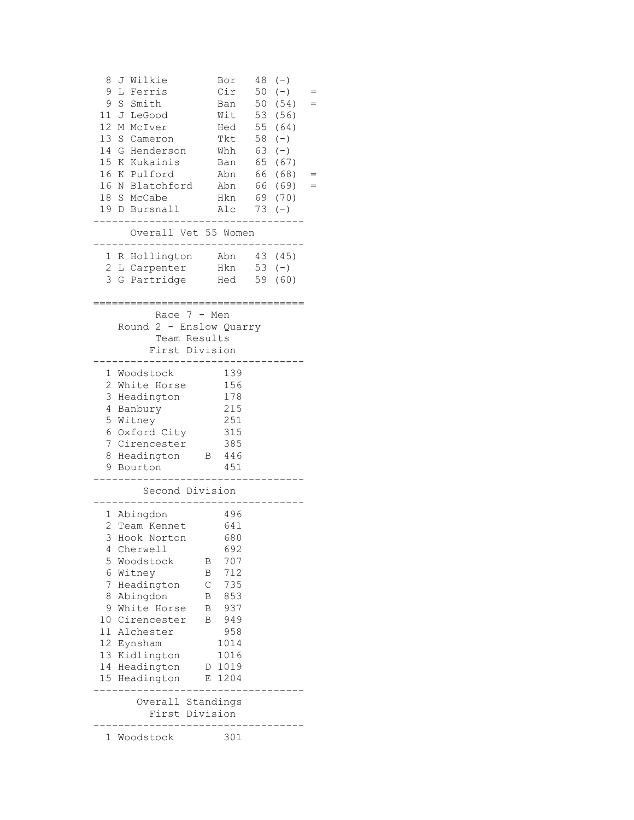| J Wilkie<br>8<br>9<br>L Ferris<br>9<br>S<br>Smith<br>11<br>J LeGood<br>12 <sup>2</sup><br>M McIver<br>13<br>- S<br>Cameron<br>14<br>G<br>Henderson<br>15 K Kukainis<br>16<br>K Pulford<br>16 N Blatchford<br>18 S McCabe<br>19 D Bursnall                                         | Bor<br>Cir<br>Ban<br>Wit 53<br>Hed 55<br>Tkt<br>Whh<br>Ban<br>Abn<br>Abn<br>Hkn<br>Alc                                                            | 48<br>50<br>50<br>58<br>63<br>65<br>66<br>66<br>69<br>73 | $(-)$<br>$(-)$<br>(54)<br>(56)<br>(64)<br>$(-)$<br>$(-)$<br>(67)<br>(68)<br>(69)<br>(70)<br>$(-)$ | $=$<br>$=$ |
|-----------------------------------------------------------------------------------------------------------------------------------------------------------------------------------------------------------------------------------------------------------------------------------|---------------------------------------------------------------------------------------------------------------------------------------------------|----------------------------------------------------------|---------------------------------------------------------------------------------------------------|------------|
| Overall Vet 55 Women                                                                                                                                                                                                                                                              |                                                                                                                                                   |                                                          | 43 (45)                                                                                           |            |
| 1 R Hollington<br>2 L Carpenter<br>3<br>G Partridge                                                                                                                                                                                                                               | Abn<br>Hkn<br>Hed                                                                                                                                 | $53 (-)$<br>59                                           | (60)                                                                                              |            |
| Race $7 - Men$<br>Round 2 - Enslow Quarry<br>Team Results<br>First Division                                                                                                                                                                                                       |                                                                                                                                                   |                                                          |                                                                                                   |            |
| 1 Woodstock<br>2<br>White Horse<br>3<br>Headington<br>4<br>Banbury<br>5<br>Witney<br>6 Oxford City<br>7<br>Cirencester<br>8<br>Headington B 446<br>9<br>Bourton                                                                                                                   | 139<br>156<br>178<br>215<br>251<br>315<br>385<br>451                                                                                              |                                                          |                                                                                                   |            |
| Second Division                                                                                                                                                                                                                                                                   |                                                                                                                                                   |                                                          |                                                                                                   |            |
| 1 Abingdon<br>2<br>Team Kennet<br>3<br>Hook Norton<br>4<br>Cherwell<br>5<br>Woodstock<br>6<br>Witney<br>7<br>Headington<br>8<br>Abingdon<br>9<br>White Horse<br>Cirencester<br>10<br>11<br>Alchester<br>12<br>Eynsham<br>13<br>Kidlington<br>Headington<br>14<br>15<br>Headington | 496<br>641<br>680<br>692<br>707<br>В<br>712<br>Β<br>735<br>С<br>853<br>Β<br>В<br>937<br>949<br>Β<br>958<br>1014<br>1016<br>1019<br>D<br>1204<br>Е |                                                          |                                                                                                   |            |
| Overall Standings<br>First Division                                                                                                                                                                                                                                               |                                                                                                                                                   |                                                          |                                                                                                   |            |
| Woodstock<br>1                                                                                                                                                                                                                                                                    | 301                                                                                                                                               |                                                          |                                                                                                   |            |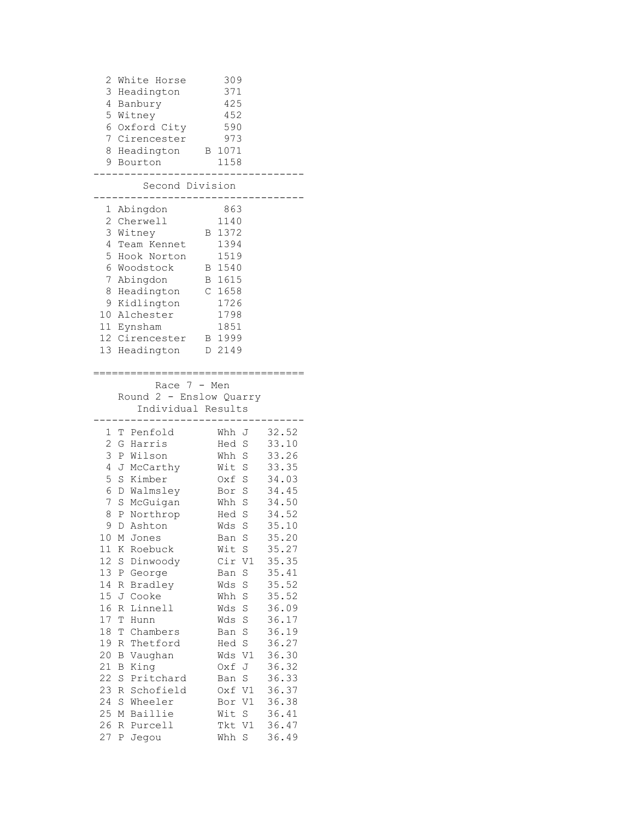| 2<br>3<br>4<br>5<br>6<br>7<br>8<br>9                                                                                                                       | White Horse<br>Headington<br>Banbury<br>Witney<br>Oxford City<br>Cirencester<br>Headington<br>Bourton<br>Second Division                                                                                                                                                                                                                                                                                                       | 309<br>371<br>425<br>452<br>590<br>973<br>1071<br>Β<br>1158                                                                                                                                                                                                                                                                                                              |                                                                                                                                                                                                                                                 |
|------------------------------------------------------------------------------------------------------------------------------------------------------------|--------------------------------------------------------------------------------------------------------------------------------------------------------------------------------------------------------------------------------------------------------------------------------------------------------------------------------------------------------------------------------------------------------------------------------|--------------------------------------------------------------------------------------------------------------------------------------------------------------------------------------------------------------------------------------------------------------------------------------------------------------------------------------------------------------------------|-------------------------------------------------------------------------------------------------------------------------------------------------------------------------------------------------------------------------------------------------|
|                                                                                                                                                            |                                                                                                                                                                                                                                                                                                                                                                                                                                |                                                                                                                                                                                                                                                                                                                                                                          |                                                                                                                                                                                                                                                 |
| 1<br>2<br>3<br>4<br>5<br>6<br>7<br>8<br>9                                                                                                                  | Abingdon<br>Cherwell<br>Witney<br>Team Kennet<br>Hook Norton<br>Woodstock<br>Abingdon<br>Headington<br>Kidlington<br>10 Alchester<br>11 Eynsham<br>12 Cirencester<br>13 Headington                                                                                                                                                                                                                                             | 863<br>1140<br>1372<br>В<br>1394<br>1519<br>1540<br>B<br>1615<br>В<br>1658<br>C<br>1726<br>1798<br>1851<br>B 1999<br>D 2149                                                                                                                                                                                                                                              |                                                                                                                                                                                                                                                 |
|                                                                                                                                                            |                                                                                                                                                                                                                                                                                                                                                                                                                                |                                                                                                                                                                                                                                                                                                                                                                          |                                                                                                                                                                                                                                                 |
|                                                                                                                                                            | Race $7 - Men$<br>Round 2 - Enslow Quarry<br>Individual Results                                                                                                                                                                                                                                                                                                                                                                |                                                                                                                                                                                                                                                                                                                                                                          |                                                                                                                                                                                                                                                 |
| 1<br>T<br>2<br>3<br>4<br>5<br>6<br>7<br>8<br>9<br>10<br>11<br>12<br>13<br>14<br>15<br>16<br>17<br>18<br>19<br>20<br>21<br>22<br>23<br>24<br>25<br>26<br>27 | Penfold<br>G Harris<br>P Wilson<br>J McCarthy<br>$\rm S$<br>Kimber<br>D Walmsley<br>S McGuigan<br>P Northrop<br>D Ashton<br>Μ<br>Jones<br>Κ<br>Roebuck<br>$\rm S$<br>Dinwoody<br>Ρ<br>George<br>Bradley<br>R<br>Cooke<br>J<br>Linnell<br>R<br>Τ<br>Hunn<br>Τ<br>Chambers<br>Thetford<br>R<br>Vaughan<br>В<br>King<br>В<br>$\rm S$<br>Pritchard<br>Schofield<br>R<br>Wheeler<br>S<br>Baillie<br>Μ<br>R<br>Purcell<br>Jegou<br>Ρ | Whh<br>J<br>Hed<br>S<br>Whh S<br>Wit S<br>Oxf S<br>Bor S<br>Whh S<br>Hed S<br>S<br>Wds<br>Ban<br>S<br>Wit<br>S<br>Cir<br>V1<br>$\rm S$<br>Ban<br>$\rm S$<br>Wds<br>Whh S<br>$\mathbf S$<br>Wds<br>$\mathbf S$<br>Wds<br>$\rm S$<br>Ban<br>$\rm S$<br>Hed<br>V1<br>Wds<br>J<br>Oxf<br>$\rm S$<br>Ban<br>V1<br>Oxf<br>V1<br>Bor<br>$\rm S$<br>Wit<br>V1<br>Tkt<br>S<br>Whh | 32.52<br>33.10<br>33.26<br>33.35<br>34.03<br>34.45<br>34.50<br>34.52<br>35.10<br>35.20<br>35.27<br>35.35<br>35.41<br>35.52<br>35.52<br>36.09<br>36.17<br>36.19<br>36.27<br>36.30<br>36.32<br>36.33<br>36.37<br>36.38<br>36.41<br>36.47<br>36.49 |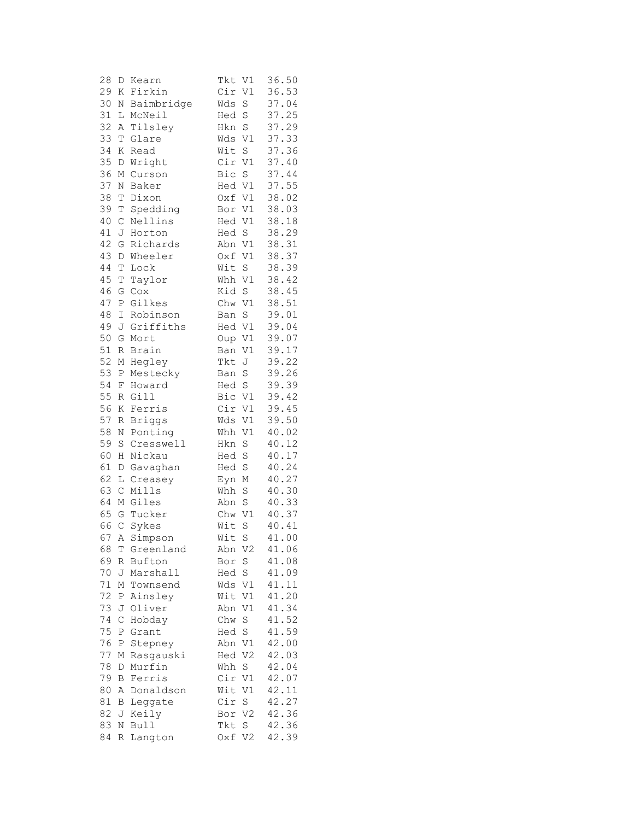| 28     | D            | Kearn         | Tkt    | V1             | 36.50 |
|--------|--------------|---------------|--------|----------------|-------|
| 29     | Κ            | Firkin        | Cir    | V1             | 36.53 |
| 30     | Ν            | Baimbridge    | Wds    | S              | 37.04 |
| 31     | L            | McNeil        | Hed    | S              | 37.25 |
| 32     | Α            | Tilsley       | Hkn    | S              | 37.29 |
| 33     | T            | Glare         | Wds    | $\mathtt{V1}$  | 37.33 |
| 34     | Κ            | Read          | Wit    | $\rm S$        | 37.36 |
| 35     | D            | Wright        | Cir    | $\mathtt{V1}$  | 37.40 |
| 36     | М            | Curson        | Bic    | $\rm S$        | 37.44 |
| 37     | Ν            | Baker         | Hed    | V1             | 37.55 |
| 38     | T            | Dixon         | Oxf V1 |                | 38.02 |
| 39     | Т            | Spedding      | Bor V1 |                | 38.03 |
| 40     | $\mathsf C$  | Nellins       | Hed V1 |                | 38.18 |
| 41     | J            | Horton        | Hed S  |                | 38.29 |
| 42     | G            | Richards      | Abn V1 |                | 38.31 |
| 43     | D            | Wheeler       | Oxf V1 |                | 38.37 |
| 44     | T            | Lock          | Wit    | $\,$ S         | 38.39 |
| 45     | T            | Taylor        | Whh V1 |                | 38.42 |
| 46     | G            | Cox           | Kid    | $\rm S$        | 38.45 |
| 47     | $\, {\bf P}$ | Gilkes        | Chw V1 |                | 38.51 |
| 48     |              | Robinson      |        | $\rm S$        | 39.01 |
| 49     | Ι            |               | Ban    | V1             |       |
|        | J            | Griffiths     | Hed    |                | 39.04 |
| 50     | G            | Mort          | Oup    | V1             | 39.07 |
| 51     | R            | Brain         | Ban    | V1             | 39.17 |
| 52     | М            | Hegley        | Tkt    | J              | 39.22 |
| 53     | $\, {\bf P}$ | Mestecky      | Ban    | $\rm S$        | 39.26 |
| 54     | F            | Howard        | Hed S  |                | 39.39 |
| 55     | R            | Gill          | Bic V1 |                | 39.42 |
| 56     | Κ            | Ferris        | Cir V1 |                | 39.45 |
| 57     | R            | <b>Briggs</b> | Wds    | V1             | 39.50 |
| 58     | Ν            | Ponting       | Whh    | V1             | 40.02 |
| 59     | S            | Cresswell     | Hkn    | S              | 40.12 |
| 60     | Η            | Nickau        | Hed    | S              | 40.17 |
| 61     | D            | Gavaghan      | Hed    | S              | 40.24 |
| 62     | L            | Creasey       | Eyn    | М              | 40.27 |
| 63     | $\mathsf C$  | Mills         | Whh    | $\mathbf S$    | 40.30 |
| 64     |              | M Giles       | Abn    | $\rm S$        | 40.33 |
| 65     | G            | Tucker        | Chw    | V1             | 40.37 |
| 66     | $\mathsf C$  | Sykes         | Wit    | S              | 40.41 |
| 67     |              | A Simpson     | Wit    | S              | 41.00 |
| 68     |              | T Greenland   |        | Abn V2         | 41.06 |
| 69     |              | R Bufton      | Bor    | S              | 41.08 |
| 70     | J            | Marshall      | Hed S  |                | 41.09 |
| $7\,1$ | М            | Townsend      | Wds V1 |                | 41.11 |
| 72     | P            | Ainsley       | Wit V1 |                | 41.20 |
| 73     | J            | Oliver        | Abn    | $\mathtt{V1}$  | 41.34 |
| 74     | С            | Hobday        | Chw    | $\mathbf S$    | 41.52 |
| 75     | Ρ            | Grant         | Hed    | S              | 41.59 |
| 76     | Ρ            | Stepney       | Abn    | V1             | 42.00 |
| 77     | М            | Rasgauski     | Hed    | V2             | 42.03 |
| 78     | D            | Murfin        | Whh    | S              | 42.04 |
| 79     | В            | Ferris        | Cir    | V1             | 42.07 |
| 80     | А            | Donaldson     | Wit    | V1             | 42.11 |
| 81     | В            | Leggate       | Cir    | S              | 42.27 |
| 82     | J            | Keily         | Bor    | V <sub>2</sub> | 42.36 |
| 83     | Ν            | <b>Bull</b>   | Tkt    | S              | 42.36 |
| 84     | R            | Langton       | Oxf    | V2             | 42.39 |
|        |              |               |        |                |       |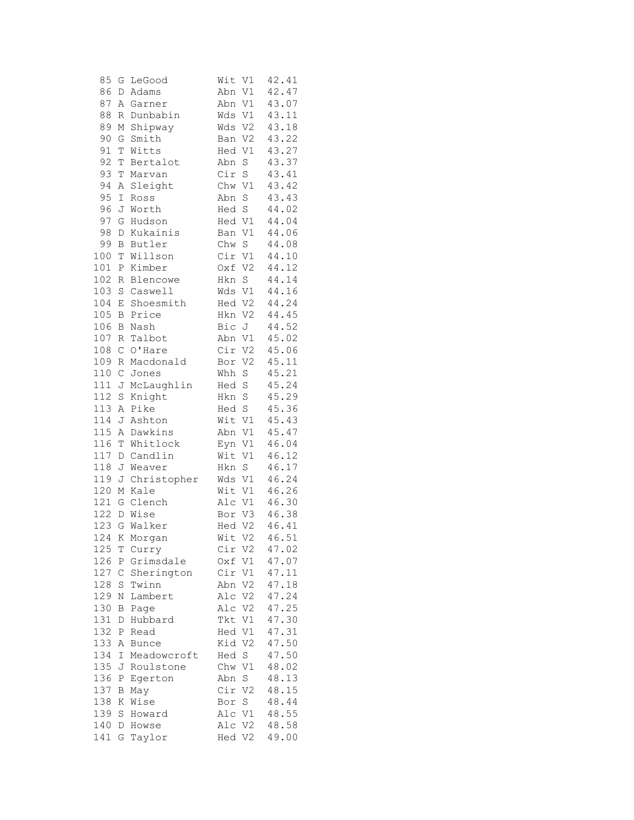| 85         | G                | LeGood           | Wit<br>V1             | 42.41          |
|------------|------------------|------------------|-----------------------|----------------|
| 86         | D                | Adams            | V1<br>Abn             | 42.47          |
| 87         | A                | Garner           | V1<br>Abn             | 43.07          |
| 88         | R                | Dunbabin         | V1<br>Wds             | 43.11          |
| 89         | М                | Shipway          | Wds<br>V2             | 43.18          |
| 90         | G                | Smith            | V2<br>Ban             | 43.22          |
| 91         | Т                | Witts            | Hed V1                | 43.27          |
| 92         | Т                | Bertalot         | Abn<br>S              | 43.37          |
| 93         | Т                | Marvan           | Cir S                 | 43.41          |
| 94         | Α                | Sleight          | Chw V1                | 43.42          |
| 95         | $\mathbbm{I}$    | Ross             | Abn S                 | 43.43          |
| 96         | J                | Worth            | Hed S                 | 44.02          |
| 97         | G                | Hudson           | Hed V1                | 44.04          |
| 98         | D                | Kukainis         | V1<br>Ban             | 44.06          |
| 99         | В                | Butler           | Chw S                 | 44.08          |
| 100        | Т                | Willson          | Cir V1                | 44.10          |
| 101        | Ρ                | Kimber           | Oxf V2                | 44.12          |
| 102        | R                | Blencowe         | $\mathbf S$<br>Hkn    | 44.14          |
| 103        | $\rm S$          | Caswell          | Wds V1                | 44.16          |
| 104        | Ε                | Shoesmith        | Hed V2                | 44.24          |
| 105        | В                | Price            | V <sub>2</sub><br>Hkn | 44.45          |
| 106        | В                | Nash             | Bic<br>J              | 44.52          |
| 107        | $\, {\mathbb R}$ | Talbot           | V1<br>Abn             | 45.02          |
| 108        | $\mathsf C$      | O'Hare           | Cir<br>V <sub>2</sub> | 45.06          |
| 109        | R                | Macdonald        | V <sub>2</sub><br>Bor | 45.11          |
| 110        | $\mathsf C$      | Jones            | Whh S                 | 45.21          |
| 111        | J                | McLaughlin       | Hed S                 | 45.24          |
| 112        | S                | Knight           | Hkn S                 | 45.29          |
| 113        | Α                | Pike             | Hed S                 | 45.36          |
| 114        | J                | Ashton           | Wit V1                | 45.43          |
| 115        | Α                | Dawkins          | Abn V1                | 45.47          |
| 116        | Т                | Whitlock         | V1<br>Eyn             | 46.04          |
| 117        | D                | Candlin          | Wit V1                | 46.12          |
| 118        | J                | Weaver           | Hkn S                 | 46.17          |
| 119        | J                | Christopher      | Wds V1                | 46.24          |
| 120        | М                | Kale             | Wit V1                | 46.26<br>46.30 |
| 121<br>122 | G                | Clench<br>D Wise | Alc V1                | 46.38          |
| 123        | G                | Walker           | Bor V3<br>Hed V2      | 46.41          |
|            |                  | 124 K Morgan     | Wit V2                | 46.51          |
| 125        | Τ                | Curry            | Cir V2                | 47.02          |
| 126        | Ρ                | Grimsdale        | Oxf<br>V1             | 47.07          |
| 127        | $\mathsf C$      | Sherington       | Cir<br>V1             | 47.11          |
| 128        | $\rm S$          | Twinn            | $\rm V2$<br>Abn       | 47.18          |
| 129        | N                | Lambert          | $\rm V2$<br>Alc       | 47.24          |
| 130        | B                | Page             | Alc<br>V2             | 47.25          |
| 131        | D                | Hubbard          | Tkt<br>V1             | 47.30          |
| 132        | Ρ                | Read             | V1<br>Hed             | 47.31          |
| 133        | Α                | <b>Bunce</b>     | Kid<br>V <sub>2</sub> | 47.50          |
| 134        | Ι                | Meadowcroft      | Hed<br>S              | 47.50          |
| 135        | J                | Roulstone        | Chw<br>V1             | 48.02          |
| 136        | Ρ                | Egerton          | Abn<br>S              | 48.13          |
| 137        | B                | May              | Cir V2                | 48.15          |
| 138        | Κ                | Wise             | Bor S                 | 48.44          |
| 139        | $\rm S$          | Howard           | Alc V1                | 48.55          |
| 140        | D                | Howse            | Alc V2                | 48.58          |
| 141        | G                | Taylor           | Hed V2                | 49.00          |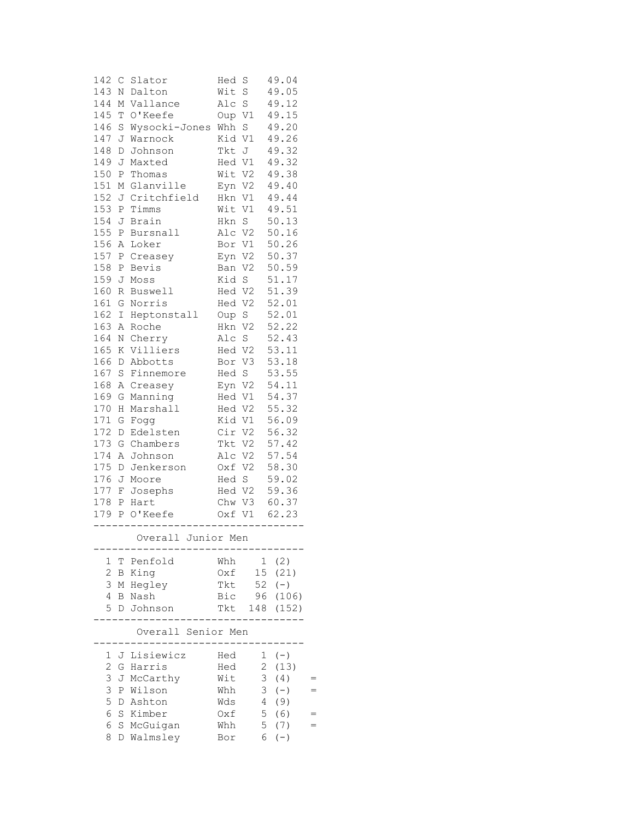| 142                 | C Slator                 | Hed             | S           | 49.04 |  |
|---------------------|--------------------------|-----------------|-------------|-------|--|
| 143                 | Dalton<br>Ν              | Wit             | $\rm S$     | 49.05 |  |
| 144                 | Vallance<br>Μ            | Alc             | S           | 49.12 |  |
| 145                 | O'Keefe<br>Т             | Oup V1          |             | 49.15 |  |
| 146                 | S<br>Wysocki-Jones       | Whh S           |             | 49.20 |  |
| 147                 | Warnock<br>J             | Kid V1          |             | 49.26 |  |
| 148                 | Johnson<br>D             | Tkt J           |             | 49.32 |  |
| 149                 | J<br>Maxted              | Hed V1          |             | 49.32 |  |
| 150                 | P<br>Thomas              | Wit V2          |             | 49.38 |  |
| 151                 | $\mathbb M$<br>Glanville | Eyn V2          |             | 49.40 |  |
| 152                 | J Critchfield            | Hkn V1          |             | 49.44 |  |
| 153                 | Ρ<br>Timms               | Wit V1          |             | 49.51 |  |
| 154                 | J<br>Brain               | Hkn S           |             | 50.13 |  |
| 155                 | Bursnall<br>Ρ            | Alc V2          |             | 50.16 |  |
| 156                 | Loker<br>Α               | Bor V1          |             | 50.26 |  |
| 157                 | Ρ<br>Creasey             | Eyn V2          |             | 50.37 |  |
| 158                 | Bevis<br>Ρ               | Ban V2          |             | 50.59 |  |
| 159                 | J<br>Moss                | Kid S           |             | 51.17 |  |
| 160                 | R Buswell                | Hed V2          |             | 51.39 |  |
| 161                 | G<br>Norris              | Hed V2          |             | 52.01 |  |
| 162                 | Heptonstall<br>Ι         | Oup             | S           | 52.01 |  |
| 163                 | Roche<br>Α               | Hkn             | V2          | 52.22 |  |
| 164<br>N            | Cherry                   | Alc S           |             | 52.43 |  |
| 165                 | Villiers<br>Κ            | Hed V2          |             | 53.11 |  |
| 166                 | D<br>Abbotts             | Bor             | V3          | 53.18 |  |
| 167                 | S<br>Finnemore           | Hed S           |             | 53.55 |  |
| 168                 | A Creasey                | Eyn V2          |             | 54.11 |  |
| 169                 | G<br>Manning             | Hed V1          |             | 54.37 |  |
| 170                 | Н<br>Marshall            | Hed V2          |             | 55.32 |  |
| 171                 | G<br>Fogg                | Kid V1          |             | 56.09 |  |
| 172                 | Edelsten<br>D            |                 | Cir V2      | 56.32 |  |
| 173                 | G<br>Chambers            |                 | Tkt V2      | 57.42 |  |
| 174                 | Α<br>Johnson             |                 | Alc V2      | 57.54 |  |
| 175                 | D<br>Jenkerson           | Oxf V2          |             | 58.30 |  |
| 176<br>177          | J<br>Moore               | Hed S<br>Hed V2 |             | 59.02 |  |
| 178                 | F<br>Josephs             |                 |             | 59.36 |  |
|                     | Ρ<br>Hart<br>O'Keefe     | Chw V3          |             | 60.37 |  |
| 179                 | $\mathbf{P}$             |                 | Oxf V1      | 62.23 |  |
|                     | Overall Junior Men       |                 |             |       |  |
| 1<br>Τ              | Penfold                  | Whh             | 1           | (2)   |  |
| $\overline{c}$<br>B | King                     | Oxf             | 15          | (21)  |  |
| 3<br>Μ              | Hegley                   | Tkt             | 52          | $(-)$ |  |
| 4<br>В              | Nash                     | Bic             | 96          | (106) |  |
| 5<br>D              | Johnson                  | Tkt             | 148         | (152) |  |
|                     |                          |                 |             |       |  |
|                     | Overall Senior Men       |                 |             |       |  |
| 1                   | Lisiewicz<br>J           | Hed             | 1           | $(-)$ |  |
| $\overline{c}$<br>G | Harris                   | Hed             | $\mathbf 2$ | (13)  |  |
| 3                   | McCarthy<br>J            | Wit             | 3           | (4)   |  |
| 3                   | P<br>Wilson              | Whh             | 3           | $(-)$ |  |
| 5                   | Ashton<br>D              | Wds             | 4           | (9)   |  |
| 6<br>S              | Kimber                   | $0xf$           | 5           | (6)   |  |
| 6                   | S<br>McGuigan            | Whh             | 5           | (7)   |  |
| 8                   | Walmsley<br>D            | Bor             | 6           | $(-)$ |  |
|                     |                          |                 |             |       |  |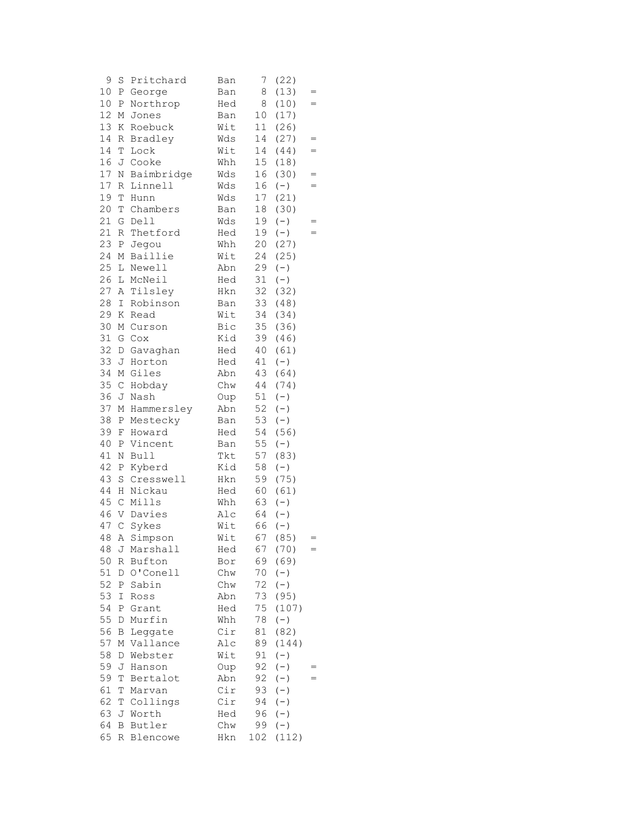| 9  | S            | Pritchard    | Ban | 7               | (22)                                      |            |
|----|--------------|--------------|-----|-----------------|-------------------------------------------|------------|
| 10 | P            | George       | Ban | 8               | (13)                                      |            |
| 10 | Ρ            | Northrop     | Hed | 8               | (10)                                      | $=$        |
| 12 | М            | Jones        | Ban | 10              | (17)                                      |            |
| 13 | Κ            | Roebuck      | Wit | 11              | (26)                                      |            |
| 14 | R            | Bradley      | Wds | 14              | (27)                                      | =          |
| 14 | T            | Lock         | Wit | 14              | (44)                                      | $=$        |
| 16 |              | J Cooke      | Whh | 15 <sub>1</sub> | (18)                                      |            |
| 17 | Ν            | Baimbridge   | Wds | 16              | (30)                                      | $=$        |
| 17 | R            | Linnell      | Wds | 16              | $(-)$                                     | $=$        |
| 19 | T            | Hunn         | Wds | 17              | (21)                                      |            |
| 20 |              | Chambers     |     | 18              | (30)                                      |            |
|    | T            |              | Ban |                 |                                           |            |
| 21 | G            | Dell         | Wds | 19              | $(-)$                                     | $=$<br>$=$ |
| 21 | R            | Thetford     | Hed | 19              | $(-)$                                     |            |
| 23 | Ρ            | Jegou        | Whh | 20              | (27)                                      |            |
| 24 | М            | Baillie      | Wit | 24              | (25)                                      |            |
| 25 | L            | Newell       | Abn | 29              | $(-)$                                     |            |
| 26 |              | L McNeil     | Hed | 31              | $(-)$                                     |            |
| 27 | A            | Tilsley      | Hkn | 32              | (32)                                      |            |
| 28 | I            | Robinson     | Ban | 33              | (48)                                      |            |
| 29 | Κ            | Read         | Wit | 34              | (34)                                      |            |
| 30 | М            | Curson       | Bic | 35              | (36)                                      |            |
| 31 | G            | Cox          | Kid | 39              | (46)                                      |            |
| 32 | D            | Gavaghan     | Hed | 40              | (61)                                      |            |
| 33 | J            | Horton       | Hed | 41              | $(-)$                                     |            |
| 34 |              | M Giles      | Abn | 43              | (64)                                      |            |
| 35 | $\mathsf C$  | Hobday       | Chw | 44              | (74)                                      |            |
| 36 | J            | Nash         | Oup | 51              | $(-)$                                     |            |
| 37 | М            | Hammersley   | Abn | 52              | $(-)$                                     |            |
| 38 | Ρ            | Mestecky     | Ban | 53              | $(-)$                                     |            |
| 39 |              |              |     | 54              | (56)                                      |            |
|    | F            | Howard       | Hed |                 |                                           |            |
| 40 | Ρ            | Vincent      | Ban | 55              | $(-)$                                     |            |
| 41 | Ν            | Bull         | Tkt | 57              | (83)                                      |            |
| 42 | Ρ            | Kyberd       | Kid | 58              | $(-)$                                     |            |
| 43 | S            | Cresswell    | Hkn | 59              | (75)                                      |            |
| 44 | Η            | Nickau       | Hed | 60              | (61)                                      |            |
| 45 | $\mathsf C$  | Mills        | Whh | 63              | $(-)$                                     |            |
| 46 | V            | Davies       | Alc | 64              | $(-)$                                     |            |
| 47 | $\mathsf C$  | Sykes        | Wit | 66              | $(-)$                                     |            |
|    |              | 48 A Simpson | Wit |                 | 67 (85)                                   |            |
| 48 | J            | Marshall     | Hed | 67              | (70)                                      |            |
| 50 | R            | Bufton       | Bor | 69              | (69)                                      |            |
| 51 | D            | O'Conell     | Chw | 70              | $(-)$                                     |            |
| 52 | Ρ            | Sabin        | Chw | 72              | $(-)$                                     |            |
| 53 | I            | Ross         | Abn | 73              | (95)                                      |            |
| 54 | Ρ            | Grant        | Hed | 75              | (107)                                     |            |
| 55 | D            | Murfin       | Whh | 78              | $(-)$                                     |            |
| 56 | $\, {\bf B}$ | Leggate      | Cir | 81              | (82)                                      |            |
| 57 | М            | Vallance     | Alc | 89              | (144)                                     |            |
| 58 | D            | Webster      | Wit | 91              | $(-)$                                     |            |
| 59 | J            | Hanson       | Oup | 92              | $(-)$                                     |            |
| 59 |              |              |     |                 |                                           | =          |
|    | Т            | Bertalot     | Abn | 92              | $(-)$                                     |            |
| 61 | Τ            | Marvan       | Cir | 93              | $(-)$                                     |            |
| 62 | T            | Collings     | Cir | 94              | $\begin{array}{c} (-) \\ (-) \end{array}$ |            |
| 63 | J            | Worth        | Hed | 96              |                                           |            |
| 64 | Β            | Butler       | Chw | 99              | $(\,-\,)$                                 |            |
| 65 | R            | Blencowe     | Hkn | 102             | (112)                                     |            |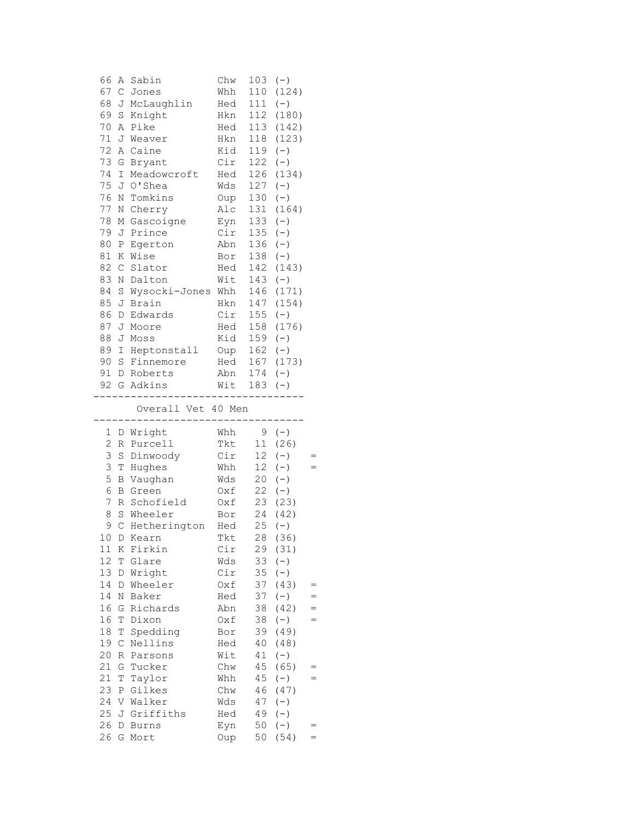| 66             | Α            | Sabin               | Chw         | 103       | $(-)$         |     |
|----------------|--------------|---------------------|-------------|-----------|---------------|-----|
| 67             | $\mathsf C$  | Jones               | Whh         | 110       | (124)         |     |
| 68             | J            | McLaughlin          | Hed         | 111       | $(-)$         |     |
| 69             | S            | Knight              | Hkn         | 112       | (180)         |     |
| 70             | Α            | Pike                | Hed         | 113       | (142)         |     |
| 71             | J            | Weaver              | Hkn         | 118       | (123)         |     |
| 72             | Α            | Caine               | Kid         | 119       | $(-)$         |     |
| 73             | G            | Bryant              | Cir         | 122       | $(-)$         |     |
| 74             | I            | Meadowcroft         | Hed         | 126       | (134)         |     |
| 75             |              | J O'Shea            | Wds         | 127       | $(-)$         |     |
| 76             | Ν            | Tomkins             | Oup         | 130       | $(-)$         |     |
| 77             | Ν            | Cherry              | Alc         | 131       | (164)         |     |
| 78             | М            | Gascoigne           | Eyn         | 133       | $(-)$         |     |
| 79             | J            | Prince              | Cir         | 135       | $(-)$         |     |
| 80             | $\, {\bf P}$ | Egerton             | Abn         | 136       | $(-)$         |     |
| 81             | Κ            | Wise                | Bor         | 138       | $(-)$         |     |
| 82             | $\mathsf C$  | Slator              | Hed         | 142       | (143)         |     |
| 83             | N            | Dalton              | Wit         | 143       | $(-)$         |     |
| 84             | $\rm S$      | Wysocki-Jones Whh   |             | 146       | (171)         |     |
| 85             | J            | Brain               | Hkn         | 147       | (154)         |     |
| 86             | D            | Edwards             | Cir         | 155       | $(-)$         |     |
| 87             | J            | Moore               | Hed         | 158       | (176)         |     |
| 88             | J            | Moss                | Kid         | 159       | $(-)$         |     |
| 89             | I            | Heptonstall Oup     |             | $162 (-)$ |               |     |
| 90             | S            | Finnemore           | Hed         | 167       | (173)         |     |
| 91             |              | D Roberts           | Abn         | $174 (-)$ |               |     |
|                |              | 92 G Adkins         | Wit         | 183       | $(-)$         |     |
|                |              | . _ _ _ _ _ _ _ _ . |             |           |               |     |
|                |              |                     |             |           |               |     |
|                |              | Overall Vet 40 Men  |             |           |               |     |
| 1              | D            | Wright              | Whh         | 9         | $(-)$         |     |
| $\overline{c}$ | R            | Purcell             | Tkt         | 11        | (26)          |     |
| 3              | $\rm S$      | Dinwoody            | Cir         | 12        | $(-)$         |     |
| 3              | Т            | Hughes              | Whh         | 12        | $(-)$         |     |
| 5              | В            | Vaughan             | Wds         | 20        | $(\,-\,)$     |     |
| 6              | В            | Green               | Oxf         | 22        | $(-)$         |     |
| 7              | R            | Schofield           | Oxf         | 23        | (23)          |     |
| 8              |              | S Wheeler           | Bor         | 24        | (42)          |     |
| 9              | $\mathsf{C}$ | Hetherington        | Hed         | 25        | $(-)$         |     |
|                |              | 10 D Kearn          | Tkt         |           | 28 (36)       |     |
| 11             | К            | Firkin              | Cir         | 29        | (31)          |     |
| 12             | Т            | Glare               | Wds         | 33        | $(-)$         |     |
| 13             | D            | Wright              | Cir         | 35        | $(-)$         |     |
| 14             | D            | Wheeler             | Oxf         | 37        | (43)          | $=$ |
| 14             | N            | Baker               | Hed         | 37        | $(-)$         | $=$ |
| 16             | G            | Richards            | Abn         | 38        | (42)          | $=$ |
| 16             | Т            | Dixon               | Oxf         | 38        | $(-)$         | $=$ |
| 18             | $\mathbb T$  | Spedding            | Bor         | 39        | (49)          |     |
| 19             | $\mathsf C$  | Nellins             | Hed         | 40        | (48)          |     |
| 20             | R            | Parsons             | Wit         | 41        | $(-)$         |     |
| 21             | G            | Tucker              | Chw         | 45        | (65)          |     |
| 21             | Т            | Taylor              | Whh         | 45        | $(-)$         |     |
| 23             | Ρ            | Gilkes              | ${\rm Chw}$ | 46        | (47)          |     |
| 24             |              | V Walker            | Wds         | 47        | $(-)$         |     |
| 25             |              | J Griffiths         | Hed         | 49        | $(-)$         |     |
| 26<br>26       | D            | <b>Burns</b>        | Eyn         | 50<br>50  | $(-)$<br>(54) |     |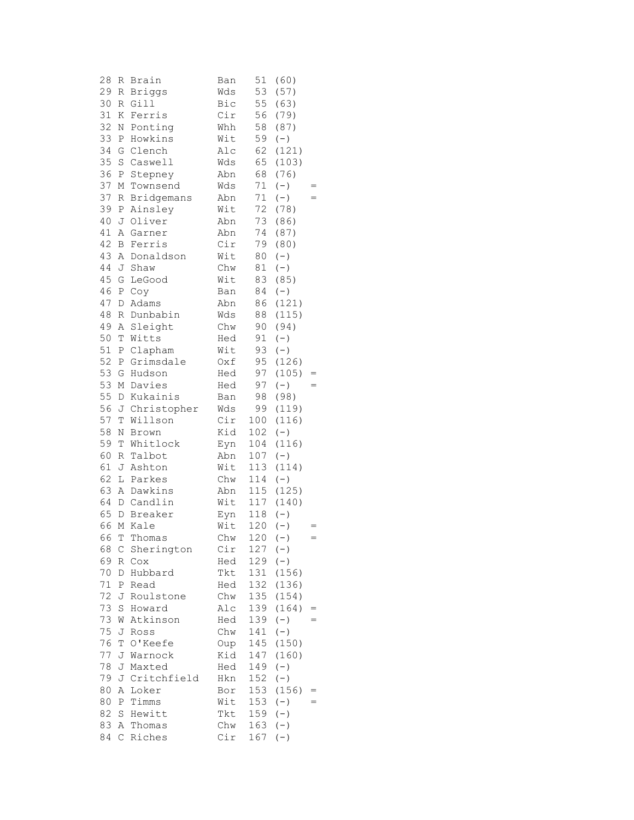| 28     | R                | Brain         | Ban | 51  | (60)          |     |
|--------|------------------|---------------|-----|-----|---------------|-----|
| 29     | R                | <b>Briggs</b> | Wds | 53  | (57)          |     |
| 30     | R                | Gill          | Bic | 55  | (63)          |     |
| 31     | Κ                | Ferris        | Cir | 56  | (79)          |     |
| 32     | N                | Ponting       | Whh | 58  | (87)          |     |
| 33     | Ρ                | Howkins       | Wit | 59  | $(-)$         |     |
| 34     | G                | Clench        | Alc | 62  | (121)         |     |
| 35     |                  | S Caswell     | Wds | 65  | (103)         |     |
| 36     | $\, {\mathbb P}$ | Stepney       | Abn | 68  | (76)          |     |
| 37     | М                | Townsend      | Wds | 71  | $(-)$         |     |
| 37     | R                | Bridgemans    | Abn | 71  | $(-)$         |     |
| 39     | Ρ                | Ainsley       | Wit | 72  | (78)          |     |
| 40     | J                | Oliver        | Abn | 73  | (86)          |     |
| 41     | Α                | Garner        | Abn | 74  | (87)          |     |
| 42     | В                | Ferris        | Cir | 79  | (80)          |     |
| 43     |                  | A Donaldson   | Wit | 80  | $(-)$         |     |
| $4\,4$ | J                | Shaw          | Chw | 81  |               |     |
| 45     |                  | LeGood        |     | 83  | $(-)$<br>(85) |     |
|        | G                |               | Wit |     |               |     |
| 46     | Ρ                | Coy           | Ban | 84  | $(-)$         |     |
| 47     | D                | Adams         | Abn | 86  | (121)         |     |
| 48     | R                | Dunbabin      | Wds | 88  | (115)         |     |
| 49     | Α                | Sleight       | Chw | 90  | (94)          |     |
| 50     | Τ                | Witts         | Hed | 91  | $(-)$         |     |
| 51     | Ρ                | Clapham       | Wit | 93  | $(-)$         |     |
| 52     | Ρ                | Grimsdale     | Oxf | 95  | (126)         |     |
| 53     | G                | Hudson        | Hed | 97  | (105)         | =   |
| 53     |                  | M Davies      | Hed | 97  | $(-)$         | $=$ |
| 55     |                  | D Kukainis    | Ban | 98  | (98)          |     |
| 56     |                  | J Christopher | Wds | 99  | (119)         |     |
| 57     | T                | Willson       | Cir | 100 | (116)         |     |
| 58     | Ν                | Brown         | Kid | 102 | $(-)$         |     |
| 59     | T                | Whitlock      | Eyn | 104 | (116)         |     |
| 60     | R                | Talbot        | Abn | 107 | $(-)$         |     |
| 61     | J                | Ashton        | Wit | 113 | (114)         |     |
| 62     |                  | L Parkes      | Chw | 114 | $(-)$         |     |
| 63     |                  | A Dawkins     | Abn | 115 | (125)         |     |
| 64     |                  | D Candlin     | Wit | 117 | (140)         |     |
| 65     | D                | Breaker       | Eyn | 118 | $(-)$         |     |
| 66     |                  | M Kale        | Wit | 120 | $(-)$         |     |
| 66     | T.               | Thomas        | Chw |     | $120 (-)$     |     |
| 68     | С                | Sherington    | Cir | 127 | $(-)$         |     |
| 69     | R                | Cox           | Hed | 129 | $(\,-\,)$     |     |
| 70     | D                | Hubbard       | Tkt | 131 | (156)         |     |
| 71     | Ρ                | Read          | Hed | 132 | (136)         |     |
| 72     | J                | Roulstone     | Chw | 135 | (154)         |     |
| 73     | S                | Howard        | Alc | 139 | (164)         | $=$ |
| 73     | W                | Atkinson      | Hed | 139 | $(-)$         | =   |
| 75     | J                | Ross          | Chw | 141 | $(-)$         |     |
| 76     | Т                | O'Keefe       | Oup | 145 | (150)         |     |
| 77     | J                | Warnock       | Kid | 147 | (160)         |     |
| 78     | J                | Maxted        | Hed | 149 | $(-)$         |     |
| 79     | J                | Critchfield   | Hkn | 152 | $(-)$         |     |
| 80     | Α                | Loker         | Bor | 153 | (156)         | =   |
| 80     | Ρ                | Timms         | Wit | 153 | $(-)$         | =   |
| 82     | S                | Hewitt        | Tkt | 159 | $(-)$         |     |
| 83     |                  | A Thomas      | Chw | 163 | $(-)$         |     |
| 84     | C                | Riches        | Cir | 167 | $(-)$         |     |
|        |                  |               |     |     |               |     |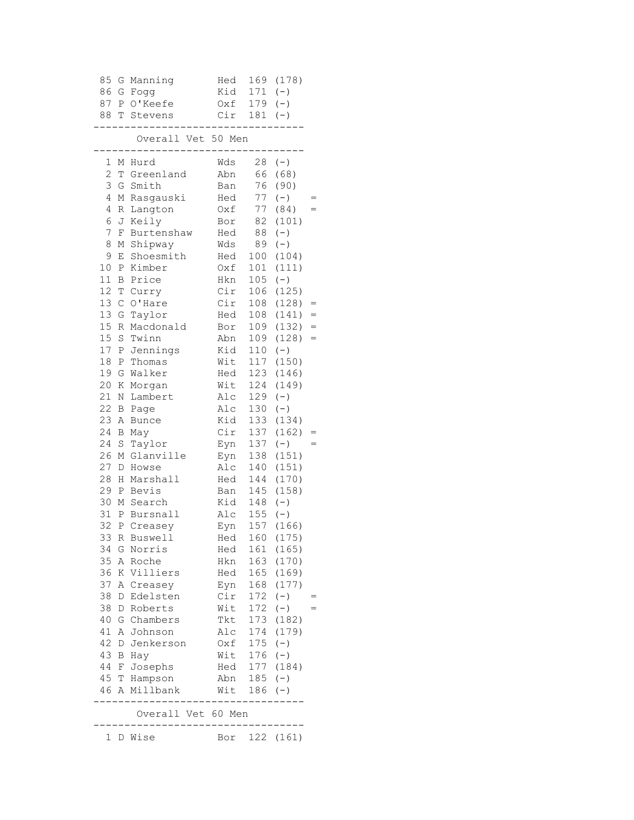| 85             | G                | Manning                 | Hed        | 169         | (178)          |     |
|----------------|------------------|-------------------------|------------|-------------|----------------|-----|
| 86             | G                | Fogg                    | Kid        | 171         | $(-)$          |     |
| 87             | Ρ                | O'Keefe                 | Oxf        | 179         | $(-)$          |     |
| 88             | Т                | Stevens                 | Cir        | 181         | $(-)$          |     |
|                |                  | Overall Vet 50 Men      |            |             |                |     |
| 1              | Μ                | Hurd                    | Wds        | 28          | $(-)$          |     |
| $\mathbf{2}$   | T                | Greenland               | Abn        | 66          | (68)           |     |
| 3              | G                | Smith                   | Ban        | 76          | (90)           |     |
| 4              | М                | Rasgauski               | Hed        | 77          | $(-)$          |     |
| $\overline{4}$ | R                | Langton                 | Oxf        | 77          | (84)           |     |
| 6              | J                | Keily                   | Bor        | 82          | (101)          |     |
| 7              | F                | Burtenshaw              | Hed        | 88          | $(-)$          |     |
| 8              | М                | Shipway                 | Wds        | 89          | $(-)$          |     |
| 9              | Ε                | Shoesmith               | Hed        | 100         | (104)          |     |
| 10             | Ρ                | Kimber                  | 0xf        | 101         | (111)          |     |
| 11             | В                | Price                   | Hkn        | 105         | $(-)$          |     |
| 12             | Τ                | Curry                   | Cir        | 106         | (125)          |     |
| 13             | $\mathsf{C}$     | O'Hare                  | Cir        | 108         | (128)          |     |
| 13             | G                | Taylor                  | Hed        | 108         | (141)          | $=$ |
| 15             | R                | Macdonald               | Bor        | 109         | (132)          | $=$ |
| 15             | $\mathbf S$      | Twinn                   | Abn        | 109         | (128)          | $=$ |
| 17             | Ρ                | Jennings                | Kid        | 110         | $(-)$          |     |
| 18             | Ρ                | Thomas                  | Wit        | 117         | (150)          |     |
| 19             | G                | Walker                  | Hed        | 123         | (146)          |     |
| 20             | К                | Morgan                  | Wit        | 124         | (149)          |     |
| 21             | $\rm N$          | Lambert                 | Alc        | 129         | $(-)$          |     |
| 22             | B                | Page                    | Alc        | 130         | $(-)$          |     |
| 23             | Α                | <b>Bunce</b>            | Kid        | 133         | (134)          |     |
| 24             | B                | May                     | Cir        | 137         | (162)          |     |
| 24             | $\mathbf S$      | Taylor                  | Eyn        | 137         | $(-)$          |     |
| 26<br>27       | М                | Glanville               | Eyn        | 138         | (151)          |     |
| 28             | D<br>Η           | Howse<br>Marshall       | Alc<br>Hed | 140<br>144  | (151)<br>(170) |     |
| 29             | Ρ                | Bevis                   | Ban        | 145         | (158)          |     |
| 30             | М                | Search                  | Kid        | 148         | $(-)$          |     |
| 31             | Ρ                | Bursnall                | Alc        | 155         | $(-)$          |     |
| 32             | $\, {\mathbb P}$ | Creasey                 | Eyn        | 157         | (166)          |     |
| 33 R           |                  | Buswell                 | Hed        |             | 160 (175)      |     |
| 34             | G                | Norris                  | Hed        |             | 161 (165)      |     |
| 35             | Α                | Roche                   | Hkn        |             | 163 (170)      |     |
| 36             |                  | K Villiers              | Hed        |             | 165 (169)      |     |
| 37             | Α                | Creasey                 | Eyn        | 168         | (177)          |     |
| 38             | D                | Edelsten                | Cir        | 172         | $(-)$          |     |
| 38             | D                | Roberts                 | Wit        | 172         | $(-)$          |     |
| 40             | G                | Chambers                | Tkt        | 173         | (182)          |     |
| 41             | Α                | Johnson                 | Alc        | 174         | (179)          |     |
| 42             | D                | Jenkerson               | Oxf        | 175         | $(-)$          |     |
| 43             |                  | B Hay                   | Wit        | 176         | $(-)$          |     |
| 44             |                  | F Josephs               |            |             | Hed 177 (184)  |     |
|                |                  | 45 T Hampson            |            | Abn 185 (-) |                |     |
|                |                  | 46 A Millbank           |            | Wit 186     | $(-)$          |     |
|                |                  | .<br>Overall Vet 60 Men |            |             |                |     |
|                |                  | 1 D Wise                | Bor        |             | 122 (161)      |     |
|                |                  |                         |            |             |                |     |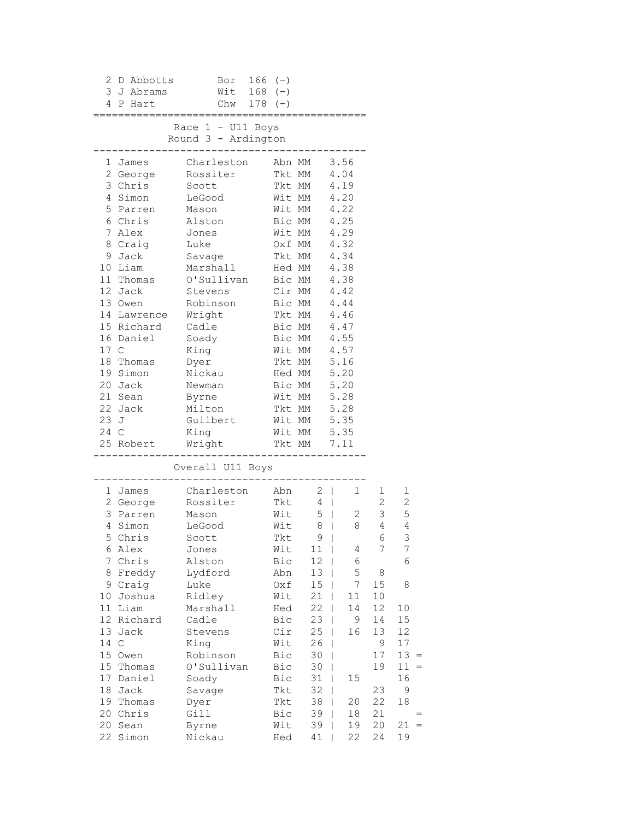| 3.<br>4        | 2 D Abbotts<br>J Abrams<br>P Hart      | Bor<br>Wit<br>Chw $178$ (-)                | $166$ (-)<br>$168$ (-)                    |                                   |                             |                          |                                |
|----------------|----------------------------------------|--------------------------------------------|-------------------------------------------|-----------------------------------|-----------------------------|--------------------------|--------------------------------|
|                |                                        | Race $1 - U11$ Boys<br>Round 3 - Ardington |                                           |                                   |                             |                          |                                |
|                | 1 James<br>2 George                    | Charleston<br>Rossiter                     |                                           | Abn MM<br>Tkt MM 4.04             | 3.56                        |                          |                                |
| 4              | 3 Chris<br>Simon                       | Scott<br>LeGood                            | Wit MM                                    | Tkt MM                            | 4.19<br>4.20                |                          |                                |
| 5              | Parren<br>6 Chris                      | Mason<br>Alston                            | Wit MM                                    | Bic MM                            | 4.22<br>4.25                |                          |                                |
| 7<br>9         | Alex<br>8 Craig<br>Jack                | Jones<br>Luke<br>Savage                    |                                           | Wit MM<br>Oxf MM<br>Tkt MM        | 4.29<br>4.32<br>4.34        |                          |                                |
|                | 10 Liam<br>11 Thomas                   | Marshall<br>O'Sullivan                     |                                           | Hed MM<br>Bic MM                  | 4.38<br>4.38                |                          |                                |
|                | 12 Jack<br>13 Owen                     | Stevens<br>Robinson                        | Bic MM                                    | Cir MM                            | 4.42<br>4.44                |                          |                                |
|                | 14 Lawrence<br>15 Richard<br>16 Daniel | Wright<br>Cadle<br>Soady                   | Tkt MM                                    | Bic MM<br>Bic MM                  | 4.46<br>4.47<br>4.55        |                          |                                |
| 17 C           | 18 Thomas                              | King<br>Dyer                               |                                           | Wit MM<br>Tkt MM                  | 4.57<br>5.16                |                          |                                |
|                | 19 Simon<br>20 Jack<br>21 Sean         | Nickau<br>Newman<br>Byrne                  |                                           | Hed MM $5.20$<br>Bic MM<br>Wit MM | 5.20<br>5.28                |                          |                                |
|                | 22 Jack<br>23 J                        | Milton<br>Guilbert                         | Tkt MM<br>Wit MM                          |                                   | 5.28<br>5.35                |                          |                                |
|                | 24 C<br>25 Robert                      | King<br>Wright                             | Wit MM<br>Tkt MM                          |                                   | 5.35<br>7.11                |                          |                                |
|                |                                        | Overall U11 Boys                           |                                           |                                   |                             |                          |                                |
|                | 1 James<br>2 George                    | Charleston<br>Rossiter                     | Abn<br>Tkt                                | $2 \mid$<br>$4 \mid$              | 1                           | 1<br>$2\overline{ }$     | 1<br>$\sqrt{2}$                |
| 4              | 3 Parren<br>Simon<br>5 Chris           | Mason<br>LeGood<br>Scott                   | Wit<br>Wit<br>Tkt                         | $5 \mid$<br>8<br>$9 \mid$         | 2<br>8<br>$\Box$            | 3 <sup>7</sup><br>4<br>6 | $\mathsf S$<br>$\sqrt{4}$<br>3 |
| 7              | 6 Alex<br>Chris                        | Jones<br>Alston                            | Wit<br>Bic                                | 11<br>12                          | $\mathbf{I}$<br>4<br>6<br>L | 7                        | 7<br>6                         |
| 8<br>9<br>10   | Freddy<br>Craig<br>Joshua              | Lydford<br>Luke<br>Ridley                  | Abn<br>Oxf<br>Wit                         | 13<br>15<br>21                    | 5<br>L<br>7<br>11           | 8<br>15<br>10            | 8                              |
| 11             | Liam<br>12 Richard                     | Marshall<br>Cadle                          | Hed<br>Bic                                | 22<br>23                          | 14<br>9                     | 12<br>14                 | 10<br>15                       |
| 13<br>14<br>15 | Jack<br>$\mathsf C$<br>Owen            | Stevens<br>King<br>Robinson                | Cir<br>Wit<br>Bic                         | 25<br>26<br>30                    | 16<br>T<br>L                | 13<br>9<br>17            | 12<br>17<br>$13 =$             |
| 15<br>17       | Thomas<br>Daniel                       | O'Sullivan<br>Soady                        | Bic<br>Bic                                | 30<br>31                          | T<br>15                     | 19                       | 11<br>$=$<br>16                |
| 18<br>19<br>20 | Jack<br>Thomas<br>Chris                | Savage<br>Dyer<br>Gill                     | $\operatorname{{\tt T}}$ kt<br>Tkt<br>Bic | 32<br>38<br>39                    | 20<br>18                    | 23<br>22<br>21           | 9<br>18                        |
| 20             | Sean<br>22 Simon                       | Byrne<br>Nickau                            | Wit<br>Hed                                | 39<br>41                          | 19<br>22                    | 20<br>24                 | 21<br>$=$<br>19                |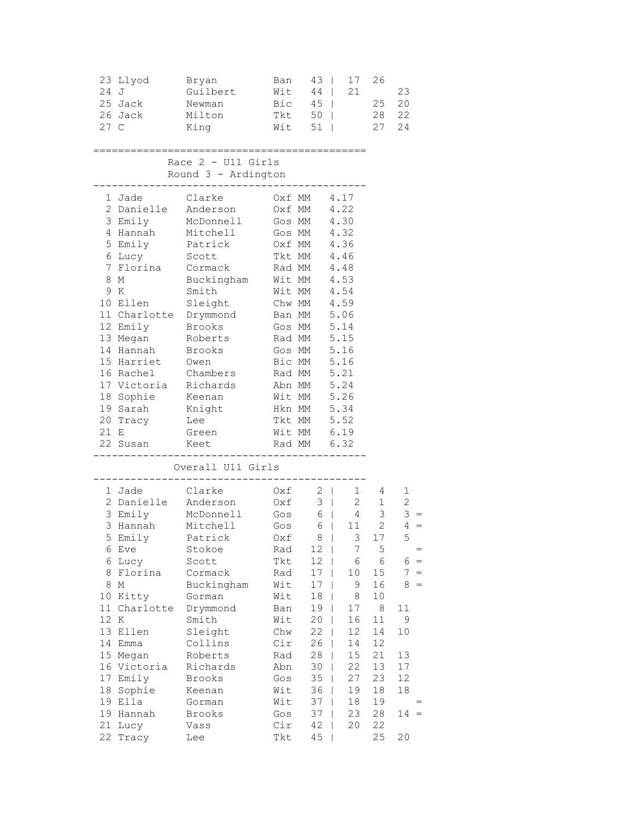|      | 23 Llyod<br>24 J<br>25 Jack<br>26 Jack<br>27 C | Bryan<br>Guilbert<br>Newman<br>Milton<br>King | Ban<br>Wit<br>Tkt 50  <br>Wit | $43 \mid$<br>$Bic$ 45     | 17<br>21<br>44<br>$51 \mid$                 | 26<br>28<br>27                                      | 23<br>25 20<br>22<br>24 |
|------|------------------------------------------------|-----------------------------------------------|-------------------------------|---------------------------|---------------------------------------------|-----------------------------------------------------|-------------------------|
|      |                                                | Race $2 - U11$ Girls<br>Round 3 - Ardington   |                               |                           |                                             |                                                     |                         |
|      |                                                |                                               |                               |                           |                                             |                                                     |                         |
|      | 1 Jade                                         | Clarke                                        | Oxf MM 4.17                   |                           |                                             |                                                     |                         |
|      | 2 Danielle                                     | Anderson                                      | Oxf MM<br>Gos MM 4.30         |                           | 4.22                                        |                                                     |                         |
|      | 3 Emily<br>4 Hannah                            | McDonnell<br>Mitchell                         | Gos MM 4.32                   |                           |                                             |                                                     |                         |
|      |                                                | 5 Emily Patrick                               | Oxf MM 4.36                   |                           |                                             |                                                     |                         |
|      | 6 Lucy                                         | Scott                                         | Tkt MM 4.46                   |                           |                                             |                                                     |                         |
|      | 7 Florina Cormack                              |                                               | Rad MM 4.48                   |                           |                                             |                                                     |                         |
|      | 8 M                                            | Buckingham                                    | Wit MM                        |                           | 4.53                                        |                                                     |                         |
|      | 9 K                                            | Smith                                         |                               |                           |                                             |                                                     |                         |
|      | 10 Ellen                                       | Sleight                                       | Wit MM 4.54<br>Chw MM 4.59    |                           |                                             |                                                     |                         |
|      | 11 Charlotte Drymmond                          |                                               | Ban MM 5.06                   |                           |                                             |                                                     |                         |
|      | 12 Emily                                       | Brooks                                        | Gos MM 5.14                   |                           |                                             |                                                     |                         |
|      | 13 Megan Roberts                               |                                               | Rad MM 5.15                   |                           |                                             |                                                     |                         |
|      | 14 Hannah                                      | Brooks                                        | Gos MM 5.16                   |                           |                                             |                                                     |                         |
|      | 15 Harriet                                     | Owen                                          | Bic MM 5.16                   |                           |                                             |                                                     |                         |
|      | 16 Rachel                                      | Chambers                                      | Rad MM 5.21                   |                           |                                             |                                                     |                         |
|      | 17 Victoria Richards                           |                                               | Abn MM                        |                           | 5.24<br>5.26                                |                                                     |                         |
|      | 18 Sophie<br>19 Sarah                          | Keenan<br>Knight                              | Wit MM                        | צוויי<br>Hkn MM<br>באנויי | 5.34                                        |                                                     |                         |
|      | 20 Tracy                                       | Lee                                           | Tkt MM 5.52                   |                           |                                             |                                                     |                         |
|      | 21 E                                           | Green                                         | Wit MM 6.19                   |                           |                                             |                                                     |                         |
|      | 22 Susan Keet                                  |                                               | Rad MM 6.32                   |                           |                                             |                                                     |                         |
|      |                                                |                                               |                               | ---------                 |                                             |                                                     |                         |
|      |                                                | Overall U11 Girls                             |                               |                           |                                             |                                                     |                         |
|      | 1 Jade                                         | Clarke                                        |                               | $0xf \t2$                 |                                             |                                                     | 1                       |
|      | 2 Danielle Anderson                            |                                               | 0xf                           |                           | $3 \mid$                                    | $\begin{array}{ccc} 1 & & 4 \\ 2 & & 1 \end{array}$ | $\mathbf{2}$            |
|      | 3 Emily                                        | McDonnell                                     | Gos                           |                           | $\begin{array}{c cc} 6 & 4 & 3 \end{array}$ |                                                     | $3 =$                   |
|      | 3 Hannah                                       | Mitchell                                      | $Gos$ 6                       |                           |                                             | $11 \qquad 2$                                       | $4 =$                   |
|      |                                                | 5 Emily Patrick 0xf 8   3 17                  |                               |                           |                                             |                                                     | 5                       |
|      | 6 Eve                                          | Stokoe                                        | Rad                           | 12                        | 7<br>$\mathbf{I}$                           | 5                                                   | $=$                     |
|      | 6 Lucy                                         | Scott                                         | Tkt                           | 12                        | 6                                           | 6                                                   | $6 =$                   |
|      | 8 Florina                                      | Cormack                                       | Rad                           | 17                        | 10                                          | 15                                                  | $7 =$                   |
|      | 8 M                                            | Buckingham                                    | Wit                           | 17                        | 9                                           | 16                                                  | 8<br>$=$                |
|      | 10 Kitty                                       | Gorman                                        | Wit                           | 18                        | 8<br>T                                      | $10$                                                |                         |
|      | 11 Charlotte                                   | Drymmond                                      | Ban                           | 19                        | 17<br>$\mathbf{I}$                          | $\,8\,$                                             | 11                      |
| 12 K |                                                | Smith                                         | Wit                           | 20                        | 16<br>$\mathsf{I}$                          | 11                                                  | 9                       |
|      | 13 Ellen                                       | Sleight                                       | Chw                           | 22                        | 12<br>L<br>14                               | 14                                                  | 10                      |
|      | 14 Emma<br>15 Megan                            | Collins<br>Roberts                            | Cir<br>Rad                    | 26<br>28                  | L<br>15<br>L                                | 12<br>21                                            | 13                      |
|      | 16 Victoria                                    | Richards                                      | Abn                           | 30                        | 22                                          | 13                                                  | 17                      |
|      | 17 Emily                                       | Brooks                                        | Gos                           | 35                        | 27                                          | 23                                                  | 12                      |
|      | 18 Sophie                                      | Keenan                                        | Wit                           | 36                        | 19                                          | 18                                                  | 18                      |
|      | 19 Ella                                        | Gorman                                        | Wit                           | 37                        | 18<br>L                                     | 19                                                  |                         |
|      | 19 Hannah                                      | Brooks                                        | Gos                           | 37                        | 23<br>T                                     | 28                                                  | 14                      |
|      | 21 Lucy                                        | Vass                                          | Cir                           | 42                        | 20<br>I                                     | 22                                                  |                         |
|      | 22 Tracy                                       | Lee                                           | Tkt                           | 45                        | $\mathbf{I}$                                | 25                                                  | 20                      |
|      |                                                |                                               |                               |                           |                                             |                                                     |                         |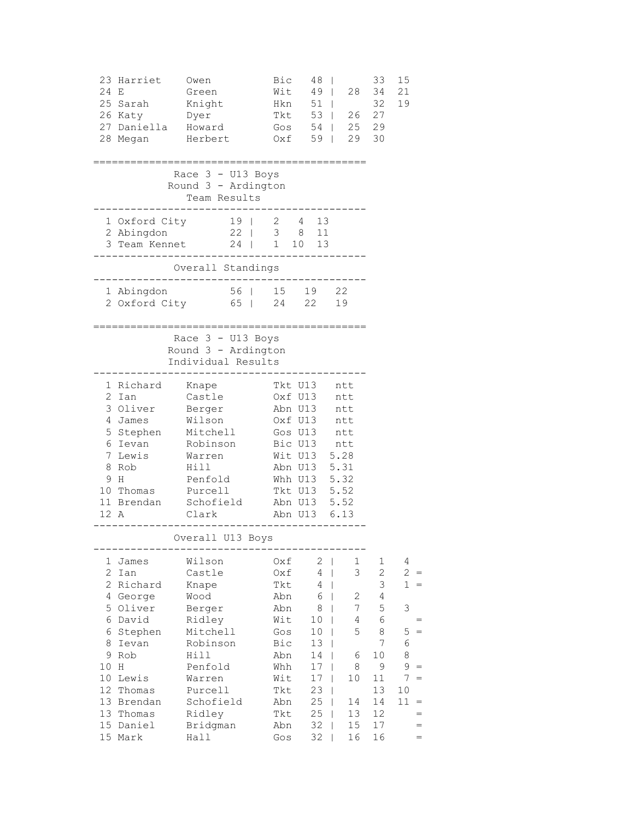| 24 E                                                                                                  | 23 Harriet<br>25 Sarah<br>26 Katy<br>27 Daniella Howard<br>28 Megan                                                                    | Owen<br>Green<br>Knight<br>Dyer<br>Herbert                                                                                                               | Bic<br>Wit<br>Hkn<br>Tkt<br>Oxf                                                                       | 48<br>$49$  <br>$51$  <br>53  <br>Gos $54$  <br>59                                                                                                      | 28<br>26<br>25<br>29                                                   | 33<br>34<br>32<br>27<br>29<br>30                                                           | 15<br>21<br>19                                                                            |
|-------------------------------------------------------------------------------------------------------|----------------------------------------------------------------------------------------------------------------------------------------|----------------------------------------------------------------------------------------------------------------------------------------------------------|-------------------------------------------------------------------------------------------------------|---------------------------------------------------------------------------------------------------------------------------------------------------------|------------------------------------------------------------------------|--------------------------------------------------------------------------------------------|-------------------------------------------------------------------------------------------|
|                                                                                                       |                                                                                                                                        | Race $3 - U13$ Boys<br>Round 3 - Ardington<br>Team Results                                                                                               |                                                                                                       |                                                                                                                                                         |                                                                        |                                                                                            |                                                                                           |
|                                                                                                       | 1 Oxford City<br>2 Abingdon<br>3 Team Kennet 24   1 10 13                                                                              | 19   2 4 13<br>22   3 8 11                                                                                                                               |                                                                                                       |                                                                                                                                                         |                                                                        |                                                                                            |                                                                                           |
|                                                                                                       |                                                                                                                                        | Overall Standings                                                                                                                                        |                                                                                                       |                                                                                                                                                         |                                                                        |                                                                                            |                                                                                           |
|                                                                                                       | 1 Abingdon<br>2 Oxford City                                                                                                            |                                                                                                                                                          |                                                                                                       | 56   15 19 22<br>65   24 22                                                                                                                             | 19                                                                     |                                                                                            |                                                                                           |
|                                                                                                       |                                                                                                                                        | Race $3 - U13$ Boys<br>Round 3 - Ardington<br>Individual Results                                                                                         |                                                                                                       |                                                                                                                                                         | ---------------------                                                  |                                                                                            |                                                                                           |
| 12 A                                                                                                  | 1 Richard<br>2 Ian<br>3 Oliver<br>4 James<br>5 Stephen Mitchell<br>6 Ievan<br>7 Lewis<br>8 Rob<br>9 H<br>10 Thomas<br>11 Brendan       | Knape<br>Castle<br>Berger<br>Wilson<br>Robinson<br>Warren<br>Hill<br>Penfold<br>Purcell<br>Schofield<br>Clark                                            |                                                                                                       | Tkt U13<br>Oxf U13<br>Abn U13<br>Oxf U13<br>Gos U13 ntt<br>Bic U13 ntt<br>Wit U13<br>Abn U13<br>Whh U13 5.32<br>Tkt U13 5.52<br>Abn U13 5.52<br>Abn U13 | ntt<br>ntt<br>ntt<br>ntt<br>5.28<br>5.31<br>6.13                       |                                                                                            |                                                                                           |
|                                                                                                       |                                                                                                                                        | Overall U13 Boys                                                                                                                                         |                                                                                                       |                                                                                                                                                         |                                                                        |                                                                                            |                                                                                           |
| 1<br>$\mathbf{2}$<br>$\overline{2}$<br>4<br>5<br>6<br>6<br>8<br>9<br>10<br>10<br>12<br>13<br>13<br>15 | James<br>Ian<br>Richard<br>George<br>Oliver<br>David<br>Stephen<br>Ievan<br>Rob<br>Н<br>Lewis<br>Thomas<br>Brendan<br>Thomas<br>Daniel | Wilson<br>Castle<br>Knape<br>Wood<br>Berger<br>Ridley<br>Mitchell<br>Robinson<br>Hill<br>Penfold<br>Warren<br>Purcell<br>Schofield<br>Ridley<br>Bridgman | Oxf<br>Oxf<br>Tkt<br>Abn<br>Abn<br>Wit<br>Gos<br>Bic<br>Abn<br>Whh<br>Wit<br>Tkt<br>Abn<br>Tkt<br>Abn | 2<br>4<br>4<br>6<br>8<br>10<br>10<br>13<br>14<br>17<br>17<br>23<br>25<br>25<br>32                                                                       | $\mathbf 1$<br>3<br>2<br>7<br>4<br>5<br>6<br>8<br>10<br>14<br>13<br>15 | 1<br>$\overline{c}$<br>3<br>4<br>5<br>6<br>8<br>7<br>10<br>9<br>11<br>13<br>14<br>12<br>17 | 4<br>$\mathbf{2}$<br>$\mathbf{1}$<br>3<br>5<br>$=$<br>6<br>8<br>9<br>7<br>$=$<br>10<br>11 |
|                                                                                                       | 15 Mark                                                                                                                                | Hall                                                                                                                                                     | Gos                                                                                                   | 32                                                                                                                                                      | 16                                                                     | 16                                                                                         |                                                                                           |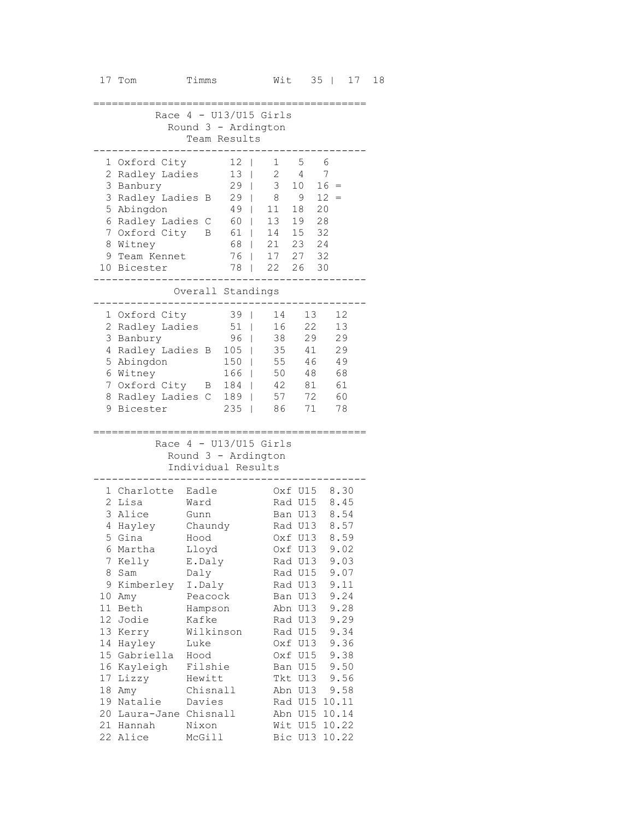|   | Race 4 - U13/U15 Girls           |              |                          |                   |                    |                         |  |
|---|----------------------------------|--------------|--------------------------|-------------------|--------------------|-------------------------|--|
|   |                                  |              | Round 3 - Ardington      |                   |                    |                         |  |
|   |                                  |              | Team Results             |                   |                    |                         |  |
|   |                                  |              |                          |                   |                    |                         |  |
|   | 1 Oxford City<br>2 Radley Ladies |              | 12<br>13                 | 1<br>$\mathbf{2}$ | 5<br>4             | - 6<br>7                |  |
|   | 3 Banbury                        |              | 29                       | 3                 | 10                 | 16<br>$\qquad \qquad =$ |  |
|   | 3 Radley Ladies                  | B            | 29                       | 8<br>L            | 9                  | 12                      |  |
|   | 5 Abingdon                       |              | 49                       | 11                | 18                 | 20                      |  |
|   | 6 Radley Ladies                  | C            | 60                       | 13<br>L           | 19                 | 28                      |  |
| 7 | Oxford City                      | B            | 61                       | 14<br>L           | 15                 | 32                      |  |
|   | 8 Witney                         |              | 68                       | 21                | 23                 | 24                      |  |
|   | 9 Team Kennet                    |              | 76                       | 17                | 27 32              |                         |  |
|   | 10 Bicester                      |              | 78                       | 22                | 26                 | 30                      |  |
|   |                                  |              |                          |                   |                    |                         |  |
|   |                                  |              | Overall Standings        |                   |                    |                         |  |
|   | 1 Oxford City                    |              | 39                       | 14                | 13                 | 12                      |  |
|   | 2 Radley Ladies                  |              | 51                       | 16<br>T           | 22                 | 13                      |  |
|   | 3 Banbury                        |              | 96                       | 38                | 29                 | 29                      |  |
|   | 4 Radley Ladies B                |              | 105                      | 35                | 41                 | 29                      |  |
|   | 5 Abingdon                       |              | 150                      | 55                | 46                 | 49                      |  |
|   | 6 Witney                         |              | 166                      | 50                | 48                 | 68                      |  |
|   | 7 Oxford City                    | В            | 184                      | 42                | 81                 | 61                      |  |
|   | 8 Radley Ladies                  | C            | 189                      | 57                | 72                 | 60                      |  |
|   | 9 Bicester                       |              | 235                      | 86                | 71                 | 78                      |  |
|   |                                  |              |                          |                   |                    |                         |  |
|   |                                  |              | Race $4 - U13/U15$ Girls |                   |                    |                         |  |
|   |                                  |              | Round 3 - Ardington      |                   |                    |                         |  |
|   |                                  |              | Individual Results       |                   |                    |                         |  |
|   | 1 Charlotte                      | Eadle        |                          |                   | Oxf U15            | 8.30                    |  |
|   | 2 Lisa                           | Ward         |                          |                   | Rad U15            | 8.45                    |  |
|   | 3 Alice                          | Gunn         |                          |                   | Ban U13            | 8.54                    |  |
|   | 4 Hayley                         | Chaundy      |                          |                   | Rad U13            | 8.57                    |  |
|   | 5 Gina                           | Hood         |                          |                   | Oxf U13            | 8.59                    |  |
|   | 6 Martha                         | Lloyd        |                          |                   | Oxf U13            | 9.02                    |  |
| 7 | Kelly                            | E.Daly       |                          |                   | Rad U13            | 9.03                    |  |
| 8 | Sam                              | Daly         |                          |                   | Rad U15            | 9.07                    |  |
|   | 9 Kimberley                      | I.Daly       |                          |                   | Rad U13            | 9.11                    |  |
|   | 10 Amy                           | Peacock      |                          |                   | Ban U13            | 9.24                    |  |
|   | 11 Beth                          | Hampson      |                          |                   | Abn U13            | 9.28                    |  |
|   | 12 Jodie                         | Kafke        |                          |                   | Rad U13            | 9.29                    |  |
|   | 13 Kerry                         |              | Wilkinson                |                   | Rad U15            | 9.34                    |  |
|   | 14 Hayley<br>15 Gabriella        | Luke<br>Hood |                          |                   | Oxf U13<br>Oxf U15 | 9.36<br>9.38            |  |
|   | 16 Kayleigh                      | Filshie      |                          |                   | Ban U15            | 9.50                    |  |
|   | 17 Lizzy                         | Hewitt       |                          |                   | Tkt U13            | 9.56                    |  |
|   | 18 Amy                           | Chisnall     |                          |                   | Abn U13            | 9.58                    |  |
|   | 19 Natalie                       | Davies       |                          |                   |                    | Rad U15 10.11           |  |
|   | 20 Laura-Jane Chisnall           |              |                          |                   | Abn U15            | 10.14                   |  |
|   | 21 Hannah                        | Nixon        |                          |                   | Wit U15            | 10.22                   |  |
|   | 22 Alice                         | McGill       |                          |                   | Bic U13            | 10.22                   |  |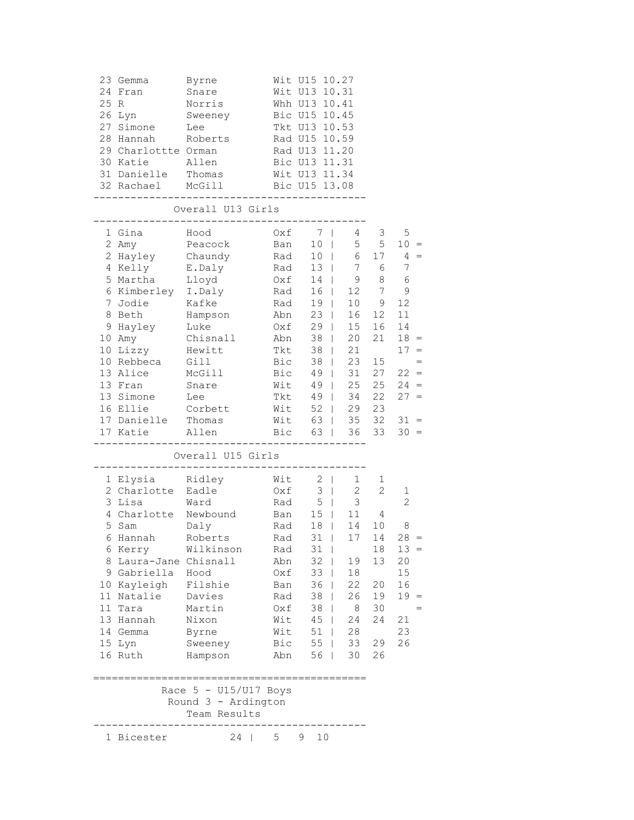|      | 23 Gemma                                              | Byrne                                          |               | Wit U15 10.27                  |                |                 |                |
|------|-------------------------------------------------------|------------------------------------------------|---------------|--------------------------------|----------------|-----------------|----------------|
|      | 24 Fran                                               | Snare                                          |               | Wit U13 10.31                  |                |                 |                |
| 25 R |                                                       | Norris                                         |               | Whh U13 10.41                  |                |                 |                |
|      | 26 Lyn                                                | Sweeney                                        |               | Bic U15 10.45                  |                |                 |                |
|      | 27 Simone                                             | Lee                                            |               | Tkt U13 10.53                  |                |                 |                |
|      | 28 Hannah                                             | Roberts                                        | Rad U15 10.59 |                                |                |                 |                |
|      | 29 Charlottte Orman                                   |                                                |               | Rad U13 11.20                  |                |                 |                |
|      | 30 Katie                                              | Allen                                          |               | Bic U13 11.31                  |                |                 |                |
|      | 31 Danielle                                           | Thomas                                         |               | Wit U13 11.34                  |                |                 |                |
|      | 32 Rachael McGill                                     |                                                |               | Bic U15 13.08                  |                |                 |                |
|      | -------------------------                             |                                                |               | --------------                 |                |                 |                |
|      |                                                       | Overall U13 Girls<br>________________          |               |                                |                |                 |                |
|      | 1 Gina                                                | Hood                                           |               | $0xf \qquad 7$                 | $4\degree$     | 3               | 5              |
|      | 2 Amy                                                 | Peacock                                        | Ban           | 10 <sup>1</sup>                |                | $5\qquad 5$     | $10 =$         |
|      | 2 Hayley Chaundy                                      |                                                | Rad           | $10$                           | 6              | 17              | $4 =$          |
|      | 4 Kelly                                               | E.Daly                                         | Rad           | $13 \mid$                      |                | 7 6             | $\overline{7}$ |
|      | 5 Martha Lloyd<br>6 Kimberley I.Daly<br>7 Jodie Kafke |                                                | .<br>Oxf      | 14                             | 9              | $8\,$           | $\epsilon$     |
|      |                                                       |                                                | Rad           | $16$                           | 12             | $7\phantom{.0}$ | $\mathsf 9$    |
|      |                                                       |                                                | Rad           | $19$                           | 10             | 9               | 12             |
|      | 8 Beth Hampson                                        |                                                | Abn           | $23 \mid$                      | 16             | 12              | 11             |
|      | 9 Hayley Luke                                         |                                                | Oxf           | $29$                           | 15             | 16              | 14             |
|      | 10 Amy Chisnall                                       |                                                | Abn           | $38$                           | 20             | 21              | $18 =$         |
|      | 10 Lizzy                                              | Hewitt                                         | Tkt           | 38                             | 21             |                 | $17 =$         |
|      | 10 Rebbeca                                            | Gill                                           | Bic           | $38$                           | 23             | 15              | $=$            |
|      | 13 Alice                                              | McGill                                         | Bic           | 49                             | 31             | 27              | $22 =$         |
|      | 13 Fran                                               | Snare                                          | Wit           | 49  <br>49                     | 25             | 25              | $24 =$         |
|      | 13 Simone                                             | Lee                                            | Tkt           |                                | 34             | 22              | $27 =$         |
|      | 16 Ellie                                              | Corbett                                        | Wit           |                                | $52 \mid 29$   | 23              |                |
|      | 17 Danielle Thomas                                    |                                                |               | Wit 63   35 32                 |                |                 | $31 =$         |
|      | 17 Katie                                              | Allen                                          |               | Bic 63   36                    |                | 33              | $30 =$         |
|      |                                                       | Overall U15 Girls                              |               |                                |                |                 |                |
|      | 1 Elysia Ridley                                       |                                                | Wit           | $2 \mid$                       | 1              | 1               |                |
|      | 2 Charlotte Eadle                                     |                                                | Oxf           | $3 \mid$                       | $\overline{2}$ | $\overline{2}$  | $\mathbf 1$    |
|      | 3 Lisa                                                | Ward                                           | Rad           | $5 \mid$                       | 3              |                 | $\overline{c}$ |
|      | 4 Charlotte Newbound                                  |                                                | Ban           | $15 \mid$                      | 11             | 4               |                |
|      | 5 Sam                                                 | Daly                                           | Rad           | $18$                           | 14             | 10              | $\,8\,$        |
|      | 6 Hannah Roberts                                      |                                                | Rad           |                                | 31   17 14     |                 | 28             |
|      | 6 Kerry                                               | Wilkinson                                      | Rad           | $31$                           |                | 18              | $13 =$         |
|      | 8 Laura-Jane Chisnall                                 |                                                | Abn           | $32$                           | 19             | 13              | 20             |
|      | 9 Gabriella                                           | Hood                                           | Oxf           | 33                             | 18             |                 | 15             |
|      | 10 Kayleigh                                           | Filshie                                        | Ban           | 36<br>$\overline{\phantom{a}}$ | 22             | 20              | 16             |
|      | 11 Natalie                                            | Davies                                         | Rad           | $38$                           | 26             | 19              | $19 =$         |
|      | 11 Tara                                               | Martin                                         | Oxf           | 38                             | 8              | 30              |                |
|      | 13 Hannah                                             | Nixon                                          | Wit           | $45 \mid$                      | 24             | 24              | 21             |
|      | 14 Gemma                                              | Byrne                                          | Wit           | $51$                           | 28             |                 | 23             |
|      | 15 Lyn                                                | Sweeney                                        | Bic           | $55$                           | 33             | 29              | 26             |
|      | 16 Ruth                                               | Hampson                                        | Abn           | $56$                           | 30             | 26              |                |
|      |                                                       |                                                |               |                                |                |                 |                |
|      |                                                       | Race $5 - U15/U17$ Boys<br>Round 3 - Ardington |               |                                |                |                 |                |
|      |                                                       | Team Results                                   |               |                                |                |                 |                |
|      | 1 Bicester                                            | 24<br>L                                        | 5             | 9.<br>10                       |                |                 |                |
|      |                                                       |                                                |               |                                |                |                 |                |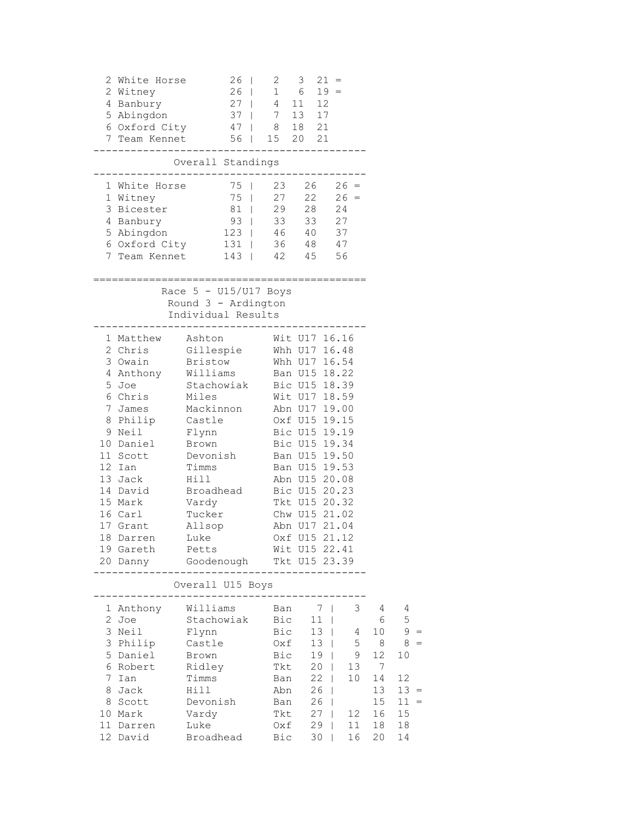|   | 2 White Horse<br>2 Witney | 26   2 3<br>$26$   1 6 19 =                                                                                                          |               |               | $21 =$       |         |         |        |
|---|---------------------------|--------------------------------------------------------------------------------------------------------------------------------------|---------------|---------------|--------------|---------|---------|--------|
|   | 4 Banbury                 | 27   4 11 12                                                                                                                         |               |               |              |         |         |        |
|   |                           | 5 Abingdon 37   7 13 17                                                                                                              |               |               |              |         |         |        |
|   |                           | 6 Oxford City 47   8 18 21                                                                                                           |               |               |              |         |         |        |
|   |                           | 7 Team Kennet 56   15 20 21                                                                                                          |               |               |              |         |         |        |
|   |                           | Overall Standings<br>-----------------------------------                                                                             |               |               |              |         |         |        |
|   |                           |                                                                                                                                      |               |               |              |         |         |        |
|   | 1 Witney                  | 1 White Horse<br>1 Witney<br>1 Witney<br>15   27 22 26 =                                                                             |               |               |              |         |         |        |
|   |                           | 3 Bicester 81   29 28 24                                                                                                             |               |               |              |         |         |        |
|   | 4 Banbury                 | 93   33 33 27                                                                                                                        |               |               |              |         |         |        |
|   |                           | 5 Abingdon 123   46 40 37                                                                                                            |               |               |              |         |         |        |
|   |                           | 6 Oxford City 131   36 48 47                                                                                                         |               |               |              |         |         |        |
|   |                           | 7 Team Kennet 143   42 45 56                                                                                                         |               |               |              |         |         |        |
|   |                           |                                                                                                                                      |               |               |              |         |         |        |
|   |                           | Race $5 - U15/U17$ Boys<br>Round 3 - Ardington                                                                                       |               |               |              |         |         |        |
|   |                           | Individual Results<br>----------------------------------                                                                             |               |               |              |         |         |        |
|   |                           | 1 Matthew Ashton Wit U17 16.16                                                                                                       |               |               |              |         |         |        |
|   |                           | 2 Chris Gillespie Whh U17 16.48                                                                                                      |               |               |              |         |         |        |
|   |                           | 3 Owain Bristow Whh U17 16.54                                                                                                        |               |               |              |         |         |        |
|   |                           | 4 Anthony Williams Ban U15 18.22<br>5 Joe Stachowiak Bic U15 18.39<br>6 Chris Miles Wit U17 18.59<br>7 James Mackinnon Abn U17 19.00 |               |               |              |         |         |        |
|   |                           |                                                                                                                                      |               |               |              |         |         |        |
|   |                           |                                                                                                                                      |               |               |              |         |         |        |
|   |                           | 8 Philip Castle 0xf U15 19.15                                                                                                        |               |               |              |         |         |        |
|   |                           | 9 Neil Flynn Bic U15 19.19                                                                                                           |               |               |              |         |         |        |
|   |                           | 10 Daniel Brown Bic U15 19.34                                                                                                        |               |               |              |         |         |        |
|   |                           | 11 Scott Devonish Ban U15 19.50                                                                                                      |               |               |              |         |         |        |
|   | 12 Ian                    | Timms                                                                                                                                | Ban U15 19.53 |               |              |         |         |        |
|   | 13 Jack                   |                                                                                                                                      | Abn U15 20.08 |               |              |         |         |        |
|   | 14 David                  | Hill Abn U15 20.08<br>Broadhead Bic U15 20.23<br>Vardy Tkt U15 20.32                                                                 |               |               |              |         |         |        |
|   | 15 Mark                   |                                                                                                                                      |               |               |              |         |         |        |
|   | 16 Carl                   | Tucker Chw U15 21.02                                                                                                                 |               |               |              |         |         |        |
|   |                           | 17 Grant Allsop Abn U17 21.04                                                                                                        |               |               |              |         |         |        |
|   |                           | 18 Darren Luke Cxf U15 21.12                                                                                                         |               |               |              |         |         |        |
|   | 19 Gareth                 | Petts                                                                                                                                |               | Wit U15 22.41 |              |         |         |        |
|   | 20 Danny                  | Goodenough                                                                                                                           |               | Tkt U15 23.39 |              |         |         |        |
|   |                           | Overall U15 Boys                                                                                                                     |               |               |              |         |         |        |
|   | 1 Anthony                 | Williams                                                                                                                             | Ban           | 7             | $\mathbf{I}$ | 3       | 4       | 4      |
|   | 2 Joe                     | Stachowiak                                                                                                                           | Bic           | 11            | $\mathbf{I}$ |         | 6       | 5      |
|   | 3 Neil                    | Flynn                                                                                                                                | Bic           | 13            | $\mathbf{I}$ | 4       | 10      | 9      |
|   | 3 Philip                  | Castle                                                                                                                               | Oxf           | 13            | $\mathbf{I}$ | 5       | 8       | 8      |
|   | 5 Daniel<br>6 Robert      | Brown                                                                                                                                | Bic           | 19            |              | 9<br>13 | 12<br>7 | 10     |
| 7 | Ian                       | Ridley<br>Timms                                                                                                                      | Tkt<br>Ban    | 20<br>22      | L            | 10      | 14      | 12     |
| 8 | Jack                      | Hill                                                                                                                                 | Abn           | 26            | L            |         | 13      | $13 =$ |
|   | 8 Scott                   | Devonish                                                                                                                             | Ban           | 26            | L            |         | 15      | $11 =$ |
|   | 10 Mark                   | Vardy                                                                                                                                | Tkt           | 27            | L            | 12      | 16      | 15     |
|   | 11 Darren                 | Luke                                                                                                                                 | Oxf           | 29            | L            | 11      | 18      | 18     |
|   | 12 David                  | Broadhead                                                                                                                            | Bic           | 30            |              | 16      | 20      | 14     |
|   |                           |                                                                                                                                      |               |               |              |         |         |        |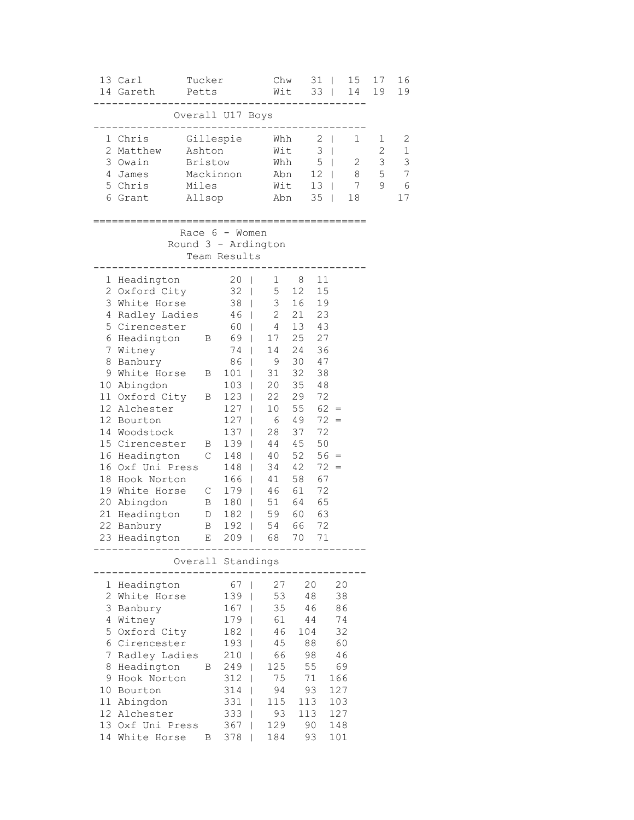|                                            | 13 Carl<br>14 Gareth                                                                                                                                                                                                                                                                                                                                                                                      | Tucker<br>Petts                      |                                                                                                                                                                                                                                                              | Chw<br>Wit                                                                                                                                                                        |                                                                                                                                                                 | 31<br>$33 \mid$                                                                                                                                     | 15<br>$\Box$<br>14                                                                     |                                           | 17<br>19              | 16<br>19                                        |
|--------------------------------------------|-----------------------------------------------------------------------------------------------------------------------------------------------------------------------------------------------------------------------------------------------------------------------------------------------------------------------------------------------------------------------------------------------------------|--------------------------------------|--------------------------------------------------------------------------------------------------------------------------------------------------------------------------------------------------------------------------------------------------------------|-----------------------------------------------------------------------------------------------------------------------------------------------------------------------------------|-----------------------------------------------------------------------------------------------------------------------------------------------------------------|-----------------------------------------------------------------------------------------------------------------------------------------------------|----------------------------------------------------------------------------------------|-------------------------------------------|-----------------------|-------------------------------------------------|
|                                            |                                                                                                                                                                                                                                                                                                                                                                                                           |                                      | Overall U17 Boys                                                                                                                                                                                                                                             |                                                                                                                                                                                   |                                                                                                                                                                 |                                                                                                                                                     |                                                                                        |                                           |                       |                                                 |
| 3<br>4<br>6                                | 1 Chris<br>2 Matthew<br>Owain<br>James<br>5 Chris<br>Grant                                                                                                                                                                                                                                                                                                                                                | Ashton<br>Bristow<br>Miles<br>Allsop | Gillespie<br>Mackinnon                                                                                                                                                                                                                                       | Whh                                                                                                                                                                               | Wit<br>Whh<br>Abn<br>Wit<br>Abn                                                                                                                                 | $2 \mid$<br>3<br>5<br>$13 \mid$<br>35                                                                                                               | $\mathbf{I}$<br>$\sim 10^{-1}$<br>12   8<br>$\mathbf{I}$                               | $\mathbf{1}$<br>2<br>$\overline{7}$<br>18 | 1<br>2<br>3<br>5<br>9 | 2<br>$\mathbf{1}$<br>3<br>7<br>$\epsilon$<br>17 |
|                                            |                                                                                                                                                                                                                                                                                                                                                                                                           |                                      | Race 6 - Women<br>Round 3 - Ardington<br>Team Results                                                                                                                                                                                                        |                                                                                                                                                                                   |                                                                                                                                                                 |                                                                                                                                                     |                                                                                        |                                           |                       |                                                 |
| 1<br>7<br>8<br>9<br>18                     | Headington<br>2 Oxford City<br>3 White Horse<br>4 Radley Ladies<br>5 Cirencester<br>6 Headington B 69  <br>Witney<br>Banbury<br>White Horse B<br>10 Abingdon<br>11 Oxford City<br>12 Alchester<br>12 Bourton<br>14 Woodstock<br>15 Cirencester<br>16 Headington<br>16 Oxf Uni Press<br>Hook Norton<br>19 White Horse C 179  <br>20 Abingdon<br>21 Headington D 182  <br>22 Banbury<br>23 Headington E 209 | Β<br>B<br>$\mathsf{C}$<br>B          | 20 <sub>1</sub><br>$32 \mid$<br>$38$  <br>46<br>60  <br>74<br>$\mathbf{I}$<br>86<br>$\mathbf{I}$<br>$101$  <br>103<br>123<br>127<br>$127$  <br>137<br>$\mathbf{I}$<br>139<br>$\blacksquare$<br>148<br>$\mathbf{I}$<br>$148$  <br>$166$  <br>B 180  <br>$192$ | 3 <sup>7</sup><br>$\overline{2}$<br>$\overline{4}$<br>17<br>14<br>9<br>31<br>20<br>T<br>22<br>T<br>10 <sub>o</sub><br>$\mathbf{I}$<br>6<br>28<br>40<br>34<br>41<br>46<br>54<br>68 | 1 8<br>5 <sub>5</sub><br>12<br>16<br>21<br>25<br>24<br>30<br>32<br>35<br>29<br>55<br>49<br>37<br>44 45<br>52<br>42<br>58<br>61<br>51 64<br>59 60 63<br>66<br>70 | 11<br>15<br>19<br>23<br>13 43<br>27<br>36<br>47<br>38<br>48<br>72<br>$62 =$<br>$72 =$<br>72<br>50<br>$56 =$<br>$72 =$<br>67<br>72<br>65<br>72<br>71 |                                                                                        |                                           |                       |                                                 |
|                                            |                                                                                                                                                                                                                                                                                                                                                                                                           |                                      | Overall Standings                                                                                                                                                                                                                                            |                                                                                                                                                                                   |                                                                                                                                                                 |                                                                                                                                                     |                                                                                        |                                           |                       |                                                 |
| 1<br>2<br>3<br>4<br>5<br>7<br>8<br>9<br>10 | Headington<br>White Horse<br>Banbury<br>Witney<br>Oxford City<br>6 Cirencester<br>Radley Ladies<br>Headington<br>Hook Norton<br>Bourton<br>11 Abingdon<br>12 Alchester<br>13 Oxf Uni Press<br>14 White Horse                                                                                                                                                                                              | B                                    | 67<br>139<br>167<br>179<br>182<br>193<br>210<br>B 249<br>312<br>314<br>331<br>333<br>367<br>378                                                                                                                                                              | T<br>46<br>$\mathbf{I}$<br>45<br>T<br>T<br>T<br>115<br>93<br>129<br>T<br>184                                                                                                      | 27<br>53<br>35<br>61<br>66<br>125<br>75<br>94                                                                                                                   | 20<br>48<br>46<br>44<br>104<br>88<br>98<br>55<br>71<br>93<br>113<br>113<br>90<br>93                                                                 | 20<br>38<br>86<br>74<br>32<br>60<br>46<br>69<br>166<br>127<br>103<br>127<br>148<br>101 |                                           |                       |                                                 |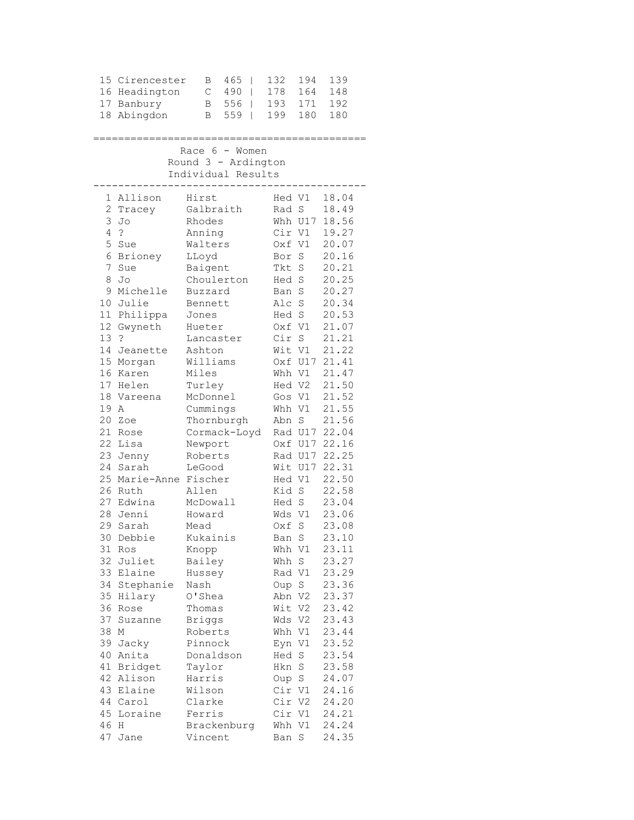|    | 15 Cirencester            |          | В             | 465                 | I              | 132    | 194     | 139           |
|----|---------------------------|----------|---------------|---------------------|----------------|--------|---------|---------------|
|    | 16 Headington             |          | C             | 490                 | $\overline{1}$ | 178    | 164     | 148           |
|    | 17 Banbury                |          | В             | 556                 | $\mathbf{I}$   | 193    | 171     | 192           |
| 18 | Abingdon                  |          | В             | 559                 | I              | 199    | 180     | 180           |
|    |                           |          |               |                     |                |        |         |               |
|    | .======================== |          |               |                     |                |        |         |               |
|    |                           |          |               | Race $6 -$ Women    |                |        |         |               |
|    |                           |          |               | Round 3 - Ardington |                |        |         |               |
|    |                           |          |               | Individual Results  |                |        |         |               |
|    |                           |          |               |                     |                |        |         |               |
|    | 1 Allison                 | Hirst    |               |                     |                | Hed V1 |         | 18.04         |
|    | 2 Tracey                  |          |               | Galbraith           |                | Rad S  |         | 18.49         |
| 3  | Jo                        |          | Rhodes        |                     |                |        | Whh U17 | 18.56         |
| 4  | $\tilde{ }$               |          | Anning        |                     |                | Cir V1 |         | 19.27         |
| 5  | Sue                       |          | Walters       |                     |                | Oxf V1 |         | 20.07         |
| 6  | Brioney                   | LLoyd    |               |                     |                | Bor    | S       | 20.16         |
| 7  | Sue                       |          | Baigent       |                     |                | Tkt S  |         | 20.21         |
| 8  | Jo                        |          |               | Choulerton          |                | Hed S  |         | 20.25         |
|    | 9 Michelle                |          | Buzzard       |                     |                | Ban S  |         | 20.27         |
| 10 | Julie                     |          | Bennett       |                     |                | Alc S  |         | 20.34         |
|    | 11 Philippa               | Jones    |               |                     |                | Hed S  |         | 20.53         |
| 12 | Gwyneth                   |          | Hueter        |                     |                | Oxf V1 |         | 21.07         |
| 13 | $\cdot$ ?                 |          |               | Lancaster           |                | Cir S  |         | 21.21         |
| 14 | Jeanette                  | Ashton   |               |                     |                | Wit V1 |         | 21.22         |
|    | 15 Morgan                 | Williams |               |                     |                |        | Oxf U17 | 21.41         |
|    | 16 Karen                  | Miles    |               |                     |                | Whh V1 |         | 21.47         |
|    | 17 Helen                  |          | Turley        |                     |                | Hed V2 |         | 21.50         |
| 18 | Vareena                   | McDonnel |               |                     |                | Gos V1 |         | 21.52         |
| 19 | A                         |          | Cummings      |                     |                | Whh V1 |         | 21.55         |
| 20 | Zoe                       |          |               | Thornburgh          |                | Abn    | S       | 21.56         |
|    | 21 Rose                   |          |               | Cormack-Loyd        |                |        |         | Rad U17 22.04 |
| 22 | Lisa                      |          | Newport       |                     |                |        |         | Oxf U17 22.16 |
|    | 23 Jenny                  |          | Roberts       |                     |                |        |         | Rad U17 22.25 |
| 24 | Sarah                     |          | LeGood        |                     |                |        |         | Wit U17 22.31 |
| 25 | Marie-Anne Fischer        |          |               |                     |                | Hed V1 |         | 22.50         |
|    | 26 Ruth                   | Allen    |               |                     |                | Kid S  |         | 22.58         |
|    | 27 Edwina                 | McDowall |               |                     |                | Hed S  |         | 23.04         |
| 28 | Jenni                     |          | Howard        |                     |                | Wds V1 |         | 23.06         |
| 29 | Sarah                     | Mead     |               |                     |                | Oxf    | S       | 23.08         |
|    | 30 Debbie                 |          | Kukainis      |                     |                | Ban S  |         | 23.10         |
| 31 | Ros                       | Knopp    |               |                     |                | Whh V1 |         | 23.11         |
| 32 | Juliet                    |          | Bailey        |                     |                | Whh    | S       | 23.27         |
| 33 | Elaine                    |          | Hussey        |                     |                | Rad V1 |         | 23.29         |
| 34 | Stephanie                 | Nash     |               |                     |                | Oup    | S       | 23.36         |
| 35 | Hilary                    |          | O'Shea        |                     |                | Abn V2 |         | 23.37         |
| 36 | Rose                      |          | Thomas        |                     |                | Wit V2 |         | 23.42         |
| 37 | Suzanne                   |          | <b>Briggs</b> |                     |                | Wds V2 |         | 23.43         |
| 38 | Μ                         |          | Roberts       |                     |                | Whh V1 |         | 23.44         |
| 39 | Jacky                     |          | Pinnock       |                     |                | Eyn V1 |         | 23.52         |
| 40 | Anita                     |          |               | Donaldson           |                | Hed S  |         | 23.54         |
| 41 | Bridget                   |          | Taylor        |                     |                | Hkn    | $\rm S$ | 23.58         |
| 42 | Alison                    |          | Harris        |                     |                | Oup S  |         | 24.07         |
| 43 | Elaine                    |          | Wilson        |                     |                | Cir V1 |         | 24.16         |
| 44 | Carol                     |          | Clarke        |                     |                | Cir V2 |         | 24.20         |
| 45 | Loraine                   |          | Ferris        |                     |                | Cir V1 |         | 24.21         |
| 46 | Η                         |          |               | Brackenburg         |                | Whh V1 |         | 24.24         |
| 47 | Jane                      |          | Vincent       |                     |                | Ban S  |         | 24.35         |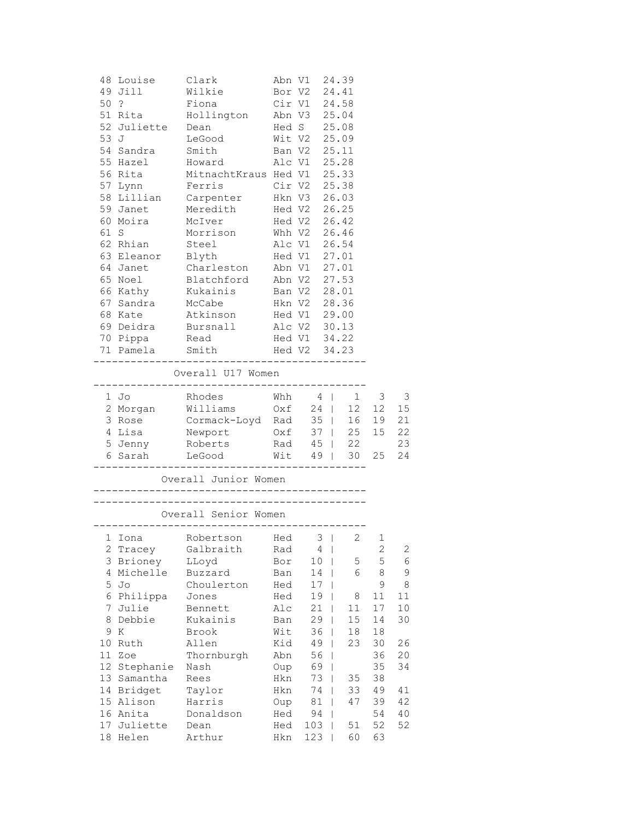|    | 48 Louise Clark      |                                                                                                                                        |            | Abn V1 24.39                   |                   |             |              |
|----|----------------------|----------------------------------------------------------------------------------------------------------------------------------------|------------|--------------------------------|-------------------|-------------|--------------|
|    | 49 Jill Wilkie       |                                                                                                                                        |            | Bor V2 24.41                   |                   |             |              |
|    |                      |                                                                                                                                        |            |                                |                   |             |              |
|    |                      |                                                                                                                                        |            |                                |                   |             |              |
|    |                      |                                                                                                                                        |            |                                |                   |             |              |
|    |                      |                                                                                                                                        |            |                                |                   |             |              |
|    | 54 Sandra Smith      |                                                                                                                                        |            | Ban V2 25.11                   |                   |             |              |
|    |                      | 55 Hazel Howard Alc V1 25.28                                                                                                           |            |                                |                   |             |              |
|    |                      | 56 Rita MitnachtKraus Hed V1 25.33                                                                                                     |            |                                |                   |             |              |
|    |                      | 57 Lynn Ferris Cir V2 25.38                                                                                                            |            |                                |                   |             |              |
|    |                      | 58 Lillian Carpenter Hkn V3 26.03                                                                                                      |            |                                |                   |             |              |
|    |                      |                                                                                                                                        |            |                                |                   |             |              |
|    |                      | 59 Janet Meredith Hed V2 26.25<br>60 Moira McIver Hed V2 26.42<br>61 S Morrison Whh V2 26.46                                           |            |                                |                   |             |              |
|    |                      |                                                                                                                                        |            |                                |                   |             |              |
|    |                      | 62 Rhian Steel Alc V1 26.54                                                                                                            |            |                                |                   |             |              |
|    |                      | 63 Eleanor Blyth Hed V1 27.01                                                                                                          |            |                                |                   |             |              |
|    |                      | 64 Janet Charleston Abn V1 27.01                                                                                                       |            |                                |                   |             |              |
|    |                      | 65 Noel Blatchford Abn V2 27.53                                                                                                        |            |                                |                   |             |              |
|    |                      | 66 Kathy Kukainis Ban V2 28.01                                                                                                         |            |                                |                   |             |              |
|    |                      | 67 Sandra McCabe Hkn V2 28.36<br>68 Kate Atkinson Hed V1 29.00<br>69 Deidra Bursnall Alc V2 30.13<br>70 Pippa Read Hed V1 34.22        |            |                                |                   |             |              |
|    |                      |                                                                                                                                        |            |                                |                   |             |              |
|    |                      |                                                                                                                                        |            |                                |                   |             |              |
|    |                      |                                                                                                                                        |            |                                |                   |             |              |
|    |                      | 71 Pamela Smith Hed V2 34.23                                                                                                           |            |                                |                   |             |              |
|    |                      | Overall U17 Women                                                                                                                      |            |                                |                   |             |              |
|    | 1 Jo                 | Rhodes Whh $4 \mid 1 \mid 3$                                                                                                           |            |                                |                   |             | 3            |
|    |                      | 2 Morgan Milliams 0xf 24   12 12<br>3 Rose Cormack-Loyd Rad 35   16 19<br>4 Lisa Newport 0xf 37   25 15<br>5 Jenny Roberts Rad 45   22 |            |                                |                   |             | 15           |
|    |                      |                                                                                                                                        |            |                                |                   |             | 21           |
|    |                      |                                                                                                                                        |            |                                |                   |             | 22           |
|    |                      |                                                                                                                                        |            |                                |                   |             | 23           |
|    |                      | 6 Sarah LeGood                                                                                                                         |            | Wit 49   30 25                 |                   |             | 24           |
|    |                      | Overall Junior Women                                                                                                                   |            |                                |                   |             |              |
|    |                      |                                                                                                                                        |            |                                |                   |             |              |
|    |                      |                                                                                                                                        |            |                                |                   |             |              |
|    | 1 Iona               | Robertson Hed 3   2                                                                                                                    |            |                                |                   | 1           |              |
|    | 2 Tracey             | Galbraith                                                                                                                              | Rad        | 4                              |                   | $\mathbf 2$ | $\mathbf{2}$ |
|    | 3 Brioney            | LLoyd                                                                                                                                  | Bor        | 10                             | 5<br>$\mathbf{I}$ | 5           | 6            |
|    | 4 Michelle           | Buzzard                                                                                                                                | Ban        | 14                             | 6                 | 8           | 9            |
| 5  | Jo                   | Choulerton                                                                                                                             | Hed        | 17                             |                   | 9           | 8            |
| 6  | Philippa             | Jones                                                                                                                                  | Hed        | 19                             | 8                 | 11          | 11           |
| 7  | Julie                | Bennett                                                                                                                                | Alc        | 21                             | 11                | 17          | 10           |
| 8  | Debbie               | Kukainis                                                                                                                               | Ban        | 29                             | 15                | 14          | 30           |
| 9  | Κ                    | Brook                                                                                                                                  | Wit        | 36                             | 18                | 18          |              |
| 10 | Ruth                 | Allen                                                                                                                                  | Kid        | 49<br>-1                       | 23                | 30          | 26           |
| 11 | Zoe                  | Thornburgh                                                                                                                             | Abn        | 56<br>$\overline{\phantom{a}}$ |                   | 36          | 20           |
| 12 | Stephanie            | Nash                                                                                                                                   | Oup        | 69<br>$\overline{\phantom{a}}$ |                   | 35          | 34           |
|    | 13 Samantha          | Rees                                                                                                                                   | Hkn        | 73                             | 35<br>T           | 38          |              |
|    | 14 Bridget           | Taylor                                                                                                                                 | Hkn        | 74                             | 33                | 49          | 41           |
|    | 15 Alison            | Harris                                                                                                                                 | Oup        | 81                             | 47                | 39          | 42           |
|    | 16 Anita             | Donaldson                                                                                                                              | Hed        | 94                             |                   | 54<br>52    | 40           |
| 18 | 17 Juliette<br>Helen | Dean<br>Arthur                                                                                                                         | Hed<br>Hkn | 103<br>123                     | 51<br>60          | 63          | 52           |
|    |                      |                                                                                                                                        |            |                                |                   |             |              |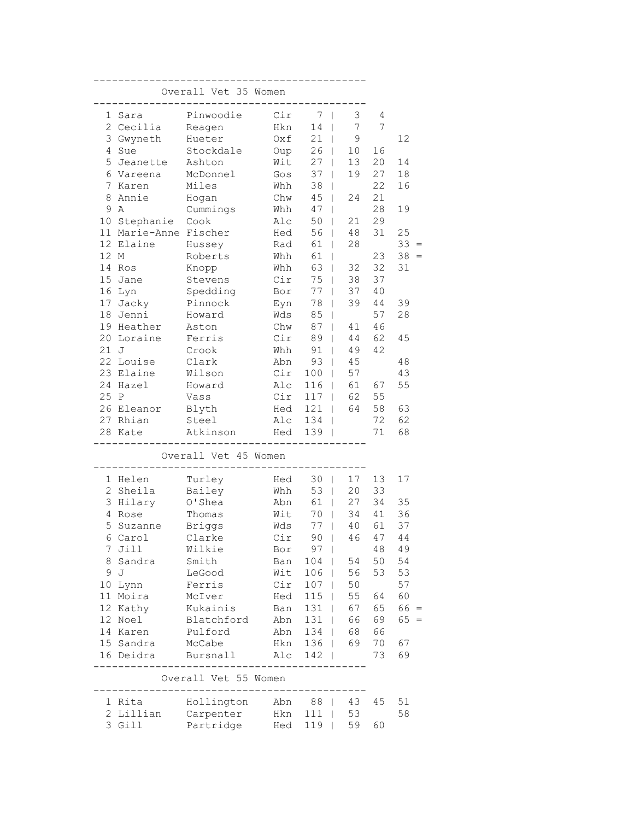|                | Overall Vet 35 Women |                      |     |       |                                |    |           |  |  |  |  |  |
|----------------|----------------------|----------------------|-----|-------|--------------------------------|----|-----------|--|--|--|--|--|
| 1              | Sara                 | Pinwoodie            | Cir | 7     | 3<br>I                         | 4  |           |  |  |  |  |  |
| $\overline{2}$ | Cecilia              | Reagen               | Hkn | 14    | 7                              | 7  |           |  |  |  |  |  |
|                | 3 Gwyneth            | Hueter               | Oxf | 21    | $\mathsf 9$<br>I               |    | 12        |  |  |  |  |  |
| 4              | Sue                  | Stockdale            | Oup | 26    | 10<br>T                        | 16 |           |  |  |  |  |  |
| 5              | Jeanette             | Ashton               | Wit | 27    | 13<br>$\mathbf{I}$             | 20 | 14        |  |  |  |  |  |
|                | 6 Vareena            | McDonnel             | Gos | 37    | 19<br>$\mathsf{I}$             | 27 | 18        |  |  |  |  |  |
| 7              | Karen                | Miles                | Whh | 38    | $\overline{\phantom{a}}$       | 22 | 16        |  |  |  |  |  |
| 8              | Annie                | Hogan                | Chw | 45    | 24<br>$\overline{1}$           | 21 |           |  |  |  |  |  |
| 9              | Α                    | Cummings             | Whh | 47    | T                              | 28 | 19        |  |  |  |  |  |
| 10             | Stephanie            | Cook                 | Alc | 50    | 21<br>T                        | 29 |           |  |  |  |  |  |
| 11             | Marie-Anne Fischer   |                      | Hed | 56    | 48                             | 31 | 25        |  |  |  |  |  |
| 12             | Elaine               | Hussey               | Rad | 61    | 28                             |    | 33        |  |  |  |  |  |
| 12 M           |                      | Roberts              | Whh | 61    | I                              | 23 | 38<br>$=$ |  |  |  |  |  |
|                | 14 Ros               | Knopp                | Whh | 63    | 32<br>T                        | 32 | 31        |  |  |  |  |  |
|                | 15 Jane              | Stevens              | Cir | 75    | 38<br>$\overline{\phantom{a}}$ | 37 |           |  |  |  |  |  |
|                | 16 Lyn               | Spedding             | Bor | 77    | 37<br>$\overline{\phantom{a}}$ | 40 |           |  |  |  |  |  |
| 17             | Jacky                | Pinnock              | Eyn | 78    | 39<br>$\overline{1}$           | 44 | 39        |  |  |  |  |  |
| 18             | Jenni                | Howard               | Wds | 85    | T                              | 57 | 28        |  |  |  |  |  |
| 19             | Heather              | Aston                | Chw | 87    | 41<br>T                        | 46 |           |  |  |  |  |  |
| 20             | Loraine              | Ferris               | Cir | 89    | 44                             | 62 | 45        |  |  |  |  |  |
| 21             | J                    | Crook                | Whh | 91    | 49                             | 42 |           |  |  |  |  |  |
|                | 22 Louise            | Clark                | Abn | 93    | 45<br>T                        |    | 48        |  |  |  |  |  |
|                | 23 Elaine            | Wilson               | Cir | 100   | 57<br>T                        |    | 43        |  |  |  |  |  |
|                | 24 Hazel             | Howard               | Alc | 116   | 61<br>T                        | 67 | 55        |  |  |  |  |  |
| 25 P           |                      | Vass                 | Cir | 117   | 62<br>T                        | 55 |           |  |  |  |  |  |
|                | 26 Eleanor           | Blyth                | Hed | 121   | 64<br>$\mathbf{I}$             | 58 | 63        |  |  |  |  |  |
| 27             | Rhian                | Steel                | Alc | 134   | I                              | 72 | 62        |  |  |  |  |  |
|                | 28 Kate              | Atkinson             | Hed | 139   |                                | 71 | 68        |  |  |  |  |  |
|                |                      | Overall Vet 45 Women |     |       |                                |    |           |  |  |  |  |  |
|                | 1 Helen              | Turley               | Hed | 30    | 17<br>$\Box$                   | 13 | 17        |  |  |  |  |  |
|                | 2 Sheila             | Bailey               | Whh | 53    | 20<br>$\Box$                   | 33 |           |  |  |  |  |  |
|                | 3 Hilary             | O'Shea               | Abn | 61    | 27<br>$\mathsf{I}$             | 34 | 35        |  |  |  |  |  |
| 4              | Rose                 | Thomas               | Wit | 70    | 34<br>$\mathsf{I}$             | 41 | 36        |  |  |  |  |  |
| 5              | Suzanne              | <b>Briggs</b>        | Wds | 77    | 40<br>$\overline{\phantom{a}}$ | 61 | 37        |  |  |  |  |  |
|                | 6 Carol              | Clarke               | Cir | 90    | 46<br>$\blacksquare$           | 47 | 44        |  |  |  |  |  |
|                | 7 Jill               | Wilkie               | Bor | $97$  |                                | 48 | 49        |  |  |  |  |  |
| 8              | Sandra               | Smith                | Ban | 104   | 54                             | 50 | 54        |  |  |  |  |  |
| 9              | J                    | LeGood               | Wit | 106   | 56                             | 53 | 53        |  |  |  |  |  |
|                | 10 Lynn              | Ferris               | Cir | $107$ | 50                             |    | 57        |  |  |  |  |  |
|                | 11 Moira             | McIver               | Hed | $115$ | 55                             | 64 | 60        |  |  |  |  |  |
|                | 12 Kathy             | Kukainis             | Ban | $131$ | 67                             | 65 | $66 =$    |  |  |  |  |  |
|                | 12 Noel              | Blatchford           | Abn | $131$ | 66                             | 69 | 65<br>$=$ |  |  |  |  |  |
|                | 14 Karen             | Pulford              | Abn | 134   | 68                             | 66 |           |  |  |  |  |  |
|                | 15 Sandra            | McCabe               | Hkn | 136   | 69                             | 70 | 67        |  |  |  |  |  |
|                | 16 Deidra            | Bursnall             | Alc | $142$ |                                | 73 | 69        |  |  |  |  |  |
|                |                      | Overall Vet 55 Women |     |       |                                |    |           |  |  |  |  |  |
|                | 1 Rita               | Hollington Abn 88    |     |       | 43                             | 45 | 51        |  |  |  |  |  |
|                | 2 Lillian            | Carpenter            | Hkn | $111$ | 53                             |    | 58        |  |  |  |  |  |
|                | 3 Gill               | Partridge            | Hed | $119$ | 59                             | 60 |           |  |  |  |  |  |
|                |                      |                      |     |       |                                |    |           |  |  |  |  |  |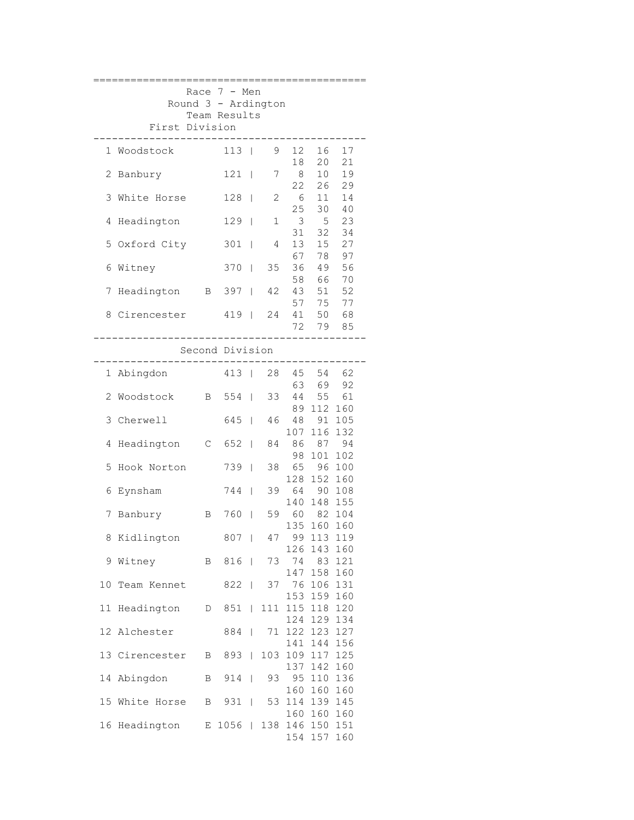|              |                     |              | Race $7 - Men$             |        |              |                               |                            |              |  |  |  |  |  |
|--------------|---------------------|--------------|----------------------------|--------|--------------|-------------------------------|----------------------------|--------------|--|--|--|--|--|
|              | Round 3 - Ardington |              | Team Results               |        |              |                               |                            |              |  |  |  |  |  |
|              | First Division      |              |                            |        |              |                               |                            |              |  |  |  |  |  |
|              | 1 Woodstock         |              | $113$                      |        | 9            | 12                            | 16                         | 17           |  |  |  |  |  |
| 2            | Banbury             |              | $121$                      |        | 7            | 18<br>8 <sup>8</sup>          | 20<br>10                   | 21<br>19     |  |  |  |  |  |
|              | 3 White Horse       |              | $128$                      |        | $\mathbf{2}$ | 22<br>- 6                     | 26<br>11                   | 29<br>14     |  |  |  |  |  |
| 4            | Headington          |              | $129$                      |        | 1            | 25<br>$\overline{\mathbf{3}}$ | 30<br>5 <sup>5</sup>       | 40<br>23     |  |  |  |  |  |
|              | 5 Oxford City       |              | $301$                      |        | 4            | 31<br>13                      | 32<br>15                   | 34<br>27     |  |  |  |  |  |
| 6            | Witney              |              | $370$                      |        | 35           | 67<br>36                      | 78<br>49                   | 97<br>56     |  |  |  |  |  |
| 7            | Headington B 397    |              |                            |        | 42           | 58<br>43                      | 66<br>51                   | 70<br>52     |  |  |  |  |  |
|              | 8 Cirencester       |              | 419   24 41                |        |              |                               | 57 75                      | 77<br>50 68  |  |  |  |  |  |
|              |                     |              |                            |        |              | 72                            | 79                         | 85           |  |  |  |  |  |
|              |                     |              | Second Division<br>------- |        |              |                               |                            |              |  |  |  |  |  |
| $\mathbf{1}$ | Abingdon            |              | $413$                      |        | 28           | 45<br>63                      | 54<br>69                   | 62<br>92     |  |  |  |  |  |
| 2            | Woodstock           | $\mathbf{B}$ | $554$                      |        | 33           | 89                            | 44 55 61<br>112 160        |              |  |  |  |  |  |
| 3            | Cherwell            |              | 645                        |        | 46           | 48<br>107                     | 91 105<br>116 132          |              |  |  |  |  |  |
| 4            | Headington          |              | $C$ 652                    |        | 84           | 86<br>98                      | 101                        | 87 94<br>102 |  |  |  |  |  |
| 5            | Hook Norton         |              | 739                        |        | 38           | 65<br>128                     | 152 160                    | 96 100       |  |  |  |  |  |
| 6            | Eynsham             |              | 744                        |        | 39           | 140                           | 64 90 108<br>148 155       |              |  |  |  |  |  |
| 7            | Banbury             | $\mathbf{B}$ | 760                        | $\Box$ |              | 59 60 82 104                  | 135 160                    | 160          |  |  |  |  |  |
| 8            | Kidlington          |              | 807                        |        | 47           |                               | 99 113 119<br>126 143 160  |              |  |  |  |  |  |
|              | 9 Witney            |              | B 816   73 74              |        |              |                               | 147 158 160                | 83 121       |  |  |  |  |  |
| 10           | Team Kennet 822     |              |                            |        |              | 37 76 106 131                 | 153 159 160                |              |  |  |  |  |  |
| 11           | Headington          |              | D 851                      |        | 111          |                               | 115 118 120<br>124 129 134 |              |  |  |  |  |  |
|              | 12 Alchester        |              | 884                        |        | 71           | 141                           | 122 123 127<br>144 156     |              |  |  |  |  |  |
|              | 13 Cirencester      |              | B 893                      |        | 103          |                               | 109 117 125<br>137 142 160 |              |  |  |  |  |  |
|              | 14 Abingdon         | $\mathbf{B}$ | $914$                      |        |              | 93 95 110 136                 | 160 160 160                |              |  |  |  |  |  |
|              | 15 White Horse      | $\mathbf{B}$ | 931                        |        | 53           |                               | 114 139 145<br>160 160 160 |              |  |  |  |  |  |
|              | 16 Headington       |              | E 1056   138 146 150 151   |        |              |                               | 154 157 160                |              |  |  |  |  |  |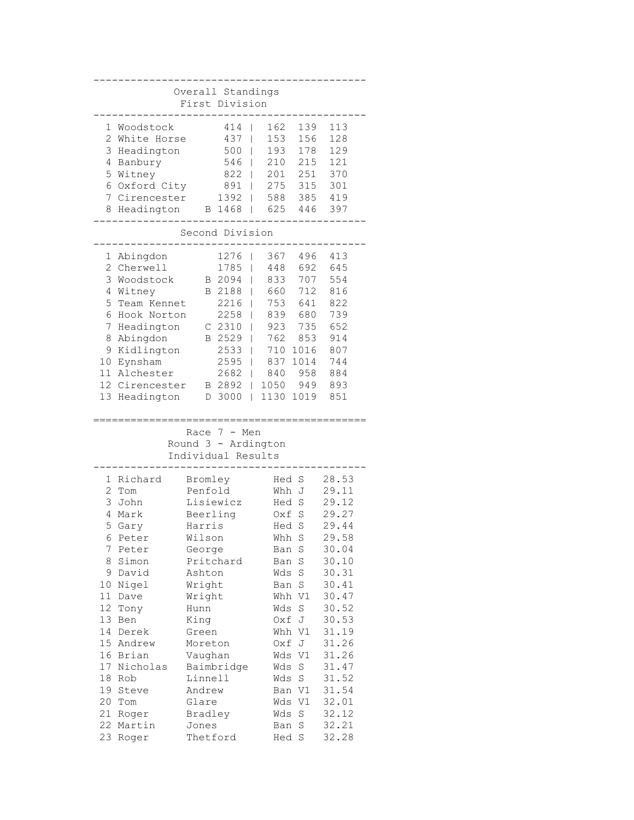| Overall Standings<br>First Division |                 |          |                     |                          |       |             |       |  |  |  |
|-------------------------------------|-----------------|----------|---------------------|--------------------------|-------|-------------|-------|--|--|--|
|                                     |                 |          |                     |                          |       |             |       |  |  |  |
| 1                                   | Woodstock       |          | 414                 |                          | 162   | 139         | 113   |  |  |  |
| $\overline{2}$                      | White Horse     |          | 437                 |                          | 153   | 156         | 128   |  |  |  |
| 3                                   | Headington      |          | 500                 |                          | 193   | 178         | 129   |  |  |  |
| 4                                   | Banbury         |          | 546                 |                          | 210   | 215         | 121   |  |  |  |
| 5                                   | Witney          |          | 822                 |                          | 201   | 251         | 370   |  |  |  |
|                                     | 6 Oxford City   |          | 891                 |                          | 275   | 315         | 301   |  |  |  |
| 7                                   | Cirencester     |          | 1392                |                          | 588   | 385         | 419   |  |  |  |
| 8                                   | Headington      |          | B 1468              |                          | 625   | 446         | 397   |  |  |  |
|                                     | Second Division |          |                     |                          |       |             |       |  |  |  |
| 1                                   | Abingdon        |          | 1276                |                          | 367   | 496         | 413   |  |  |  |
| $\overline{2}$                      | Cherwell        |          | 1785                |                          | 448   | 692         | 645   |  |  |  |
| 3                                   | Woodstock       |          | B 2094              |                          | 833   | 707         | 554   |  |  |  |
| 4                                   | Witney          |          | B 2188              |                          | 660   | 712         | 816   |  |  |  |
| 5                                   | Team Kennet     |          | 2216                |                          | 753   | 641         | 822   |  |  |  |
| 6                                   | Hook Norton     |          | 2258                |                          | 839   | 680         | 739   |  |  |  |
| 7                                   | Headington      |          | C <sub>2310</sub>   |                          | 923   | 735         | 652   |  |  |  |
| 8                                   | Abingdon        |          | B 2529              |                          | 762   | 853         | 914   |  |  |  |
| 9                                   | Kidlington      |          | 2533                |                          | 710   | 1016        | 807   |  |  |  |
| 10                                  | Eynsham         |          | 2595                |                          | 837   | 1014        | 744   |  |  |  |
|                                     | 11 Alchester    |          | 2682                |                          | 840   | 958         | 884   |  |  |  |
|                                     | 12 Cirencester  |          | B 2892              |                          | 1050  | 949         | 893   |  |  |  |
| 13                                  | Headington      |          | D 3000              | $\overline{\phantom{a}}$ | 1130  | 1019        | 851   |  |  |  |
|                                     |                 | Race     | 7<br>- Men          |                          |       |             |       |  |  |  |
|                                     |                 |          | Round 3 - Ardington |                          |       |             |       |  |  |  |
|                                     |                 |          | Individual Results  |                          |       |             |       |  |  |  |
|                                     |                 |          |                     |                          |       |             |       |  |  |  |
| 1                                   | Richard         | Bromley  |                     |                          | Hed   | S           | 28.53 |  |  |  |
| 2                                   | Tom             | Penfold  |                     |                          | Whh   | J           | 29.11 |  |  |  |
| 3                                   | John            |          | Lisiewicz           |                          | Hed   | $\rm S$     | 29.12 |  |  |  |
| 4                                   | Mark            | Beerling |                     |                          | Oxf   | $\rm S$     | 29.27 |  |  |  |
| 5                                   | Gary            | Harris   |                     |                          | Hed   | S           | 29.44 |  |  |  |
| 6.                                  | Peter           | Wilson   |                     |                          | Whh S |             | 29.58 |  |  |  |
| 7                                   | Peter           | George   |                     |                          | Ban   | S           | 30.04 |  |  |  |
| 8                                   | Simon           |          | Pritchard           |                          | Ban   | S           | 30.10 |  |  |  |
| 9                                   | David           | Ashton   |                     |                          | Wds   | S           | 30.31 |  |  |  |
| 10                                  | Nigel           | Wright   |                     |                          | Ban   | S           | 30.41 |  |  |  |
| 11                                  | Dave            | Wright   |                     |                          | Whh   | V1          | 30.47 |  |  |  |
| 12                                  | Tony            | Hunn     |                     |                          | Wds   | $\mathbf S$ | 30.52 |  |  |  |
| 13                                  | Ben             | King     |                     |                          | Oxf   | J           | 30.53 |  |  |  |
| 14                                  | Derek           | Green    |                     |                          | Whh   | V1          | 31.19 |  |  |  |
| 15                                  | Andrew          | Moreton  |                     |                          | Oxf   | J           | 31.26 |  |  |  |
| 16                                  | Brian           | Vaughan  |                     |                          | Wds   | V1          | 31.26 |  |  |  |
| 17                                  | Nicholas        |          | Baimbridge          |                          | Wds   | $\mathbf S$ | 31.47 |  |  |  |
| 18                                  | Rob             | Linnell  |                     |                          | Wds   | $\mathbf S$ | 31.52 |  |  |  |
| 19                                  | Steve           | Andrew   |                     |                          | Ban   | V1          | 31.54 |  |  |  |
| 20                                  | Tom             | Glare    |                     |                          | Wds   | V1          | 32.01 |  |  |  |
| 21                                  | Roger           | Bradley  |                     |                          | Wds   | $\mathbf S$ | 32.12 |  |  |  |
| 22<br>23                            | Martin          | Jones    |                     |                          | Ban   | S<br>S      | 32.21 |  |  |  |
|                                     | Roger           | Thetford |                     |                          | Hed   |             | 32.28 |  |  |  |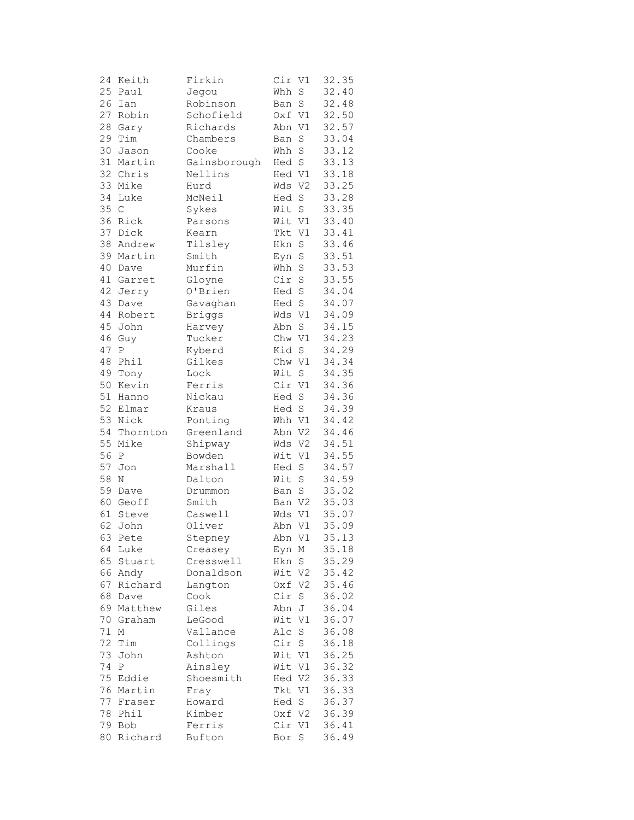| 24 | Keith        | Firkin        | Cir    | V1          | 32.35 |
|----|--------------|---------------|--------|-------------|-------|
| 25 | Paul         | Jegou         | Whh    | S           | 32.40 |
| 26 | Ian          | Robinson      | Ban    | S           | 32.48 |
| 27 | Robin        | Schofield     | Oxf V1 |             | 32.50 |
| 28 | Gary         | Richards      | Abn    | V1          | 32.57 |
| 29 | Tim          |               |        |             |       |
|    |              | Chambers      | Ban    | S           | 33.04 |
| 30 | Jason        | Cooke         | Whh    | S           | 33.12 |
| 31 | Martin       | Gainsborough  | Hed S  |             | 33.13 |
|    | 32 Chris     | Nellins       | Hed V1 |             | 33.18 |
| 33 | Mike         | Hurd          | Wds V2 |             | 33.25 |
| 34 | Luke         | McNeil        | Hed    | S           | 33.28 |
| 35 | $\mathsf{C}$ | Sykes         | Wit    | S           | 33.35 |
| 36 | Rick         | Parsons       | Wit V1 |             | 33.40 |
| 37 | Dick         | Kearn         | Tkt    | V1          | 33.41 |
| 38 | Andrew       | Tilsley       | Hkn    | $\rm S$     | 33.46 |
| 39 | Martin       | Smith         | Eyn    | $\rm S$     | 33.51 |
| 40 | Dave         | Murfin        | Whh    | $\rm S$     | 33.53 |
| 41 | Garret       | Gloyne        | Cir    | $\mathbf S$ | 33.55 |
| 42 |              | O'Brien       | Hed S  |             | 34.04 |
|    | Jerry        |               |        |             |       |
| 43 | Dave         | Gavaghan      | Hed S  |             | 34.07 |
| 44 | Robert       | <b>Briggs</b> | Wds V1 |             | 34.09 |
| 45 | John         | Harvey        | Abn    | $\rm S$     | 34.15 |
| 46 | Guy          | Tucker        | Chw    | V1          | 34.23 |
| 47 | Ρ            | Kyberd        | Kid    | S           | 34.29 |
| 48 | Phil         | Gilkes        | Chw V1 |             | 34.34 |
| 49 | Tony         | Lock          | Wit    | $\rm S$     | 34.35 |
| 50 | Kevin        | Ferris        | Cir V1 |             | 34.36 |
| 51 | Hanno        | Nickau        | Hed    | $\rm S$     | 34.36 |
| 52 | Elmar        | Kraus         | Hed S  |             | 34.39 |
| 53 | Nick         | Ponting       | Whh V1 |             | 34.42 |
| 54 | Thornton     | Greenland     | Abn V2 |             | 34.46 |
| 55 | Mike         | Shipway       | Wds    | V2          | 34.51 |
| 56 | $\mathbf P$  | Bowden        | Wit    | V1          | 34.55 |
| 57 | Jon          | Marshall      | Hed    | $\mathbf S$ | 34.57 |
| 58 | $\mathbb N$  | Dalton        | Wit    | S           | 34.59 |
| 59 |              |               |        |             |       |
|    | Dave         | Drummon       | Ban    | $\mathbf S$ | 35.02 |
|    | 60 Geoff     | Smith         | Ban V2 |             | 35.03 |
| 61 | Steve        | Caswell       | Wds V1 |             | 35.07 |
| 62 | John         | Oliver        | Abn V1 |             | 35.09 |
|    | 63 Pete      | Stepney       | Abn V1 |             | 35.13 |
| 64 | Luke         | Creasey       | Eyn    | Μ           | 35.18 |
| 65 | Stuart       | Cresswell     | Hkn    | S           | 35.29 |
| 66 | Andy         | Donaldson     | Wit    | V2          | 35.42 |
| 67 | Richard      | Langton       | Oxf    | V2          | 35.46 |
| 68 | Dave         | Cook          | Cir    | S           | 36.02 |
| 69 | Matthew      | Giles         | Abn    | J           | 36.04 |
| 70 | Graham       | LeGood        | Wit    | V1          | 36.07 |
| 71 | Μ            | Vallance      | Alc    | S           | 36.08 |
| 72 | Tim          | Collings      | Cir    | S           | 36.18 |
| 73 | John         | Ashton        | Wit V1 |             | 36.25 |
| 74 | Ρ            |               | Wit    | V1          |       |
|    |              | Ainsley       |        |             | 36.32 |
| 75 | Eddie        | Shoesmith     | Hed V2 |             | 36.33 |
| 76 | Martin       | Fray          | Tkt V1 |             | 36.33 |
| 77 | Fraser       | Howard        | Hed    | S           | 36.37 |
| 78 | Phil         | Kimber        | Oxf V2 |             | 36.39 |
| 79 | Bob          | Ferris        | Cir V1 |             | 36.41 |
| 80 | Richard      | Bufton        | Bor S  |             | 36.49 |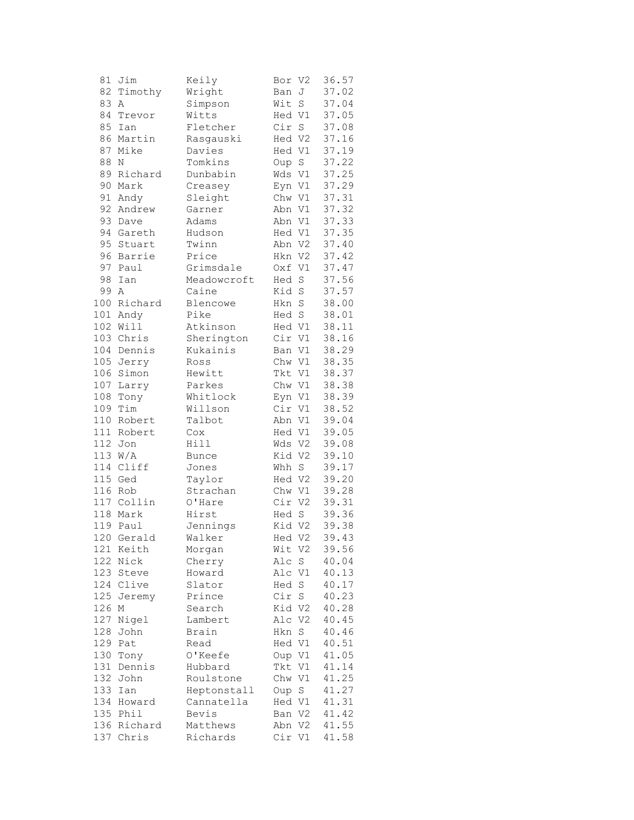| 81  | Jim          | Keily        | Bor    | V2             | 36.57 |
|-----|--------------|--------------|--------|----------------|-------|
| 82  | Timothy      | Wright       | Ban    | J              | 37.02 |
| 83  | Α            | Simpson      | Wit    | $\mathbf S$    | 37.04 |
| 84  | Trevor       | Witts        | Hed V1 |                | 37.05 |
| 85  | Ian          | Fletcher     | Cir S  |                | 37.08 |
| 86  | Martin       | Rasgauski    | Hed V2 |                | 37.16 |
| 87  | Mike         | Davies       | Hed V1 |                | 37.19 |
| 88  | Ν            | Tomkins      | Oup    | S              | 37.22 |
| 89  | Richard      | Dunbabin     | Wds V1 |                | 37.25 |
| 90  | Mark         | Creasey      | Eyn V1 |                | 37.29 |
| 91  | Andy         | Sleight      | Chw V1 |                | 37.31 |
| 92  | Andrew       | Garner       | Abn V1 |                | 37.32 |
| 93  | Dave         | Adams        | Abn V1 |                | 37.33 |
| 94  | Gareth       | Hudson       | Hed V1 |                | 37.35 |
| 95  | Stuart       | Twinn        | Abn V2 |                | 37.40 |
| 96  | Barrie       | Price        | Hkn V2 |                | 37.42 |
| 97  | Paul         | Grimsdale    | Oxf V1 |                | 37.47 |
| 98  | Ian          | Meadowcroft  | Hed    | $\rm S$        | 37.56 |
| 99  | Α            | Caine        | Kid S  |                | 37.57 |
| 100 | Richard      | Blencowe     | Hkn S  |                | 38.00 |
| 101 |              | Pike         | Hed S  |                | 38.01 |
| 102 | Andy<br>Will | Atkinson     |        |                | 38.11 |
|     | 103 Chris    | Sherington   | Hed V1 |                |       |
|     |              |              | Cir    | V1             | 38.16 |
|     | 104 Dennis   | Kukainis     | Ban V1 |                | 38.29 |
|     | 105 Jerry    | Ross         | Chw V1 |                | 38.35 |
|     | 106 Simon    | Hewitt       | Tkt V1 |                | 38.37 |
| 107 | Larry        | Parkes       | Chw V1 |                | 38.38 |
| 108 | Tony         | Whitlock     | Eyn V1 |                | 38.39 |
| 109 | Tim          | Willson      | Cir V1 |                | 38.52 |
| 110 | Robert       | Talbot       | Abn V1 |                | 39.04 |
| 111 | Robert       | Cox          | Hed V1 |                | 39.05 |
| 112 | Jon          | Hill         | Wds V2 |                | 39.08 |
|     | 113 W/A      | <b>Bunce</b> | Kid V2 |                | 39.10 |
|     | 114 Cliff    | Jones        | Whh    | S              | 39.17 |
|     | 115 Ged      | Taylor       | Hed V2 |                | 39.20 |
|     | 116 Rob      | Strachan     | Chw V1 |                | 39.28 |
|     | 117 Collin   | O'Hare       | Cir V2 |                | 39.31 |
|     | 118 Mark     | Hirst        | Hed    | $\rm S$        | 39.36 |
|     | 119 Paul     | Jennings     | Kid V2 |                | 39.38 |
|     | 120 Gerald   | Walker       | Hed V2 |                | 39.43 |
| 121 | Keith        | Morgan       | Wit    | - V2           | 39.56 |
| 122 | Nick         | Cherry       | Alc    | $\rm S$        | 40.04 |
| 123 | Steve        | Howard       | Alc    | V1             | 40.13 |
| 124 | Clive        | Slator       | Hed    | $\mathbf S$    | 40.17 |
| 125 | Jeremy       | Prince       | Cir    | S              | 40.23 |
| 126 | Μ            | Search       | Kid V2 |                | 40.28 |
| 127 | Nigel        | Lambert      | Alc    | V2             | 40.45 |
| 128 | John         | Brain        | Hkn    | S              | 40.46 |
| 129 | Pat          | Read         | Hed V1 |                | 40.51 |
| 130 | Tony         | O'Keefe      | Oup V1 |                | 41.05 |
| 131 | Dennis       | Hubbard      | Tkt    | V1             | 41.14 |
| 132 | John         | Roulstone    | Chw    | V1             | 41.25 |
| 133 | Ian          | Heptonstall  | Oup    | S              | 41.27 |
| 134 | Howard       | Cannatella   | Hed V1 |                | 41.31 |
| 135 | Phil         | Bevis        | Ban V2 |                | 41.42 |
| 136 | Richard      | Matthews     | Abn    | V <sub>2</sub> | 41.55 |
| 137 | Chris        | Richards     | Cir V1 |                | 41.58 |
|     |              |              |        |                |       |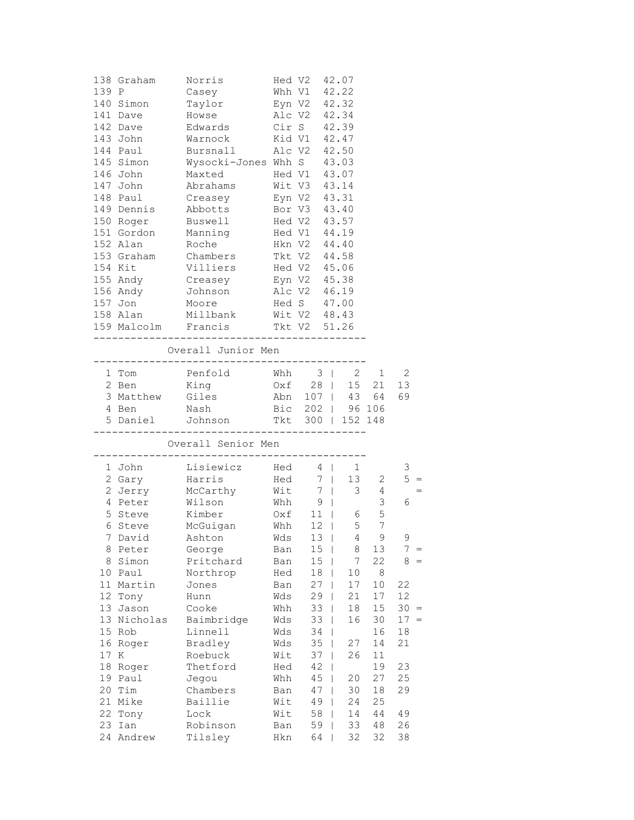|    | 138 Graham                    | Norris                                                                        |     | Hed V2 42.07 |   |                                          |                                 |               |
|----|-------------------------------|-------------------------------------------------------------------------------|-----|--------------|---|------------------------------------------|---------------------------------|---------------|
|    | 139 P                         | Casey                                                                         |     | Whh V1 42.22 |   |                                          |                                 |               |
|    | 140 Simon                     | Eyn V2 42.32<br>Taylor                                                        |     |              |   |                                          |                                 |               |
|    | 141 Dave Howse                | Alc V2 42.34                                                                  |     |              |   |                                          |                                 |               |
|    | 142 Dave                      | Edwards Cir S 42.39                                                           |     |              |   |                                          |                                 |               |
|    | 143 John                      | Warnock Kid V1 42.47                                                          |     |              |   |                                          |                                 |               |
|    |                               | 144 Paul Bursnall Alc V2 42.50                                                |     |              |   |                                          |                                 |               |
|    | 145 Simon                     | Wysocki-Jones Whh S 43.03<br>Maxted Hed V1 43.07                              |     |              |   |                                          |                                 |               |
|    | 146 John                      | Maxted Hed V1 43.07<br>Abrahams Wit V3 43.14                                  |     |              |   |                                          |                                 |               |
|    | 147 John                      |                                                                               |     |              |   |                                          |                                 |               |
|    | 148 Paul                      | Creasey Eyn V2 43.31                                                          |     |              |   |                                          |                                 |               |
|    |                               | 149 Dennis Abbotts Bor V3 43.40                                               |     |              |   |                                          |                                 |               |
|    |                               | 150 Roger Buswell Hed V2 43.57                                                |     |              |   |                                          |                                 |               |
|    |                               | 151 Gordon Manning Hed V1 44.19                                               |     |              |   |                                          |                                 |               |
|    |                               | 152 Alan Roche Hkn V2 44.40                                                   |     |              |   |                                          |                                 |               |
|    |                               | 153 Graham Chambers                                                           |     | Tkt V2 44.58 |   |                                          |                                 |               |
|    | 154 Kit                       |                                                                               |     |              |   |                                          |                                 |               |
|    | $155$ Andy                    | Villiers Hed V2 45.06<br>Creasey Eyn V2 45.38<br>Johnson Alc V2 46.19         |     |              |   |                                          |                                 |               |
|    | 156 Andy                      |                                                                               |     |              |   |                                          |                                 |               |
|    | 157 Jon                       | Moore                                                                         |     | Hed S 47.00  |   |                                          |                                 |               |
|    |                               | 158 Alan Millbank Wit V2 48.43                                                |     |              |   |                                          |                                 |               |
|    |                               | 159 Malcolm Francis Tkt V2 51.26                                              |     |              |   |                                          |                                 |               |
|    |                               | Overall Junior Men                                                            |     |              |   |                                          |                                 |               |
|    |                               | -------------------------------------                                         |     |              |   |                                          |                                 |               |
|    | 1 Tom                         |                                                                               |     |              |   |                                          |                                 |               |
|    | 2 Ben                         |                                                                               |     |              |   |                                          |                                 |               |
|    | 3 Matthew Giles<br>4 Ben Nash | Penfold Whh 3   2 1 2<br>King 0xf 28   15 21 13<br>W Giles Abn 107   43 64 69 |     |              |   |                                          |                                 |               |
|    |                               |                                                                               |     |              |   | Bic 202   96 106                         |                                 |               |
|    |                               | 5 Daniel Johnson Tkt 300   152 148                                            |     |              |   |                                          |                                 |               |
|    |                               |                                                                               |     |              |   |                                          |                                 |               |
|    |                               | Overall Senior Men                                                            |     |              |   |                                          |                                 |               |
|    | 1 John                        | Lisiewicz Hed 4   1                                                           |     |              |   |                                          |                                 | 3             |
|    | 2 Gary                        |                                                                               |     |              |   |                                          |                                 | $5 =$         |
|    | 2 Jerry                       | Harris<br>McCarthy<br>Wilson                                                  |     |              |   | Hed 7   13 2<br>Wit 7   3 4<br>Whh 9   3 |                                 |               |
|    | 4 Peter                       |                                                                               |     |              |   |                                          |                                 | 6             |
| 5  | Steve                         | Kimber                                                                        |     |              |   | $0xf$ 11   6 5                           |                                 |               |
|    |                               | 6 Steve McGuigan Whh 12                                                       |     |              |   |                                          | 5 7                             |               |
|    |                               |                                                                               |     |              |   |                                          | $\mathsf{Q}$<br>$4\overline{ }$ | 9             |
| 8  | Peter                         | George                                                                        | Ban | 15           |   | 8                                        | 13                              | 7<br>$\equiv$ |
| 8  | Simon                         | Pritchard                                                                     | Ban | 15           |   | 7                                        | 22                              | 8             |
| 10 | Paul                          | Northrop                                                                      | Hed | 18           |   | 10                                       | 8                               |               |
| 11 | Martin                        | Jones                                                                         | Ban | 27           |   | $17\,$                                   | $10$                            | 22            |
| 12 | Tony                          | Hunn                                                                          | Wds | 29           | L | 21                                       | 17                              | 12            |
| 13 | Jason                         | Cooke                                                                         | Whh | 33           | I | 18                                       | 15                              | 30<br>$=$     |
| 13 | Nicholas                      | Baimbridge                                                                    | Wds | 33           | L | 16                                       | 30                              | 17<br>$=$     |
| 15 | Rob                           | Linnell                                                                       | Wds | 34           |   |                                          | 16                              | 18            |
| 16 | Roger                         | Bradley                                                                       | Wds | 35           |   | 27                                       | 14                              | 21            |
| 17 | Κ                             | Roebuck                                                                       | Wit | 37           |   | 26                                       | 11                              |               |
| 18 | Roger                         | Thetford                                                                      | Hed | 42           |   |                                          | 19                              | 23            |
| 19 | Paul                          | Jegou                                                                         | Whh | 45           |   | 20                                       | 27                              | 25            |
| 20 | Tim                           | Chambers                                                                      | Ban | 47           |   | 30                                       | 18                              | 29            |
| 21 | Mike                          | Baillie                                                                       | Wit | 49           |   | 24                                       | 25                              |               |
| 22 | Tony                          | Lock                                                                          | Wit | 58           | L | 14                                       | 44                              | 49            |
| 23 | Ian                           | Robinson                                                                      | Ban | 59           | L | 33                                       | 48                              | 26            |
| 24 | Andrew                        | Tilsley                                                                       | Hkn | 64           |   | 32                                       | 32                              | 38            |
|    |                               |                                                                               |     |              |   |                                          |                                 |               |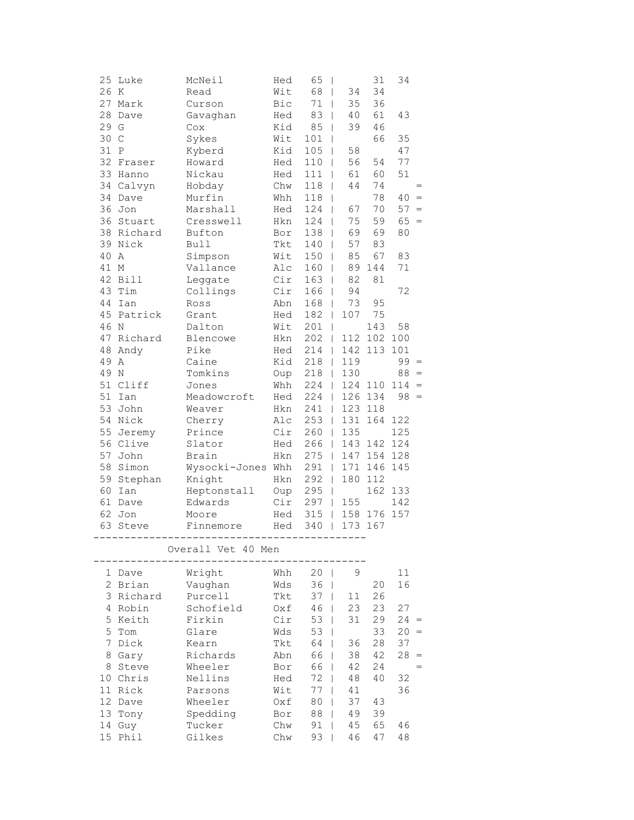|                 | 25 Luke                               | McNeil                                          | Hed | 65<br>$\mathbf{I}$  |                       | 31          | 34      |        |
|-----------------|---------------------------------------|-------------------------------------------------|-----|---------------------|-----------------------|-------------|---------|--------|
|                 | 26 K                                  | Read                                            | Wit | 68<br>$\mathbf{I}$  | 34                    | 34          |         |        |
|                 | 27 Mark                               | Curson                                          | Bic | 71                  | 35<br>$\mathbf{I}$    | 36          |         |        |
| 28              | Dave                                  | Gavaghan                                        | Hed | 83                  | 40<br>$\mathbf{I}$    | 61          | 43      |        |
|                 | 29 G                                  | Cox                                             | Kid | 85                  | 39<br>L               | 46          |         |        |
|                 | 30 C                                  | Sykes                                           | Wit | 101                 | L                     | 66          | 35      |        |
|                 | 31 P                                  | Kyberd                                          | Kid | 105                 | 58<br>T               |             | 47      |        |
|                 | 32 Fraser                             | Howard                                          | Hed | $110$               | 56                    | 54          | 77      |        |
|                 | 33 Hanno                              | Nickau                                          | Hed | $111$               | 61                    | 60          | 51      |        |
|                 | 34 Calvyn                             | Hobday                                          | Chw | $118$               | 44                    | 74          |         | $=$    |
|                 | 34 Dave                               | Murfin                                          | Whh | $118$               |                       | 78          | 40      | $\, =$ |
|                 | 36 Jon                                | Marshall                                        | Hed | 124<br>$\mathbf{I}$ | 67                    | 70          | $57 =$  |        |
|                 | 36 Stuart                             | Cresswell                                       | Hkn | 124<br>$\mathbf{I}$ | 75                    | 59          | $65 =$  |        |
|                 | 38 Richard                            | Bufton                                          | Bor | 138<br>$\perp$      | 69                    | 69          | 80      |        |
|                 | 39 Nick                               | <b>Bull</b>                                     | Tkt | 140                 | 57<br>L               | 83          |         |        |
|                 | 40 A                                  | Simpson                                         | Wit | 150<br>$\perp$      | 85                    | 67          | 83      |        |
|                 | 41 M                                  | Vallance                                        | Alc | $160$               | 89                    | 144         | 71      |        |
|                 | 42 Bill                               | Leggate                                         | Cir | 163                 | 82                    | 81          |         |        |
|                 | 43 Tim                                | Collings                                        | Cir | $166$               | 94                    |             | 72      |        |
|                 | 44 Ian                                |                                                 | Abn | 168                 | 73                    | 95          |         |        |
|                 | 45 Patrick                            | Ross                                            |     | $182$               | 107                   | 75          |         |        |
|                 |                                       | Grant                                           | Hed |                     |                       |             |         |        |
|                 | 46 N                                  | Dalton                                          | Wit | $201$               |                       | 143         | 58      |        |
|                 | 47 Richard                            | Blencowe                                        | Hkn | $202$               |                       | 112 102 100 |         |        |
|                 | 48 Andy                               | Pike                                            | Hed | $214$               | 142                   | 113 101     |         |        |
|                 | 49 A                                  | Caine                                           | Kid | $218$               | 119                   |             | $99 =$  |        |
|                 | 49 N                                  | Tomkins                                         | Oup | $218$               | 130                   |             | $88 =$  |        |
|                 | 51 Cliff                              | Jones                                           | Whh |                     | $224$   124 110 114 = |             |         |        |
|                 | 51 Ian                                | Meadowcroft                                     | Hed |                     | 224   126 134         |             | $98 =$  |        |
|                 | 53 John                               | Weaver                                          | Hkn |                     | 241   123 118         |             |         |        |
|                 | 54 Nick                               | Cherry                                          | Alc | $253$               | 131                   |             | 164 122 |        |
| 55              | Jeremy                                | Prince                                          | Cir | $260$               | 135                   |             | 125     |        |
|                 | 56 Clive                              | Slator                                          | Hed | $266$               | 143                   | 142 124     |         |        |
| 57              | John                                  | Brain                                           | Hkn | $275$               |                       | 147 154 128 |         |        |
|                 | 58 Simon                              | Wysocki-Jones Whh                               |     | $291$               |                       | 171 146 145 |         |        |
|                 | 59 Stephan                            | Knight                                          | Hkn | $292$               |                       | 180 112     |         |        |
|                 | 60 Ian                                | Heptonstall                                     | Oup | $295$               |                       |             | 162 133 |        |
|                 | 61 Dave                               | Edwards                                         | Cir | 297                 | 155                   |             | 142     |        |
|                 | 62 Jon                                | Moore                                           | Hed |                     | 315   158 176 157     |             |         |        |
|                 | 63 Steve                              | Finnemore                                       | Hed | 340                 | 173 167<br>$\Box$     |             |         |        |
|                 | ----------                            | -------------------------<br>Overall Vet 40 Men |     |                     |                       |             |         |        |
|                 | 1 Dave                                | Wright                                          | Whh | 20<br>$\mathbf{I}$  | 9                     |             | 11      |        |
|                 | 2 Brian                               | Vaughan                                         | Wds | 36                  |                       | 20          | 16      |        |
|                 | 3 Richard                             | Purcell                                         | Tkt | 37                  | $11\,$<br>T           | 26          |         |        |
|                 | 4 Robin                               | Schofield                                       | Oxf | 46                  | 23<br>I               | 23          | 27      |        |
|                 | 5 Keith                               | Firkin                                          | Cir | 53                  | 31<br>I               | 29          | $24 =$  |        |
|                 | 5<br>Tom                              | Glare                                           | Wds | 53                  |                       | 33          | $20 =$  |        |
|                 | $7\overline{ }$<br>$_{\texttt{Disk}}$ | Kearn                                           | Tkt | 64                  | 36                    | 28          | 37      |        |
|                 | Gary<br>8                             | Richards                                        | Abn | 66                  | 38                    | 42          | 28      | $=$    |
|                 | 8<br>Steve                            | Wheeler                                         | Bor | 66                  | 42                    | 24          |         | $=$    |
|                 | 10 Chris                              | Nellins                                         | Hed | 72                  | $4\,8$                | 40          | 32      |        |
|                 | 11 Rick                               | Parsons                                         | Wit | 77                  | 41                    |             | 36      |        |
|                 | 12 Dave                               | Wheeler                                         | Oxf | 80                  | 37                    | 43          |         |        |
|                 | 13<br>Tony                            | Spedding                                        | Bor | 88                  | 49                    | 39          |         |        |
| 14              | Guy                                   | Tucker                                          | Chw | 91                  | 45                    | 65          | 46      |        |
| 15 <sub>1</sub> | Phil                                  | Gilkes                                          | Chw | 93                  | 46                    | 47          | 48      |        |
|                 |                                       |                                                 |     |                     |                       |             |         |        |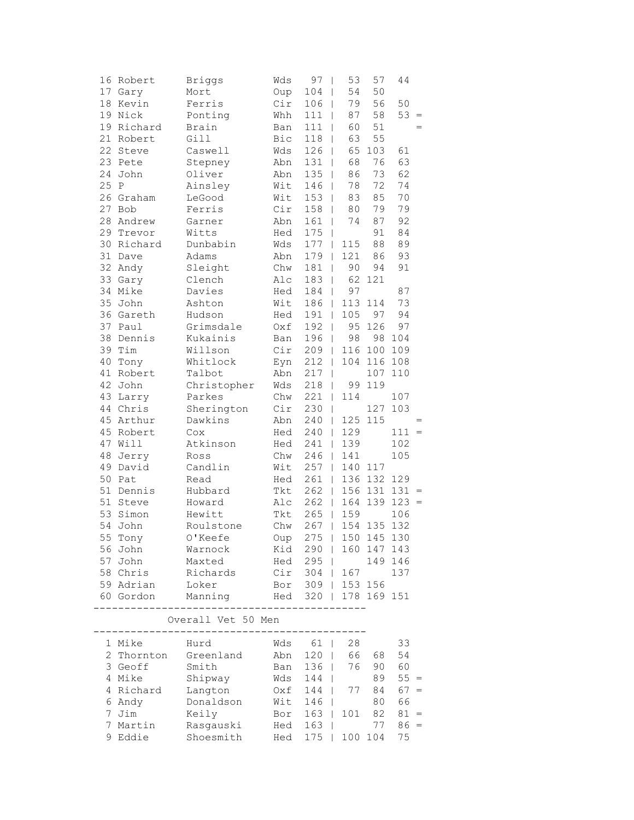|      | 16 Robert         | <b>Briggs</b>                              | Wds                   | 97<br>$\overline{\phantom{a}}$                      | 53                              | 57          | 44      |        |
|------|-------------------|--------------------------------------------|-----------------------|-----------------------------------------------------|---------------------------------|-------------|---------|--------|
|      | 17 Gary           | Mort                                       | Oup                   | 104                                                 | 54<br>$\overline{\phantom{a}}$  | 50          |         |        |
|      | 18 Kevin          | Ferris                                     | Cir                   | 106                                                 | 79<br>$\overline{\phantom{a}}$  | 56          | 50      |        |
|      | 19 Nick           | Ponting                                    | Whh                   | 111                                                 | 87<br>T                         | 58          | 53      | $\, =$ |
|      | 19 Richard        | Brain                                      | Ban                   | 111                                                 | 60<br>I                         | 51          |         | $=$    |
|      | 21 Robert         | Gill                                       | Bic                   | 118                                                 | 63                              | 55          |         |        |
|      | 22 Steve          | Caswell                                    | Wds                   | 126                                                 | 65<br>I                         | 103         | 61      |        |
|      | 23 Pete           | Stepney                                    | Abn                   | 131                                                 | 68<br>$\overline{\phantom{a}}$  | 76          | 63      |        |
|      | 24 John           | Oliver                                     | Abn                   | 135                                                 | 86<br>$\overline{\phantom{a}}$  | 73          | 62      |        |
| 25 P |                   | Ainsley                                    | Wit                   | 146                                                 | 78<br>$\overline{\phantom{a}}$  | 72          | 74      |        |
|      | 26 Graham         | LeGood                                     | Wit                   | 153                                                 | 83<br>$\overline{\phantom{a}}$  | 85          | 70      |        |
|      | 27 Bob            | Ferris                                     | Cir                   | 158                                                 | 80<br>T                         | 79          | 79      |        |
|      | 28 Andrew         | Garner                                     | Abn                   | 161                                                 | 74<br>T                         | 87          | 92      |        |
| 29   | Trevor            | Witts                                      | Hed                   | 175                                                 | I                               | 91          | 84      |        |
|      | 30 Richard        | Dunbabin                                   | Wds                   | 177                                                 | 115<br>L                        | 88          | 89      |        |
| 31   | Dave              | Adams                                      | Abn                   | 179                                                 | 121<br>T                        | 86          | 93      |        |
|      | 32 Andy           | Sleight                                    | Chw                   | 181                                                 | 90<br>$\mathbf{I}$              | 94          | 91      |        |
|      | 33 Gary           | Clench                                     | Alc                   | 183                                                 | 62<br>$\overline{\phantom{a}}$  | 121         |         |        |
|      | 34 Mike           | Davies                                     | Hed                   | 184                                                 | 97<br>$\overline{1}$            |             | 87      |        |
|      | 35 John           | Ashton                                     | Wit                   | 186                                                 | 113<br>$\overline{\phantom{a}}$ | 114         | 73      |        |
|      | 36 Gareth         | Hudson                                     | Hed                   | 191                                                 | 105<br>$\mathbf{I}$             | 97          | 94      |        |
| 37   | Paul              | Grimsdale                                  | Oxf                   | 192                                                 | 95<br>$\mathbf{I}$              | 126         | 97      |        |
| 38   | Dennis            | Kukainis                                   | Ban                   | 196                                                 | 98<br>T                         | 98          | 104     |        |
| 39   | Tim               | Willson                                    | Cir                   | 209                                                 | 116                             | 100         | 109     |        |
| 40   | Tony              | Whitlock                                   | Eyn                   | 212                                                 | 104<br>T                        | 116         | 108     |        |
|      | 41 Robert         | Talbot                                     | Abn                   | 217                                                 | $\overline{\phantom{a}}$        | 107         | 110     |        |
|      | 42 John           | Christopher                                | Wds                   | 218                                                 | 99<br>$\overline{\phantom{a}}$  | 119         |         |        |
|      | 43 Larry          | Parkes                                     | Chw                   | 221                                                 | 114<br>$\overline{1}$           |             | 107     |        |
|      | 44 Chris          | Sherington                                 | Cir                   | 230                                                 | I                               | 127         | 103     |        |
|      | 45 Arthur         | Dawkins                                    | Abn                   | 240                                                 | 125<br>$\mathbf{I}$             | 115         |         | $=$    |
|      | 45 Robert         | Cox                                        | Hed                   | 240                                                 | 129<br>L                        |             | $111 =$ |        |
| 47   | Will              | Atkinson                                   | Hed                   | 241                                                 | 139<br>$\mathbf{I}$             |             | 102     |        |
| 48   | Jerry             | Ross                                       | Chw                   | 246                                                 | 141<br>L                        |             | 105     |        |
|      | 49 David          | Candlin                                    | Wit                   | 257                                                 | 140<br>L                        | 117         |         |        |
|      | 50 Pat            | Read                                       | Hed                   | 261                                                 | 136<br>$\mathbf{I}$             | 132         | 129     |        |
|      | 51 Dennis         | Hubbard                                    | Tkt                   | 262                                                 | $\overline{1}$                  | 156 131     | $131 =$ |        |
| 51   | Steve             | Howard                                     | Alc                   | 262                                                 | 164<br>$\mathbf{I}$             | 139         | $123 =$ |        |
| 53   | Simon             | Hewitt                                     | Tkt                   | 265                                                 | 159<br>$\mathbf{I}$             |             | 106     |        |
| 54   | John              | Roulstone                                  | Chw                   | 267                                                 | 154<br>$\mathbf{I}$             | 135         | 132     |        |
| 55   | Tony              | O'Keefe                                    | Oup                   | $275$                                               |                                 | 150 145 130 |         |        |
|      | 56 John           | Warnock                                    |                       | Kid 290                                             |                                 | 160 147 143 |         |        |
|      |                   | 57 John Maxted                             |                       | Hed 295                                             |                                 |             | 149 146 |        |
|      | 58 Chris          | Richards                                   |                       | Cir 304   167                                       |                                 |             | 137     |        |
|      | 59 Adrian         | Loker                                      |                       | Bor 309   153 156                                   |                                 |             |         |        |
|      | 60 Gordon         | Manning                                    | Hed 320   178 169 151 |                                                     |                                 |             |         |        |
|      |                   |                                            |                       |                                                     |                                 |             |         |        |
|      |                   | Overall Vet 50 Men<br>-------------------- |                       |                                                     |                                 |             |         |        |
|      | 1 Mike            | Hurd                                       |                       | Wds 61                                              | 28                              |             | 33      |        |
|      |                   | 2 Thornton Greenland                       | Abn                   |                                                     | 120   66 68                     |             | 54      |        |
|      | 3 Geoff Smith     |                                            | Ban                   | $136$                                               |                                 | 76 90 60    |         |        |
|      | 4 Mike            | Shipway                                    | Wds                   | 144                                                 |                                 | 89          | $55 =$  |        |
|      | 4 Richard Langton |                                            |                       | 0xf 144   77 84<br>Wit 146   80<br>Bor 163   101 82 |                                 |             | $67 =$  |        |
|      | 6 Andy            | Donaldson                                  |                       |                                                     |                                 |             | 66      |        |
|      | 7 Jim             | Keily                                      |                       |                                                     |                                 |             | $81 =$  |        |
|      | 7 Martin          | Rasgauski                                  | $Hed$ 163             |                                                     |                                 | 77          | $86 =$  |        |
|      | 9 Eddie           | Shoesmith                                  | Hed                   | $175$                                               |                                 | 100 104     | 75      |        |
|      |                   |                                            |                       |                                                     |                                 |             |         |        |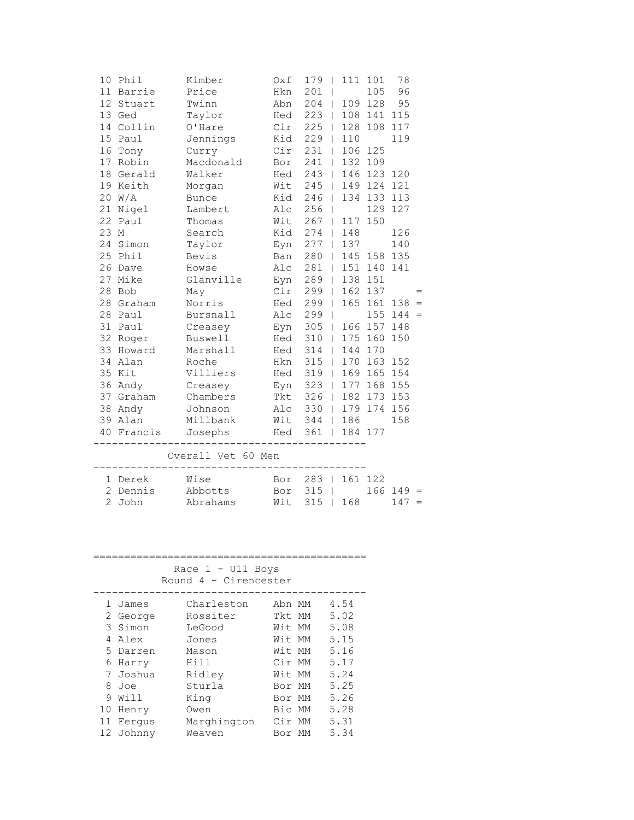| 10   | Phil      | Kimber                                             | 0xf                | 179   | $\blacksquare$ | 111 | 101         | 78  |     |
|------|-----------|----------------------------------------------------|--------------------|-------|----------------|-----|-------------|-----|-----|
|      | 11 Barrie | Price                                              | Hkn                | 201   |                |     | 105         | 96  |     |
|      | 12 Stuart | Twinn                                              | Abn                | 204   | $\vert$        | 109 | 128         | 95  |     |
|      | 13 Ged    | Taylor                                             | Hed                | 223   | $\mathbf{L}$   | 108 | 141         | 115 |     |
|      | 14 Collin | O'Hare                                             | Cir                | $225$ |                | 128 | 108         | 117 |     |
|      | 15 Paul   | Jennings                                           | Kid                | $229$ |                | 110 |             | 119 |     |
| 16   | Tony      | Curry                                              | Cir                | 231   | $\mathbf{I}$   |     | 106 125     |     |     |
| 17   | Robin     | Macdonald                                          | Bor                | 241   | $\mathbf{I}$   | 132 | 109         |     |     |
|      | 18 Gerald | Walker                                             | Hed                | 243   | $\mathbf{I}$   | 146 | 123 120     |     |     |
|      | 19 Keith  | Morgan                                             | Wit                | 245   | $\perp$        | 149 | 124         | 121 |     |
|      | 20 W/A    | <b>Bunce</b>                                       | Kid                | 246   |                | 134 | 133 113     |     |     |
|      | 21 Nigel  | Lambert                                            | Alc                | $256$ |                |     | 129         | 127 |     |
|      | 22 Paul   | Thomas                                             | Wit                | $267$ |                | 117 | 150         |     |     |
| 23 M |           | Search                                             | Kid                | 274   | $\mathbf{I}$   | 148 |             | 126 |     |
|      | 24 Simon  | Taylor                                             | Eyn                | 277   | $\perp$        | 137 |             | 140 |     |
|      | 25 Phil   | Bevis                                              | Ban                | 280   | $\mathbf{I}$   |     | 145 158 135 |     |     |
|      | 26 Dave   | Howse                                              | Alc                | $281$ |                | 151 | 140 141     |     |     |
|      | 27 Mike   | Glanville                                          | Eyn                | $289$ |                | 138 | 151         |     |     |
|      | 28 Bob    | May                                                | Cir                | 299   | $\mathbf{I}$   | 162 | 137         |     |     |
|      | 28 Graham | Norris                                             | Hed                | 299   | $\mathbf{I}$   | 165 | 161         | 138 | $=$ |
|      | 28 Paul   | Bursnall                                           | Alc                | 299   | $\overline{1}$ |     | 155         | 144 | $=$ |
|      | 31 Paul   | Creasey                                            | Eyn                | $305$ |                | 166 | 157         | 148 |     |
|      | 32 Roger  | <b>Buswell</b>                                     | Hed                | $310$ |                | 175 | 160         | 150 |     |
|      | 33 Howard | Marshall                                           | Hed                | 314   | $\mathbf{I}$   | 144 | 170         |     |     |
|      | 34 Alan   | Roche                                              | Hkn                | 315   | $\mathbf{I}$   | 170 | 163         | 152 |     |
|      | 35 Kit    | Villiers                                           | Hed                | 319   | $\mathbf{I}$   | 169 | 165         | 154 |     |
|      | 36 Andy   | Creasey                                            | Eyn                | $323$ |                | 177 | 168         | 155 |     |
|      | 37 Graham | Chambers                                           | Tkt                | 326   |                | 182 | 173 153     |     |     |
|      | 38 Andy   | Johnson                                            | Alc                | $330$ |                | 179 | 174 156     |     |     |
|      | 39 Alan   | Millbank                                           | Wit                | $344$ |                | 186 |             | 158 |     |
| 40   | Francis   | Josephs                                            | Hed                | $361$ |                |     | 184 177     |     |     |
|      |           | Overall Vet 60 Men                                 |                    |       |                |     |             |     |     |
|      | $1 - 2$   | $T_{\rm M}T_{\rm eff}^{\rm 1.2}$ and $T_{\rm eff}$ | Des 000 1 1 01 100 |       |                |     |             |     |     |
|      |           |                                                    |                    |       |                |     |             |     |     |

| 1 Derek  | Wise     | Bor 283   161 122     |  |  |         |  |
|----------|----------|-----------------------|--|--|---------|--|
| 2 Dennis | Abbotts  | Bor $315$   166 149 = |  |  |         |  |
| 2 John   | Abrahams | Wit 315   168         |  |  | $147 =$ |  |

## ============================================

Race 1 - U11 Boys

Round 4 - Cirencester

|    | 1 James  | Charleston  | Abn MM | 4.54 |
|----|----------|-------------|--------|------|
|    | 2 George | Rossiter    | Tkt MM | 5.02 |
|    | 3 Simon  | LeGood      | Wit MM | 5.08 |
|    | 4 Alex   | Jones       | Wit MM | 5.15 |
|    | 5 Darren | Mason       | Wit MM | 5.16 |
| 6  | Harry    | Hill        | Cir MM | 5.17 |
|    | 7 Joshua | Ridley      | Wit MM | 5.24 |
| 8  | Joe      | Sturla      | Bor MM | 5.25 |
| 9  | Will     | King        | Bor MM | 5.26 |
| 10 | Henry    | Owen        | Bic MM | 5.28 |
| 11 | Ferqus   | Marghington | Cir MM | 5.31 |
| 12 | Johnny   | Weaven      | Bor MM | 5.34 |
|    |          |             |        |      |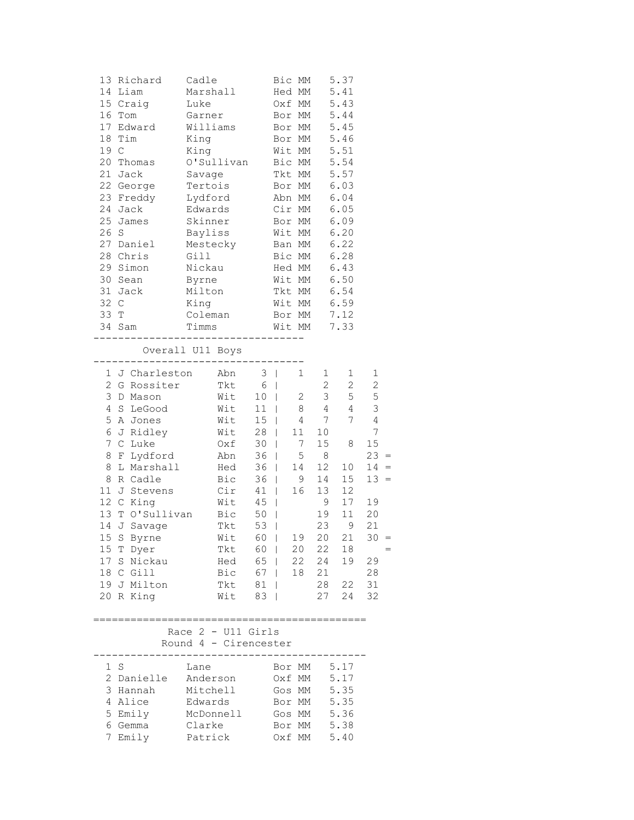| 19 C<br>26 S<br>32 C<br>33 T                      | 13 Richard Cadle<br>14 Liam<br>15 Craig<br>16 Tom<br>17 Edward<br>18 Tim<br>20 Thomas<br>21 Jack<br>22 George<br>23 Freddy Lydford<br>24 Jack<br>25 James<br>27 Daniel<br>28 Chris<br>29 Simon<br>30 Sean<br>31 Jack<br>34 Sam                                                            | Marshall<br>Luke<br>Garner<br>Williams<br>King<br>King<br>O'Sullivan<br>Savage<br>Tertois<br>Edwards<br>Skinner<br>Bayliss<br>Mestecky<br>Gill<br>Nickau<br>Byrne<br>Milton<br>King<br>Coleman<br>Timms<br>--------------------- | Bic MM<br>Hed MM<br>Oxf MM<br>Bor MM<br>Bor MM<br>Bor MM<br>Wit MM<br>Bic MM<br>Tkt MM<br>Bor MM<br>Abn MM<br>Cir MM<br>Bor MM<br>Wit MM<br>Ban MM<br>Bic MM<br>Hed MM<br>Wit MM<br>Tkt MM<br>Wit MM<br>Bor MM<br>Wit MM                                                                                                                                                             | 5.37<br>5.41<br>5.43<br>5.44<br>5.45<br>5.46<br>5.51<br>5.54<br>5.57<br>6.03<br>6.04<br>6.05<br>6.09<br>6.20<br>6.22<br>6.28<br>6.43<br>6.50<br>6.54<br>6.59<br>7.12<br>7.33                                                                                                      |                                                                                                                             |
|---------------------------------------------------|-------------------------------------------------------------------------------------------------------------------------------------------------------------------------------------------------------------------------------------------------------------------------------------------|----------------------------------------------------------------------------------------------------------------------------------------------------------------------------------------------------------------------------------|--------------------------------------------------------------------------------------------------------------------------------------------------------------------------------------------------------------------------------------------------------------------------------------------------------------------------------------------------------------------------------------|-----------------------------------------------------------------------------------------------------------------------------------------------------------------------------------------------------------------------------------------------------------------------------------|-----------------------------------------------------------------------------------------------------------------------------|
| 4<br>5<br>6<br>7<br>8<br>8<br>8<br>11<br>13<br>14 | --------------<br>1 J Charleston<br>2 G Rossiter<br>3 D Mason<br>S LeGood<br>A Jones<br>J Ridley<br>C Luke<br>F Lydford<br>L Marshall<br>R Cadle<br>J Stevens<br>12 C King<br>T O'Sullivan<br>J Savage<br>15 S Byrne<br>15 T Dyer<br>17 S Nickau<br>18 C Gill<br>19 J Milton<br>20 R King | Overall U11 Boys<br>Abn<br>Tkt<br>Wit<br>Wit<br>Wit<br>Wit<br>Oxf<br>Abn<br>Hed<br>Bic<br>Cir<br>Wit<br>Bic<br>Tkt<br>Wit<br>Tkt<br>Hed<br>Bic<br>Tkt<br>Wit                                                                     | $3 \mid$<br>1<br>$6 \mid$<br>$\overline{2}$<br>10<br>$\Box$<br>11<br>8<br>$\mathbf{L}$<br>15<br>4<br>$\Box$<br>28<br>$\mathbb{R}$<br>11<br>30<br>$\mathbb{R}$<br>$7^{\circ}$<br>36<br>5<br>$\mathbb{R}$<br>36<br>$\Box$<br>14<br>36<br>9<br>$\perp$<br>41<br>16<br>$\Box$<br>45<br>$\mathbf{I}$<br>50<br>53<br>60  <br>19<br>60  <br>20<br>65   22<br>67   18<br>$81$  <br>$83 \mid$ | 1<br>1<br>$2^{\circ}$<br>$\mathbf{2}^{\prime}$<br>3 <sup>7</sup><br>5<br>4<br>4<br>$7\phantom{0}$<br>7<br>10<br>15<br>8<br>8<br>12 <sup>°</sup><br>10<br>14<br>15<br>13<br>12<br>9<br>17<br>19<br>11<br>23<br>9<br>20<br>21<br>22<br>18<br>24<br>19<br>21<br>28<br>22<br>27<br>24 | 1<br>$\sqrt{2}$<br>5<br>3<br>4<br>7<br>15<br>$23 =$<br>$14 =$<br>$13 =$<br>19<br>20<br>21<br>$30 =$<br>29<br>28<br>31<br>32 |
|                                                   | 1 S<br>2 Danielle Anderson<br>3 Hannah<br>4 Alice<br>5 Emily<br>6 Gemma<br>7 Emily                                                                                                                                                                                                        | Race $2$ - U11 Girls<br>Round 4 - Cirencester<br>Lane<br>Mitchell<br>Edwards<br>McDonnell<br>Clarke<br>Patrick                                                                                                                   | ==============<br>Bor MM<br>Oxf MM<br>Gos MM<br>Bor MM 5.35<br>Gos MM 5.36<br>Bor MM 5.38<br>Oxf MM                                                                                                                                                                                                                                                                                  | 5.17<br>5.17<br>5.35<br>5.40                                                                                                                                                                                                                                                      |                                                                                                                             |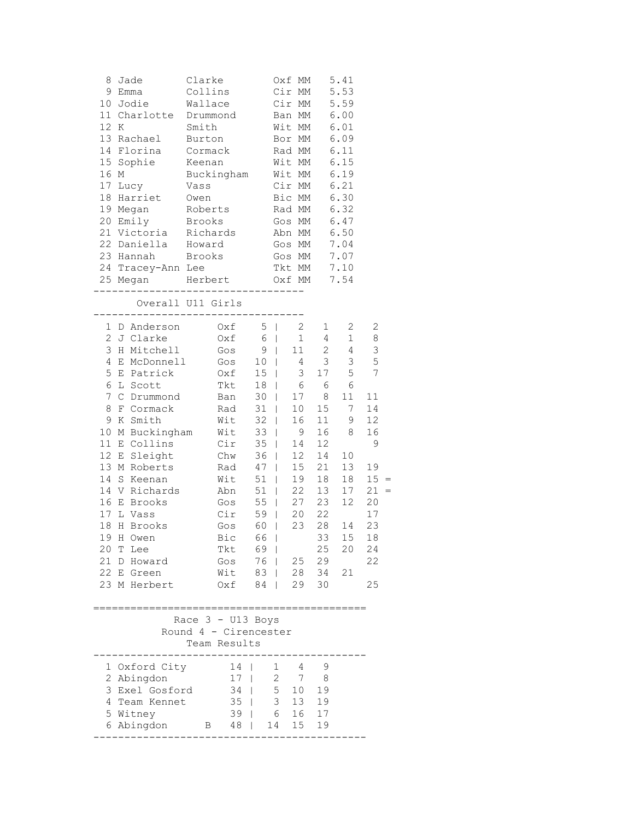| 8<br>12 K      | Jade<br>9 Emma<br>10 Jodie<br>11 Charlotte Drummond<br>13 Rachael<br>14 Florina<br>15 Sophie<br>16 M<br>17 Lucy |        | Clarke<br>Collins<br>Wallace<br>Smith<br>Burton<br>Cormack<br>Keenan<br>Buckingham<br>Vass |                |                | Oxf MM<br>Cir MM<br>Cir MM<br>Wit MM<br>Bor MM<br>Rad MM<br>Wit MM<br>Wit MM<br>Cir MM | Ban MM 6.00       | 5.41<br>5.53<br>5.59<br>6.01<br>6.09<br>6.11<br>6.15<br>6.19<br>6.21 |              |  |
|----------------|-----------------------------------------------------------------------------------------------------------------|--------|--------------------------------------------------------------------------------------------|----------------|----------------|----------------------------------------------------------------------------------------|-------------------|----------------------------------------------------------------------|--------------|--|
|                | 18 Harriet                                                                                                      | Owen   |                                                                                            |                |                | Bic MM                                                                                 |                   | 6.30                                                                 |              |  |
|                | 19 Megan                                                                                                        |        | Roberts                                                                                    |                |                | Rad MM                                                                                 |                   | 6.32                                                                 |              |  |
|                | 20 Emily                                                                                                        | Brooks |                                                                                            |                |                | Gos MM                                                                                 |                   | 6.47                                                                 |              |  |
|                | 21 Victoria                                                                                                     |        | Richards                                                                                   |                |                | Abn MM                                                                                 |                   | 6.50                                                                 |              |  |
|                | 22 Daniella Howard<br>23 Hannah                                                                                 |        | Brooks                                                                                     |                | Gos MM         |                                                                                        | Gos MM 7.04       | 7.07                                                                 |              |  |
|                | 24 Tracey-Ann Lee                                                                                               |        |                                                                                            |                | Tkt MM         |                                                                                        |                   | 7.10                                                                 |              |  |
|                | 25 Megan Herbert                                                                                                |        |                                                                                            |                | Oxf MM         |                                                                                        |                   | 7.54                                                                 |              |  |
|                | -------                                                                                                         |        | __________________________                                                                 |                |                |                                                                                        |                   |                                                                      |              |  |
|                | Overall U11 Girls<br>-----------------------                                                                    |        |                                                                                            |                |                |                                                                                        |                   |                                                                      |              |  |
|                | 1 D Anderson                                                                                                    |        | $Oxf = 5$                                                                                  |                |                | $\overline{2}$                                                                         | $1 \quad$         | 2                                                                    | 2            |  |
|                | 2 J Clarke                                                                                                      |        | $Oxf$ 6   1                                                                                |                |                |                                                                                        | $4\overline{ }$   | $1 \quad$                                                            | $\,8\,$      |  |
|                | 3 H Mitchell                                                                                                    |        | $Gos$ 9                                                                                    |                |                | 11                                                                                     | $2\overline{ }$   | $4\overline{ }$                                                      | 3            |  |
|                | 4 E McDonnell                                                                                                   |        | $Gos$ 10  <br>Gos 10   4 3<br>Oxf 15   3 17<br>Tkt 18   6 6                                |                |                |                                                                                        | $\overline{3}$    | 3 <sup>7</sup>                                                       | 5            |  |
| 5              | E Patrick<br>6 L Scott                                                                                          |        |                                                                                            |                |                |                                                                                        | 17                | 5<br>6                                                               | 7            |  |
| $\overline{7}$ | C Drummond                                                                                                      |        | $\frac{1}{2}$ $\frac{1}{2}$ $\frac{1}{2}$ $\frac{1}{2}$ $\frac{1}{2}$                      |                |                |                                                                                        | $17 \overline{8}$ | 11                                                                   | 11           |  |
| 8              | F Cormack                                                                                                       |        | Rad 31   10                                                                                |                |                |                                                                                        |                   | 15 7                                                                 | 14           |  |
|                | 9 K Smith                                                                                                       |        | Wit                                                                                        |                | $32 \mid$      | 16                                                                                     | 11                | 9                                                                    | 12           |  |
| 10             | M Buckingham Wit                                                                                                |        |                                                                                            | $33 \mid$      |                | 9                                                                                      |                   | 16 8                                                                 | 16           |  |
|                | 11 E Collins                                                                                                    |        | Cir                                                                                        |                | 35   14        |                                                                                        | 12                |                                                                      | 9            |  |
| 12             | E Sleight Chw                                                                                                   |        |                                                                                            |                | 36   12        |                                                                                        | 14                | 10                                                                   |              |  |
|                | 13 M Roberts                                                                                                    |        | Rad 47                                                                                     |                |                |                                                                                        |                   | 15  21  13                                                           | 19           |  |
|                | 14 S Keenan                                                                                                     |        | Wit                                                                                        | $\frac{51}{7}$ |                |                                                                                        |                   | 19  18  18<br>22  13  17                                             | $15 =$       |  |
|                | 14 V Richards                                                                                                   |        | .<br>Abn<br>Gos $55$                                                                       | $51$           |                |                                                                                        |                   | 27  23  12                                                           | $21 =$<br>20 |  |
| 17             | 16 E Brooks<br>L Vass                                                                                           |        | $Cir$ 59   20 22                                                                           |                |                |                                                                                        |                   |                                                                      | 17           |  |
| 18             | H Brooks                                                                                                        |        | Gos                                                                                        |                |                |                                                                                        |                   | 60   23 28 14                                                        | 23           |  |
|                | 19 H Owen                                                                                                       |        | Bic 66                                                                                     |                |                |                                                                                        |                   | 33 15 18                                                             |              |  |
| 20 T           | Lee                                                                                                             |        | Tkt                                                                                        | 69             |                |                                                                                        | 25                | 20                                                                   | 24           |  |
| 21 D           | Howard                                                                                                          |        | Gos                                                                                        | 76             |                | 25                                                                                     | 29                |                                                                      | 22           |  |
|                | 22 E Green                                                                                                      |        | Wit                                                                                        | 83             |                |                                                                                        | 28 34             | 21                                                                   |              |  |
|                | 23 M Herbert                                                                                                    |        | Oxf                                                                                        | 84             |                | 29                                                                                     | 30                |                                                                      | 25           |  |
|                |                                                                                                                 |        |                                                                                            |                |                |                                                                                        |                   |                                                                      |              |  |
|                |                                                                                                                 |        | Race $3 - U13$ Boys<br>Round 4 - Cirencester                                               |                |                |                                                                                        |                   |                                                                      |              |  |
|                |                                                                                                                 |        | Team Results                                                                               |                |                |                                                                                        |                   |                                                                      |              |  |
|                | 1 Oxford City                                                                                                   |        | 14                                                                                         |                | $\mathbf{1}$   | 4                                                                                      | 9                 |                                                                      |              |  |
|                | 2 Abingdon                                                                                                      |        | 17                                                                                         |                | $\overline{2}$ | $7\overline{ }$                                                                        | - 8               |                                                                      |              |  |
|                | 3 Exel Gosford                                                                                                  |        | 34                                                                                         | $\mathbf{L}$   | 5              | 10                                                                                     | 19                |                                                                      |              |  |
|                | 4 Team Kennet                                                                                                   |        | 35                                                                                         | $\mathbf{L}$   | $\mathfrak{Z}$ | 13                                                                                     | 19                |                                                                      |              |  |
|                | 5 Witney                                                                                                        |        | $39$                                                                                       |                |                | 6 16 17                                                                                |                   |                                                                      |              |  |
|                | 6 Abingdon                                                                                                      |        | 48  <br>$\mathbf{B}$                                                                       |                | 14             | 15                                                                                     | 19                |                                                                      |              |  |
|                |                                                                                                                 |        |                                                                                            |                |                |                                                                                        |                   |                                                                      |              |  |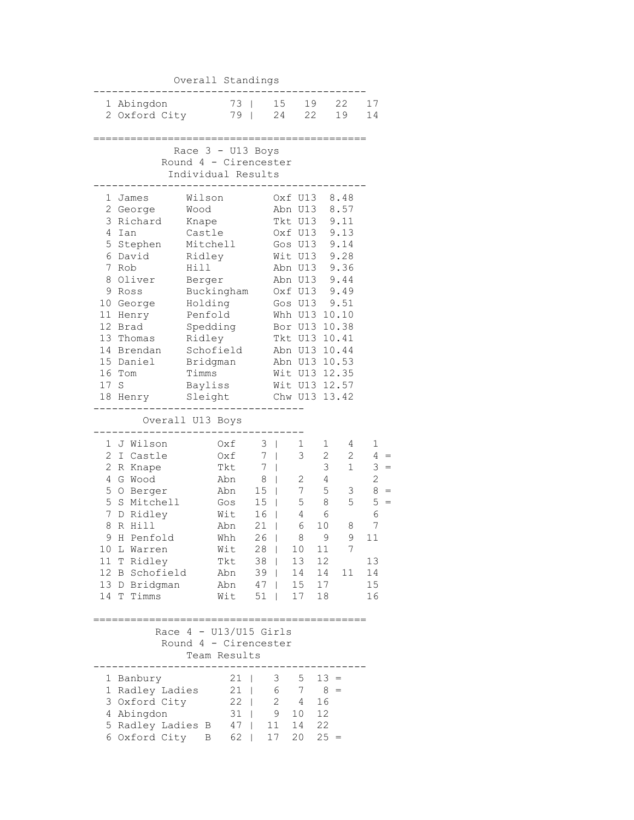|                                                                                               |                                                                                                                                                                                              | Overall Standings                                                                                                                                                                           |                                                                                                |                                                                                           |                                           |                                                                                                                                                                   |                                                                                                                                                                              |                                                                                                               |
|-----------------------------------------------------------------------------------------------|----------------------------------------------------------------------------------------------------------------------------------------------------------------------------------------------|---------------------------------------------------------------------------------------------------------------------------------------------------------------------------------------------|------------------------------------------------------------------------------------------------|-------------------------------------------------------------------------------------------|-------------------------------------------|-------------------------------------------------------------------------------------------------------------------------------------------------------------------|------------------------------------------------------------------------------------------------------------------------------------------------------------------------------|---------------------------------------------------------------------------------------------------------------|
|                                                                                               | 1 Abingdon<br>2 Oxford City                                                                                                                                                                  |                                                                                                                                                                                             | 73<br>79                                                                                       | $\overline{1}$                                                                            | 15<br>24                                  | 19<br>22                                                                                                                                                          | 22<br>19                                                                                                                                                                     | 17<br>14                                                                                                      |
|                                                                                               |                                                                                                                                                                                              | Race 3 - U13 Boys<br>Round 4 - Cirencester<br>Individual Results                                                                                                                            |                                                                                                |                                                                                           |                                           |                                                                                                                                                                   |                                                                                                                                                                              |                                                                                                               |
| 3<br>4<br>5<br>6<br>7<br>9<br>11<br>12<br>17<br>18                                            | 1 James<br>2 George<br>Richard<br>Ian<br>Stephen<br>David<br>Rob<br>8 Oliver<br>Ross<br>10 George<br>Henry<br>Brad<br>13 Thomas<br>14 Brendan<br>15 Daniel<br>16 Tom<br>$\mathbf S$<br>Henry | Wilson<br>Wood<br>Knape<br>Castle<br>Mitchell<br>Ridley<br>Hill<br>Berger<br>Buckingham<br>Holding<br>Penfold<br>Spedding<br>Ridley<br>Schofield<br>Bridgman<br>Timms<br>Bayliss<br>Sleight |                                                                                                |                                                                                           |                                           | Oxf U13<br>Abn U13<br>Tkt U13<br>Oxf U13<br>Gos U13<br>Wit U13<br>Abn U13<br>Abn U13<br>Oxf U13<br>Gos U13<br>Whh U13<br>Bor U13<br>Tkt U13<br>Abn U13<br>Chw U13 | 8.48<br>8.57<br>9.11<br>9.13<br>9.14<br>9.28<br>9.36<br>9.44<br>9.49<br>9.51<br>10.10<br>10.38<br>10.41<br>10.44<br>Abn U13 10.53<br>Wit U13 12.35<br>Wit U13 12.57<br>13.42 |                                                                                                               |
| 1<br>$\mathbf{2}$<br>$\mathbf{2}$<br>4<br>5<br>5<br>7<br>8<br>9<br>10<br>11<br>12<br>13<br>14 | J Wilson<br>Castle<br>I.<br>R Knape<br>G Wood<br>O Berger<br>S Mitchell<br>D Ridley<br>R Hill<br>H Penfold<br>L Warren<br>T Ridley<br><b>B</b> Schofield<br>D Bridgman<br>Timms<br>T         | Overall U13 Boys<br>Race $4 - U13/U15$ Girls                                                                                                                                                | Oxf<br>Oxf<br>Tkt<br>Abn<br>Abn<br>Gos<br>Wit<br>Abn<br>Whh<br>Wit<br>Tkt<br>Abn<br>Abn<br>Wit | 3<br>7<br>7<br>8<br>15<br>15<br>16<br>21<br>26 <sub>1</sub><br>28<br>38<br>39<br>47<br>51 | I<br>I<br>I<br>I<br>I<br>I<br>I<br>ı      | 1<br>3<br>2<br>7<br>5<br>4<br>6<br>8<br>10<br>13<br>14<br>15<br>17                                                                                                | 1<br>4<br>$\mathbf{2}$<br>$\mathbf{2}$<br>3<br>$\mathbf{1}$<br>4<br>5<br>3<br>5<br>8<br>6<br>10<br>8<br>9<br>9<br>7<br>11<br>12<br>14<br>11<br>17<br>18                      | 1<br>$4 -$<br>3<br>$\equiv$<br>$\overline{2}$<br>8<br>$=$<br>5<br>$=$<br>6<br>7<br>11<br>13<br>14<br>15<br>16 |
| 1                                                                                             | 1 Banbury<br>Radley Ladies<br>3 Oxford City<br>4 Abingdon<br>5 Radley Ladies B<br>6 Oxford City                                                                                              | Round 4 - Cirencester<br>Team Results<br>Β                                                                                                                                                  | 21<br>21<br>22<br>31<br>47<br>62                                                               | I<br>T                                                                                    | 3<br>6<br>$\overline{c}$<br>9<br>11<br>17 | 5<br>7<br>4<br>10<br>14<br>20                                                                                                                                     | $13 =$<br>$8 =$<br>16<br>12<br>22<br>$25 =$                                                                                                                                  |                                                                                                               |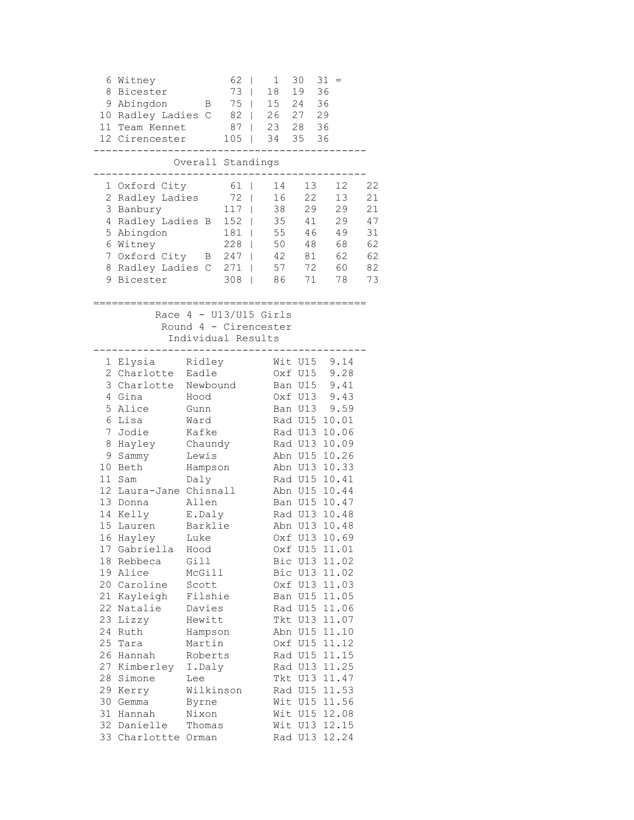| 8                      | 6 Witney<br>Bicester<br>9 Abingdon<br>10 Radley Ladies C<br>11 Team Kennet<br>12 Cirencester                                                                                                                                                                                                                                                                                                                | Β                                                                                                                                                                                                                                                                                 | 62<br>73<br>75<br>82<br>87<br>105                           | $\mathbf 1$<br>$\overline{\phantom{a}}$<br>18<br>I<br>15<br>$\overline{\phantom{a}}$<br>26<br>T<br>I<br>34<br>$\overline{\phantom{a}}$ | 30<br>19<br>24 36<br>27 29<br>23 28 36<br>35 36     | 31<br>36                                                                                                                                                                                                                                                                                                                                                                                                                                                                                       |                                                    |
|------------------------|-------------------------------------------------------------------------------------------------------------------------------------------------------------------------------------------------------------------------------------------------------------------------------------------------------------------------------------------------------------------------------------------------------------|-----------------------------------------------------------------------------------------------------------------------------------------------------------------------------------------------------------------------------------------------------------------------------------|-------------------------------------------------------------|----------------------------------------------------------------------------------------------------------------------------------------|-----------------------------------------------------|------------------------------------------------------------------------------------------------------------------------------------------------------------------------------------------------------------------------------------------------------------------------------------------------------------------------------------------------------------------------------------------------------------------------------------------------------------------------------------------------|----------------------------------------------------|
|                        |                                                                                                                                                                                                                                                                                                                                                                                                             | Overall Standings                                                                                                                                                                                                                                                                 |                                                             |                                                                                                                                        |                                                     |                                                                                                                                                                                                                                                                                                                                                                                                                                                                                                |                                                    |
| 3<br>5                 | 1 Oxford City<br>2 Radley Ladies<br>Banbury<br>4 Radley Ladies B<br>Abingdon<br>6 Witney<br>7 Oxford City<br>8 Radley Ladies C<br>9 Bicester                                                                                                                                                                                                                                                                | B                                                                                                                                                                                                                                                                                 | 61  <br>72<br>117<br>152<br>181<br>228<br>247<br>271<br>308 | 14<br>16<br>I<br>38<br>I<br>35<br>I<br>55<br>50<br>42<br>I<br>57<br>I<br>86<br>I                                                       | 13<br>22<br>29<br>41<br>46<br>48<br>81<br>72<br>71  | 12<br>13<br>29<br>29<br>49<br>68<br>62<br>60<br>78                                                                                                                                                                                                                                                                                                                                                                                                                                             | 22<br>21<br>21<br>47<br>31<br>62<br>62<br>82<br>73 |
|                        |                                                                                                                                                                                                                                                                                                                                                                                                             | Individual Results                                                                                                                                                                                                                                                                |                                                             | Race $4 - U13/U15$ Girls<br>Round 4 - Cirencester                                                                                      |                                                     |                                                                                                                                                                                                                                                                                                                                                                                                                                                                                                |                                                    |
| 5<br>7<br>8<br>9<br>10 | 1 Elysia<br>2 Charlotte<br>3 Charlotte<br>4 Gina<br>Alice<br>6 Lisa<br>Jodie<br>Hayley<br>Sammy<br>Beth<br>11 Sam<br>12 Laura-Jane Chisnall<br>13 Donna<br>14 Kelly<br>15 Lauren<br>16 Hayley<br>17 Gabriella<br>18 Rebbeca<br>19 Alice<br>20 Caroline<br>21 Kayleigh<br>22 Natalie<br>23 Lizzy<br>24 Ruth<br>25 Tara<br>26 Hannah<br>27 Kimberley I.Daly<br>28 Simone<br>29 Kerry<br>30 Gemma<br>31 Hannah | Ridley<br>Eadle<br>Newbound<br>Hood<br>Gunn<br>Ward<br>Kafke<br>Chaundy<br>Lewis<br>Hampson<br>Daly<br>Allen<br>E.Daly<br>Barklie<br>Luke<br>Hood<br>Gill<br>McGill<br>Scott<br>Filshie<br>Davies<br>Hewitt<br>Hampson<br>Martin<br>Roberts<br>Lee<br>Wilkinson<br>Byrne<br>Nixon |                                                             |                                                                                                                                        | Wit U15<br>Oxf U15<br>Ban U15<br>Oxf U13<br>Ban U13 | 9.14<br>9.28<br>9.41<br>9.43<br>9.59<br>Rad U15 10.01<br>Rad U13 10.06<br>Rad U13 10.09<br>Abn U15 10.26<br>Abn U13 10.33<br>Rad U15 10.41<br>Abn U15 10.44<br>Ban U15 10.47<br>Rad U13 10.48<br>Abn U13 10.48<br>Oxf U13 10.69<br>Oxf U15 11.01<br>Bic U13 11.02<br>Bic U13 11.02<br>Oxf U13 11.03<br>Ban U15 11.05<br>Rad U15 11.06<br>Tkt U13 11.07<br>Abn U15 11.10<br>Oxf U15 11.12<br>Rad U15 11.15<br>Rad U13 11.25<br>Tkt U13 11.47<br>Rad U15 11.53<br>Wit U15 11.56<br>Wit U15 12.08 |                                                    |
|                        | 32 Danielle<br>33 Charlottte Orman                                                                                                                                                                                                                                                                                                                                                                          | Thomas                                                                                                                                                                                                                                                                            |                                                             |                                                                                                                                        |                                                     | Wit U13 12.15<br>Rad U13 12.24                                                                                                                                                                                                                                                                                                                                                                                                                                                                 |                                                    |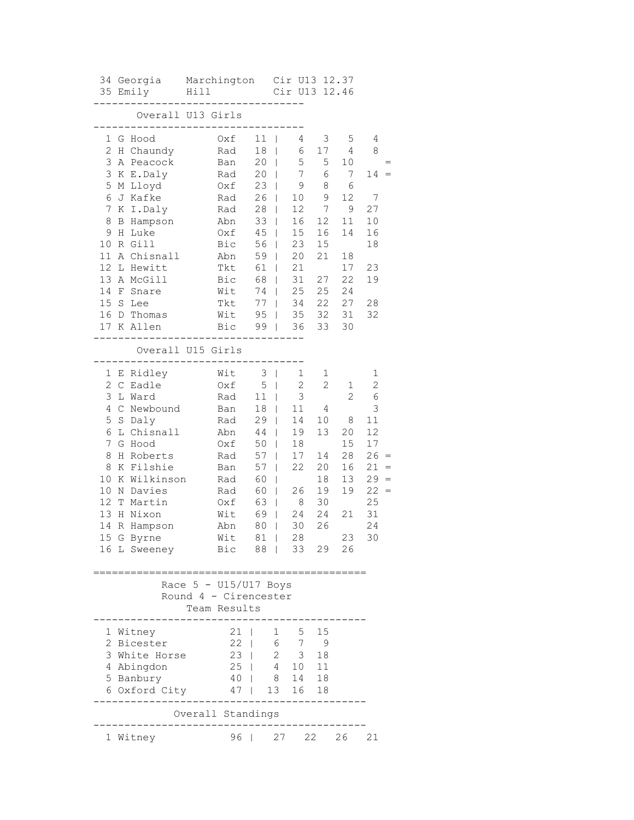|                | 35 Emily                    | Hill Cir U<br>-------------------     | 34 Georgia Marchington Cir U13 12.37<br>Cir U13 12.46 |                |                 |                 |                |                |     |
|----------------|-----------------------------|---------------------------------------|-------------------------------------------------------|----------------|-----------------|-----------------|----------------|----------------|-----|
|                |                             | Overall U13 Girls                     |                                                       |                |                 |                 |                |                |     |
|                | --------------------------- |                                       |                                                       |                |                 |                 |                |                |     |
|                | 1 G Hood                    | Oxf                                   | $11$                                                  |                | 4               | 3               | 5              | 4              |     |
|                | 2 H Chaundy                 | Rad                                   | $18$                                                  |                | 6               | 17              | 4              | 8              |     |
|                | 3 A Peacock                 | Ban                                   | $20$                                                  |                | 5               | 5               | 10             |                |     |
|                | 3 K E.Daly                  | Rad                                   | $20$                                                  |                | $7\overline{ }$ | 6               | 7              | $14 =$         |     |
|                | 5 M Lloyd                   | $0xf \quad 23$                        |                                                       |                | 9               | 8               | 6              |                |     |
|                | 6 J Kafke                   | Rad                                   |                                                       | $26$           | 10              | 9               | 12             | $\overline{7}$ |     |
| 7 <sup>1</sup> | K I.Daly                    | Rad                                   |                                                       | $28$           | 12 <sup>7</sup> | $7\overline{ }$ | 9              | 27             |     |
| 8              | B Hampson                   | Abn                                   |                                                       | $33 \mid$      | 16              | 12              | 11             | 10             |     |
| 9              | H Luke                      | Oxf                                   |                                                       | $45 \mid$      | 15              | 16              | 14             | 16             |     |
| 10             | R Gill                      | Bic                                   |                                                       | 56             | 23              | 15              |                | 18             |     |
| 11             | A Chisnall                  | Abn                                   | $59$                                                  |                | 20              | 21              | 18             |                |     |
| 12             | L Hewitt                    | Tkt                                   | 61                                                    |                | 21              |                 | 17             | 23             |     |
|                | 13 A McGill                 | Bic                                   | 68                                                    |                | 31              | 27              | 22             | 19             |     |
|                | 14 F Snare                  | $W$ it 74                             |                                                       |                | 25              |                 | 25 24          |                |     |
|                | 15 S Lee                    | Tkt                                   |                                                       |                |                 |                 | 77   34 22 27  | 28             |     |
|                | 16 D Thomas                 | Wit                                   |                                                       |                |                 |                 | 95   35 32 31  | 32             |     |
|                | 17 K Allen                  | Bic 99   36 33 30                     |                                                       |                |                 |                 |                |                |     |
|                | ______________              | ________________<br>Overall U15 Girls |                                                       |                |                 |                 |                |                |     |
|                | ------------------------    |                                       |                                                       |                |                 |                 |                |                |     |
|                | 1 E Ridley                  | Wit                                   |                                                       | $3 \mid$       | $\mathbf 1$     | 1               |                | 1              |     |
|                | 2 C Eadle                   | Oxf                                   |                                                       | $5 \mid$       | $\mathbf{2}$    | $\mathbf{2}$    | 1              | $\sqrt{2}$     |     |
| 3              | L Ward                      | Rad                                   | 11                                                    |                | 3               |                 | $\overline{2}$ | $\epsilon$     |     |
| 4              | C Newbound                  | Ban                                   |                                                       | $18$           | 11              | 4               |                | 3              |     |
| 5              | S Daly                      | Rad                                   |                                                       | $29$           | 14              | 10              | 8              | 11             |     |
| 6              | L Chisnall                  | Abn                                   |                                                       | 44             | 19              | 13              | 20             | 12             |     |
| $\overline{7}$ | G Hood                      | Oxf                                   |                                                       | 50             | 18              |                 | 15             | 17             |     |
| 8              | H Roberts                   | Rad                                   |                                                       | 57             | 17              | 14              | 28             | $26 =$         |     |
| 8              | K Filshie                   | Ban                                   | $57 \mid$                                             |                | 22              | 20              | 16             | 21             | $=$ |
| 10             | K Wilkinson                 | Rad                                   | 60                                                    |                |                 | 18              | 13             | $29 =$         |     |
| 10             | N Davies                    | Rad                                   |                                                       | 60             | 26              | 19              | 19             | $22 =$         |     |
| 12             | T Martin                    | Oxf                                   |                                                       | 63             | 8 <sup>8</sup>  | 30              |                | 25             |     |
| 13             | H Nixon                     | Wit                                   |                                                       | 69             | 24 24           |                 |                | 21 31          |     |
| 14             | R Hampson                   | Abn                                   | 80                                                    | $\pm$          | 30              | 26              |                | 24             |     |
|                | 15 G Byrne                  | Wit 81   28                           |                                                       |                |                 |                 | 23             | 30             |     |
|                | 16 L Sweeney                | Bic                                   | 88                                                    |                | 33 29 26        |                 |                |                |     |
|                |                             |                                       |                                                       |                |                 |                 |                |                |     |
|                |                             | Race 5 - U15/U17 Boys                 |                                                       |                |                 |                 |                |                |     |
|                |                             | Round 4 - Cirencester                 |                                                       |                |                 |                 |                |                |     |
|                |                             | Team Results                          |                                                       |                |                 |                 |                |                |     |
|                |                             |                                       |                                                       |                |                 |                 |                |                |     |
|                | 1 Witney                    | 21                                    |                                                       | 1              | 5               | 15              |                |                |     |
|                | 2 Bicester                  | 22                                    |                                                       |                | 6 7             | 9               |                |                |     |
|                | 3 White Horse               | 23                                    |                                                       | $\overline{2}$ | $3 -$           | 18              |                |                |     |
|                | 4 Abingdon                  | 25                                    |                                                       | 4              | $10 \quad 11$   |                 |                |                |     |
|                | 5 Banbury                   | 40                                    |                                                       | 8              | 14 18           |                 |                |                |     |
|                | 6 Oxford City               | 47                                    |                                                       | 13             | 16              | 18              |                |                |     |
|                |                             |                                       |                                                       |                |                 |                 |                |                |     |
|                |                             | Overall Standings                     |                                                       |                |                 |                 |                |                |     |
|                | 1 Witney                    | 96                                    |                                                       | 27             | 22              |                 | 26             | 21             |     |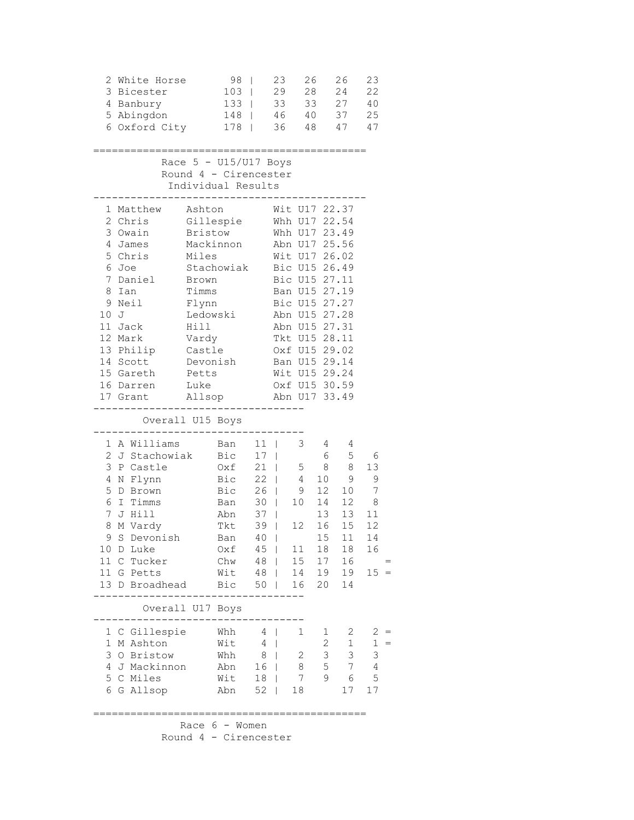| 2                                                                                                                                                                                    | White Horse<br>3 Bicester<br>4 Banbury<br>5 Abingdon<br>6 Oxford City                                                                           |                                                                                                                                                                             | 98<br>103<br>133<br>148<br>$178$                                                                                  |                                                                        | 23<br>29<br>33<br>46<br>36                                                                                                                                             | 26<br>28<br>33<br>40<br>48                                                                                          |                                                                                | 26<br>24<br>27<br>37<br>47                                       | 23<br>22<br>40<br>25<br>47                           |            |
|--------------------------------------------------------------------------------------------------------------------------------------------------------------------------------------|-------------------------------------------------------------------------------------------------------------------------------------------------|-----------------------------------------------------------------------------------------------------------------------------------------------------------------------------|-------------------------------------------------------------------------------------------------------------------|------------------------------------------------------------------------|------------------------------------------------------------------------------------------------------------------------------------------------------------------------|---------------------------------------------------------------------------------------------------------------------|--------------------------------------------------------------------------------|------------------------------------------------------------------|------------------------------------------------------|------------|
|                                                                                                                                                                                      |                                                                                                                                                 | Race $5 - U15/U17$ Boys<br>Round 4 - Cirencester<br>Individual Results                                                                                                      |                                                                                                                   |                                                                        |                                                                                                                                                                        |                                                                                                                     |                                                                                |                                                                  |                                                      |            |
| 1<br>2 Chris<br>3 Owain<br>4 James<br>5 Chris<br>6<br>Joe<br>7<br>8<br>Ian<br>9<br>Neil<br>10 J<br>11 Jack<br>12 Mark<br>13 Philip<br>14 Scott<br>15 Gareth<br>16 Darren<br>17 Grant | Matthew<br>Daniel                                                                                                                               | Ashton<br>Gillespie<br>Bristow<br>Mackinnon<br>Miles<br>Stachowiak<br>Brown<br>Timms<br>Flynn<br>Ledowski<br>Hill<br>Vardy<br>Castle<br>Devonish<br>Petts<br>Luke<br>Allsop |                                                                                                                   |                                                                        | Whh U17 22.54<br>Whh U17 23.49<br>Abn U17 25.56<br>Wit U17 26.02<br>Bic U15 26.49<br>Abn U15 27.28<br>Abn U15 27.31<br>Wit U15 29.24<br>Oxf U15 30.59<br>Abn U17 33.49 | Wit U17 22.37<br>Bic U15 27.11<br>Ban U15 27.19<br>Bic U15 27.27<br>Tkt U15 28.11<br>Oxf U15 29.02<br>Ban U15 29.14 |                                                                                |                                                                  |                                                      |            |
|                                                                                                                                                                                      | Overall U15 Boys                                                                                                                                |                                                                                                                                                                             |                                                                                                                   |                                                                        |                                                                                                                                                                        |                                                                                                                     |                                                                                |                                                                  |                                                      |            |
| 1<br>3<br>4<br>5<br>6<br>7<br>8<br>10 D Luke<br>11 G Petts                                                                                                                           | A Williams<br>2 J Stachowiak<br>P Castle<br>N Flynn<br>D Brown<br>I Timms<br>J Hill<br>M Vardy<br>9 S Devonish<br>11 C Tucker<br>13 D Broadhead |                                                                                                                                                                             | Ban<br>Bic<br>Oxf<br>Bic 22  <br>Bic 26  <br>Ban 30  <br>Abn 37<br>Tkt<br>Ban<br>Oxf<br>Chw<br>Wit 48  <br>Bic 50 | $11$  <br>17 <sup>1</sup><br>$21$  <br>39<br>$40$  <br>$45 \mid$<br>48 | $\mathbf{I}$<br>$\mathbb{R}$<br>$\mathbf{I}$                                                                                                                           | 3<br>5<br>4<br>9<br>10<br>12<br>11<br>15<br>14<br>16                                                                | 4<br>6<br>8<br>10<br>12<br>14 12<br>16<br>15 <sub>1</sub><br>18<br>17<br>20 14 | 4<br>5<br>8<br>9<br>10<br>13 13<br>15<br>11<br>18<br>16<br>19 19 | 6<br>13<br>9<br>7<br>8<br>11<br>12<br>14<br>16<br>15 |            |
| $\mathbf 1$<br>3<br>5                                                                                                                                                                | Overall U17 Boys<br>1 C Gillespie<br>M Ashton<br>O Bristow<br>4 J Mackinnon<br>C Miles<br>6 G Allsop                                            |                                                                                                                                                                             | Whh<br>Wit<br>Whh<br>Abn<br>Wit<br>Abn                                                                            | 4<br>4<br>8<br>16 <sup>1</sup><br>18 <sup>1</sup><br>52                | T<br>T<br>$\overline{1}$<br>$\mathbf{I}$                                                                                                                               | 1<br>$\overline{2}$<br>8<br>7<br>18                                                                                 | $\mathbf{1}$<br>$\overline{2}$<br>$\mathfrak{Z}$<br>5<br>9                     | 2<br>$\mathbf{1}$<br>3<br>$7\phantom{.0}$<br>6<br>17             | 2<br>$\mathbf 1$<br>3<br>$\overline{4}$<br>5<br>17   | $=$<br>$=$ |
|                                                                                                                                                                                      |                                                                                                                                                 |                                                                                                                                                                             |                                                                                                                   |                                                                        |                                                                                                                                                                        |                                                                                                                     |                                                                                |                                                                  |                                                      |            |

 Race 6 - Women Round 4 - Cirencester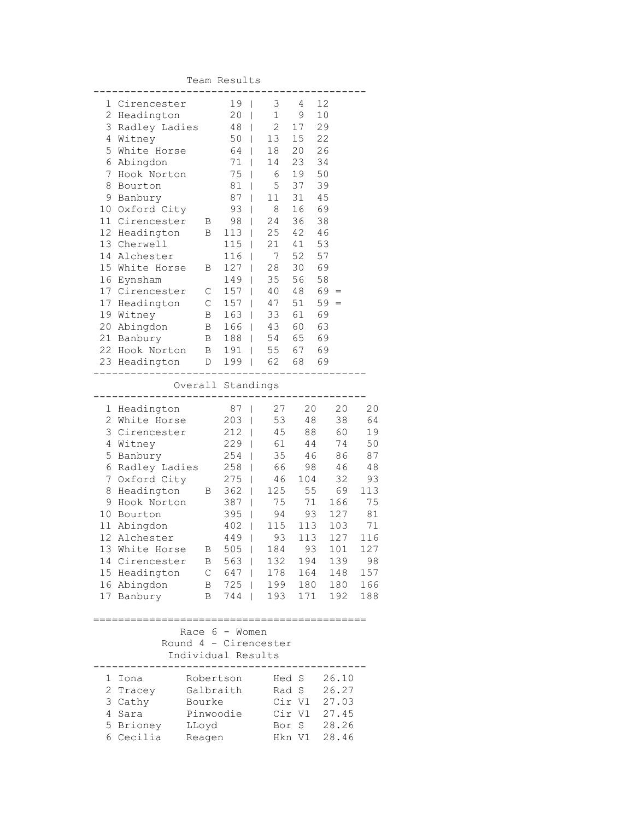Team Results

|   | 1 Cirencester                                                             |                    | 19 <sub>1</sub> |              | $3 \t 4$                 |         | 12             |           |
|---|---------------------------------------------------------------------------|--------------------|-----------------|--------------|--------------------------|---------|----------------|-----------|
|   | 2 Headington                                                              |                    | $20$            |              | 1                        | 9       | 10             |           |
|   | 3 Radley Ladies 48                                                        |                    |                 |              |                          | 2 17    | 29             |           |
|   | 4 Witney                                                                  | $50$               |                 |              | 13 15 22                 |         |                |           |
|   | 5 White Horse                                                             |                    | 64              | $\mathbf{I}$ | 18  20                   |         | 26             |           |
|   | 6 Abingdon                                                                |                    | 71              |              | 14                       | 23      | 34             |           |
|   | 7 Hook Norton                                                             |                    | $75$            |              | $6\overline{6}$          | 19      | 50             |           |
|   | 8 Bourton                                                                 |                    | $81$            |              | 5 <sup>5</sup>           | 37      | 39             |           |
|   | 9 Banbury                                                                 |                    | $87 \mid$       |              | $11 \quad 31$            |         | 45             |           |
|   | 10 Oxford City 93                                                         |                    |                 |              | 8 16 69                  |         |                |           |
|   | 11 Cirencester B 98                                                       |                    |                 |              | 24 36                    |         | 38             |           |
|   | 12 Headington B 113   25 42 46                                            |                    |                 |              |                          |         |                |           |
|   | 13 Cherwell                                                               |                    | $115$           |              | 21 41 53                 |         |                |           |
|   | 14 Alchester                                                              |                    |                 |              | 116   7 52 57            |         |                |           |
|   | 15 White Horse B 127                                                      |                    |                 |              | 28 30 69                 |         |                |           |
|   | 16 Eynsham                                                                |                    | 149             |              |                          |         |                |           |
|   | 17 Cirencester C                                                          |                    | $157$           |              | $35$ 56 58<br>40 48 69 = |         |                |           |
|   |                                                                           |                    | $157$           |              | $47 \quad 51 \quad 59 =$ |         |                |           |
|   | 17 Headington C<br>19 Witney B<br>19 Witney                               |                    | 163             |              | 33 61 69                 |         |                |           |
|   | 20 Abingdon B 166   43 60 63                                              |                    |                 |              |                          |         |                |           |
|   | 21 Banbury B 188   54 65 69                                               |                    |                 |              |                          |         |                |           |
|   | 22 Hook Norton B 191   55 67 69                                           |                    |                 |              |                          |         |                |           |
|   | 23 Headington  D 199   62 68 69                                           |                    |                 |              |                          |         |                |           |
|   | --------                                                                  |                    |                 |              |                          |         |                |           |
|   |                                                                           |                    |                 |              | Overall Standings        |         |                |           |
|   | 1 Headington                                                              |                    | $87$            |              | 27                       |         | 20<br>20       | 20        |
|   | 2 White Horse                                                             |                    | 203             |              |                          | 53 48   | 38             | 64        |
|   | 3 Cirencester 212                                                         |                    |                 |              |                          |         | 45 88 60       | 19        |
|   | 4 Witney                                                                  |                    |                 |              |                          |         | 229   61 44 74 | 50        |
|   | 5 Banbury                                                                 |                    |                 |              | 254   35 46              |         | 86             | 87        |
|   | 6 Radley Ladies 258   66 98 46                                            |                    |                 |              |                          |         |                | 48        |
|   | 7 Oxford City                                                             |                    |                 |              |                          |         | 32             | 93        |
|   |                                                                           |                    | 275             |              |                          | 46 104  | 69             | 113       |
|   | 8 Headington B 362   125 55<br>9 Hook Norton 387   75 71<br>9 Hook Norton |                    | $387$           |              |                          | $71$    | 166            | 75        |
|   |                                                                           |                    | $395$           |              | 94                       | 93      | 127            |           |
|   | 10 Bourton<br>11 Abingdon                                                 |                    |                 |              | $402$   115              | 113     | 103            | 81        |
|   | 12 Alchester                                                              |                    |                 |              | 449   93                 | 113     | 127            | 71<br>116 |
|   | 13 White Horse B                                                          |                    |                 |              | 505   184 93             |         | 101            | 127       |
|   |                                                                           |                    |                 |              |                          |         |                |           |
|   | 14 Cirencester                                                            | В                  | 563             |              | 132                      | 194     | 139            | 98        |
|   | 15 Headington                                                             | $\mathsf C$        | 647             |              | 178                      | 164     | 148            | 157       |
|   | 16 Abingdon                                                               | В                  | 725             |              | 199                      | 180     | 180            | 166       |
|   | 17 Banbury                                                                | Β                  | 744             |              | 193                      | 171     | 192            | 188       |
|   |                                                                           |                    |                 |              |                          |         |                |           |
|   |                                                                           | Race $6 -$ Women   |                 |              |                          |         |                |           |
|   |                                                                           |                    |                 |              | Round 4 - Cirencester    |         |                |           |
|   |                                                                           | Individual Results |                 |              |                          |         |                |           |
|   |                                                                           |                    |                 |              |                          |         |                |           |
| 1 | Iona                                                                      | Robertson          |                 |              | Hed S                    |         | 26.10          |           |
|   | 2 Tracey                                                                  | Galbraith          |                 |              | Rad S                    |         | 26.27          |           |
|   | 3 Cathy                                                                   | Bourke             |                 |              | Cir V1                   |         | 27.03          |           |
| 4 | Sara                                                                      | Pinwoodie          |                 |              | Cir V1                   |         | 27.45          |           |
|   | 5 Brioney                                                                 | LLoyd              |                 |              | Bor                      | $\rm S$ | 28.26          |           |
|   | 6 Cecilia                                                                 | Reagen             |                 |              | Hkn V1                   |         | 28.46          |           |
|   |                                                                           |                    |                 |              |                          |         |                |           |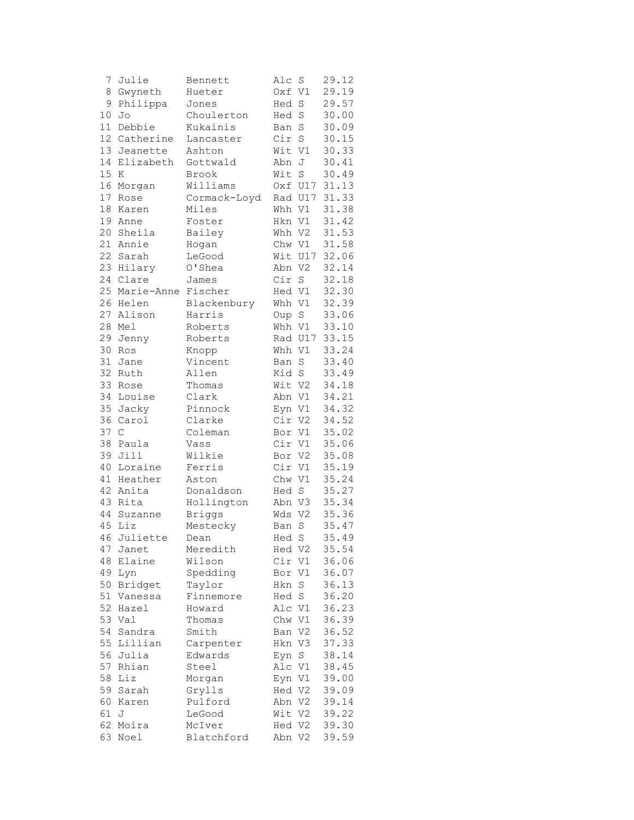| 7               | Julie        | Bennett       | Alc    | S              | 29.12 |
|-----------------|--------------|---------------|--------|----------------|-------|
| 8               | Gwyneth      | Hueter        | Oxf V1 |                | 29.19 |
| 9               | Philippa     | Jones         | Hed    | S              | 29.57 |
| 10              | Jo           | Choulerton    | Hed    | $\mathbf S$    | 30.00 |
| 11              | Debbie       | Kukainis      | Ban    | S              | 30.09 |
| 12 <sup>2</sup> | Catherine    | Lancaster     | Cir    | $\rm S$        | 30.15 |
| 13              | Jeanette     | Ashton        | Wit V1 |                | 30.33 |
| 14              | Elizabeth    | Gottwald      | Abn J  |                | 30.41 |
| 15              | Κ            | Brook         | Wit    | $\mathbf S$    | 30.49 |
| 16              | Morgan       | Williams      |        | Oxf U17        | 31.13 |
| 17              | Rose         | Cormack-Loyd  |        | Rad U17        | 31.33 |
| 18              | Karen        | Miles         |        | Whh V1         | 31.38 |
| 19              | Anne         | Foster        | Hkn V1 |                | 31.42 |
| 20              | Sheila       | Bailey        | Whh V2 |                | 31.53 |
| 21              | Annie        | Hogan         |        | Chw V1         | 31.58 |
| 22              | Sarah        | LeGood        |        | Wit U17        | 32.06 |
| 23              | Hilary       | O'Shea        | Abn V2 |                | 32.14 |
|                 | 24 Clare     | James         | Cir S  |                | 32.18 |
| 25              | Marie-Anne   | Fischer       | Hed V1 |                | 32.30 |
| 26              | Helen        | Blackenbury   | Whh V1 |                | 32.39 |
| 27              | Alison       | Harris        | Oup    | $\mathbf S$    | 33.06 |
| 28              | Mel          | Roberts       | Whh V1 |                | 33.10 |
| 29              | Jenny        | Roberts       |        | Rad U17        | 33.15 |
| 30              | Ros          | Knopp         | Whh V1 |                | 33.24 |
| 31              | Jane         | Vincent       | Ban    | $\rm S$        | 33.40 |
| 32              | Ruth         | Allen         | Kid S  |                | 33.49 |
| 33              | Rose         | Thomas        | Wit V2 |                | 34.18 |
|                 | 34 Louise    | Clark         | Abn V1 |                | 34.21 |
| 35              | Jacky        | Pinnock       | Eyn V1 |                | 34.32 |
| 36              | Carol        | Clarke        | Cir V2 |                | 34.52 |
| 37              | $\mathsf{C}$ | Coleman       | Bor V1 |                | 35.02 |
| 38              | Paula        | Vass          | Cir V1 |                | 35.06 |
| 39              | Jill         | Wilkie        | Bor V2 |                | 35.08 |
| 40              | Loraine      | Ferris        | Cir V1 |                | 35.19 |
| 41              | Heather      | Aston         | Chw V1 |                | 35.24 |
| 42              | Anita        | Donaldson     | Hed S  |                | 35.27 |
| 43              | Rita         | Hollington    | Abn V3 |                | 35.34 |
| 44              | Suzanne      | <b>Briggs</b> | Wds    | V <sub>2</sub> | 35.36 |
| 45              | Liz          | Mestecky      | Ban    | $\rm S$        | 35.47 |
|                 | 46 Juliette  | Dean          | Hed S  |                | 35.49 |
| 47              | Janet        | Meredith      | Hed V2 |                | 35.54 |
| 48              | Elaine       | Wilson        | Cir    | V1             | 36.06 |
| 49              | Lyn          | Spedding      | Bor    | V1             | 36.07 |
| 50              | Bridget      | Taylor        | Hkn    | S              | 36.13 |
| 51              | Vanessa      | Finnemore     | Hed    | $\rm S$        | 36.20 |
| 52              | Hazel        | Howard        | Alc V1 |                | 36.23 |
| 53              | Val          | Thomas        | Chw    | V1             | 36.39 |
| 54              | Sandra       | Smith         | Ban    | V2             | 36.52 |
| 55              | Lillian      | Carpenter     | Hkn V3 |                | 37.33 |
| 56              | Julia        | Edwards       | Eyn    | S              | 38.14 |
| 57              | Rhian        | Steel         | Alc V1 |                | 38.45 |
| 58              | Liz          | Morgan        | Eyn V1 |                | 39.00 |
| 59              | Sarah        | Grylls        | Hed V2 |                | 39.09 |
| 60              | Karen        | Pulford       | Abn V2 |                | 39.14 |
| 61              | J            | LeGood        | Wit V2 |                | 39.22 |
| 62              | Moira        | McIver        | Hed V2 |                | 39.30 |
| 63              | Noel         | Blatchford    | Abn V2 |                | 39.59 |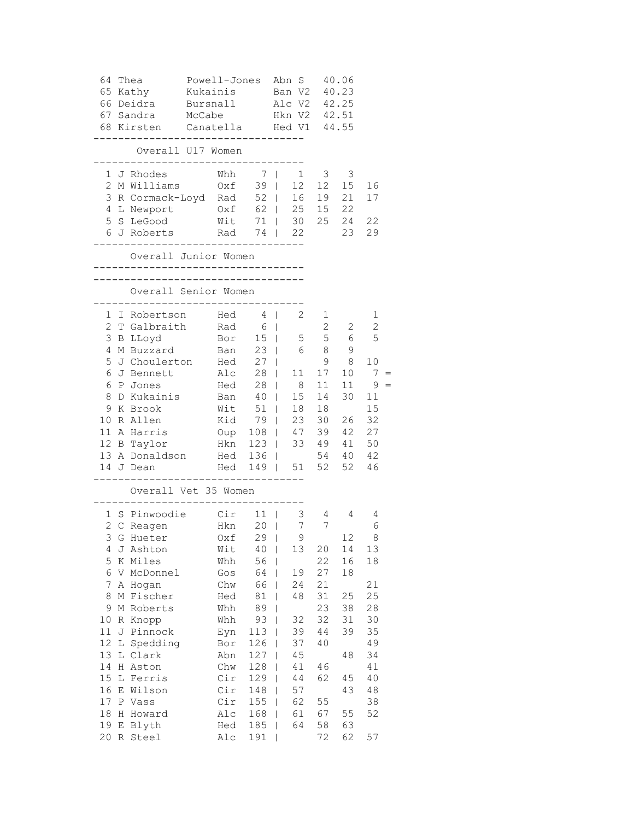| 64 |   | Thea                                                            | Powell-Jones Abn S        |       |              |                |                         | 40.06                   |                 |  |
|----|---|-----------------------------------------------------------------|---------------------------|-------|--------------|----------------|-------------------------|-------------------------|-----------------|--|
|    |   | 65 Kathy                                                        | Kukainis                  |       | Ban V2       |                |                         | 40.23                   |                 |  |
|    |   | 66 Deidra                                                       | Bursnall Alc V2 42.25     |       |              |                |                         |                         |                 |  |
|    |   | 67 Sandra McCabe Hkn V2 42.51                                   |                           |       |              |                |                         |                         |                 |  |
|    |   | 68 Kirsten Canatella Hed V1<br>-------------------------------- |                           |       |              |                |                         | 44.55                   |                 |  |
|    |   | Overall U17 Women<br>----------------------                     |                           |       |              |                |                         |                         |                 |  |
|    |   | 1 J Rhodes                                                      | Whh $7 \mid 1$            |       |              |                | $\overline{\mathbf{3}}$ | $\overline{\mathbf{3}}$ |                 |  |
|    |   | 2 M Williams                                                    | $0xf$ 39                  |       |              |                |                         | $12 \quad 12 \quad 15$  | 16              |  |
|    |   | 3 R Cormack-Loyd Rad 52   16 19 21                              |                           |       |              |                |                         |                         | 17              |  |
|    |   | 4 L Newport                                                     | $0xf = 62$   25 15 22     |       |              |                |                         |                         |                 |  |
|    |   | 5 S LeGood Wit 71   30 25 24 22                                 |                           |       |              |                |                         |                         |                 |  |
|    |   | 6 J Roberts Rad 74   22<br>-------------                        | ------------------        |       |              |                |                         | 23 29                   |                 |  |
|    |   | Overall Junior Women<br>________________________________        |                           |       |              |                |                         |                         |                 |  |
|    |   | ____________________________________                            |                           |       |              |                |                         |                         |                 |  |
|    |   | Overall Senior Women                                            | ___________________       |       |              |                |                         |                         |                 |  |
|    |   | 1 I Robertson Hed 4                                             |                           |       |              | 2              | $\mathbf{1}$            |                         | 1               |  |
|    |   | 2 T Galbraith Rad 6                                             |                           |       |              |                |                         | $2 \quad 2$             | 2               |  |
|    |   | 3 B LLoyd Bor 15   5 5 6                                        |                           |       |              |                |                         |                         | 5               |  |
| 4  |   | M Buzzard Ban 23   6 8 9                                        |                           |       |              |                |                         |                         |                 |  |
| 5  |   | J Choulerton Hed 27                                             |                           |       |              |                | 9                       | 8 <sup>8</sup>          | 10              |  |
| 6  |   | J Bennett Alc 28                                                |                           |       |              | 11             | 17                      | 10                      | $7\overline{ }$ |  |
| 6  |   | P Jones                                                         | Hed 28   8<br>Ban 40   15 |       |              |                | 11                      | 11                      | 9               |  |
| 8  |   | D Kukainis                                                      |                           |       |              | $\frac{15}{1}$ | 14                      | 30                      | 11              |  |
|    |   | 9 K Brook                                                       | $W$ it 51                 |       |              |                | 18 18                   |                         | 15              |  |
|    |   | 10 R Allen                                                      | Kid 79                    |       |              |                |                         | 23 30 26 32             |                 |  |
|    |   | 11 A Harris 0up 108   47 39 42 27                               |                           |       |              |                |                         |                         |                 |  |
|    |   | 12 B Taylor                                                     | Hkn 123   33 49 41 50     |       |              |                |                         |                         |                 |  |
|    |   | 13 A Donaldson Hed 136   54 40 42                               |                           |       |              |                |                         |                         |                 |  |
|    |   | 14 J Dean                                                       | Hed 149   51 52 52 46     |       |              |                |                         |                         |                 |  |
|    |   | Overall Vet 35 Women                                            |                           |       |              |                |                         |                         |                 |  |
|    |   | 1 S Pinwoodie Cir 11                                            |                           |       |              | 3 <sup>7</sup> | $4\degree$              | 4                       | 4               |  |
|    |   | 2 C Reagen Hkn 20                                               |                           |       |              | 7              | 7 <sup>7</sup>          |                         | 6               |  |
|    |   | 3 G Hueter Oxf 29                                               |                           |       |              | - 9            |                         | 12                      | 8               |  |
| 4  |   | J Ashton                                                        | Wit                       | 40    |              | 13             | 20                      | 14                      | 13              |  |
| 5  |   | K Miles                                                         | Whh                       | $56$  |              |                | 22                      | 16                      | 18              |  |
| 6  |   | V McDonnel                                                      | Gos                       | 64    | L            | 19             | 27                      | 18                      |                 |  |
| 7  |   | A Hogan                                                         | Chw                       | 66    | $\mathbf{I}$ | 24             | 21                      |                         | 21              |  |
| 8  |   | M Fischer                                                       | Hed                       | 81    | $\Box$       | 48             | 31                      | 25                      | 25              |  |
| 9  |   | M Roberts                                                       | Whh                       | 89    | I            |                | 23                      | 38                      | 28              |  |
| 10 |   | R Knopp                                                         | Whh                       | 93    |              | 32             | 32                      | 31                      | 30              |  |
| 11 |   | J Pinnock                                                       | Eyn                       | $113$ |              | 39             | 44                      | 39                      | 35              |  |
| 12 |   | L Spedding                                                      | Bor                       | 126   | L            | 37             | 40                      |                         | 49              |  |
| 13 |   | L Clark                                                         | Abn                       | 127   | T            | 45             |                         | 48                      | 34              |  |
| 14 |   | H Aston                                                         | Chw                       | 128   | T            | 41             | 46                      |                         | 41              |  |
| 15 |   | L Ferris                                                        | Cir                       | 129   | T            | 44             | 62                      | 45                      | 40              |  |
| 16 | Ε | Wilson                                                          | Cir                       | 148   | L            | 57             |                         | 43                      | 48              |  |
| 17 |   | P Vass                                                          | Cir                       | 155   | $\mathbf{I}$ | 62             | 55                      |                         | 38              |  |
| 18 |   | H Howard                                                        | Alc                       | 168   | I            | 61             | 67                      | 55                      | 52              |  |
| 19 |   | E Blyth                                                         | Hed                       | 185   | I            | 64             | 58                      | 63                      |                 |  |
| 20 |   | R Steel                                                         | Alc                       | 191   | I            |                | 72                      | 62                      | 57              |  |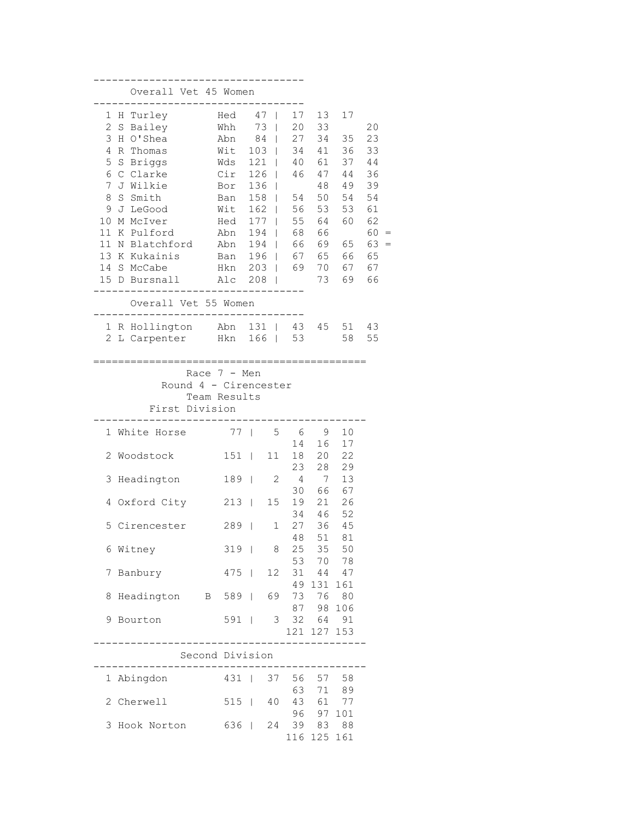|                                                                         |   |         | Overall Vet 45 Women                                                                                                                                                           |  |                                                                                                       |                                 |                                                                                                                             |                                                                            |                                                                            |                                                                                  |                                                                                  |  |
|-------------------------------------------------------------------------|---|---------|--------------------------------------------------------------------------------------------------------------------------------------------------------------------------------|--|-------------------------------------------------------------------------------------------------------|---------------------------------|-----------------------------------------------------------------------------------------------------------------------------|----------------------------------------------------------------------------|----------------------------------------------------------------------------|----------------------------------------------------------------------------------|----------------------------------------------------------------------------------|--|
| 1<br>2<br>3<br>4<br>5<br>6<br>7<br>8<br>9<br>10<br>11<br>11<br>13<br>14 | S | S Smith | H Turley<br>Bailey<br>H O'Shea<br>R Thomas<br>S Briggs<br>C Clarke<br>J Wilkie<br>J LeGood<br>M McIver<br>K Pulford<br>N Blatchford<br>K Kukainis<br>S McCabe<br>15 D Bursnall |  | Hed<br>Whh<br>Abn<br>Wit<br>Wds<br>Cir<br>Bor<br>Ban<br>Wit<br>Hed<br>Abn<br>Abn<br>Ban<br>Hkn<br>Alc | 103<br>126<br>196<br>203<br>208 | 47<br>L<br>73<br>84<br>121<br>L<br>L<br>136<br>I<br>158<br>L<br>162<br>L<br>177<br>L<br>194<br>L<br>194<br>L<br>L<br>L<br>I | 17<br>20<br>27<br>34<br>40<br>46<br>54<br>56<br>55<br>68<br>66<br>67<br>69 | 13<br>33<br>34<br>41<br>61<br>47<br>48<br>53<br>64<br>66<br>65<br>70<br>73 | 17<br>35<br>36<br>37<br>44<br>49<br>50 54<br>53<br>60<br>69 65<br>66<br>67<br>69 | 20<br>23<br>33<br>44<br>36<br>39<br>54<br>61<br>62<br>60<br>63<br>65<br>67<br>66 |  |
|                                                                         |   |         | Overall Vet 55 Women                                                                                                                                                           |  |                                                                                                       |                                 |                                                                                                                             |                                                                            |                                                                            |                                                                                  |                                                                                  |  |
| 2                                                                       |   |         | 1 R Hollington Abn<br>L Carpenter                                                                                                                                              |  | Hkn                                                                                                   |                                 | 131<br>L<br>$166$                                                                                                           | 43<br>53                                                                   | 45                                                                         | 51<br>58                                                                         | 43<br>55                                                                         |  |
|                                                                         |   |         | ______________________________________<br>First Division                                                                                                                       |  | Race $7 - Men$<br>Round 4 - Cirencester<br>Team Results                                               |                                 |                                                                                                                             |                                                                            |                                                                            |                                                                                  |                                                                                  |  |
| 1                                                                       |   |         | White Horse                                                                                                                                                                    |  | 77 <sup>1</sup>                                                                                       |                                 | 5                                                                                                                           | - 6                                                                        | 9                                                                          | 10                                                                               |                                                                                  |  |
| 2                                                                       |   |         | Woodstock                                                                                                                                                                      |  | 151                                                                                                   | $\blacksquare$                  | 11                                                                                                                          | 14<br>18                                                                   | 16<br>20                                                                   | 17<br>22                                                                         |                                                                                  |  |
| 3                                                                       |   |         | Headington                                                                                                                                                                     |  | 189                                                                                                   |                                 | 2                                                                                                                           | 23<br>4                                                                    | 28<br>7                                                                    | 29<br>13                                                                         |                                                                                  |  |
|                                                                         |   |         |                                                                                                                                                                                |  |                                                                                                       |                                 |                                                                                                                             | 30                                                                         | 66                                                                         | 67                                                                               |                                                                                  |  |
| 4                                                                       |   |         | Oxford City                                                                                                                                                                    |  | $213$                                                                                                 |                                 | 15                                                                                                                          | 19<br>34                                                                   | 21<br>46                                                                   | 26<br>- 52                                                                       |                                                                                  |  |
| 5                                                                       |   |         | Cirencester                                                                                                                                                                    |  | 289                                                                                                   | $\overline{\phantom{a}}$        | $\mathbf 1$                                                                                                                 | 27<br>48                                                                   | 36<br>51                                                                   | 45<br>81                                                                         |                                                                                  |  |
| 6                                                                       |   | Witney  |                                                                                                                                                                                |  | $319$                                                                                                 |                                 | 8                                                                                                                           |                                                                            | 25 35 50                                                                   |                                                                                  |                                                                                  |  |
| 7                                                                       |   | Banbury |                                                                                                                                                                                |  | $475$                                                                                                 |                                 | 12                                                                                                                          |                                                                            | 53 70 78<br>31 44 47                                                       |                                                                                  |                                                                                  |  |
| 8                                                                       |   |         | Headington B 589                                                                                                                                                               |  |                                                                                                       |                                 | 69                                                                                                                          |                                                                            | 49 131<br>73 76 80                                                         | 161                                                                              |                                                                                  |  |
| 9                                                                       |   | Bourton |                                                                                                                                                                                |  | $591$                                                                                                 |                                 |                                                                                                                             | 3 <sup>7</sup>                                                             | 87 98 106<br>32 64 91                                                      |                                                                                  |                                                                                  |  |
|                                                                         |   |         |                                                                                                                                                                                |  |                                                                                                       |                                 |                                                                                                                             |                                                                            | 121 127 153                                                                |                                                                                  |                                                                                  |  |
|                                                                         |   |         | . _ _ _ _ _ _ _ _ _                                                                                                                                                            |  | Second Division                                                                                       |                                 |                                                                                                                             |                                                                            |                                                                            |                                                                                  |                                                                                  |  |
|                                                                         |   |         | 1 Abingdon                                                                                                                                                                     |  | $431$                                                                                                 |                                 | 37                                                                                                                          |                                                                            | 56 57 58                                                                   |                                                                                  |                                                                                  |  |
| 2                                                                       |   |         | Cherwell                                                                                                                                                                       |  | $515$                                                                                                 |                                 | 40                                                                                                                          | 63<br>43                                                                   | 71                                                                         | 89<br>61 77                                                                      |                                                                                  |  |
| 3                                                                       |   |         | Hook Norton                                                                                                                                                                    |  | 636                                                                                                   |                                 | 24                                                                                                                          | 39                                                                         | 96 97 101                                                                  | 83 88                                                                            |                                                                                  |  |
|                                                                         |   |         |                                                                                                                                                                                |  |                                                                                                       |                                 |                                                                                                                             |                                                                            | 116 125 161                                                                |                                                                                  |                                                                                  |  |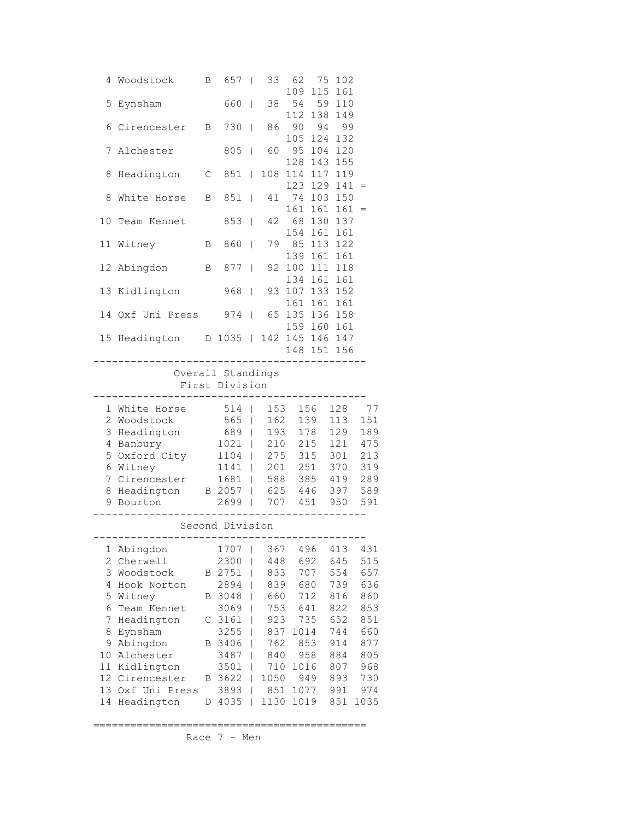| 4                   | Woodstock                   | Β | 657               | I      | 33          | 62<br>109              | 75<br>115     | 102<br>161 |             |
|---------------------|-----------------------------|---|-------------------|--------|-------------|------------------------|---------------|------------|-------------|
| 5                   | Eynsham                     |   | 660               | T      | 38          | 54                     | 59            | 110        |             |
| 6                   | Cirencester                 | В | 730               | T      | 86          | 112<br>90              | 138<br>94     | 149<br>99  |             |
| 7                   | Alchester                   |   | 805               | I      | 60          | 105<br>95              | 124<br>104    | 132<br>120 |             |
| 8                   | Headington                  | C | 851               | I      | 108         | 128<br>114             | 143<br>117    | 155<br>119 |             |
|                     |                             |   |                   |        |             | 123                    | 129           | 141        |             |
| 8                   | White Horse                 | В | 851               | T      | 41          | 161                    | 74 103<br>161 | 150<br>161 | $=$         |
| 10                  | Team Kennet                 |   | 853               | T      | 42          | 154                    | 68 130<br>161 | 137<br>161 |             |
| 11                  | Witney                      | В | 860               | I      | 79          | 85                     | 113           | 122        |             |
| 12                  | Abingdon                    | В | 877               | T      | 92          | 139<br>100             | 161<br>111    | 161<br>118 |             |
| 13                  | Kidlington                  |   | 968               | T      | 93          | 134<br>107             | 161<br>133    | 161<br>152 |             |
|                     |                             |   |                   |        |             | 161                    | 161           | 161        |             |
| 14                  | Oxf Uni Press               |   | 974               | T      | 65          | 135 136<br>159 160     |               | 158<br>161 |             |
|                     | 15 Headington D 1035        |   |                   |        |             | 142 145 146<br>148 151 |               | 147<br>156 |             |
|                     |                             |   | Overall Standings |        |             |                        |               |            |             |
|                     |                             |   | First Division    |        |             |                        |               |            |             |
| 1                   | White Horse                 |   | 514               | I      | 153         |                        | 156           | 128        | 77          |
| $\overline{2}$<br>3 | Woodstock                   |   | 565               | T      | 162         |                        | 139           | 113        | 151         |
|                     | Headington                  |   | 689               | I      | 193         |                        | 178           | 129        | 189<br>475  |
|                     |                             |   |                   |        |             |                        |               |            |             |
| 4                   | Banbury                     |   | 1021              | I      | 210         | 215                    |               | 121        |             |
| 5                   | Oxford City                 |   | 1104              | I      | 275         |                        | 315           | 301        | 213         |
| 6<br>7              | Witney                      |   | 1141              | T<br>T | 201         |                        | 251           | 370        | 319         |
| 8                   | Cirencester                 |   | 1681              |        | 588         |                        | 385           | 419        | 289         |
| 9                   | Headington<br>Bourton       |   | B 2057<br>2699    | L      | 625<br>707  | 451                    | 446           | 397<br>950 | 589<br>591  |
|                     |                             |   | Second Division   |        |             |                        |               |            |             |
|                     |                             |   |                   |        |             |                        |               |            |             |
| 1                   | Abingdon                    |   | 1707              | I      | 367         |                        | 496           | 413        | 431         |
| 2                   | Cherwell                    |   | 2300              | I      | 448         |                        | 692           | 645        | 515         |
| 3                   | Woodstock                   | Β | 2751              | I      | 833         |                        | 707           | 554        | 657         |
| 4                   | Hook Norton                 |   | 2894              |        | 839         | 680                    |               | 739        | 636         |
| 5                   | Witney                      | Β | 3048              |        | 660         | 712                    |               | 816        | 860         |
| 6                   | Team Kennet                 |   | 3069              |        | 753         | 641                    |               | 822        | 853         |
| 7                   | Headington                  | С | 3161              |        | 923         | 735                    |               | 652        | 851         |
| 8                   | Eynsham                     |   | 3255              |        | 837         | 1014                   |               | 744        | 660         |
| 9                   | Abingdon                    | Β | 3406              | I      | 762         | 853                    |               | 914        | 877         |
| 10                  | Alchester                   |   | 3487              | I      | 840         |                        | 958           | 884        | 805         |
| 11                  | Kidlington                  |   | 3501              | I      | 710         | 1016                   |               | 807        | 968         |
| 12                  | Cirencester                 | Β | 3622              | I      | 1050        |                        | 949           | 893        | 730         |
| 13<br>14            | Oxf Uni Press<br>Headington | D | 3893<br>4035      | I<br>I | 851<br>1130 | 1077<br>1019           |               | 991<br>851 | 974<br>1035 |

============================================

Race 7 - Men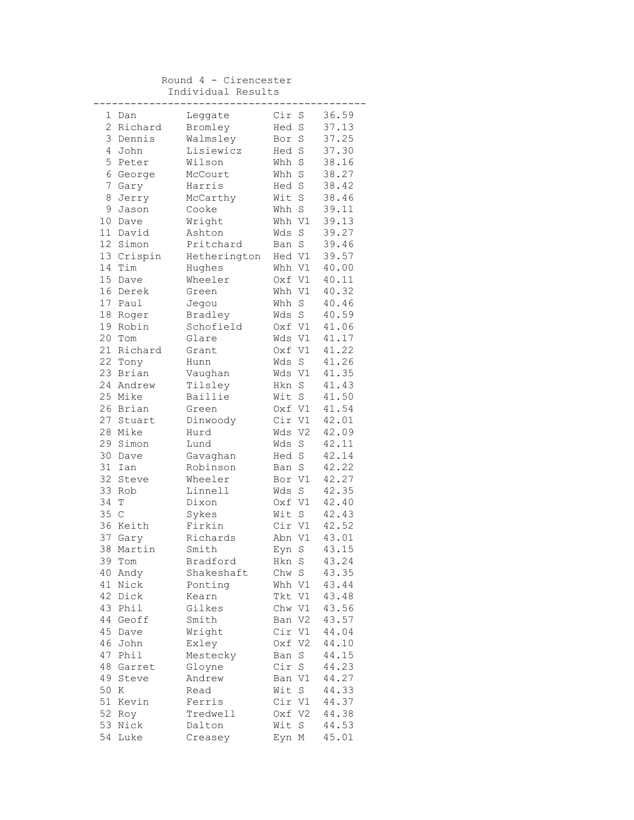Round 4 - Cirencester Individual Results

| 1               | Dan          | Leggate      | Cir S  |             | 36.59 |
|-----------------|--------------|--------------|--------|-------------|-------|
| $\overline{2}$  | Richard      | Bromley      | Hed    | S           | 37.13 |
|                 | 3 Dennis     | Walmsley     | Bor    | $\rm S$     | 37.25 |
| 4               | John         | Lisiewicz    | Hed S  |             | 37.30 |
| 5               | Peter        | Wilson       | Whh    | $\rm S$     | 38.16 |
|                 | 6 George     | McCourt      | Whh S  |             | 38.27 |
| 7               | Gary         | Harris       | Hed S  |             | 38.42 |
| 8               | Jerry        | McCarthy     | Wit S  |             | 38.46 |
|                 | 9 Jason      | Cooke        | Whh S  |             | 39.11 |
| 10 <sub>o</sub> | Dave         | Wright       | Whh V1 |             | 39.13 |
|                 | 11 David     | Ashton       | Wds    | $\rm S$     | 39.27 |
|                 | 12 Simon     | Pritchard    | Ban S  |             | 39.46 |
|                 | 13 Crispin   | Hetherington | Hed V1 |             | 39.57 |
| 14              | Tim          | Hughes       | Whh V1 |             | 40.00 |
|                 | 15 Dave      | Wheeler      | Oxf V1 |             | 40.11 |
|                 | 16 Derek     | Green        | Whh V1 |             | 40.32 |
|                 | 17 Paul      | Jegou        | Whh    | $\rm S$     | 40.46 |
|                 | 18 Roger     | Bradley      | Wds S  |             | 40.59 |
|                 | 19 Robin     | Schofield    | Oxf V1 |             | 41.06 |
|                 | 20 Tom       | Glare        | Wds V1 |             | 41.17 |
|                 | 21 Richard   | Grant        | Oxf V1 |             | 41.22 |
|                 | 22 Tony      | Hunn         | Wds    | $\rm S$     | 41.26 |
|                 | 23 Brian     | Vaughan      | Wds V1 |             | 41.35 |
|                 | 24 Andrew    | Tilsley      | Hkn S  |             | 41.43 |
|                 | 25 Mike      | Baillie      | Wit S  |             | 41.50 |
|                 | 26 Brian     | Green        | Oxf V1 |             | 41.54 |
|                 | 27 Stuart    | Dinwoody     | Cir V1 |             | 42.01 |
|                 | 28 Mike      | Hurd         | Wds V2 |             | 42.09 |
|                 | 29 Simon     | Lund         | Wds    | $\rm S$     | 42.11 |
|                 | 30 Dave      | Gavaghan     | Hed    | S           | 42.14 |
| 31              | Ian          | Robinson     | Ban S  |             | 42.22 |
| 32              | Steve        | Wheeler      | Bor V1 |             | 42.27 |
|                 | 33 Rob       | Linnell      | Wds    | S           | 42.35 |
| 34              | Т            | Dixon        | Oxf V1 |             | 42.40 |
| 35              | $\mathbb{C}$ | Sykes        | Wit    | S           | 42.43 |
|                 | 36 Keith     | Firkin       | Cir V1 |             | 42.52 |
|                 | 37 Gary      | Richards     | Abn V1 |             | 43.01 |
| 38              | Martin       | Smith        | Eyn    | $\mathbf S$ | 43.15 |
| 39              | Tom          | Bradford     | Hkn S  |             | 43.24 |
| 40              | Andy         | Shakeshaft   | Chw S  |             | 43.35 |
| 41              | Nick         | Ponting      | Whh V1 |             | 43.44 |
| 42              | Dick         | Kearn        | Tkt V1 |             | 43.48 |
|                 | 43 Phil      | Gilkes       | Chw V1 |             | 43.56 |
|                 | 44 Geoff     | Smith        | Ban V2 |             | 43.57 |
| 45              | Dave         | Wright       | Cir V1 |             | 44.04 |
|                 | 46 John      | Exley        | Oxf V2 |             | 44.10 |
| 47              | Phil         | Mestecky     | Ban    | $\mathbf S$ | 44.15 |
| 48              | Garret       | Gloyne       | Cir    | $\mathbf S$ | 44.23 |
| 49              | Steve        | Andrew       | Ban V1 |             | 44.27 |
| 50              | Κ            | Read         | Wit    | $\rm S$     | 44.33 |
| 51              | Kevin        | Ferris       | Cir V1 |             | 44.37 |
|                 | 52 Roy       | Tredwell     | Oxf V2 |             | 44.38 |
|                 | 53 Nick      | Dalton       | Wit    | $\rm S$     | 44.53 |
|                 | 54 Luke      | Creasey      | Eyn M  |             | 45.01 |
|                 |              |              |        |             |       |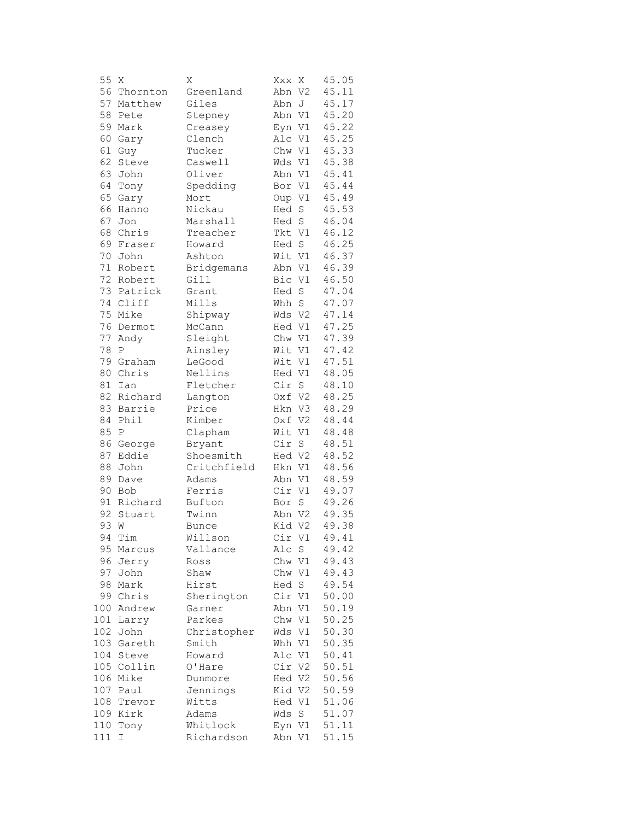| 55  | Χ           | Χ            | Xxx X            |                    | 45.05 |
|-----|-------------|--------------|------------------|--------------------|-------|
| 56  | Thornton    | Greenland    | Abn V2           |                    | 45.11 |
| 57  | Matthew     | Giles        | Abn              | J                  | 45.17 |
| 58  | Pete        | Stepney      | Abn V1           |                    | 45.20 |
| 59  | Mark        | Creasey      | Eyn V1           |                    | 45.22 |
| 60  | Gary        | Clench       | Alc V1           |                    | 45.25 |
| 61  | Guy         | Tucker       | Chw V1           |                    | 45.33 |
| 62  | Steve       | Caswell      | Wds V1           |                    | 45.38 |
| 63  | John        | Oliver       | Abn V1           |                    | 45.41 |
| 64  | Tony        | Spedding     | Bor V1           |                    | 45.44 |
| 65  | Gary        | Mort         | Oup V1           |                    | 45.49 |
| 66  | Hanno       | Nickau       | Hed              | S                  | 45.53 |
| 67  | Jon         | Marshall     | Hed              | S                  | 46.04 |
| 68  | Chris       | Treacher     | Tkt V1           |                    | 46.12 |
| 69  | Fraser      | Howard       | Hed S            |                    | 46.25 |
| 70  | John        | Ashton       | Wit V1           |                    | 46.37 |
| 71  | Robert      | Bridgemans   | Abn V1           |                    | 46.39 |
| 72  | Robert      | Gill         | Bic V1           |                    | 46.50 |
| 73  | Patrick     | Grant        | Hed              | $\mathbf S$        | 47.04 |
| 74  | Cliff       | Mills        | Whh              | $\mathbf S$        | 47.07 |
| 75  |             |              |                  |                    | 47.14 |
| 76  | Mike        | Shipway      | Wds V2           |                    | 47.25 |
| 77  | Dermot      | McCann       | Hed V1<br>Chw V1 |                    |       |
|     | Andy        | Sleight      |                  |                    | 47.39 |
| 78  | $\mathbf P$ | Ainsley      | Wit V1           |                    | 47.42 |
| 79  | Graham      | LeGood       | Wit V1           |                    | 47.51 |
| 80  | Chris       | Nellins      | Hed V1           |                    | 48.05 |
| 81  | Ian         | Fletcher     | Cir S            |                    | 48.10 |
| 82  | Richard     | Langton      | Oxf V2           |                    | 48.25 |
| 83  | Barrie      | Price        | Hkn V3           |                    | 48.29 |
| 84  | Phil        | Kimber       | Oxf V2           |                    | 48.44 |
| 85  | Ρ           | Clapham      | Wit V1           |                    | 48.48 |
| 86  | George      | Bryant       | Cir S            |                    | 48.51 |
| 87  | Eddie       | Shoesmith    | Hed V2           |                    | 48.52 |
| 88  | John        | Critchfield  | Hkn V1           |                    | 48.56 |
| 89  | Dave        | Adams        | Abn V1           |                    | 48.59 |
| 90  | Bob         | Ferris       | Cir V1           |                    | 49.07 |
| 91  | Richard     | Bufton       | Bor              | $\operatorname{S}$ | 49.26 |
| 92  | Stuart      | Twinn        | Abn V2           |                    | 49.35 |
| 93  | W           | <b>Bunce</b> | Kid V2           |                    | 49.38 |
| 94  | Tim         | Willson      | Cir V1           |                    | 49.41 |
| 95  | Marcus      | Vallance     | Alc              | S                  | 49.42 |
| 96  | Jerry       | Ross         | Chw V1           |                    | 49.43 |
| 97  | John        | Shaw         | Chw V1           |                    | 49.43 |
| 98  | Mark        | Hirst        | Hed S            |                    | 49.54 |
|     | 99 Chris    | Sherington   | Cir V1           |                    | 50.00 |
|     | 100 Andrew  | Garner       | Abn V1           |                    | 50.19 |
|     | 101 Larry   | Parkes       | Chw V1           |                    | 50.25 |
|     | 102 John    | Christopher  | Wds V1           |                    | 50.30 |
|     | 103 Gareth  | Smith        | Whh V1           |                    | 50.35 |
|     | 104 Steve   | Howard       | Alc V1           |                    | 50.41 |
|     | 105 Collin  | O'Hare       | Cir V2           |                    | 50.51 |
|     | 106 Mike    | Dunmore      | Hed V2           |                    | 50.56 |
|     | 107 Paul    | Jennings     | Kid V2           |                    | 50.59 |
|     | 108 Trevor  | Witts        | Hed V1           |                    | 51.06 |
|     | 109 Kirk    | Adams        | Wds S            |                    | 51.07 |
|     | 110 Tony    | Whitlock     | Eyn V1           |                    | 51.11 |
| 111 | Ι           | Richardson   | Abn V1           |                    | 51.15 |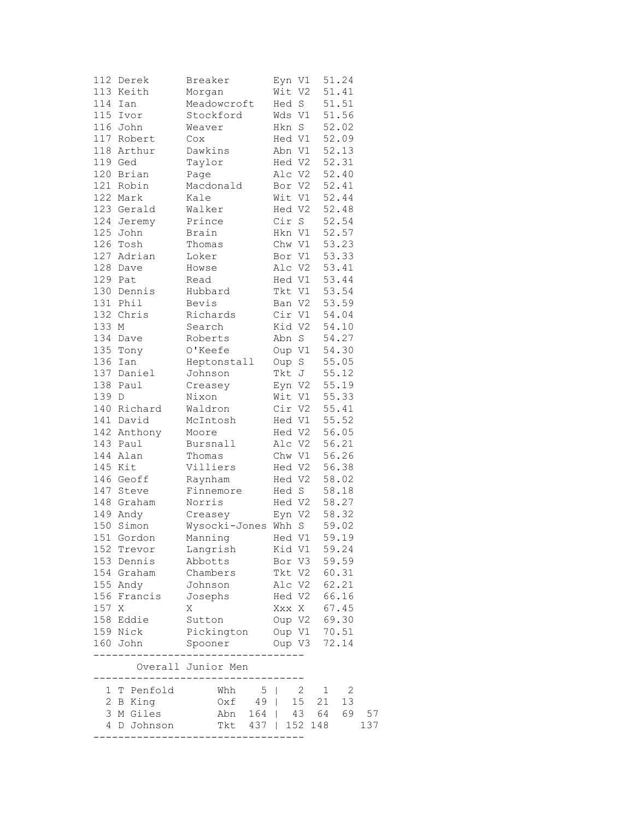| 112   | Derek       | Breaker             | Eyn V1         | 51.24                                     |     |
|-------|-------------|---------------------|----------------|-------------------------------------------|-----|
|       | 113 Keith   | Morgan              | Wit V2         | 51.41                                     |     |
|       | 114 Ian     | Meadowcroft         | Hed S          | 51.51                                     |     |
|       | 115 Ivor    | Stockford           | Wds Vl         | 51.56                                     |     |
|       | 116 John    | Weaver              | Hkn S          | 52.02                                     |     |
|       | 117 Robert  | Cox                 | Hed V1         | 52.09                                     |     |
|       | 118 Arthur  | Dawkins             | Abn V1         | 52.13                                     |     |
|       | 119 Ged     | Taylor              | Hed V2         | 52.31                                     |     |
|       | 120 Brian   | Page                | Alc V2         | 52.40                                     |     |
|       | 121 Robin   | Macdonald           | Bor V2         | 52.41                                     |     |
|       | 122 Mark    | Kale                | Wit V1         | 52.44                                     |     |
|       | 123 Gerald  | Walker              | Hed V2         | 52.48                                     |     |
|       | 124 Jeremy  | Prince              | Cir S          | 52.54                                     |     |
|       | 125 John    | Brain               | Hkn V1         | 52.57                                     |     |
|       | 126 Tosh    | Thomas              | Chw V1         | 53.23                                     |     |
|       | 127 Adrian  | Loker               | Bor V1         | 53.33                                     |     |
|       | 128 Dave    | Howse               | Alc V2         | 53.41                                     |     |
|       | 129 Pat     | Read                | Hed V1         | 53.44                                     |     |
|       | 130 Dennis  | Hubbard             | Tkt V1         | 53.54                                     |     |
|       | 131 Phil    | Bevis               | Ban V2         | 53.59                                     |     |
|       | 132 Chris   | Richards            | Cir V1         | 54.04                                     |     |
| 133   | М           | Search              | Kid V2         | 54.10                                     |     |
| 134   | Dave        | Roberts             | Abn S          | 54.27                                     |     |
|       | 135 Tony    | O'Keefe             | Oup V1         | 54.30                                     |     |
| 136   | Ian         | Heptonstall         | Oup S          | 55.05                                     |     |
|       | 137 Daniel  | Johnson             | Tkt J          | 55.12                                     |     |
| 138   | Paul        | Creasey             | Eyn V2         | 55.19                                     |     |
| 139   | $\mathbb D$ | Nixon               | Wit V1         | 55.33                                     |     |
|       | 140 Richard | Waldron             | Cir V2         | 55.41                                     |     |
|       | 141 David   | McIntosh            | Hed V1         | 55.52                                     |     |
|       | 142 Anthony | Moore               | Hed V2         | 56.05                                     |     |
|       | 143 Paul    | Bursnall            | Alc V2         | 56.21                                     |     |
|       | 144 Alan    | Thomas              | Chw V1         | 56.26                                     |     |
|       | 145 Kit     | Villiers            | Hed V2         | 56.38                                     |     |
|       | 146 Geoff   | Raynham             | Hed V2         | 58.02                                     |     |
|       | 147 Steve   | Finnemore           | Hed S          | 58.18                                     |     |
|       | 148 Graham  | Norris              | Hed V2         | 58.27                                     |     |
|       | 149 Andy    | Creasey             | Eyn V2         | 58.32                                     |     |
|       | 150 Simon   | Wysocki-Jones Whh S |                | 59.02                                     |     |
|       | 151 Gordon  | Manning             | Hed V1         | 59.19                                     |     |
|       | 152 Trevor  | Langrish            | Kid V1         | 59.24                                     |     |
|       | 153 Dennis  | Abbotts             | Bor V3         | 59.59                                     |     |
|       | 154 Graham  | Chambers            | Tkt V2 60.31   |                                           |     |
|       | 155 Andy    | Johnson             | Alc V2         | 62.21                                     |     |
|       | 156 Francis | Josephs             | Hed V2         | 66.16                                     |     |
| 157 X |             | Χ                   | Xxx X 67.45    |                                           |     |
|       | 158 Eddie   | Sutton              | Oup V2 69.30   |                                           |     |
|       | 159 Nick    | Pickington          | Oup V1 70.51   |                                           |     |
|       | 160 John    | Spooner             | Oup V3 72.14   |                                           |     |
|       |             | Overall Junior Men  |                |                                           |     |
|       | 1 T Penfold | Whh<br>$5 \mid$     | $\overline{2}$ | $\overline{\phantom{0}}^2$<br>$\mathbf 1$ |     |
|       | 2 B King    | $0xf$ 49            | 15             | 21<br>13                                  |     |
|       | 3 M Giles   | Abn 164   43 64     |                | 69                                        | 57  |
|       | 4 D Johnson | Tkt 437   152 148   |                |                                           | 137 |
|       | ----------- | ---------------     |                |                                           |     |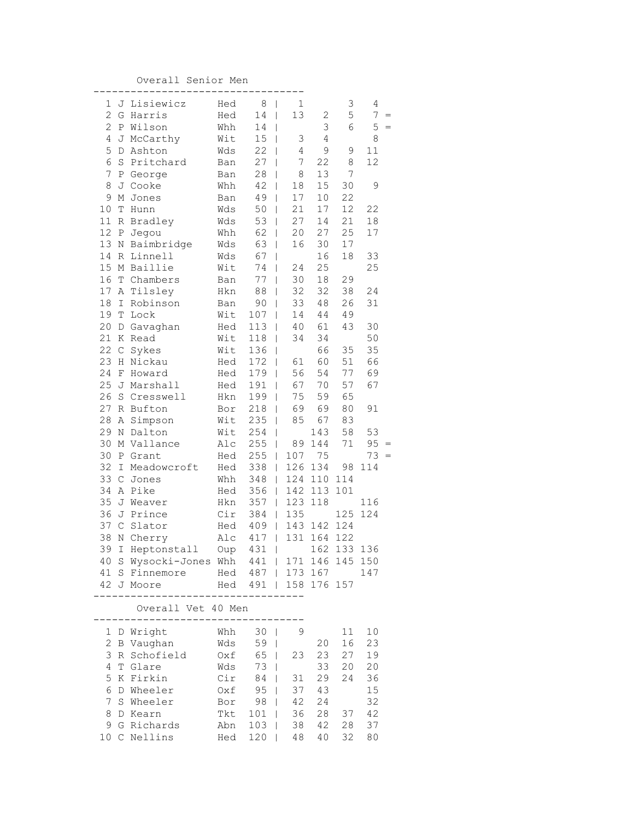Overall Senior Men

| 1                | J             | Lisiewicz                                                                        | Hed             | 8<br>I                | 1                               |        | 3           | 4   |  |
|------------------|---------------|----------------------------------------------------------------------------------|-----------------|-----------------------|---------------------------------|--------|-------------|-----|--|
| $\mathbf{2}$     | G             | Harris                                                                           | Hed             | 14<br>I               | 13                              | 2      | 5           | 7   |  |
| $\overline{c}$   | Ρ             | Wilson                                                                           | Whh             | 14<br>I               |                                 | 3      | 6           | 5   |  |
| 4                |               | J McCarthy                                                                       | Wit             | 15<br>I               | 3                               | 4      |             | 8   |  |
| 5                | D             | Ashton                                                                           | Wds             | 22<br>I               | $\overline{4}$                  | 9      | $\mathsf 9$ | 11  |  |
| 6                | S             | Pritchard                                                                        | Ban             | 27<br>I               | 7                               | 22     | 8           | 12  |  |
| $\boldsymbol{7}$ | Ρ             | George                                                                           | Ban             | 28<br>I               | 8                               | 13     | 7           |     |  |
| 8                | J             | Cooke                                                                            | Whh             | 42<br>I               | $18\,$                          | 15     | 30          | 9   |  |
| 9                | М             | Jones                                                                            | Ban             | 49<br>I               | 17                              | $10$   | 22          |     |  |
| 10               | Т             | Hunn                                                                             | Wds             | 50<br>I               | 21                              | 17     | 12          | 22  |  |
| $11\,$           | R             | Bradley                                                                          | Wds             | 53<br>I               | 27                              | 14     | 21          | 18  |  |
| 12               | Ρ             | Jegou                                                                            | Whh             | 62                    | 20<br>T                         | 27     | 25          | 17  |  |
| 13               | Ν             | Baimbridge                                                                       | Wds             | 63                    | 16<br>T                         | 30     | 17          |     |  |
| 14               | R             | Linnell                                                                          | Wds             | 67<br>I               |                                 | 16     | $18\,$      | 33  |  |
| 15               | М             | Baillie                                                                          | Wit             | 74<br>I               | 24                              | 25     |             | 25  |  |
| 16               | Т             | Chambers                                                                         | Ban             | 77<br>I               | 30                              | $18\,$ | 29          |     |  |
| 17               | Α             | Tilsley                                                                          | Hkn             | 88<br>I               | 32                              | 32     | 38          | 24  |  |
| 18               | I             | Robinson                                                                         | Ban             | 90<br>I               | 33                              | 48     | 26          | 31  |  |
| 19               | T             | Lock                                                                             | Wit             | 107<br>I              | 14                              | 44     | 49          |     |  |
| 20               | D             | Gavaghan                                                                         | Hed             | 113<br>I              | 40                              | 61     | 43          | 30  |  |
| 21               | Κ             | Read                                                                             | Wit             | 118<br>I              | 34                              | 34     |             | 50  |  |
| 22               | $\mathsf C$   | Sykes                                                                            | Wit             | 136<br>I              |                                 | 66     | 35          | 35  |  |
| 23               | Η             | Nickau                                                                           | Hed             | 172<br>I              | 61                              | 60     | 51          | 66  |  |
| 24               | F             | Howard                                                                           | Hed             | 179<br>I              | 56                              | 54     | 77          | 69  |  |
| 25               | J             | Marshall                                                                         | Hed             | 191<br>I              | 67                              | 70     | 57          | 67  |  |
| 26               | S             | Cresswell                                                                        | Hkn             | 199<br>I              | 75                              | 59     | 65          |     |  |
| 27               |               | R Bufton                                                                         | Bor             | 218<br>I              | 69                              | 69     | 80          | 91  |  |
| 28               | Α             | Simpson                                                                          | Wit             | 235<br>I              | 85                              | 67     | 83          |     |  |
| 29               | Ν             | Dalton                                                                           | Wit             | 254<br>I              |                                 | 143    | 58          | 53  |  |
| 30               | М             | Vallance                                                                         | Alc             | 255<br>I              | 89                              | 144    | $7\,1$      | 95  |  |
| 30               | Ρ             | Grant                                                                            | Hed             | 255                   | 107<br>L                        | 75     |             | 73  |  |
| 32               | I             | Meadowcroft                                                                      | Hed             | 338                   | 126<br>T                        | 134    | 98          | 114 |  |
| 33               | $\mathcal{C}$ | Jones                                                                            | Whh             | 348                   | 124<br>T                        | 110    | 114         |     |  |
| 34               | $\mathbb{A}$  | Pike                                                                             | Hed             | 356                   | 142<br>T                        | 113    | 101         |     |  |
| 35               | J             | Weaver                                                                           | Hkn             | 357                   | 123<br>$\overline{\phantom{a}}$ | 118    |             | 116 |  |
| 36               | J             | Prince                                                                           | Cir             | 384<br>$\overline{1}$ | 135                             |        | 125         | 124 |  |
| 37               | $\mathsf C$   | Slator                                                                           | Hed             | 409                   | 143<br>I                        | 142    | 124         |     |  |
| 38               | N             | Cherry                                                                           | Alc             | 417                   | 131<br>I                        | 164    | 122         |     |  |
| 39               |               |                                                                                  |                 |                       |                                 |        |             |     |  |
| 40               |               | I Heptonstall Oup 431   162 133 136<br>S Wysocki-Jones Whh 441   171 146 145 150 |                 |                       |                                 |        |             |     |  |
|                  |               | 41 S Finnemore                                                                   |                 | Hed 487   173 167     |                                 |        |             | 147 |  |
|                  |               | 42 J Moore                                                                       |                 | Hed 491   158 176 157 |                                 |        |             |     |  |
|                  |               | $- - - - -$                                                                      |                 |                       |                                 |        |             |     |  |
|                  |               | Overall Vet 40 Men                                                               |                 |                       |                                 |        |             |     |  |
|                  |               | $- - - - -$                                                                      | --------<br>Whh |                       | 9                               |        |             |     |  |
|                  |               | 1 D Wright                                                                       |                 | 30 <sup>1</sup>       |                                 |        | 11          | 10  |  |
| 2                |               | B Vaughan                                                                        | Wds             | 59                    |                                 | 20     | 16          | 23  |  |
| 3                |               | R Schofield                                                                      |                 | Oxf 65                | 23                              | 23     | 27          | 19  |  |
| 4                |               | T Glare                                                                          | Wds             | 73<br>T               |                                 | 33     | 20          | 20  |  |
| 5                |               | K Firkin                                                                         |                 | Cir 84                | 31<br>L                         | 29     | 24          | 36  |  |
| 6                |               | D Wheeler                                                                        | Oxf             | 95                    | 37<br>L                         | 43     |             | 15  |  |
| $\overline{7}$   |               | S Wheeler                                                                        | Bor             | 98                    | 42<br>L                         | 24     |             | 32  |  |
| 8                |               | D Kearn                                                                          | Tkt             | $101$                 | 36                              | 28     | 37          | 42  |  |
| 9                |               | G Richards                                                                       | Abn             | 103                   | 38<br>T                         | 42     | 28          | 37  |  |
|                  |               | 10 C Nellins                                                                     | Hed             | 120                   | 48<br>L                         | 40     | 32          | 80  |  |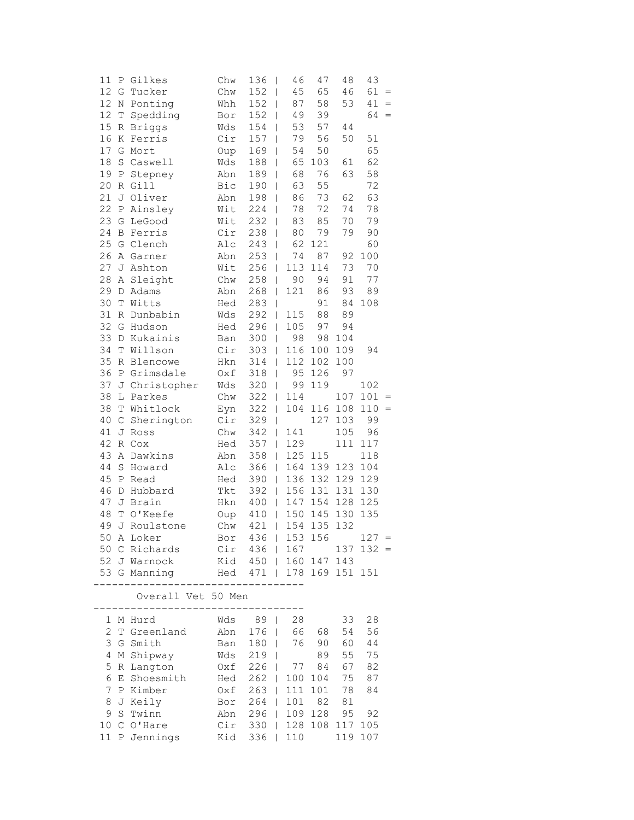| 11           | Ρ | Gilkes             | Chw | 136                   | 46<br>$\overline{\phantom{0}}$  | 47      | 48  | 43      |     |
|--------------|---|--------------------|-----|-----------------------|---------------------------------|---------|-----|---------|-----|
| 12           | G | Tucker             | Chw | 152                   | 45<br>$\overline{\phantom{a}}$  | 65      | 46  | $61 =$  |     |
| 12           |   | N Ponting          | Whh | 152<br>$\blacksquare$ | 87                              | 58      | 53  | 41      | $=$ |
| 12           | T | Spedding           | Bor | $152$                 | 49                              | 39      |     | 64      | $=$ |
| 15           |   | R Briggs           | Wds | 154                   | 53<br>$\overline{1}$            | 57      | 44  |         |     |
| 16           |   | K Ferris           | Cir | 157                   | 79<br>$\overline{1}$            | 56      | 50  | 51      |     |
| 17           |   | G Mort             | Oup | 169                   | 54<br>$\overline{\phantom{a}}$  | 50      |     | 65      |     |
| 18           |   | S Caswell          | Wds | 188                   | 65<br>$\overline{\phantom{a}}$  | 103     | 61  | 62      |     |
| 19           |   | P Stepney          | Abn | 189                   | 68<br>$\overline{\phantom{a}}$  | 76      | 63  | 58      |     |
| 20           |   | R Gill             | Bic | 190                   | 63<br>$\overline{\phantom{0}}$  | 55      |     | 72      |     |
| 21           |   | J Oliver           | Abn | 198                   | 86<br>$\overline{\phantom{a}}$  | 73      | 62  | 63      |     |
| 22           |   | P Ainsley          | Wit | 224                   | 78                              | 72      | 74  | 78      |     |
| 23           |   | G LeGood           | Wit | $232$                 | 83                              | 85      | 70  | 79      |     |
| 24           |   | <b>B</b> Ferris    | Cir | 238                   | 80<br>$\mathbf{I}$              | 79      | 79  | 90      |     |
| 25           |   | G Clench           | Alc | 243                   | 62<br>T                         | 121     |     | 60      |     |
| 26           |   | A Garner           | Abn | 253                   | 74<br>$\overline{\phantom{a}}$  | 87      | 92  | 100     |     |
| 27           |   | J Ashton           | Wit | 256                   | 113<br>$\overline{\phantom{a}}$ | 114     | 73  | 70      |     |
| 28           |   | A Sleight          | Chw | 258                   | $\overline{\phantom{a}}$<br>90  | 94      | 91  | 77      |     |
| 29           |   | D Adams            | Abn | 268                   | 121<br>$\overline{\phantom{a}}$ | 86      | 93  | 89      |     |
| 30           |   | T Witts            | Hed | 283                   | $\overline{\phantom{a}}$        | 91      | 84  | 108     |     |
| 31           |   | R Dunbabin         | Wds | 292                   | 115<br>$\mathbb{R}$             | 88      | 89  |         |     |
| 32           |   | G Hudson           | Hed | 296                   | 105                             | 97      | 94  |         |     |
| 33           |   | D Kukainis         | Ban | 300                   | 98<br>$\mathbf{I}$              | 98      | 104 |         |     |
| 34           | T | Willson            | Cir | 303                   | 116<br>$\mathbf{I}$             | 100     | 109 | 94      |     |
| 35           |   | R Blencowe         | Hkn | 314                   | $\mathbf{I}$                    | 112 102 | 100 |         |     |
| 36           |   | P Grimsdale        | Oxf | 318                   | 95<br>$\overline{\phantom{a}}$  | 126     | 97  |         |     |
| 37           |   | J Christopher      | Wds | 320                   | 99<br>$\overline{\phantom{a}}$  | 119     |     | 102     |     |
| 38           |   | L Parkes           | Chw | 322                   | 114<br>$\overline{\phantom{a}}$ |         | 107 | 101     |     |
| 38           |   | T Whitlock         | Eyn | 322                   | 104<br>$\overline{\phantom{a}}$ | 116     | 108 | 110     | $=$ |
| 40           |   | C Sherington       | Cir | 329                   | $\mathbf{I}$                    | 127     | 103 | 99      |     |
| 41           |   | J Ross             | Chw | 342                   | 141<br>$\mathbf{I}$             |         | 105 | 96      |     |
| 42           |   | R Cox              | Hed | 357                   | 129<br>$\Box$                   |         | 111 | 117     |     |
| 43           |   | A Dawkins          | Abn | 358                   | 125 115<br>$\mathbb{R}$         |         |     | 118     |     |
| 44           |   | S Howard           | Alc | 366                   | $\mathbb{L}$                    | 164 139 | 123 | 104     |     |
| 45           |   | P Read             | Hed | 390                   | 136<br>$\mathbb{R}$             | 132     | 129 | 129     |     |
| 46           |   | D Hubbard          | Tkt | 392                   | 156<br>$\overline{\phantom{a}}$ | 131     | 131 | 130     |     |
| 47           |   | J Brain            | Hkn | 400                   | $\overline{\phantom{a}}$        | 147 154 | 128 | 125     |     |
| 48           |   | T O'Keefe          | Oup | 410                   | 150<br>$\mathbb{R}$             | 145     | 130 | 135     |     |
| 49           |   | J Roulstone        | Chw | 421                   | 154<br>$\mathbb{R}$             | 135     | 132 |         |     |
|              |   | 50 A Loker         | Bor | $436$                 |                                 | 153 156 |     | 127     |     |
|              |   | 50 C Richards      |     | $Cir$ 436             |                                 | 167     | 137 | $132 =$ |     |
|              |   | 52 J Warnock       |     |                       | Kid 450   160 147 143           |         |     |         |     |
|              |   | 53 G Manning       |     |                       | Hed 471   178 169 151 151       |         |     |         |     |
|              |   | Overall Vet 50 Men |     |                       |                                 |         |     |         |     |
| $\mathbf{1}$ |   | M Hurd             | Wds | 89                    | 28<br>T                         |         | 33  | 28      |     |
| 2            |   | T Greenland        | Abn | $176$                 | 66                              | 68      | 54  | 56      |     |
| 3            |   | G Smith            | Ban | $180$                 | 76                              | 90      | 60  | 44      |     |
| 4            |   | M Shipway          | Wds | $219$                 |                                 | 89      | 55  | 75      |     |
| 5            |   | R Langton          | Oxf | $226$                 | 77                              | 84      | 67  | 82      |     |
| 6            |   | E Shoesmith        |     | Hed 262               | 100                             | 104     | 75  | 87      |     |
| 7            |   | P Kimber           |     | Oxf 263               | 111                             | 101     | 78  | 84      |     |
| 8            |   | J Keily            | Bor | $264$                 | 101                             | 82      | 81  |         |     |
| 9            |   | S Twinn            | Abn | $296$                 | 109                             | 128     | 95  | 92      |     |
| 10           |   | C O'Hare           | Cir | $330$                 |                                 | 128 108 | 117 | 105     |     |
|              |   | 11 P Jennings      | Kid | $336$                 | 110                             |         | 119 | 107     |     |
|              |   |                    |     |                       |                                 |         |     |         |     |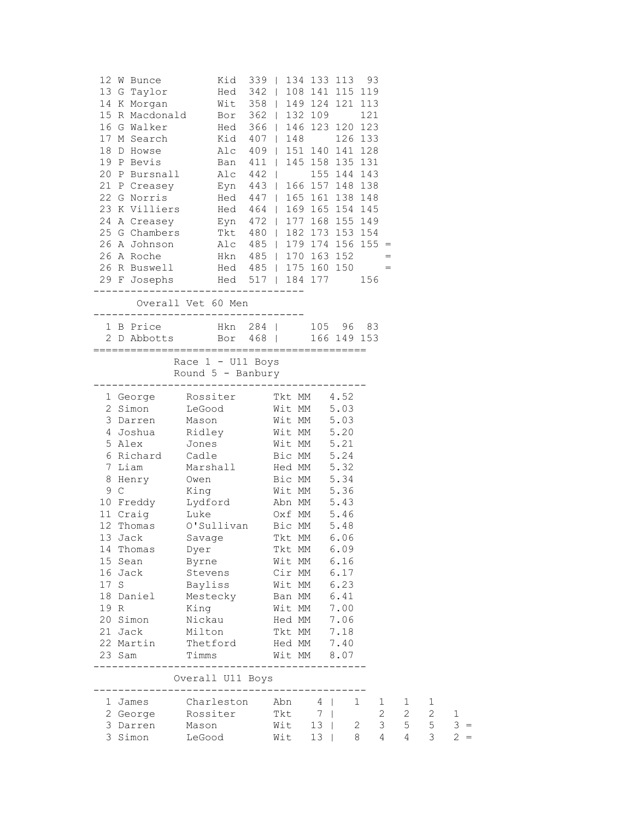|      | 12 W Bunce | Kid 339   134 133 113 93                                                                                                                                                                                                                               |             |                |      |                                         |                       |                |   |             |
|------|------------|--------------------------------------------------------------------------------------------------------------------------------------------------------------------------------------------------------------------------------------------------------|-------------|----------------|------|-----------------------------------------|-----------------------|----------------|---|-------------|
|      |            | 13 G Taylor Fed 342   108 141 115 119                                                                                                                                                                                                                  |             |                |      |                                         |                       |                |   |             |
|      |            | 14 K Morgan Wit 358   149 124 121 113                                                                                                                                                                                                                  |             |                |      |                                         |                       |                |   |             |
|      |            | 15 R Macdonald Bor 362   132 109 121                                                                                                                                                                                                                   |             |                |      |                                         |                       |                |   |             |
|      |            | 16 G Walker Hed 366   146 123 120 123                                                                                                                                                                                                                  |             |                |      |                                         |                       |                |   |             |
|      |            | 17 M Search Kid 407   148 126 133                                                                                                                                                                                                                      |             |                |      |                                         |                       |                |   |             |
|      |            | 18 D Howse Alc 409   151 140 141 128                                                                                                                                                                                                                   |             |                |      |                                         |                       |                |   |             |
|      |            |                                                                                                                                                                                                                                                        |             |                |      |                                         |                       |                |   |             |
|      |            |                                                                                                                                                                                                                                                        |             |                |      |                                         |                       |                |   |             |
|      |            |                                                                                                                                                                                                                                                        |             |                |      |                                         |                       |                |   |             |
|      |            | 19 P Bevis<br>20 P Bursnall<br>21 P Creasey<br>21 P Creasey<br>22 G Norris<br>23 K Villiers<br>23 E V 166 157 148 138<br>23 K Villiers<br>24 A 24 P (165 151 138 148<br>24 A 23 K Villiers<br>24 A 24 P (165 161 138 148<br>25 A Villiers<br>25 Hed 46 |             |                |      |                                         |                       |                |   |             |
|      |            | 24 A Creasey Eyn 472   177 168 155 149                                                                                                                                                                                                                 |             |                |      |                                         |                       |                |   |             |
|      |            | 25 G Chambers Tkt 480   182 173 153 154                                                                                                                                                                                                                |             |                |      |                                         |                       |                |   |             |
|      |            | 26 A Johnson Mlc 485   179 174 156 155 =                                                                                                                                                                                                               |             |                |      |                                         |                       |                |   |             |
|      |            |                                                                                                                                                                                                                                                        |             |                |      |                                         |                       |                |   |             |
|      |            |                                                                                                                                                                                                                                                        |             |                |      |                                         |                       |                |   |             |
|      |            |                                                                                                                                                                                                                                                        |             |                |      |                                         |                       |                |   |             |
|      |            |                                                                                                                                                                                                                                                        |             |                |      |                                         |                       |                |   |             |
|      |            | Overall Vet 60 Men<br>---------------------------------                                                                                                                                                                                                |             |                |      |                                         |                       |                |   |             |
|      |            | 1 B Price Hkn 284   105 96 83                                                                                                                                                                                                                          |             |                |      |                                         |                       |                |   |             |
|      |            | 2 D Abbotts Bor 468   166 149 153                                                                                                                                                                                                                      |             |                |      |                                         |                       |                |   |             |
|      |            |                                                                                                                                                                                                                                                        |             |                |      |                                         |                       |                |   |             |
|      |            | Race 1 - U11 Boys                                                                                                                                                                                                                                      |             |                |      |                                         |                       |                |   |             |
|      |            | Round 5 - Banbury                                                                                                                                                                                                                                      |             |                |      |                                         |                       |                |   |             |
|      |            |                                                                                                                                                                                                                                                        |             |                |      |                                         |                       |                |   |             |
|      |            | 1 George Rossiter Tkt MM 4.52<br>2 Simon LeGood Wit MM 5.03<br>3 Darren Mason Wit MM 5.03                                                                                                                                                              |             |                |      |                                         |                       |                |   |             |
|      |            |                                                                                                                                                                                                                                                        |             |                |      |                                         |                       |                |   |             |
|      |            | 4 Joshua Ridley Wit MM 5.20                                                                                                                                                                                                                            |             |                |      |                                         |                       |                |   |             |
|      |            | 5 Alex Jones Wit MM 5.21                                                                                                                                                                                                                               |             |                |      |                                         |                       |                |   |             |
|      |            | 6 Richard Cadle Bic MM 5.24                                                                                                                                                                                                                            |             |                |      |                                         |                       |                |   |             |
|      |            | 7 Liam Marshall Hed MM 5.32                                                                                                                                                                                                                            |             |                |      |                                         |                       |                |   |             |
|      |            | 8 Henry Owen Bic MM 5.34<br>9 C King Wit MM 5.36<br>10 Freddy Lydford Abn MM 5.43<br>11 Craig Luke Oxf MM 5.46<br>12 Thomas O'Sullivan Bic MM 5.48                                                                                                     |             |                |      |                                         |                       |                |   |             |
|      |            |                                                                                                                                                                                                                                                        |             |                |      |                                         |                       |                |   |             |
|      |            |                                                                                                                                                                                                                                                        |             |                |      |                                         |                       |                |   |             |
|      |            |                                                                                                                                                                                                                                                        |             |                |      |                                         |                       |                |   |             |
|      |            | 13 Jack Savage                                                                                                                                                                                                                                         | Tkt MM 6.06 |                |      |                                         |                       |                |   |             |
|      | 14 Thomas  | Dyer                                                                                                                                                                                                                                                   | Tkt MM 6.09 |                |      |                                         |                       |                |   |             |
|      | 15 Sean    | Byrne                                                                                                                                                                                                                                                  | Wit MM 6.16 |                |      |                                         |                       |                |   |             |
|      | 16 Jack    | Stevens                                                                                                                                                                                                                                                | Cir MM 6.17 |                |      |                                         |                       |                |   |             |
| 17 S |            | Bayliss                                                                                                                                                                                                                                                | Wit MM 6.23 |                |      |                                         |                       |                |   |             |
|      | 18 Daniel  | Mestecky                                                                                                                                                                                                                                               | Ban MM      |                | 6.41 |                                         |                       |                |   |             |
| 19 R |            | King                                                                                                                                                                                                                                                   | Wit MM 7.00 |                |      |                                         |                       |                |   |             |
|      | 20 Simon   | Nickau                                                                                                                                                                                                                                                 | Hed MM 7.06 |                |      |                                         |                       |                |   |             |
|      | 21 Jack    | Milton                                                                                                                                                                                                                                                 | Tkt MM 7.18 |                |      |                                         |                       |                |   |             |
|      |            | 22 Martin Thetford                                                                                                                                                                                                                                     | Hed MM 7.40 |                |      |                                         |                       |                |   |             |
|      | 23 Sam     | Timms<br>___________________________                                                                                                                                                                                                                   | Wit MM 8.07 |                |      |                                         |                       |                |   |             |
|      |            | Overall U11 Boys                                                                                                                                                                                                                                       |             |                |      |                                         |                       |                |   |             |
|      | 1 James    | Charleston Abn 4                                                                                                                                                                                                                                       |             |                |      | 1                                       | $\mathbf{1}$          | $\mathbf{1}$   | 1 |             |
|      | 2 George   | Rossiter<br>Mason                                                                                                                                                                                                                                      | Tkt         | 7 <sup>1</sup> |      |                                         | $\mathbf{2}^{\prime}$ | $\overline{2}$ | 2 | $\mathbf 1$ |
|      | 3 Darren   |                                                                                                                                                                                                                                                        | $Wit$ 13    |                |      | $\overline{\mathbf{3}}$<br>$\mathbf{2}$ |                       | 5 <sup>5</sup> | 5 | $3 =$       |
|      |            | 3 Simon LeGood                                                                                                                                                                                                                                         | Wit 13      |                |      | 8<br>4                                  |                       | 4              | 3 | $2 =$       |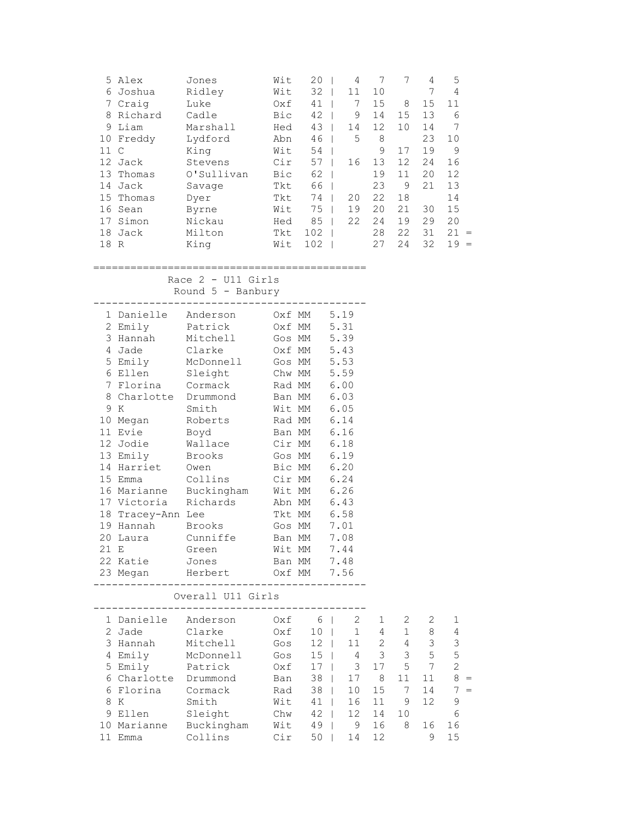|                 | 5 Alex  | Jones      | Wit | 20  | 4  |    | 7  | 4  | 5         |
|-----------------|---------|------------|-----|-----|----|----|----|----|-----------|
| 6.              | Joshua  | Ridley     | Wit | 32  | 11 | 10 |    |    | 4         |
|                 | Craig   | Luke       | Oxf | 41  | 7  | 15 | 8  | 15 | 11        |
| 8               | Richard | Cadle      | Bic | 42  | 9  | 14 | 15 | 13 | 6         |
| 9               | Liam    | Marshall   | Hed | 43  | 14 | 12 | 10 | 14 | 7         |
| 10              | Freddy  | Lydford    | Abn | 46  | 5  | 8  |    | 23 | 10        |
| 11              | C       | King       | Wit | 54  |    | 9  | 17 | 19 | 9         |
| 12 <sup>7</sup> | Jack    | Stevens    | Cir | 57  | 16 | 13 | 12 | 24 | 16        |
| 13              | Thomas  | O'Sullivan | Bic | 62  |    | 19 | 11 | 20 | 12        |
| 14              | Jack    | Savage     | Tkt | 66  |    | 23 | 9  | 21 | 13        |
| 15              | Thomas  | Dyer       | Tkt | 74  | 20 | 22 | 18 |    | 14        |
| 16              | Sean    | Byrne      | Wit | 75  | 19 | 20 | 21 | 30 | 15        |
|                 | Simon   | Nickau     | Hed | 85  | 22 | 24 | 19 | 29 | 20        |
| 18              | Jack    | Milton     | Tkt | 102 |    | 28 | 22 | 31 | 21<br>$=$ |
| 18              | R       | King       | Wit | 102 |    | 27 | 24 | 32 | 19<br>$=$ |

## ============================================

Race 2 - U11 Girls

Round 5 - Banbury

|      |                      | 1 Danielle Anderson 0xf MM 5.19                                                                                |                                                                                        |      |                      |                                |                 |                                         |                |
|------|----------------------|----------------------------------------------------------------------------------------------------------------|----------------------------------------------------------------------------------------|------|----------------------|--------------------------------|-----------------|-----------------------------------------|----------------|
|      | 2 Emily Patrick      |                                                                                                                | 0xf MM 5.31<br>Gos MM 5.39<br>Oxf MM 5.43<br>Gos MM 5.53<br>Chw MM 5.59<br>Rad MM 6.00 |      |                      |                                |                 |                                         |                |
|      | 3 Hannah             | Mitchell                                                                                                       |                                                                                        |      |                      |                                |                 |                                         |                |
|      | 4 Jade               | Clarke<br>McDonnell<br>Sleight                                                                                 |                                                                                        |      |                      |                                |                 |                                         |                |
|      | 5 Emily              |                                                                                                                |                                                                                        |      |                      |                                |                 |                                         |                |
|      | 6 Ellen              |                                                                                                                |                                                                                        |      |                      |                                |                 |                                         |                |
|      | 7 Florina Cormack    |                                                                                                                |                                                                                        |      |                      |                                |                 |                                         |                |
|      | 8 Charlotte Drummond |                                                                                                                |                                                                                        |      |                      |                                |                 |                                         |                |
|      | 9 K                  | Smith                                                                                                          | Ban MM 6.03<br>Wit MM 6.05                                                             |      |                      |                                |                 |                                         |                |
|      | 10 Megan Roberts     |                                                                                                                | Rad MM                                                                                 | 6.14 |                      |                                |                 |                                         |                |
|      | 11 Evie              | Boyd                                                                                                           | Ban MM                                                                                 | 6.16 |                      |                                |                 |                                         |                |
|      |                      | 12 Jodie Wallace Cir MM 6.18                                                                                   |                                                                                        |      |                      |                                |                 |                                         |                |
|      |                      | 13 Emily Brooks Gos MM 6.19                                                                                    |                                                                                        |      |                      |                                |                 |                                         |                |
|      | 14 Harriet Owen      |                                                                                                                | Bic MM 6.20                                                                            |      |                      |                                |                 |                                         |                |
|      |                      | 15 Emma Collins Cir MM 6.24                                                                                    |                                                                                        |      |                      |                                |                 |                                         |                |
|      |                      | 16 Marianne Buckingham Wit MM 6.26                                                                             |                                                                                        |      |                      |                                |                 |                                         |                |
|      |                      | 17 Victoria Richards Abn MM 6.43                                                                               |                                                                                        |      |                      |                                |                 |                                         |                |
|      | 18 Tracey-Ann Lee    |                                                                                                                | Tkt MM 6.58                                                                            |      |                      |                                |                 |                                         |                |
|      |                      | 19 Hannah Brooks Gos MM 7.01                                                                                   |                                                                                        |      |                      |                                |                 |                                         |                |
|      |                      | 20 Laura Cunniffe Ban MM 7.08                                                                                  |                                                                                        |      |                      |                                |                 |                                         |                |
| 21 E |                      | Green Wit MM 7.44                                                                                              |                                                                                        |      |                      |                                |                 |                                         |                |
|      |                      | 22 Katie Jones Ban MM 7.48                                                                                     |                                                                                        |      |                      |                                |                 |                                         |                |
|      |                      | 23 Megan Herbert Oxf MM 7.56                                                                                   |                                                                                        |      |                      |                                |                 |                                         |                |
|      |                      | _____________________________________<br>Overall U11 Girls                                                     |                                                                                        |      |                      |                                |                 |                                         |                |
|      |                      | 1 Danielle Anderson 0xf 6   2 1                                                                                |                                                                                        |      |                      |                                | $2\overline{ }$ | 2                                       | $\mathbf 1$    |
|      | 2 Jade               | Clarke Oxf                                                                                                     |                                                                                        |      |                      | $10 \quad   \qquad 1 \qquad 4$ | 1               | 8                                       | $\overline{4}$ |
|      | 3 Hannah             | Mitchell Gos                                                                                                   |                                                                                        |      |                      |                                | 12   11 2 4     | $\mathcal{S}$                           | $\mathsf 3$    |
|      |                      | 4 Emily McDonnell Gos                                                                                          |                                                                                        |      |                      | $15$   $4$ 3                   | 3 <sup>7</sup>  | 5                                       | 5              |
|      | 5 Emily Patrick      |                                                                                                                | $0xf \t17 \t3$                                                                         |      |                      |                                | 17 5            | $7\phantom{.0}$                         | $\overline{2}$ |
|      | 6 Charlotte Drummond |                                                                                                                | Ban                                                                                    |      |                      | 38   17 8                      | 11              | 11                                      | $8 =$          |
|      | 6 Florina Cormack    |                                                                                                                |                                                                                        |      |                      | 15                             | $7\phantom{0}$  |                                         | $7 =$          |
|      | 8 K                  | Smith                                                                                                          | Rad<br>Wit                                                                             |      | $38$   10<br>41   16 |                                | 11 9            | $\begin{array}{c} 14 \\ 12 \end{array}$ | $\mathsf 9$    |
|      | 9 Ellen Sleight      |                                                                                                                | $7 - 2$ $12$ $12$                                                                      |      |                      |                                | 14 10           |                                         | 6              |
|      |                      | 10 Marianne Buckingham – Unw 42   12<br>10 Marianne Buckingham – Wit 49   9<br>11 Emma – Collins – Cir 50   14 |                                                                                        |      |                      |                                | 16 8            | 16                                      | 16             |
|      |                      | Collins                                                                                                        | Cir                                                                                    |      |                      | 12                             |                 | 9                                       | 15             |
|      |                      |                                                                                                                |                                                                                        |      |                      |                                |                 |                                         |                |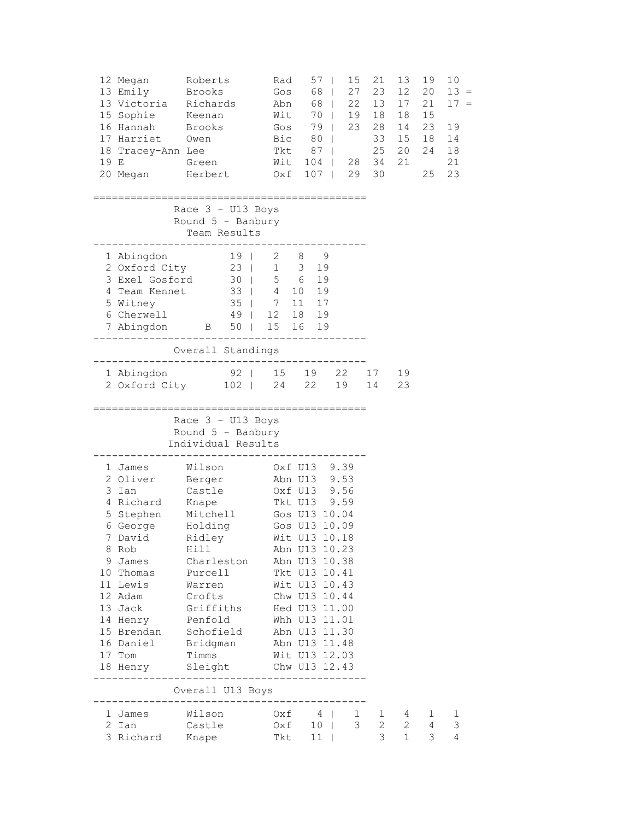| 19 E | 12 Megan<br>13 Emily<br>13 Victoria Richards<br>15 Sophie Keenan<br>16 Hannah<br>17 Harriet Owen<br>18 Tracey-Ann Lee<br>Green  | Roberts<br>Brooks<br>Brooks<br>20 Megan Herbert Oxf 107                                                                                                                                                                                                                                                                                                                       | Rad<br>Gos<br>Abn<br>Wit<br>Gos<br>Bic 80  <br>Tkt 87  <br>Wit 104   28 34 21                                                                                        | $57 \mid$<br>15<br>68  <br>27<br>68  <br>$70 \mid$<br>79  <br>23<br>29 | 21<br>23<br>22 13<br>19 18<br>28<br>33<br>25<br>30 | 13<br>12 <sup>°</sup><br>17<br>18<br>14<br>15<br>20                   | 19<br>20<br>21<br>15<br>23<br>18<br>24 18<br>25 | 10<br>$13 =$<br>17<br>$\hspace{0.1cm} = \hspace{0.1cm}$<br>19<br>14<br>21<br>23 |
|------|---------------------------------------------------------------------------------------------------------------------------------|-------------------------------------------------------------------------------------------------------------------------------------------------------------------------------------------------------------------------------------------------------------------------------------------------------------------------------------------------------------------------------|----------------------------------------------------------------------------------------------------------------------------------------------------------------------|------------------------------------------------------------------------|----------------------------------------------------|-----------------------------------------------------------------------|-------------------------------------------------|---------------------------------------------------------------------------------|
|      |                                                                                                                                 | Race $3 - U13$ Boys<br>Round $5$ - Banbury<br>Team Results                                                                                                                                                                                                                                                                                                                    |                                                                                                                                                                      |                                                                        |                                                    |                                                                       |                                                 |                                                                                 |
|      | 6 Cherwell                                                                                                                      | 1 Abingdon 19   2 8 9<br>2 Oxford City 23   1 3 19<br>3 Exel Gosford 30   5 6 19<br>4 Team Kennet 33   4 10 19<br>5 Witney 35   7 11 17<br>$49$   12 18 19<br>7 Abingdon B 50   15 16 19<br>__________________                                                                                                                                                                |                                                                                                                                                                      |                                                                        |                                                    |                                                                       |                                                 |                                                                                 |
|      |                                                                                                                                 | Overall Standings<br>-----------------------<br>1 Abingdon 192   15 19 22 17 19<br>2 Oxford City 102   24 22 19 14                                                                                                                                                                                                                                                            |                                                                                                                                                                      |                                                                        |                                                    | 23                                                                    |                                                 |                                                                                 |
|      |                                                                                                                                 | Race 3 - U13 Boys<br>Round $5$ - Banbury<br>Individual Results                                                                                                                                                                                                                                                                                                                |                                                                                                                                                                      |                                                                        |                                                    |                                                                       |                                                 |                                                                                 |
|      | 1 James<br>3 Ian<br>4 Richard Knape<br>8 Rob<br>9 James<br>10 Thomas Purcell<br>11 Lewis<br>12 Adam Crofts<br>13 Jack<br>17 Tom | Wilson 0xf U13 9.39<br>2 Oliver Berger Abn U13 9.53<br>Castle<br>5 Stephen Mitchell<br>6 George Holding<br>7 David Ridley Wit U13 10.18<br>Hill<br>Charleston Abn U13 10.38<br>Warren Wit U13 10.43<br>Griffiths<br>14 Henry Penfold<br>15 Brendan Schofield<br>16 Daniel Bridgman Abn U13 11.48<br>Timms Wit U13 12.03<br>18 Henry Sleight Chw U13 12.43<br>Overall U13 Boys | Oxf U13 9.56<br>Tkt U13 9.59<br>Gos U13 10.04<br>Gos U13 10.09<br>Abn U13 10.23<br>Tkt U13 10.41<br>Chw U13 10.44<br>Hed U13 11.00<br>Whh U13 11.01<br>Abn U13 11.30 |                                                                        |                                                    |                                                                       |                                                 |                                                                                 |
|      | 1 James<br>2 Ian                                                                                                                | Wilson<br>Castle<br>3 Richard Knape                                                                                                                                                                                                                                                                                                                                           | 0xf 4   1<br>0xf 10   3<br>Tkt 11                                                                                                                                    |                                                                        | 3 <sup>7</sup>                                     | $\begin{array}{cccc} 1 & 4 & 1 \\ 2 & 2 & 4 \end{array}$<br>$1 \quad$ | 3                                               | $\mathbf{1}$<br>3<br>4                                                          |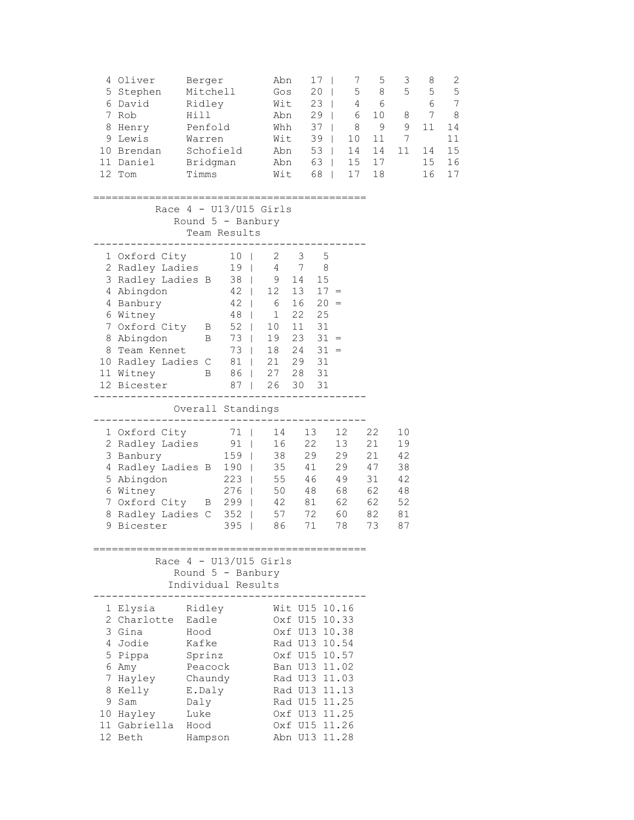| 4 Oliver<br>5 Stephen<br>6 David<br>7 Rob<br>8 Henry<br>9 Lewis<br>10 Brendan<br>11 Daniel<br>12 Tom                                                                                             | Berger<br>Mitchell<br>Ridley<br>Hill<br>Penfold<br>Warren<br>Schofield<br>Bridgman<br>Timms           |                                                                                                                     | Abn<br>Gos<br>Wit<br>Abn<br>Whh<br>Wit<br>Wit                                   | Abn<br>Abn                                                                                                                                                                                               | 17<br>20<br>23<br>29<br>37<br>39<br>53<br>63  <br>68                                        | 7<br>5<br>4<br>6<br>$\mathbf{L}$<br>8<br>$\mathbf{L}$<br>$\mathbf{L}$<br>10<br>14<br>15<br>17 | 5<br>8<br>6<br>10<br>- 9<br>11<br>14<br>17<br>18   | 3<br>5<br>8<br>9<br>7<br>11                        | 8<br>5<br>6<br>7<br>11<br>14<br>15<br>16 | 2<br>5<br>7<br>8<br>14<br>11<br>15<br>16<br>17 |
|--------------------------------------------------------------------------------------------------------------------------------------------------------------------------------------------------|-------------------------------------------------------------------------------------------------------|---------------------------------------------------------------------------------------------------------------------|---------------------------------------------------------------------------------|----------------------------------------------------------------------------------------------------------------------------------------------------------------------------------------------------------|---------------------------------------------------------------------------------------------|-----------------------------------------------------------------------------------------------|----------------------------------------------------|----------------------------------------------------|------------------------------------------|------------------------------------------------|
|                                                                                                                                                                                                  | Race $4 - U13/U15$ Girls<br>Round 5 - Banbury                                                         | Team Results                                                                                                        |                                                                                 |                                                                                                                                                                                                          |                                                                                             |                                                                                               |                                                    |                                                    |                                          |                                                |
| 1 Oxford City<br>2 Radley Ladies<br>3 Radley Ladies B<br>4 Abingdon<br>4 Banbury<br>6 Witney<br>7 Oxford City B<br>8 Abingdon<br>8 Team Kennet<br>10 Radley Ladies C<br>11 Witney<br>12 Bicester | $\overline{B}$<br>B                                                                                   | 10 <sub>1</sub><br>19 <sup>1</sup><br>$42 \quad  $<br>$42 \mid$<br>48<br>52  <br>73  <br>73  <br>81  <br>86  <br>87 | 2<br>38   9 14<br>12<br>$6\overline{6}$<br>$\vert$ 1<br>10<br>19<br>27 28<br>26 | 3<br>4 7<br>13<br>16<br>22<br>11<br>18 24<br>21 29<br>30                                                                                                                                                 | 5<br>8<br>15<br>$17 =$<br>$20 =$<br>25<br>31<br>$23 \quad 31 =$<br>$31 =$<br>31<br>31<br>31 |                                                                                               |                                                    |                                                    |                                          |                                                |
|                                                                                                                                                                                                  | Overall Standings                                                                                     |                                                                                                                     |                                                                                 |                                                                                                                                                                                                          |                                                                                             |                                                                                               |                                                    |                                                    |                                          |                                                |
| 1 Oxford City<br>2 Radley Ladies<br>3 Banbury<br>4 Radley Ladies B 190  <br>5 Abingdon<br>6 Witney<br>7 Oxford City B 299   42 81 62<br>8 Radley Ladies C<br>9 Bicester                          |                                                                                                       | 71  <br>$91$  <br>$159$  <br>$223 \mid$<br>$352$  <br>395<br>$\mathbf{I}$                                           | 14<br>38<br>35 41<br>55<br>276   50<br>57 72<br>86                              | 13<br>16 22                                                                                                                                                                                              | 29<br>48<br>71                                                                              | 12 <sup>°</sup><br>13<br>29<br>29<br>46 49<br>68<br>60<br>78                                  | 22<br>21<br>21<br>47<br>31<br>62<br>62<br>82<br>73 | 10<br>19<br>42<br>38<br>42<br>48<br>52<br>81<br>87 |                                          |                                                |
|                                                                                                                                                                                                  | Race $4 - U13/U15$ Girls<br>Round $5$ - Banbury<br>Individual Results                                 |                                                                                                                     |                                                                                 |                                                                                                                                                                                                          |                                                                                             |                                                                                               |                                                    |                                                    |                                          |                                                |
| 1 Elysia<br>2 Charlotte<br>3 Gina<br>4 Jodie<br>5 Pippa<br>6 Amy<br>7 Hayley<br>8 Kelly<br>9 Sam<br>10 Hayley<br>11 Gabriella Hood<br>12 Beth                                                    | Ridley<br>Eadle<br>Hood<br>Kafke<br>Sprinz<br>Peacock<br>Chaundy<br>E.Daly<br>Daly<br>Luke<br>Hampson |                                                                                                                     |                                                                                 | Wit U15 10.16<br>Oxf U15 10.33<br>Oxf U13 10.38<br>Rad U13 10.54<br>Oxf U15 10.57<br>Ban U13 11.02<br>Rad U13 11.03<br>Rad U13 11.13<br>Rad U15 11.25<br>Oxf U13 11.25<br>Oxf U15 11.26<br>Abn U13 11.28 |                                                                                             |                                                                                               |                                                    |                                                    |                                          |                                                |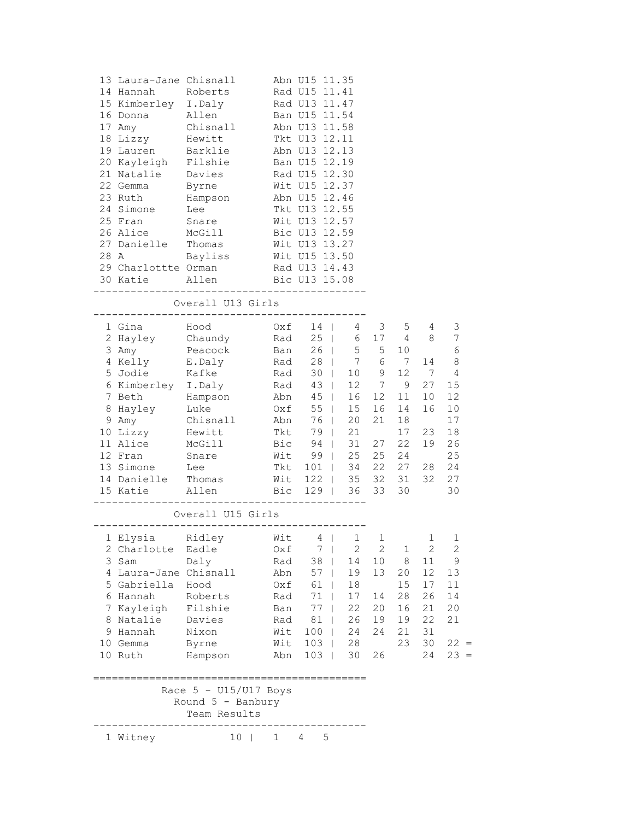| 13 Laura-Jane Chisnall<br>14 Hannah<br>15 Kimberley I.Daly<br>16 Donna Allen<br>18 Lizzy Hewitt<br>19 Lauren Barklie<br>24 Simone Lee | Roberts<br>17 Amy Chisnall<br>20 Kayleigh Filshie<br>21 Natalie Davies<br>22 Gemma Byrne<br>23 Ruth Hampson<br>25 Fran Snare<br>26 Alice McGill<br>27 Danielle Thomas Wit U13 13.27 |              | Abn U15 11.35<br>Rad U15 11.41<br>Rad U13 11.47<br>Ban U15 11.54<br>Abn U13 11.58<br>Tkt U13 12.11<br>Abn U13 12.13<br>Ban U15 12.19<br>Rad U15 12.30<br>Wit U15 12.37<br>Abn U15 12.46<br>Tkt U13 12.55<br>Wit U13 12.57<br>Bic U13 12.59 |            |          |                     |          |                           |
|---------------------------------------------------------------------------------------------------------------------------------------|-------------------------------------------------------------------------------------------------------------------------------------------------------------------------------------|--------------|--------------------------------------------------------------------------------------------------------------------------------------------------------------------------------------------------------------------------------------------|------------|----------|---------------------|----------|---------------------------|
|                                                                                                                                       | 28 A Bayliss Wit U15 13.50                                                                                                                                                          |              |                                                                                                                                                                                                                                            |            |          |                     |          |                           |
|                                                                                                                                       | 29 Charlottte Orman Rad U13 14.43<br>30 Katie Allen Bic U13 15.08                                                                                                                   |              |                                                                                                                                                                                                                                            |            |          |                     |          |                           |
|                                                                                                                                       | Overall U13 Girls                                                                                                                                                                   |              |                                                                                                                                                                                                                                            |            |          |                     |          |                           |
| 1 Gina Hood                                                                                                                           | 2 Hayley Chaundy Rad 25   6 17 4 8<br>3 Amy Peacock Ban 26   5 5 10                                                                                                                 |              | $0xf$ 14   4 3                                                                                                                                                                                                                             |            |          |                     | 5 4      | 3<br>7<br>$6\phantom{1}6$ |
|                                                                                                                                       | 4 Kelly E.Daly Rad 28   7 6 7                                                                                                                                                       |              |                                                                                                                                                                                                                                            |            |          |                     | 14       | 8                         |
| 5 Jodie Kafke<br>6 Kimberley I.Daly                                                                                                   |                                                                                                                                                                                     |              | Rad 30   10 9 12 7<br>Rad 43   12 7 9 27<br>Abn 45   16 12 11 10                                                                                                                                                                           |            |          |                     |          | $\overline{4}$            |
|                                                                                                                                       |                                                                                                                                                                                     |              |                                                                                                                                                                                                                                            |            |          |                     |          | 15<br>12                  |
|                                                                                                                                       | 7 Beth Hampson<br>8 Hayley Luke                                                                                                                                                     |              | $0xf = 55   15$                                                                                                                                                                                                                            |            | 16       | 14                  | 16       | 10                        |
|                                                                                                                                       | 9 Amy Chisnall Abn 76   20                                                                                                                                                          |              |                                                                                                                                                                                                                                            |            | 21       | 18                  |          | 17                        |
|                                                                                                                                       | 10 Lizzy Hewitt                                                                                                                                                                     |              | Tkt 79   21                                                                                                                                                                                                                                |            |          | 17                  | 23       | 18                        |
|                                                                                                                                       | 11 Alice McGill                                                                                                                                                                     |              | Bic 94   31 27                                                                                                                                                                                                                             |            |          | 22                  | 19       | 26                        |
|                                                                                                                                       | 12 Fran Snare                                                                                                                                                                       |              | Wit 99   25                                                                                                                                                                                                                                |            | 25       |                     | 24       | 25                        |
| 13 Simone Lee                                                                                                                         |                                                                                                                                                                                     |              | Tkt 101   34                                                                                                                                                                                                                               |            |          | 22  27  28<br>32 31 | 32       | 24<br>27                  |
|                                                                                                                                       |                                                                                                                                                                                     |              |                                                                                                                                                                                                                                            |            |          | 33 30               |          | 30                        |
|                                                                                                                                       |                                                                                                                                                                                     |              |                                                                                                                                                                                                                                            |            |          |                     |          |                           |
|                                                                                                                                       | Overall U15 Girls                                                                                                                                                                   |              |                                                                                                                                                                                                                                            |            |          |                     |          |                           |
|                                                                                                                                       | 1 Elysia kidley Mit 4   1 1                                                                                                                                                         |              |                                                                                                                                                                                                                                            |            |          |                     |          | 1 1                       |
| 2 Charlotte<br>3 Sam                                                                                                                  | Eadle                                                                                                                                                                               | Oxf          | 7                                                                                                                                                                                                                                          | $\sqrt{2}$ | 2        | 1<br>8              | 2        | 2<br>9                    |
| 4 Laura-Jane Chisnall                                                                                                                 | Daly                                                                                                                                                                                | Rad<br>Abn   | 38<br>57                                                                                                                                                                                                                                   | 14<br>19   | 10<br>13 | 20                  | 11<br>12 | 13                        |
| 5 Gabriella                                                                                                                           | Hood                                                                                                                                                                                | Oxf          | 61                                                                                                                                                                                                                                         | 18         |          | 15                  | 17       | 11                        |
| 6 Hannah                                                                                                                              | Roberts                                                                                                                                                                             | Rad          | 71                                                                                                                                                                                                                                         | 17         | 14       | 28                  | 26       | 14                        |
| 7 Kayleigh                                                                                                                            | Filshie                                                                                                                                                                             | Ban          | 77                                                                                                                                                                                                                                         | 22         | 20       | 16                  | 21       | 20                        |
| 8 Natalie                                                                                                                             | Davies                                                                                                                                                                              | Rad          | 81<br>$\mathbf{I}$                                                                                                                                                                                                                         | 26         | 19       | 19                  | 22       | 21                        |
| 9 Hannah                                                                                                                              | Nixon                                                                                                                                                                               | Wit          | $100$                                                                                                                                                                                                                                      | 24         | 24       | 21                  | 31       |                           |
| 10 Gemma                                                                                                                              | Byrne                                                                                                                                                                               | Wit          | $103$                                                                                                                                                                                                                                      | 28         |          | 23                  | 30       | $22 =$                    |
| 10 Ruth                                                                                                                               | Hampson                                                                                                                                                                             | Abn          | 103                                                                                                                                                                                                                                        | 30         | 26       |                     | 24       | $23 =$                    |
|                                                                                                                                       | Race $5 - U15/U17$ Boys<br>Round 5 - Banbury<br>Team Results                                                                                                                        |              |                                                                                                                                                                                                                                            |            |          |                     |          |                           |
| 1 Witney                                                                                                                              | 10                                                                                                                                                                                  | $\mathbf{1}$ | 5<br>4                                                                                                                                                                                                                                     |            |          |                     |          |                           |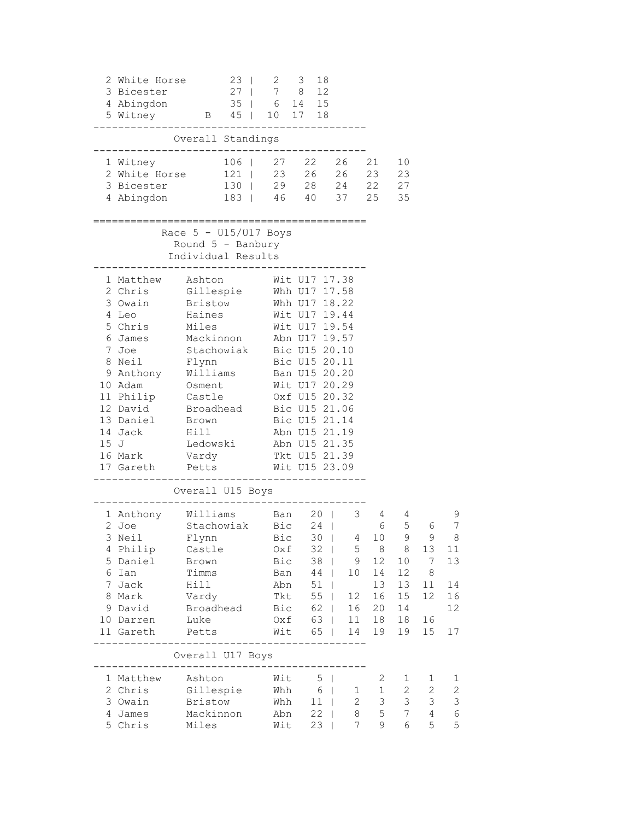|                                                                                                     | 2 White Horse<br>3 Bicester<br>4 Abingdon<br>5 Witney<br>35   6 14 15<br>5 Witney<br>B 45   10 17 18                                                                                                                                                                                                                                                                                                                                                                                                                                                                                                                                                 |                                                      | $23 \mid$ | $2 \quad 3$                                                       |              | 18                                                              |                             |                                                              |                               |                                                           |                                             |
|-----------------------------------------------------------------------------------------------------|------------------------------------------------------------------------------------------------------------------------------------------------------------------------------------------------------------------------------------------------------------------------------------------------------------------------------------------------------------------------------------------------------------------------------------------------------------------------------------------------------------------------------------------------------------------------------------------------------------------------------------------------------|------------------------------------------------------|-----------|-------------------------------------------------------------------|--------------|-----------------------------------------------------------------|-----------------------------|--------------------------------------------------------------|-------------------------------|-----------------------------------------------------------|---------------------------------------------|
|                                                                                                     |                                                                                                                                                                                                                                                                                                                                                                                                                                                                                                                                                                                                                                                      | Overall Standings                                    |           | ----------                                                        |              |                                                                 |                             |                                                              |                               |                                                           |                                             |
|                                                                                                     | -----------------------------------<br>1 Witney<br>2 White Horse 121   23 26 26 23 23<br>3 Bicester<br>4 Abingdon                                                                                                                                                                                                                                                                                                                                                                                                                                                                                                                                    |                                                      |           | 106   27 22 26 21<br>130   29 28 24 22 27<br>183   46 40 37 25 35 |              |                                                                 |                             |                                                              | 10                            |                                                           |                                             |
| Race $5 - U15/U17$ Boys<br>Round $5$ - Banbury<br>Individual Results                                |                                                                                                                                                                                                                                                                                                                                                                                                                                                                                                                                                                                                                                                      |                                                      |           |                                                                   |              |                                                                 |                             |                                                              |                               |                                                           |                                             |
|                                                                                                     | 1 Matthew Ashton<br>Wit U17 17.38<br>2 Chris<br>Gillespie<br>Whh U17 17.58<br>3 Owain<br>Bristow<br>Whh U17 18.22<br>Wit U17 19.44<br>4 Leo<br>Haines<br>Wit U17 19.54<br>Miles<br>5 Chris<br>Mackinnon Abn U17 19.57<br>6 James<br>Stachowiak Bic U15 20.10<br>7 Joe<br>8 Neil Flynn Bic U15 20.11<br>9 Anthony Williams Ban U15 20.20<br>10 Adam<br>Osment Wit U17 20.29<br>11 Philip Castle 0xf U15 20.32<br>12 David Broadhead<br>Bic U15 21.06<br>13 Daniel<br>Bic U15 21.14<br>Brown<br>Hill<br>$\frac{B_1C_2C_1}{15}$ 21.19<br>14 Jack<br>Ledowski Abn U15 21.35<br>15J<br>Vardy Tkt U15 21.39<br>16 Mark<br>Wit U15 23.09<br>17 Gareth Petts |                                                      |           |                                                                   |              |                                                                 |                             |                                                              |                               |                                                           |                                             |
| Overall U15 Boys<br>Williams Ban 20  <br>Stachowiak Bic 24  <br>$\mathcal{S}$<br>1 Anthony Williams |                                                                                                                                                                                                                                                                                                                                                                                                                                                                                                                                                                                                                                                      |                                                      |           |                                                                   |              |                                                                 |                             |                                                              | 4                             |                                                           | 9                                           |
|                                                                                                     | 2 Joe<br>3 Neil<br>4 Philip<br>5 Daniel<br>6 Ian<br>7 Jack                                                                                                                                                                                                                                                                                                                                                                                                                                                                                                                                                                                           | Flynn<br>Castle<br>Brown<br>Timms<br>Hill            |           | Bic<br>Oxf<br>Bic<br>Ban<br>Abn                                   |              | $32 \mid$<br>$38$  <br>44  <br>51<br>$\Box$                     | 30   4 10<br>5<br>9<br>10   | $\begin{array}{c} 4 \\ 6 \end{array}$<br>8<br>12<br>14<br>13 | 5<br>9<br>8<br>10<br>12<br>13 | 6<br>9<br>13<br>7<br>8<br>11                              | 7<br>- 8<br>11<br>13<br>14                  |
|                                                                                                     | 8 Mark<br>9 David<br>10 Darren<br>11 Gareth                                                                                                                                                                                                                                                                                                                                                                                                                                                                                                                                                                                                          | Vardy<br>Broadhead<br>Luke<br>Petts                  |           | Tkt<br>Bic<br>Oxf<br>Wit                                          | 65           | 55  <br>62  <br>63  <br>$\Box$                                  | 12<br>16<br>11<br>14        | 16<br>20<br>18<br>19                                         | 15<br>14<br>18<br>19          | 12<br>16<br>15                                            | 16<br>12<br>17                              |
|                                                                                                     |                                                                                                                                                                                                                                                                                                                                                                                                                                                                                                                                                                                                                                                      | Overall U17 Boys                                     |           |                                                                   |              |                                                                 |                             |                                                              |                               |                                                           |                                             |
|                                                                                                     | 1 Matthew<br>2 Chris<br>3 Owain<br>4 James<br>5 Chris                                                                                                                                                                                                                                                                                                                                                                                                                                                                                                                                                                                                | Ashton<br>Gillespie<br>Bristow<br>Mackinnon<br>Miles |           | Wit<br>Whh<br>Abn<br>Wit                                          | Whh $6 \mid$ | 5<br>$\overline{\phantom{0}}$<br>11<br>$\mathbf{I}$<br>22<br>23 | 1<br>$\mathbf{2}$<br>8<br>7 | 2<br>$\mathbf 1$<br>3<br>5<br>9                              | 1<br>2<br>3<br>7<br>6         | 1<br>$\mathbf{2}$<br>$\mathcal{S}$<br>$\overline{4}$<br>5 | 1<br>$\overline{\mathbf{c}}$<br>3<br>6<br>5 |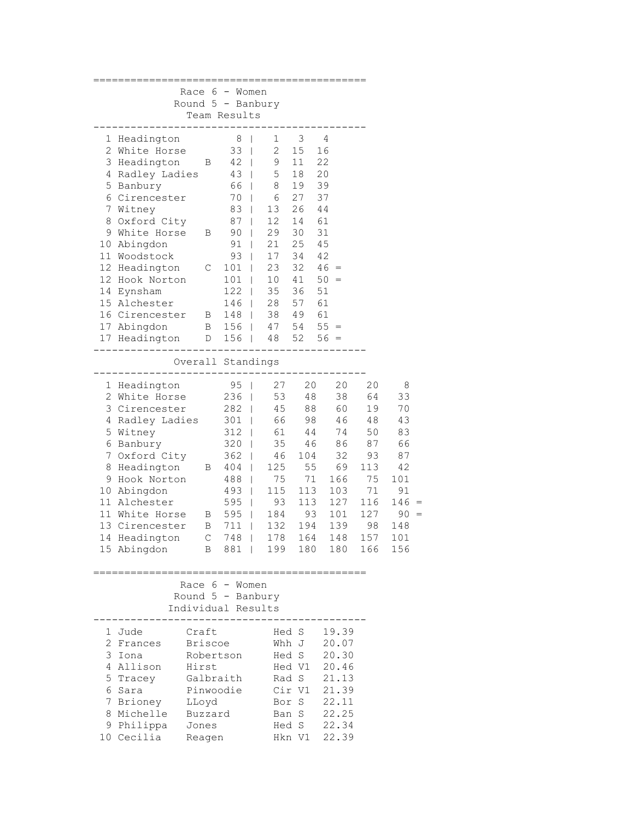|                                | Race $6 -$ Women    |                |                              |                          |                 |       |            |
|--------------------------------|---------------------|----------------|------------------------------|--------------------------|-----------------|-------|------------|
|                                | Round $5$ - Banbury |                |                              |                          |                 |       |            |
|                                | Team Results        | ------         |                              |                          |                 |       |            |
| 1 Headington                   |                     | 8 <sup>8</sup> | $\mathsf{I}$<br>$\mathbf{1}$ | $\overline{\phantom{a}}$ | 4               |       |            |
| 2 White Horse                  |                     | $33 \mid$      | $\overline{2}$               | 15                       | 16              |       |            |
| 3 Headington B                 |                     | 42             | 9                            | 11                       | 22              |       |            |
| 4 Radley Ladies                |                     | 43             | 5                            | 18                       | 20              |       |            |
| 5 Banbury                      |                     | 66             | 8                            | 19                       | 39              |       |            |
| 6 Cirencester                  |                     | $70$           | 6                            | 27                       | 37              |       |            |
| 7 Witney                       |                     | 83             | 13                           | 26                       | 44              |       |            |
| 8 Oxford City                  |                     | $87 \mid$      | 12                           | 14                       | 61              |       |            |
| 9 White Horse B                |                     | 90             | 29<br>$\mathbb{L}$           | 30                       | 31              |       |            |
| 10 Abingdon                    |                     | 91             | 21<br>$\mathbb{L}$           | 25                       | 45              |       |            |
| 11 Woodstock                   |                     | 93             | 17<br>$\Box$                 | 34                       | 42              |       |            |
| 12 Headington                  | $\mathbb{C}$        | $101$          | 23                           | 32                       | $46 =$          |       |            |
| 12 Hook Norton                 |                     | $101$          | 10 <sub>o</sub>              | 41                       | $50 =$          |       |            |
| 14 Eynsham                     |                     | $122$          | 35                           | 36                       | 51              |       |            |
| 15 Alchester                   |                     | 146            | 28                           | 57                       | 61              |       |            |
| 16 Cirencester B               |                     | 148            |                              | 38 49 61                 |                 |       |            |
| 17 Abingdon                    | $\mathbf B$         | $156$          |                              |                          | $47$ 54 55 =    |       |            |
| 17 Headington D                |                     | $156$          |                              |                          | $48$ 52 56 =    |       |            |
|                                |                     |                |                              |                          |                 |       |            |
|                                | Overall Standings   |                |                              |                          |                 |       |            |
| 1 Headington                   |                     | $95 \mid$      | 27                           |                          | 20<br>20        | 20    | 8          |
| 2 White Horse                  |                     | $236$          | 53                           |                          | 48<br>38        | 64    | 33         |
| 3 Cirencester                  |                     | $282$          | 45                           |                          | 88<br>60        | 19    | 70         |
| 4 Radley Ladies                |                     | $301$          | 66                           |                          | 98<br>46        | 48    | 43         |
| 5 Witney                       |                     | $312$          |                              | 61 44                    | 74              | 50    | 83         |
| 6 Banbury                      |                     | $320$          |                              | 35 46                    |                 | 86 87 | 66         |
| 7 Oxford City                  |                     | 362            | 46<br>$\mathbf{I}$           |                          | 32<br>104       | 93    | 87         |
| 8 Headington                   | $\mathbf{B}$        | $404$          | 125                          | 55                       | 69              | 113   | 42         |
| 9 Hook Norton                  |                     | 488            | 75                           | 71                       | 166             | 75    | 101        |
| 10 Abingdon                    |                     | 493            | 115                          | 113                      | 103             | 71    | 91         |
| 11 Alchester                   |                     | 595            | 93                           | 113                      | 127             | 116   | 146<br>$=$ |
| 11 White Horse                 | $\mathbb B$         | 595            | 184                          |                          | 93<br>101       | 127   | 90         |
| 13 Cirencester B               |                     | 711<br>$\Box$  | 132                          | 194                      | 139             | 98    | 148        |
| 14 Headington C                |                     | 748            |                              | 178 164                  | 148             | 157   | 101        |
| 15 Abingdon                    |                     | B 881          |                              |                          | 199 180 180 166 |       | 156        |
|                                |                     |                |                              |                          |                 |       |            |
|                                | Race $6 -$ Women    |                |                              |                          |                 |       |            |
|                                | Round $5$ - Banbury |                |                              |                          |                 |       |            |
|                                | Individual Results  |                |                              |                          |                 |       |            |
| 1 Jude                         | Craft               |                |                              | Hed S                    | 19.39           |       |            |
| 2 Frances                      | <b>Briscoe</b>      |                |                              | Whh J                    | 20.07           |       |            |
| 3 Iona                         | Robertson           |                |                              | Hed S                    | 20.30           |       |            |
| 4 Allison<br>Hirst             |                     |                |                              | Hed V1                   | 20.46           |       |            |
| 5 Tracey<br>Galbraith          |                     |                |                              | Rad S                    | 21.13           |       |            |
| 6 Sara                         | Pinwoodie           |                |                              | Cir V1                   | 21.39           |       |            |
| 7 Brioney                      |                     |                |                              | Bor S                    | 22.11           |       |            |
| LLoyd<br>Buzzard<br>8 Michelle |                     |                |                              | Ban S                    | 22.25           |       |            |
| 9 Philippa                     | Jones               |                |                              | Hed S                    | 22.34           |       |            |
| 10 Cecilia                     | Reagen              |                |                              | Hkn V1                   | 22.39           |       |            |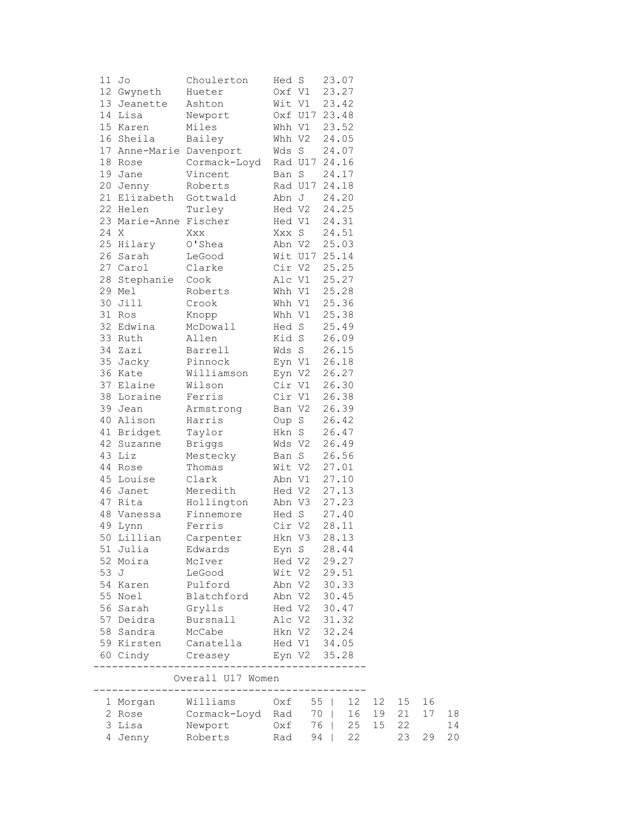|      | 11 Jo                   | Choulerton                                                              | Hed S        |               | 23.07 |       |       |    |    |
|------|-------------------------|-------------------------------------------------------------------------|--------------|---------------|-------|-------|-------|----|----|
|      | 12 Gwyneth              | Hueter                                                                  | Oxf V1       |               | 23.27 |       |       |    |    |
|      | 13 Jeanette             | Ashton                                                                  |              | Wit V1        | 23.42 |       |       |    |    |
|      | 14 Lisa                 | Newport                                                                 |              | Oxf U17 23.48 |       |       |       |    |    |
|      | 15 Karen                | Miles                                                                   |              | Whh V1        | 23.52 |       |       |    |    |
|      | 16 Sheila               | Bailey                                                                  |              | Whh V2        | 24.05 |       |       |    |    |
|      | 17 Anne-Marie Davenport |                                                                         |              | Wds S         | 24.07 |       |       |    |    |
|      | 18 Rose                 | Cormack-Loyd                                                            |              | Rad U17 24.16 |       |       |       |    |    |
|      | 19 Jane                 | Vincent                                                                 | Ban S        |               | 24.17 |       |       |    |    |
|      | 20 Jenny                | Roberts                                                                 |              | Rad U17 24.18 |       |       |       |    |    |
|      | 21 Elizabeth            | Gottwald                                                                |              | Abn J         | 24.20 |       |       |    |    |
|      | 22 Helen                | Turley                                                                  |              | Hed V2        | 24.25 |       |       |    |    |
|      | 23 Marie-Anne Fischer   |                                                                         |              | Hed V1        | 24.31 |       |       |    |    |
| 24 X |                         | Xxx                                                                     |              | Xxx S         | 24.51 |       |       |    |    |
|      | 25 Hilary               | O'Shea                                                                  |              | Abn V2        | 25.03 |       |       |    |    |
|      | 26 Sarah                | LeGood                                                                  |              | Wit U17 25.14 |       |       |       |    |    |
|      | 27 Carol                | Clarke                                                                  |              | Cir V2        | 25.25 |       |       |    |    |
|      | 28 Stephanie            | Cook                                                                    |              | Alc V1        | 25.27 |       |       |    |    |
|      | 29 Mel                  | Roberts                                                                 |              | Whh V1        | 25.28 |       |       |    |    |
|      | 30 Jill                 | Crook                                                                   |              | Whh V1 25.36  |       |       |       |    |    |
|      | 31 Ros                  | Knopp                                                                   |              | Whh V1 25.38  |       |       |       |    |    |
|      | 32 Edwina               | McDowall                                                                |              | Hed S         | 25.49 |       |       |    |    |
|      | 33 Ruth                 | Allen                                                                   |              | Kid S         | 26.09 |       |       |    |    |
|      | 34 Zazi                 | Barrell                                                                 |              | Wds S         | 26.15 |       |       |    |    |
|      | 35 Jacky                | Pinnock                                                                 |              | Eyn V1        | 26.18 |       |       |    |    |
|      | 36 Kate                 | Williamson                                                              |              | Eyn V2        | 26.27 |       |       |    |    |
|      | 37 Elaine               | Wilson                                                                  |              | Cir V1        | 26.30 |       |       |    |    |
|      | 38 Loraine              | Ferris                                                                  |              | Cir V1        | 26.38 |       |       |    |    |
|      | 39 Jean                 | Armstrong                                                               |              | Ban V2        | 26.39 |       |       |    |    |
|      | 40 Alison               | Harris                                                                  |              | Oup S         | 26.42 |       |       |    |    |
|      | 41 Bridget              | Taylor                                                                  |              | Hkn S         | 26.47 |       |       |    |    |
|      | 42 Suzanne              | Briggs                                                                  |              | Wds V2        | 26.49 |       |       |    |    |
|      | 43 Liz                  | Mestecky                                                                |              | Ban S         | 26.56 |       |       |    |    |
|      | 44 Rose                 | Thomas                                                                  | Wit V2       |               | 27.01 |       |       |    |    |
|      | 45 Louise               | Clark                                                                   |              | Abn V1        | 27.10 |       |       |    |    |
|      | 46 Janet                | Meredith                                                                |              | Hed V2        | 27.13 |       |       |    |    |
|      | 47 Rita                 | Hollington                                                              | Abn V3       |               | 27.23 |       |       |    |    |
|      | 48 Vanessa              | Finnemore                                                               |              | Hed S         | 27.40 |       |       |    |    |
|      | 49 Lynn                 | Ferris                                                                  | Cir V2       |               | 28.11 |       |       |    |    |
|      | 50 Lillian              | Carpenter                                                               | Hkn V3       |               | 28.13 |       |       |    |    |
|      | 51 Julia                | Edwards                                                                 |              | Eyn S         | 28.44 |       |       |    |    |
|      | 52 Moira                | McIver                                                                  |              | Hed V2 29.27  |       |       |       |    |    |
| 53 J |                         | LeGood                                                                  |              | Wit V2 29.51  |       |       |       |    |    |
|      | 54 Karen                | Pulford                                                                 | Abn V2 30.33 |               |       |       |       |    |    |
|      | 55 Noel                 | Blatchford Abn V2 30.45<br>Grylls Hed V2 30.47<br>Bursnall Alc V2 31.32 |              |               |       |       |       |    |    |
|      | 56 Sarah                |                                                                         |              |               |       |       |       |    |    |
|      | 57 Deidra               | Bursnall                                                                | Hkn V2 32.24 |               |       |       |       |    |    |
|      | 58 Sandra               | McCabe                                                                  |              |               |       |       |       |    |    |
|      | 59 Kirsten              | Canatella Hed V1 34.05                                                  |              |               |       |       |       |    |    |
|      |                         | 60 Cindy Creasey Eyn V2 35.28                                           |              |               |       |       |       |    |    |
|      |                         | Overall U17 Women                                                       |              | -----------   |       |       |       |    |    |
|      |                         |                                                                         |              |               |       |       | 12 15 | 16 |    |
|      |                         |                                                                         |              |               |       |       | 19 21 | 17 | 18 |
|      |                         |                                                                         |              |               |       | 15 22 |       |    | 14 |
|      |                         |                                                                         |              |               |       |       | 23    | 29 | 20 |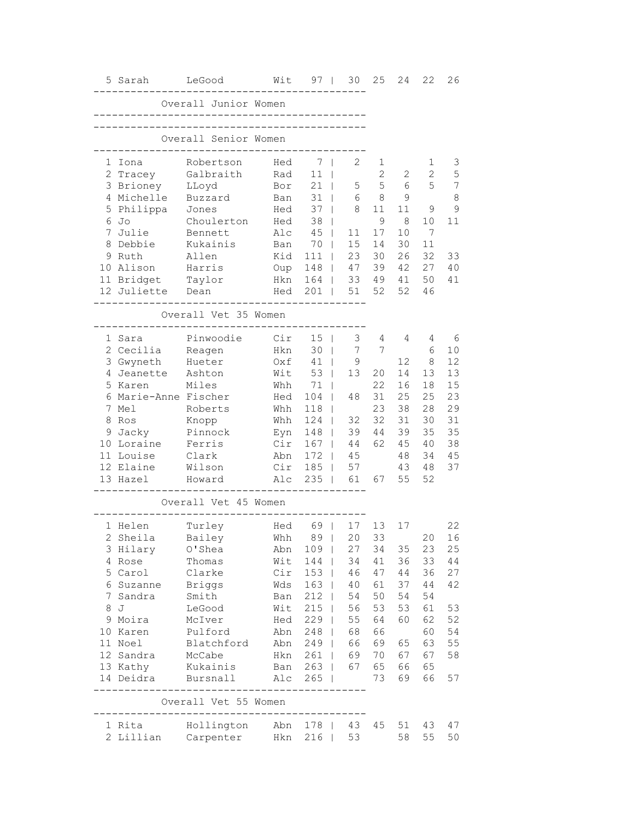|             | 5 Sarah                        | LeGood                                                    | Wit                | $97 \mid$           | 30              | 25                  | 24       | 22       | 26             |
|-------------|--------------------------------|-----------------------------------------------------------|--------------------|---------------------|-----------------|---------------------|----------|----------|----------------|
|             |                                | Overall Junior Women<br>--------------------------------- |                    |                     |                 |                     |          |          |                |
|             |                                | Overall Senior Women                                      | __________________ |                     |                 |                     |          |          |                |
|             | 1 Iona                         | Robertson<br>Galbraith                                    | Hed<br>Rad         | 7<br>11             | 2               | 1<br>$\overline{2}$ | 2        | 1<br>2   | 3<br>5         |
|             | 2 Tracey<br>3 Brioney          | LLoyd                                                     | Bor                | 21                  | 5               | 5                   | 6        | 5        | $\overline{7}$ |
|             | 4 Michelle                     | Buzzard                                                   | Ban                | 31                  | 6               | 8                   | 9        |          | 8              |
|             | 5 Philippa                     | Jones                                                     | Hed                | 37<br>$\Box$        | 8               | 11                  | 11       | 9        | $\mathcal{G}$  |
|             | 6 Jo                           | Choulerton                                                | Hed                | 38                  |                 | 9                   | 8        | 10       | 11             |
| $7^{\circ}$ | Julie                          | Bennett                                                   | Alc                | 45<br>$\Box$        | 11              | 17                  | 10       | 7        |                |
|             | 8 Debbie                       | Kukainis                                                  | Ban                | 70<br>$\perp$       | 15              | 14                  | 30       | 11       |                |
|             | 9 Ruth                         | Allen                                                     | Kid                | 111<br>$\Box$       | 23              | 30                  | 26       | 32       | 33             |
|             | 10 Alison                      | Harris                                                    | Oup                | 148                 | 47              | 39                  | 42       | 27       | 40             |
|             | 11 Bridget                     | Taylor                                                    | Hkn                | $164$               | 33              | 49                  | 41       | 50       | 41             |
|             | 12 Juliette Dean               |                                                           | Hed                | 201<br>- 1          | 51              | 52                  | 52       | 46       |                |
|             |                                | Overall Vet 35 Women                                      |                    |                     |                 |                     |          |          |                |
|             | 1 Sara                         | Pinwoodie                                                 | Cir                | $15$                | 3               | 4                   | 4        | 4        | 6              |
|             | 2 Cecilia                      | Reagen                                                    | Hkn                | 30<br>$\Box$        | $7\phantom{.0}$ | 7                   |          | 6        | 10             |
|             | 3 Gwyneth                      | Hueter                                                    | Oxf                | $41$                | 9               |                     | 12       | 8        | 12             |
| 4           | Jeanette                       | Ashton                                                    | Wit                | 53                  | 13              | 20                  | 14       | 13       | 13             |
|             | 5 Karen                        | Miles                                                     | Whh                | 71                  |                 | 22                  | 16       | 18       | 15             |
|             | 6 Marie-Anne Fischer           |                                                           | Hed                | 104                 | 48              | 31                  | 25       | 25       | 23             |
|             | 7 Mel                          | Roberts                                                   | Whh                | 118                 |                 | 23                  | 38       | 28       | 29             |
| 8           | Ros                            | Knopp                                                     | Whh                | 124<br>$\mathbf{I}$ | 32              | 32                  | 31       | 30       | 31             |
|             |                                |                                                           |                    |                     |                 |                     |          |          |                |
|             | 9 Jacky                        | Pinnock                                                   | Eyn                | 148<br>$\mathbb{I}$ | 39              | 44                  | 39       | 35       | 35             |
|             | 10 Loraine                     | Ferris                                                    | Cir                | 167<br>$\mathbb{I}$ | 44              | 62                  | 45       | 40       | 38             |
|             | 11 Louise                      | Clark                                                     | Abn                | 172<br>$\Box$       | 45              |                     | 48       | 34       | 45             |
|             | 12 Elaine                      | Wilson                                                    | Cir                | $185$               | 57              |                     | 43       | 48       | 37             |
|             | 13 Hazel                       | Howard                                                    | Alc                | $235$               | 61              | 67                  | 55       | 52       |                |
|             |                                | Overall Vet 45 Women                                      |                    |                     |                 |                     |          |          |                |
|             | 1 Helen                        | Turley                                                    | Hed                | 69                  | 17              | 13                  | 17       |          | 22             |
|             | 2 Sheila                       | Bailey                                                    |                    | Whh 89   20         |                 |                     | 33       |          | 20 16          |
|             | 3 Hilary                       | O'Shea                                                    | Abn                | 109                 | 27              |                     | 34 35    | 23       | 25             |
|             | 4 Rose                         | Thomas                                                    | Wit                | 144                 | 34              |                     | 41 36    | 33       | 44             |
|             | 5 Carol                        | Clarke                                                    | Cir                | $153$               | 46              | 47                  | 44       | 36       | 27             |
|             | 6 Suzanne Briggs               |                                                           | Wds                | $163$               | 40              | 61                  | 37       | 44       | 42             |
|             | 7 Sandra - Smith               |                                                           | Ban                | $212$               | 54              | 50                  | 54       | 54       |                |
|             | 8 J                            | LeGood                                                    | Wit                | $215$               | 56              | 53                  | 53       | 61       | 53             |
|             | 9 Moira                        | McIver                                                    | Hed                | $229$               | 55              | 64                  | 60       | 62       | 52             |
|             | 10 Karen                       |                                                           | Abn                | 248                 | 68              | 66                  |          | 60       | 54             |
|             | 11 Noel                        | Pulford<br>Blatchford                                     | Abn                | $249$               | 66              | 69                  | 65       | 63       | 55             |
|             | 12 Sandra                      | McCabe                                                    |                    | Hkn 261             | 69              | 70                  | 67       | 67       | 58             |
|             | 13 Kathy<br>14 Deidra Bursnall | Kukainis                                                  | Alc                | Ban 263  <br>$265$  | 67              | 65<br>73            | 66<br>69 | 65<br>66 | 57             |
|             |                                | --------------------------------<br>Overall Vet 55 Women  |                    |                     |                 |                     |          |          |                |
|             |                                |                                                           |                    |                     |                 |                     | 51       | 43       | 47             |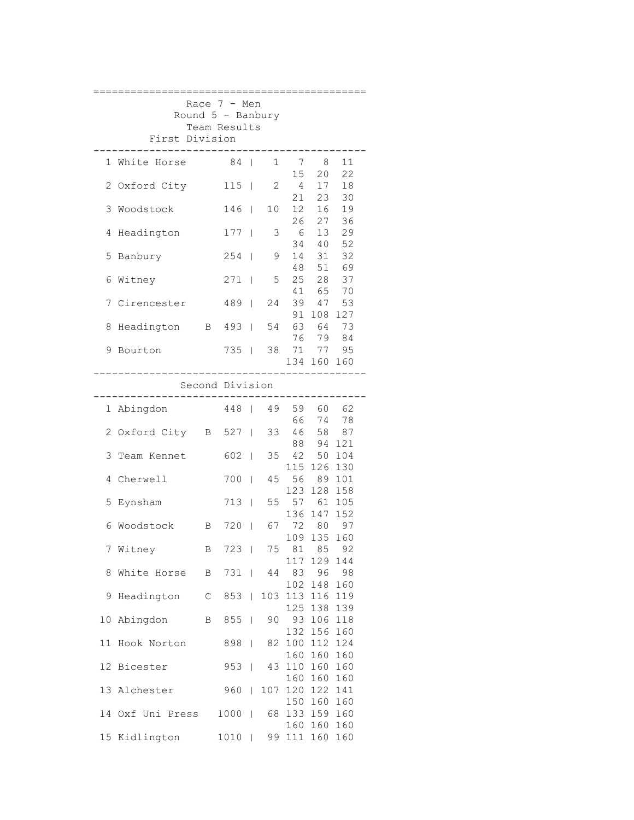| Race $7 - Men$<br>Round $5$ - Banbury |                                |                 |              |                          |              |                             |                          |                 |  |  |  |  |  |  |
|---------------------------------------|--------------------------------|-----------------|--------------|--------------------------|--------------|-----------------------------|--------------------------|-----------------|--|--|--|--|--|--|
|                                       | Team Results<br>First Division |                 |              |                          |              |                             |                          |                 |  |  |  |  |  |  |
|                                       | 1 White Horse                  |                 | 84           | $\Box$                   | 1            | $\overline{7}$<br>15        | - 8<br>20                | 11<br>22        |  |  |  |  |  |  |
|                                       | 2 Oxford City                  |                 | 115          | $\overline{\phantom{a}}$ | $\mathbf{2}$ | $4\overline{ }$             | 17                       | 18              |  |  |  |  |  |  |
| 3                                     | Woodstock                      |                 | 146          | $\Box$                   | 10           | 21<br>12 <sup>7</sup><br>26 | 23<br>16<br>27           | 30<br>19<br>36  |  |  |  |  |  |  |
| 4                                     | Headington                     |                 | 177          | $\mathbb{I}$             | 3            | 6                           | 13<br>34 40              | 29<br>52        |  |  |  |  |  |  |
| 5                                     | Banbury                        |                 | 254          | $\overline{1}$           | 9            | 14                          | 31                       | 32              |  |  |  |  |  |  |
| 6                                     | Witney                         |                 | 271          | $\Box$                   | 5            |                             | 48 51 69<br>25 28        | 37<br>70        |  |  |  |  |  |  |
| 7                                     | Cirencester                    |                 | 489          | - 1                      | 24           | 39                          | 41 65<br>47              | 53<br>127       |  |  |  |  |  |  |
| 8                                     | Headington                     |                 | B 493        | $\Box$                   | 54           |                             | 91 108<br>63 64<br>76 79 | 73              |  |  |  |  |  |  |
| 9                                     | Bourton                        |                 | 735          | $\Box$                   | 38           | 71                          | 77                       | 84<br>95<br>160 |  |  |  |  |  |  |
| 134 160<br>Second Division            |                                |                 |              |                          |              |                             |                          |                 |  |  |  |  |  |  |
|                                       |                                |                 | ------------ |                          |              |                             |                          |                 |  |  |  |  |  |  |
|                                       | 1 Abingdon                     |                 | 448          | $\mathbf{I}$             | 49           | 59<br>66                    | 60<br>74                 | 62<br>78        |  |  |  |  |  |  |
|                                       | 2 Oxford City B 527            |                 |              | $\overline{1}$           | 33           | 46                          | 58<br>88 94              | 87<br>121       |  |  |  |  |  |  |
| 3                                     | Team Kennet                    |                 | 602          | $\Box$                   | 35           |                             | 42 50<br>115 126         | 104<br>130      |  |  |  |  |  |  |
|                                       | 4 Cherwell                     |                 | 700          | $\overline{1}$           | 45           | 56                          | 89<br>123 128            | 101<br>158      |  |  |  |  |  |  |
|                                       | 5 Eynsham                      |                 | 713          | $\mathbf{I}$             | 55           |                             | 57 61<br>136 147         | 105<br>152      |  |  |  |  |  |  |
| 6                                     | Woodstock                      | $\mathbf{B}$    | 720          | $\Box$                   | 67           | 72 80                       | 109 135                  | 97<br>160       |  |  |  |  |  |  |
|                                       | 7 Witney                       | $\, {\bf B} \,$ | 723          |                          |              | 75 81 85 92                 | 117 129 144              |                 |  |  |  |  |  |  |
| 8                                     | White Horse B 731              |                 |              |                          | 44           | 83                          | 96<br>102 148            | 98<br>160       |  |  |  |  |  |  |
|                                       | 9 Headington C                 |                 | 853          |                          |              | 103 113 116                 | 125 138 139              | 119             |  |  |  |  |  |  |
| 10                                    | Abingdon B 855                 |                 |              |                          | 90           | 93 106 118                  | 132 156 160              |                 |  |  |  |  |  |  |
| 11                                    | Hook Norton                    |                 | 898          | $\Box$                   | 82           | 100 112                     | 160 160                  | 124<br>160      |  |  |  |  |  |  |
|                                       | 12 Bicester                    |                 | 953          | $\mathbf{I}$             | 43           | 110 160                     | 160 160                  | 160<br>160      |  |  |  |  |  |  |
|                                       | 13 Alchester                   |                 | 960          | $\mathbf{I}$             | 107          | 120 122                     | 150 160                  | 141<br>160      |  |  |  |  |  |  |
|                                       | 14 Oxf Uni Press               |                 | 1000         |                          |              | 68 133 159 160              | 160 160 160              |                 |  |  |  |  |  |  |
|                                       | 15 Kidlington                  |                 | 1010         |                          |              | 99 111 160                  |                          | 160             |  |  |  |  |  |  |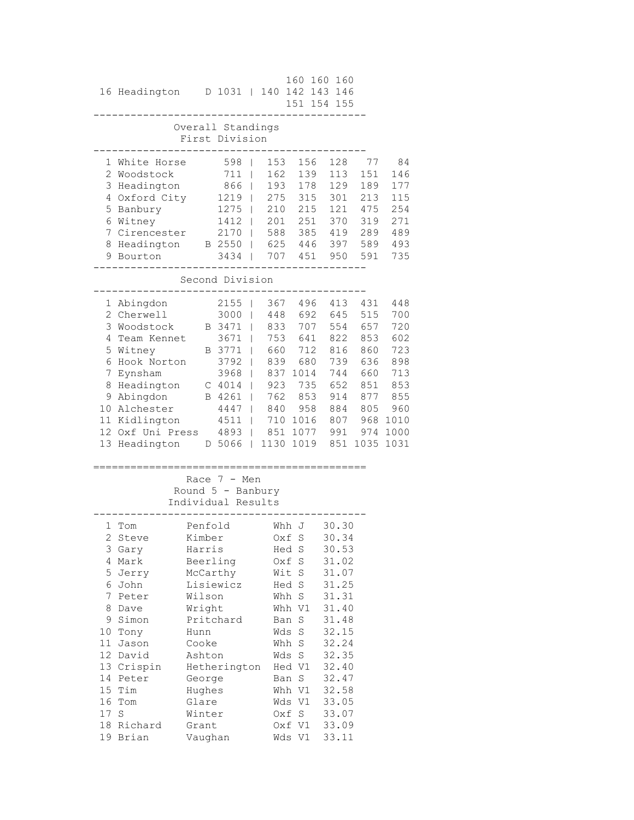|                                                            | 16 Headington                                                                                                                                                                                    |                                                                                                                                                                            | D 1031                                                                                                                 | $\Box$                                                                   | 140                                                                               | 160<br>151 154                                                                                                                                                            | 160                                                                   | 160<br>142 143 146<br>155                                                                                                                                               |                                                                                          |                                                                                            |
|------------------------------------------------------------|--------------------------------------------------------------------------------------------------------------------------------------------------------------------------------------------------|----------------------------------------------------------------------------------------------------------------------------------------------------------------------------|------------------------------------------------------------------------------------------------------------------------|--------------------------------------------------------------------------|-----------------------------------------------------------------------------------|---------------------------------------------------------------------------------------------------------------------------------------------------------------------------|-----------------------------------------------------------------------|-------------------------------------------------------------------------------------------------------------------------------------------------------------------------|------------------------------------------------------------------------------------------|--------------------------------------------------------------------------------------------|
|                                                            |                                                                                                                                                                                                  |                                                                                                                                                                            | Overall Standings<br>First Division                                                                                    |                                                                          |                                                                                   |                                                                                                                                                                           |                                                                       |                                                                                                                                                                         |                                                                                          |                                                                                            |
| 5<br>7                                                     | 1 White Horse<br>2 Woodstock<br>3 Headington<br>4 Oxford City<br>Banbury<br>6 Witney<br>Cirencester<br>8 Headington<br>9 Bourton                                                                 |                                                                                                                                                                            | 598<br>711<br>866<br>1219<br>1275<br>1412<br>2170<br>B 2550<br>3434<br>Second Division                                 | $\blacksquare$<br>$\Box$<br>$\overline{\phantom{a}}$<br>T<br>T<br>T<br>T | 153<br>162<br>193<br>275<br>210<br>201<br>588<br>707                              | 625 446                                                                                                                                                                   | 156<br>139<br>178<br>315<br>215<br>251<br>385<br>451                  | 128<br>113<br>129<br>301<br>121<br>370<br>419<br>397<br>950                                                                                                             | 77<br>151<br>189<br>213<br>475<br>319<br>289<br>589<br>591                               | 84<br>146<br>177<br>115<br>254<br>271<br>489<br>493<br>735                                 |
|                                                            |                                                                                                                                                                                                  |                                                                                                                                                                            |                                                                                                                        |                                                                          |                                                                                   |                                                                                                                                                                           |                                                                       |                                                                                                                                                                         |                                                                                          |                                                                                            |
| 3<br>4<br>7                                                | 1 Abingdon<br>2 Cherwell<br>Woodstock<br>Team Kennet<br>5 Witney<br>6 Hook Norton<br>Eynsham<br>8 Headington<br>9 Abingdon<br>10 Alchester<br>11 Kidlington<br>12 Oxf Uni Press<br>13 Headington |                                                                                                                                                                            | 2155<br>3000<br>B 3471<br>3671<br>B 3771<br>3792<br>3968<br>$C$ 4014<br>B 4261<br>4447<br>$4511$  <br>4893  <br>D 5066 | - 1<br>- 1<br>$\blacksquare$<br>T<br>- 1<br>$\Box$<br>$\Box$<br>$\Box$   | 367<br>448<br>833<br>660<br>839<br>837<br>923<br>762<br>840<br>710<br>851<br>1130 | 753 641<br>1014<br>735                                                                                                                                                    | 496<br>692<br>707<br>712<br>680<br>853<br>958<br>1016<br>1077<br>1019 | 413<br>645<br>554<br>822<br>816<br>739<br>744<br>652<br>914<br>884<br>807<br>991<br>851                                                                                 | 431<br>515<br>657<br>853<br>860<br>636<br>660<br>851<br>877<br>805<br>968<br>974<br>1035 | 448<br>700<br>720<br>602<br>723<br>898<br>713<br>853<br>855<br>960<br>1010<br>1000<br>1031 |
|                                                            |                                                                                                                                                                                                  |                                                                                                                                                                            | Race $7 - Men$<br>Round $5$ - Banbury<br>Individual Results                                                            |                                                                          |                                                                                   |                                                                                                                                                                           |                                                                       |                                                                                                                                                                         |                                                                                          |                                                                                            |
| 2.<br>4<br>5<br>7<br>8<br>9<br>10<br>11 <sup>1</sup><br>17 | 1 Tom<br>Steve<br>3 Gary<br>Mark<br>Jerry<br>6 John<br>Peter<br>Dave<br>Simon<br>Tony<br>Jason<br>12 David<br>13 Crispin<br>14 Peter<br>15 Tim<br>16 Tom<br>S<br>18 Richard<br>19 Brian          | Penfold<br>Kimber<br>Harris<br>Beerling<br>McCarthy<br>Lisiewicz<br>Wilson<br>Wright<br>Hunn<br>Cooke<br>Ashton<br>George<br>Hughes<br>Glare<br>Winter<br>Grant<br>Vaughan | Pritchard<br>Hetherington                                                                                              |                                                                          | Oxf                                                                               | Whh J<br>S<br>Hed S<br>Oxf S<br>Wit S<br>Hed S<br>Whh S<br>Whh V1<br>Ban S<br>Wds S<br>Whh S<br>Wds S<br>Hed V1<br>Ban S<br>Whh V1<br>Wds V1<br>Oxf S<br>Oxf V1<br>Wds Vl |                                                                       | 30.30<br>30.34<br>30.53<br>31.02<br>31.07<br>31.25<br>31.31<br>31.40<br>31.48<br>32.15<br>32.24<br>32.35<br>32.40<br>32.47<br>32.58<br>33.05<br>33.07<br>33.09<br>33.11 |                                                                                          |                                                                                            |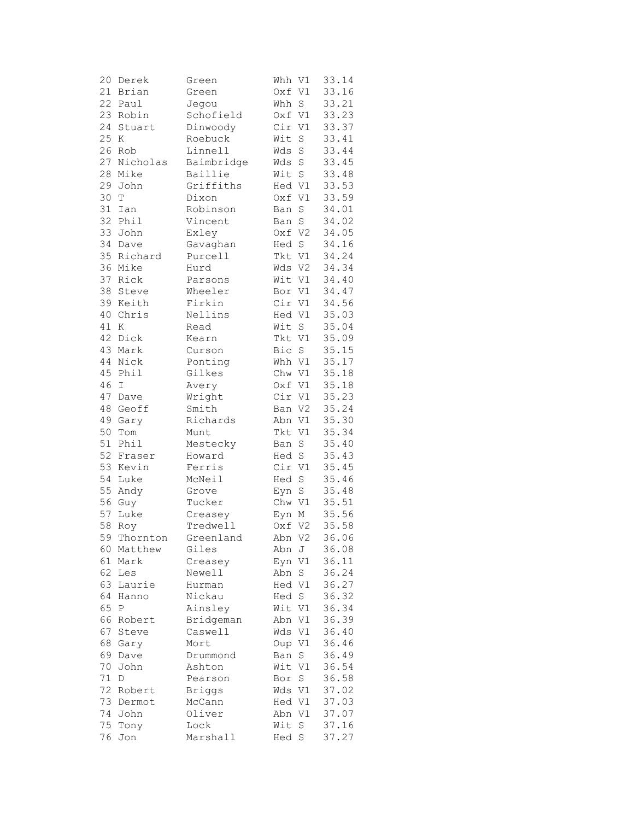| 20 | Derek         | Green         | Whh V1 |             | 33.14 |
|----|---------------|---------------|--------|-------------|-------|
| 21 | Brian         | Green         | Oxf V1 |             | 33.16 |
| 22 | Paul          | Jegou         | Whh    | $\mathbf S$ | 33.21 |
|    | 23 Robin      | Schofield     | Oxf V1 |             | 33.23 |
| 24 | Stuart        | Dinwoody      | Cir    | V1          | 33.37 |
| 25 | K             | Roebuck       | Wit    | $\rm S$     | 33.41 |
|    | 26 Rob        | Linnell       | Wds    | $\rm S$     | 33.44 |
| 27 |               |               |        |             |       |
|    | Nicholas      | Baimbridge    | Wds    | $\rm S$     | 33.45 |
|    | 28 Mike       | Baillie       | Wit    | $\rm S$     | 33.48 |
| 29 | John          | Griffiths     | Hed V1 |             | 33.53 |
| 30 | T             | Dixon         | Oxf V1 |             | 33.59 |
| 31 | Ian           | Robinson      | Ban    | $\rm S$     | 34.01 |
| 32 | Phil          | Vincent       | Ban    | $\rm S$     | 34.02 |
| 33 | John          | Exley         | Oxf    | V2          | 34.05 |
| 34 | Dave          | Gavaghan      | Hed    | S           | 34.16 |
|    | 35 Richard    | Purcell       | Tkt V1 |             | 34.24 |
|    | 36 Mike       | Hurd          | Wds V2 |             | 34.34 |
| 37 | Rick          | Parsons       | Wit V1 |             | 34.40 |
|    | 38 Steve      | Wheeler       | Bor V1 |             | 34.47 |
| 39 | Keith         | Firkin        | Cir V1 |             | 34.56 |
| 40 | Chris         | Nellins       | Hed V1 |             | 35.03 |
| 41 |               | Read          | Wit    |             | 35.04 |
|    | Κ             |               |        | $\mathbf S$ |       |
| 42 | Dick          | Kearn         | Tkt V1 |             | 35.09 |
|    | 43 Mark       | Curson        | Bic    | $\mathbf S$ | 35.15 |
| 44 | Nick          | Ponting       | Whh V1 |             | 35.17 |
|    | 45 Phil       | Gilkes        | Chw V1 |             | 35.18 |
| 46 | $\mathbbm{1}$ | Avery         | Oxf V1 |             | 35.18 |
| 47 | Dave          | Wright        | Cir V1 |             | 35.23 |
| 48 | Geoff         | Smith         | Ban V2 |             | 35.24 |
| 49 | Gary          | Richards      | Abn V1 |             | 35.30 |
| 50 | Tom           | Munt          | Tkt    | V1          | 35.34 |
| 51 | Phil          | Mestecky      | Ban    | $\rm S$     | 35.40 |
| 52 | Fraser        | Howard        | Hed    | $\mathbf S$ | 35.43 |
|    | 53 Kevin      | Ferris        | Cir V1 |             | 35.45 |
| 54 | Luke          | McNeil        | Hed    | $\rm S$     | 35.46 |
|    | 55 Andy       | Grove         | Eyn    | $\mathbb S$ | 35.48 |
|    | 56 Guy        | Tucker        | Chw V1 |             | 35.51 |
| 57 | Luke          | Creasey       | Eyn M  |             | 35.56 |
| 58 | Roy           | Tredwell      | Oxf V2 |             | 35.58 |
| 59 | Thornton      | Greenland     | Abn V2 |             | 36.06 |
| 60 | Matthew       | Giles         | Abn    | J           | 36.08 |
| 61 | Mark          | Creasey       | Eyn    | V1          | 36.11 |
| 62 | Les           | Newell        | Abn    | S           | 36.24 |
| 63 | Laurie        | Hurman        | Hed V1 |             | 36.27 |
|    |               |               | Hed    |             | 36.32 |
| 64 | Hanno         | Nickau        |        | S           |       |
| 65 | Ρ             | Ainsley       | Wit V1 |             | 36.34 |
| 66 | Robert        | Bridgeman     | Abn    | V1          | 36.39 |
| 67 | Steve         | Caswell       | Wds    | V1          | 36.40 |
| 68 | Gary          | Mort          | Oup V1 |             | 36.46 |
| 69 | Dave          | Drummond      | Ban    | S           | 36.49 |
| 70 | John          | Ashton        | Wit    | V1          | 36.54 |
| 71 | D             | Pearson       | Bor    | $\rm S$     | 36.58 |
| 72 | Robert        | <b>Briggs</b> | Wds V1 |             | 37.02 |
| 73 | Dermot        | McCann        | Hed V1 |             | 37.03 |
| 74 | John          | Oliver        | Abn    | V1          | 37.07 |
| 75 | Tony          | Lock          | Wit    | S           | 37.16 |
| 76 | Jon           | Marshall      | Hed S  |             | 37.27 |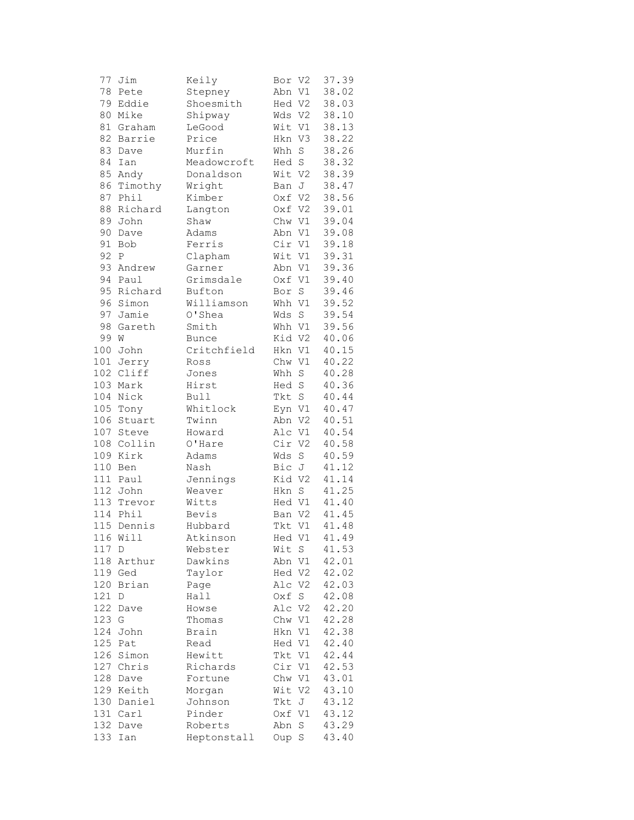| 77  | Jim             | Keily        | Bor V2 |                    | 37.39 |
|-----|-----------------|--------------|--------|--------------------|-------|
| 78  | Pete            | Stepney      | Abn V1 |                    | 38.02 |
| 79  | Eddie           | Shoesmith    | Hed V2 |                    | 38.03 |
| 80  | Mike            | Shipway      | Wds V2 |                    | 38.10 |
| 81  | Graham          | LeGood       | Wit V1 |                    | 38.13 |
| 82  | Barrie          | Price        | Hkn V3 |                    | 38.22 |
| 83  | Dave            | Murfin       | Whh    | $\mathbf S$        | 38.26 |
| 84  | Ian             | Meadowcroft  | Hed S  |                    | 38.32 |
| 85  | Andy            | Donaldson    | Wit V2 |                    | 38.39 |
| 86  | Timothy         | Wright       | Ban J  |                    | 38.47 |
| 87  | Phil            | Kimber       | Oxf V2 |                    | 38.56 |
| 88  | Richard         | Langton      | Oxf V2 |                    | 39.01 |
| 89  | John            | Shaw         | Chw V1 |                    | 39.04 |
| 90  | Dave            | Adams        | Abn V1 |                    | 39.08 |
| 91  | Bob             | Ferris       | Cir V1 |                    | 39.18 |
| 92  | P               | Clapham      | Wit V1 |                    | 39.31 |
| 93  | Andrew          | Garner       | Abn V1 |                    | 39.36 |
| 94  | Paul            | Grimsdale    | Oxf V1 |                    | 39.40 |
| 95  | Richard         | Bufton       | Bor    | $\operatorname{S}$ | 39.46 |
| 96  | Simon           |              |        |                    | 39.52 |
| 97  |                 | Williamson   | Whh V1 |                    | 39.54 |
| 98  | Jamie<br>Gareth | O'Shea       | Wds    | $\mathbf S$        | 39.56 |
|     |                 | Smith        | Whh V1 |                    |       |
| 99  | W               | <b>Bunce</b> | Kid V2 |                    | 40.06 |
| 100 | John            | Critchfield  | Hkn    | V1                 | 40.15 |
|     | 101 Jerry       | Ross         | Chw V1 |                    | 40.22 |
|     | 102 Cliff       | Jones        | Whh S  |                    | 40.28 |
|     | 103 Mark        | Hirst        | Hed S  |                    | 40.36 |
|     | 104 Nick        | Bull         | Tkt S  |                    | 40.44 |
|     | 105 Tony        | Whitlock     | Eyn V1 |                    | 40.47 |
| 106 | Stuart          | Twinn        | Abn V2 |                    | 40.51 |
| 107 | Steve           | Howard       | Alc V1 |                    | 40.54 |
| 108 | Collin          | O'Hare       | Cir V2 |                    | 40.58 |
| 109 | Kirk            | Adams        | Wds    | S                  | 40.59 |
| 110 | Ben             | Nash         | Bic J  |                    | 41.12 |
|     | 111 Paul        | Jennings     | Kid V2 |                    | 41.14 |
|     | 112 John        | Weaver       | Hkn S  |                    | 41.25 |
|     | 113 Trevor      | Witts        | Hed V1 |                    | 41.40 |
|     | 114 Phil        | Bevis        | Ban V2 |                    | 41.45 |
|     | 115 Dennis      | Hubbard      | Tkt V1 |                    | 41.48 |
|     | 116 Will        | Atkinson     | Hed V1 |                    | 41.49 |
| 117 | D               | Webster      | Wit    | S                  | 41.53 |
| 118 | Arthur          | Dawkins      | Abn    | V1                 | 42.01 |
| 119 | Ged             | Taylor       | Hed V2 |                    | 42.02 |
| 120 | Brian           | Page         | Alc V2 |                    | 42.03 |
| 121 | D               | Hall         | Oxf    | S                  | 42.08 |
| 122 | Dave            | Howse        | Alc V2 |                    | 42.20 |
| 123 | G               | Thomas       | Chw V1 |                    | 42.28 |
| 124 | John            | Brain        | Hkn    | V1                 | 42.38 |
| 125 | Pat             | Read         | Hed V1 |                    | 42.40 |
| 126 | Simon           | Hewitt       | Tkt V1 |                    | 42.44 |
| 127 | Chris           | Richards     | Cir V1 |                    | 42.53 |
| 128 | Dave            | Fortune      | Chw V1 |                    | 43.01 |
| 129 | Keith           | Morgan       | Wit V2 |                    | 43.10 |
| 130 | Daniel          | Johnson      | Tkt    | J                  | 43.12 |
|     | 131 Carl        | Pinder       | Oxf V1 |                    | 43.12 |
| 132 | Dave            | Roberts      | Abn    | S                  | 43.29 |
| 133 | Ian             | Heptonstall  | Oup    | S                  | 43.40 |
|     |                 |              |        |                    |       |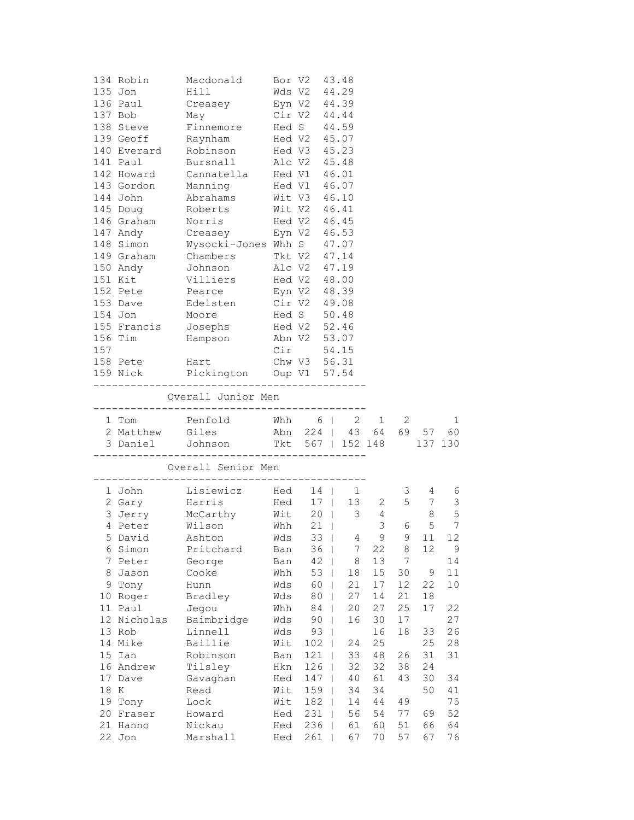| 157    | 134 Robin<br>135 Jon<br>136 Paul<br>137 Bob<br>138 Steve<br>139 Geoff<br>140 Everard<br>141 Paul<br>142 Howard<br>143 Gordon<br>144 John<br>147 Andy<br>148 Simon<br>149 Graham<br>150 Andy<br>151 Kit<br>154 Jon<br>156 Tim<br>158 Pete | Macdonald Bor V2 43.48<br>Hill<br>Creasey Eyn V2 44.39<br>May<br>Finnemore Hed S 44.59<br>Raynham<br>Robinson<br>Bursnall<br>Cannatella Hed V1 46.01<br>Manning<br>Abrahams Wit V3<br>145 Doug Roberts Wit V2 46.41<br>146 Graham Norris Hed V2 46.45<br>Creasey Eyn V2 46.53<br>Wysocki-Jones Whh S 47.07<br>Chambers       Tkt V2 47.14<br>Johnson       Alc V2 47.19<br>Villiers<br>152 Pete Pearce<br>153 Dave Bdelsten Cir V2 49.08<br>Moore Hed S 50.48<br>155 Francis Josephs Hed V2 52.46<br>Hampson Mabn V2 53.07<br>Hart<br>159 Nick Pickington Oup V1 57.54 |            | Wds V2 44.29<br>Cir V2 44.44<br>Hed V2 45.07<br>Hed V3 45.23<br>Alc V2 45.48<br>Hed V1 46.07<br>Hed V2 48.00<br>Eyn V2 48.39<br>$Cir$ 54.15<br>Chw V3 56.31 |   | 46.10         |          |          |                |                |  |
|--------|------------------------------------------------------------------------------------------------------------------------------------------------------------------------------------------------------------------------------------------|------------------------------------------------------------------------------------------------------------------------------------------------------------------------------------------------------------------------------------------------------------------------------------------------------------------------------------------------------------------------------------------------------------------------------------------------------------------------------------------------------------------------------------------------------------------------|------------|-------------------------------------------------------------------------------------------------------------------------------------------------------------|---|---------------|----------|----------|----------------|----------------|--|
|        |                                                                                                                                                                                                                                          | -----------------------------<br>Overall Junior Men                                                                                                                                                                                                                                                                                                                                                                                                                                                                                                                    |            |                                                                                                                                                             |   |               |          |          |                |                |  |
|        |                                                                                                                                                                                                                                          | -----------------------------                                                                                                                                                                                                                                                                                                                                                                                                                                                                                                                                          |            |                                                                                                                                                             |   |               |          |          |                |                |  |
|        | 1 Tom                                                                                                                                                                                                                                    | Penfold Whh 6   2 1 2<br>2 Matthew Giles Abn 224   43 64 69 57 60                                                                                                                                                                                                                                                                                                                                                                                                                                                                                                      |            |                                                                                                                                                             |   |               |          |          |                | 1              |  |
|        |                                                                                                                                                                                                                                          | 3 Daniel Johnson 1 Tkt 567   152 148 137 130                                                                                                                                                                                                                                                                                                                                                                                                                                                                                                                           |            |                                                                                                                                                             |   |               |          |          |                |                |  |
|        |                                                                                                                                                                                                                                          | Overall Senior Men                                                                                                                                                                                                                                                                                                                                                                                                                                                                                                                                                     |            |                                                                                                                                                             |   |               |          |          |                |                |  |
|        | 1 John                                                                                                                                                                                                                                   | Lisiewicz Hed 14   1                                                                                                                                                                                                                                                                                                                                                                                                                                                                                                                                                   |            |                                                                                                                                                             |   |               |          |          | $3 \t 4$       | 6              |  |
|        | 2 Gary                                                                                                                                                                                                                                   | Harris                                                                                                                                                                                                                                                                                                                                                                                                                                                                                                                                                                 |            |                                                                                                                                                             |   | Hed 17   13 2 |          |          | 5 7            | 3              |  |
|        |                                                                                                                                                                                                                                          | 3 Jerry McCarthy Wit 20                                                                                                                                                                                                                                                                                                                                                                                                                                                                                                                                                |            |                                                                                                                                                             |   |               | $3 \t 4$ |          | 8 <sup>8</sup> | 5              |  |
|        |                                                                                                                                                                                                                                          | 4 Peter Wilson                                                                                                                                                                                                                                                                                                                                                                                                                                                                                                                                                         | Whh        | $21$                                                                                                                                                        |   |               | 3        | 6        | 5              | $\overline{7}$ |  |
| Ⴢ      | David                                                                                                                                                                                                                                    | Ashton                                                                                                                                                                                                                                                                                                                                                                                                                                                                                                                                                                 | Wds        | 33                                                                                                                                                          |   | 4             | 9        | 9        | 11             | 12             |  |
| 6      | Simon                                                                                                                                                                                                                                    | Pritchard                                                                                                                                                                                                                                                                                                                                                                                                                                                                                                                                                              | Ban        | 36                                                                                                                                                          |   | 7             | 22       | 8        | 12             | $\mathsf 9$    |  |
| 7      | Peter                                                                                                                                                                                                                                    | George                                                                                                                                                                                                                                                                                                                                                                                                                                                                                                                                                                 | Ban        | 42                                                                                                                                                          |   | 8             | 13       | 7        |                | 14             |  |
| 8      | Jason                                                                                                                                                                                                                                    | Cooke                                                                                                                                                                                                                                                                                                                                                                                                                                                                                                                                                                  | Whh        | 53                                                                                                                                                          | T | 18            | 15       | 30       | $\mathsf 9$    | 11             |  |
|        | 9 Tony                                                                                                                                                                                                                                   | Hunn                                                                                                                                                                                                                                                                                                                                                                                                                                                                                                                                                                   | Wds        | 60                                                                                                                                                          |   | 21            | 17       | 12       | 22             | 10             |  |
| 10     | Roger                                                                                                                                                                                                                                    | Bradley                                                                                                                                                                                                                                                                                                                                                                                                                                                                                                                                                                | Wds        | 80                                                                                                                                                          |   | 27            | 14       | 21       | 18             |                |  |
| 11     | Paul                                                                                                                                                                                                                                     | Jegou                                                                                                                                                                                                                                                                                                                                                                                                                                                                                                                                                                  | Whh        | 84                                                                                                                                                          |   | 20            | 27       | 25       | 17             | 22             |  |
| 12     | Nicholas<br>13 Rob                                                                                                                                                                                                                       | Baimbridge<br>Linnell                                                                                                                                                                                                                                                                                                                                                                                                                                                                                                                                                  | Wds<br>Wds | 90<br>93                                                                                                                                                    |   | 16            | 30<br>16 | 17<br>18 | 33             | 27<br>26       |  |
|        | 14 Mike                                                                                                                                                                                                                                  | Baillie                                                                                                                                                                                                                                                                                                                                                                                                                                                                                                                                                                | Wit        | 102                                                                                                                                                         |   | 24            | 25       |          | 25             | 28             |  |
| 15     | Ian                                                                                                                                                                                                                                      | Robinson                                                                                                                                                                                                                                                                                                                                                                                                                                                                                                                                                               | Ban        | 121                                                                                                                                                         |   | 33            | 48       | 26       | 31             | 31             |  |
|        | 16 Andrew                                                                                                                                                                                                                                | Tilsley                                                                                                                                                                                                                                                                                                                                                                                                                                                                                                                                                                | Hkn        | 126                                                                                                                                                         |   | 32            | 32       | 38       | 24             |                |  |
| 17     | Dave                                                                                                                                                                                                                                     | Gavaghan                                                                                                                                                                                                                                                                                                                                                                                                                                                                                                                                                               | Hed        | 147                                                                                                                                                         | T | 40            | 61       | 43       | 30             | 34             |  |
| $18\,$ | K                                                                                                                                                                                                                                        | Read                                                                                                                                                                                                                                                                                                                                                                                                                                                                                                                                                                   | Wit        | 159                                                                                                                                                         |   | 34            | 34       |          | 50             | 41             |  |
|        | 19 Tony                                                                                                                                                                                                                                  | Lock                                                                                                                                                                                                                                                                                                                                                                                                                                                                                                                                                                   | Wit        | 182                                                                                                                                                         | T | 14            | 44       | 49       |                | 75             |  |
| 20     | Fraser                                                                                                                                                                                                                                   | Howard                                                                                                                                                                                                                                                                                                                                                                                                                                                                                                                                                                 | Hed        | 231                                                                                                                                                         |   | 56            | 54       | 77       | 69             | 52             |  |
| 21     | Hanno<br>22 Jon                                                                                                                                                                                                                          | Nickau<br>Marshall                                                                                                                                                                                                                                                                                                                                                                                                                                                                                                                                                     | Hed<br>Hed | 236<br>261                                                                                                                                                  |   | 61<br>67      | 60<br>70 | 51<br>57 | 66<br>67       | 64<br>76       |  |
|        |                                                                                                                                                                                                                                          |                                                                                                                                                                                                                                                                                                                                                                                                                                                                                                                                                                        |            |                                                                                                                                                             |   |               |          |          |                |                |  |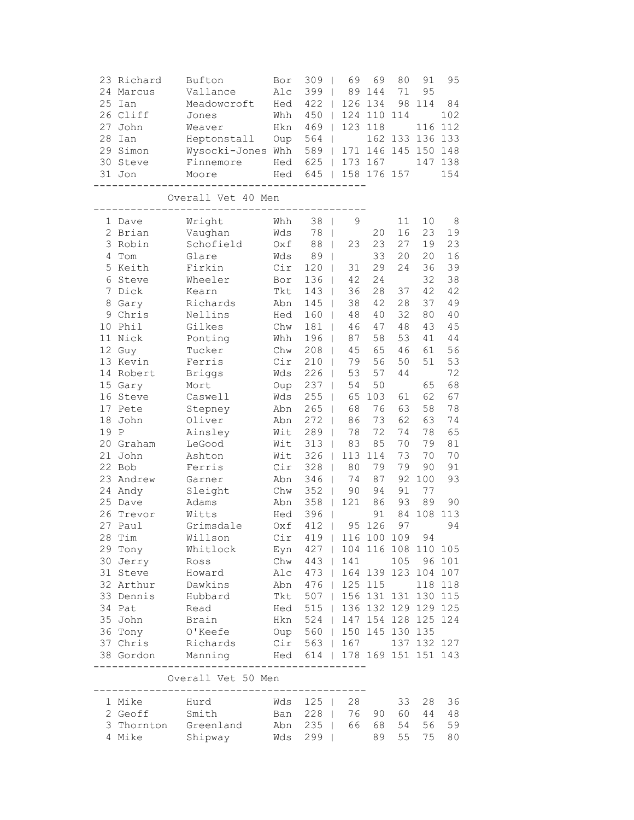|      | 23 Richard<br>24 Marcus | Bufton<br>Vallance                         | Bor<br>Alc  | 309<br>399                                           |                          | 69<br>89 | 69<br>144   | 80<br>71 | 91<br>95    | 95      |
|------|-------------------------|--------------------------------------------|-------------|------------------------------------------------------|--------------------------|----------|-------------|----------|-------------|---------|
| 25   | Ian                     | Meadowcroft                                | Hed         | 422                                                  | $\mathbf{I}$             | 126      | 134         | 98       | 114         | 84      |
|      | 26 Cliff                | Jones                                      | Whh         | 450                                                  | $\mathbb{R}$             | 124      | 110         | 114      |             | 102     |
| 27   | John                    | Weaver                                     | Hkn         | 469                                                  | $\mathbb{R}$             | 123      | 118         |          | 116         | 112     |
| 28   | Ian                     | Heptonstall                                | Oup         | 564                                                  | $\Box$                   |          |             | 162 133  | 136         | 133     |
|      | 29 Simon                | Wysocki-Jones Whh                          |             | 589                                                  |                          | 171      |             | 146 145  | 150         | 148     |
| 30   | Steve                   | Finnemore                                  | Hed         | 625                                                  | $\Box$                   |          | 173 167     |          | 147         | 138     |
|      | 31 Jon                  | Moore                                      | Hed         | 645                                                  | $\Box$                   |          | 158 176 157 |          |             | 154     |
|      |                         | Overall Vet 40 Men                         |             |                                                      |                          |          |             |          |             |         |
|      | 1 Dave                  | Wright                                     | Whh         | 38                                                   | $\mathbf{I}$             | 9        |             | 11       | 10          | 8       |
|      | 2 Brian                 | Vaughan                                    | Wds         | 78                                                   | $\overline{\phantom{a}}$ |          | 20          | 16       | 23          | 19      |
|      | 3 Robin                 | Schofield                                  | Oxf         | 88                                                   | $\Box$                   | 23       | 23          | 27       | 19          | 23      |
| 4    | Tom                     | Glare                                      | Wds         | 89                                                   | $\mathbf{I}$             |          | 33          | 20       | 20          | 16      |
| 5    | Keith                   | Firkin                                     | Cir         | 120                                                  |                          | 31       | 29          | 24       | 36          | 39      |
| 6    | Steve                   | Wheeler                                    | Bor         | 136                                                  |                          | 42       | 24          |          | 32          | 38      |
| 7    | Dick                    | Kearn                                      | Tkt         | 143                                                  |                          | 36       | 28          | 37       | 42          | 42      |
| 8    | Gary                    | Richards                                   | Abn         | 145                                                  |                          | 38       | 42          | 28       | 37          | 49      |
|      | 9 Chris                 | Nellins                                    | Hed         | 160                                                  | $\mathbf{I}$             | 48       | 40          | 32       | 80          | 40      |
| 10   | Phil                    | Gilkes                                     | Chw         | 181                                                  | $\mathbf{I}$             | 46       | 47          | 48       | 43          | 45      |
|      | 11 Nick                 | Ponting                                    | Whh         | 196                                                  | $\mathbf{I}$             | 87       | 58          | 53       | 41          | 44      |
|      | 12 Guy                  | Tucker                                     | ${\rm Chw}$ | 208                                                  | $\mathbf{I}$             | 45       | 65          | 46       | 61          | 56      |
|      | 13 Kevin                | Ferris                                     | Cir         | 210                                                  | $\mathbf{I}$             | 79       | 56          | 50       | 51          | 53      |
| 14   | Robert                  | <b>Briggs</b>                              | Wds         | 226                                                  |                          | 53       | 57          | 44       |             | 72      |
|      | 15 Gary                 | Mort                                       | Oup         | 237                                                  |                          | 54       | 50          |          | 65          | 68      |
|      | 16 Steve                | Caswell                                    | Wds         | 255                                                  |                          | 65       | 103         | 61       | 62          | 67      |
|      | 17 Pete                 | Stepney                                    | Abn         | 265                                                  | $\perp$                  | 68       | 76          | 63       | 58          | 78      |
| 18   | John                    | Oliver                                     | Abn         | 272                                                  | $\overline{\phantom{a}}$ | 86       | 73          | 62       | 63          | 74      |
| 19 P |                         | Ainsley                                    | Wit         | 289                                                  | $\overline{\phantom{a}}$ | 78       | 72          | 74       | 78          | 65      |
|      | 20 Graham               | LeGood                                     | Wit         | 313                                                  | $\mathbf{I}$             | 83       | 85          | 70       | 79          | 81      |
|      | 21 John                 | Ashton                                     | Wit         | 326                                                  | $\perp$                  | 113      | 114         | 73       | 70          | 70      |
|      | 22 Bob                  | Ferris                                     | Cir         | 328                                                  | $\mathbf{I}$             | 80       | 79          | 79       | 90          | 91      |
|      | 23 Andrew               | Garner                                     | Abn         | 346                                                  |                          | 74       | 87          | 92       | 100         | 93      |
|      | 24 Andy                 | Sleight                                    | Chw         | 352                                                  |                          | 90       | 94          | 91       | 77          |         |
| 25   | Dave                    | Adams                                      | Abn         | 358                                                  | $\mathbf{I}$             | 121      | 86          | 93       | 89          | 90      |
|      | 26 Trevor               | Witts                                      | Hed         | 396                                                  |                          |          | 91          | 84       | 108         | 113     |
|      | 27 Paul                 | Grimsdale                                  | Oxf         | 412                                                  | $\mathbf{I}$             | 95       | 126         | 97       |             | 94      |
|      | 28 Tim                  | Willson                                    |             | Cir 419   116 100 109 94                             |                          |          |             |          |             |         |
|      | 29 Tony                 | Whitlock                                   |             | Eyn 427   104 116 108 110 105                        |                          |          |             |          |             |         |
|      | 30 Jerry Ross           |                                            |             | Chw 443   141                                        |                          |          |             | 105      |             | 96 101  |
|      |                         | 31 Steve Howard                            |             | Alc 473   164 139 123 104 107                        |                          |          |             |          |             |         |
|      |                         | 32 Arthur Dawkins                          |             | Abn 476   125 115                                    |                          |          |             |          |             | 118 118 |
|      |                         | 33 Dennis Hubbard                          |             | Tkt 507   156 131 131 130 115                        |                          |          |             |          |             |         |
|      | 34 Pat                  | Read                                       |             | Hed 515   136 132 129 129 125                        |                          |          |             |          |             |         |
|      | 35 John                 | Brain                                      |             | Hkn 524   147 154 128 125 124                        |                          |          |             |          |             |         |
|      | 36 Tony                 | O'Keefe                                    |             | Oup 560   150 145 130 135<br>Cir 563   167   137 132 |                          |          |             |          |             |         |
|      | 37 Chris                | .<br>Richards                              |             |                                                      |                          |          |             |          | 137 132 127 |         |
|      | 38 Gordon               | Manning Hed 614   178 169 151 151 143      | ----------- |                                                      |                          |          |             |          |             |         |
|      |                         | Overall Vet 50 Men<br>____________________ |             |                                                      |                          |          |             |          |             |         |
|      | 1 Mike Hurd             |                                            |             | Wds 125   28                                         |                          |          |             | 33       |             | 28 36   |

| 1 Mike     | Hurd      | Wds 125 I 28             |  |                | 33 28 36    |  |
|------------|-----------|--------------------------|--|----------------|-------------|--|
| 2 Geoff    | Smith     | Ban 228   76 90 60 44 48 |  |                |             |  |
| 3 Thornton | Greenland | Abn 235 I                |  | 66 68 54 56 59 |             |  |
| 4 Mike     | Shipway   | Wds 299 I                |  |                | 89 55 75 80 |  |